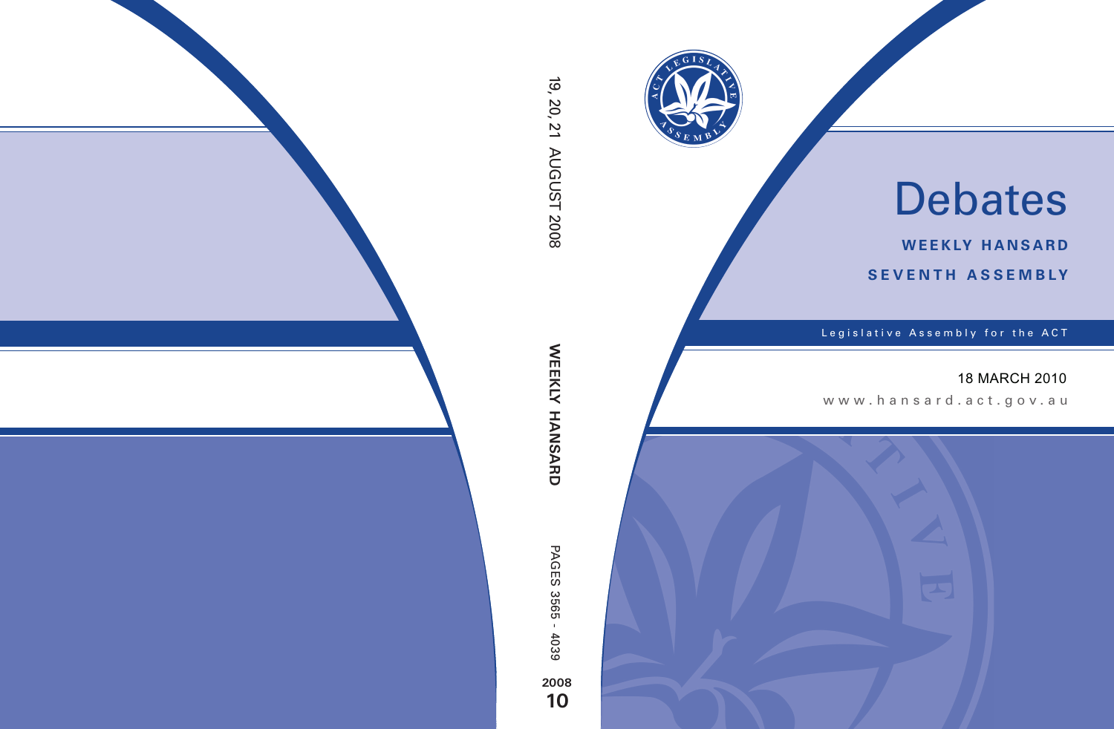

# Debates

**weekly hansard seventh asseMBly**

Legislative Assembly for the ACT

## 18 MARCH 2010

www .hansard.act.go v.au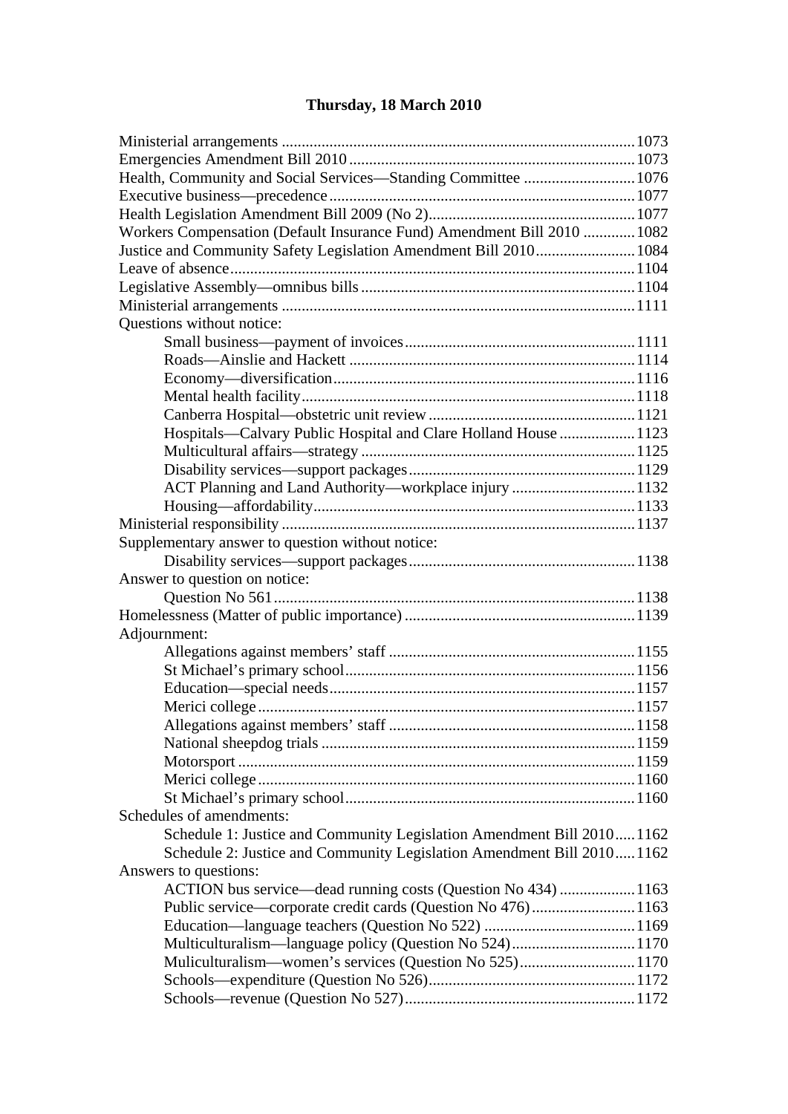## **[Thursday, 18 March 2010](#page-3-0)**

| Health, Community and Social Services-Standing Committee  1076                                  |  |
|-------------------------------------------------------------------------------------------------|--|
|                                                                                                 |  |
|                                                                                                 |  |
| Workers Compensation (Default Insurance Fund) Amendment Bill 2010  1082                         |  |
| Justice and Community Safety Legislation Amendment Bill 2010 1084                               |  |
|                                                                                                 |  |
|                                                                                                 |  |
|                                                                                                 |  |
| Questions without notice:                                                                       |  |
|                                                                                                 |  |
|                                                                                                 |  |
|                                                                                                 |  |
|                                                                                                 |  |
|                                                                                                 |  |
| Hospitals-Calvary Public Hospital and Clare Holland House  1123                                 |  |
|                                                                                                 |  |
|                                                                                                 |  |
| ACT Planning and Land Authority-workplace injury  1132                                          |  |
|                                                                                                 |  |
|                                                                                                 |  |
| Supplementary answer to question without notice:                                                |  |
|                                                                                                 |  |
| Answer to question on notice:                                                                   |  |
|                                                                                                 |  |
|                                                                                                 |  |
|                                                                                                 |  |
|                                                                                                 |  |
| Adjournment:                                                                                    |  |
|                                                                                                 |  |
|                                                                                                 |  |
|                                                                                                 |  |
|                                                                                                 |  |
|                                                                                                 |  |
|                                                                                                 |  |
|                                                                                                 |  |
|                                                                                                 |  |
| Schedules of amendments:                                                                        |  |
|                                                                                                 |  |
| Schedule 1: Justice and Community Legislation Amendment Bill 20101162                           |  |
| Schedule 2: Justice and Community Legislation Amendment Bill 2010 1162<br>Answers to questions: |  |
|                                                                                                 |  |
| ACTION bus service—dead running costs (Question No 434)  1163                                   |  |
| Public service—corporate credit cards (Question No 476)1163                                     |  |
|                                                                                                 |  |
|                                                                                                 |  |
| Muliculturalism—women's services (Question No 525) 1170                                         |  |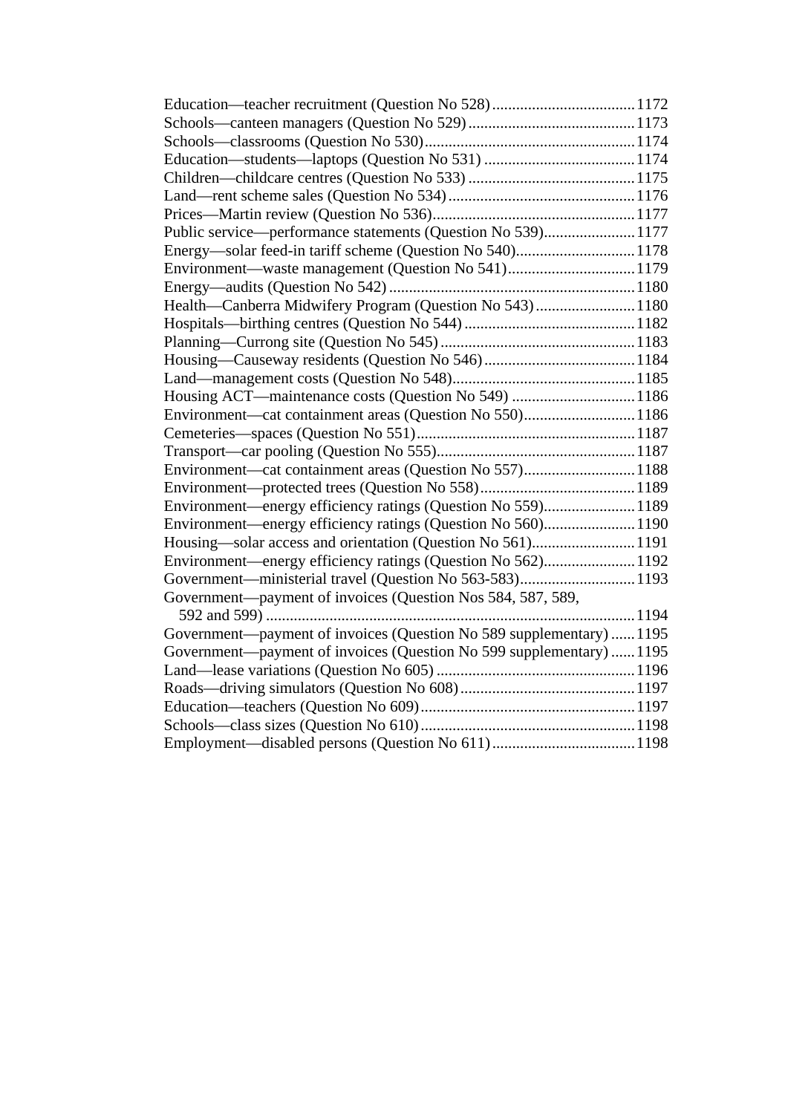| Public service—performance statements (Question No 539)1177         |  |
|---------------------------------------------------------------------|--|
|                                                                     |  |
| Environment—waste management (Question No 541)1179                  |  |
|                                                                     |  |
| Health-Canberra Midwifery Program (Question No 543) 1180            |  |
|                                                                     |  |
|                                                                     |  |
|                                                                     |  |
|                                                                     |  |
| Housing ACT—maintenance costs (Question No 549)  1186               |  |
| Environment—cat containment areas (Question No 550) 1186            |  |
|                                                                     |  |
|                                                                     |  |
| Environment—cat containment areas (Question No 557) 1188            |  |
|                                                                     |  |
| Environment—energy efficiency ratings (Question No 559)1189         |  |
| Environment—energy efficiency ratings (Question No 560)1190         |  |
|                                                                     |  |
| Environment—energy efficiency ratings (Question No 562)1192         |  |
| Government—ministerial travel (Question No 563-583)1193             |  |
| Government—payment of invoices (Question Nos 584, 587, 589,         |  |
|                                                                     |  |
| Government—payment of invoices (Question No 589 supplementary) 1195 |  |
| Government—payment of invoices (Question No 599 supplementary) 1195 |  |
|                                                                     |  |
|                                                                     |  |
|                                                                     |  |
|                                                                     |  |
|                                                                     |  |
|                                                                     |  |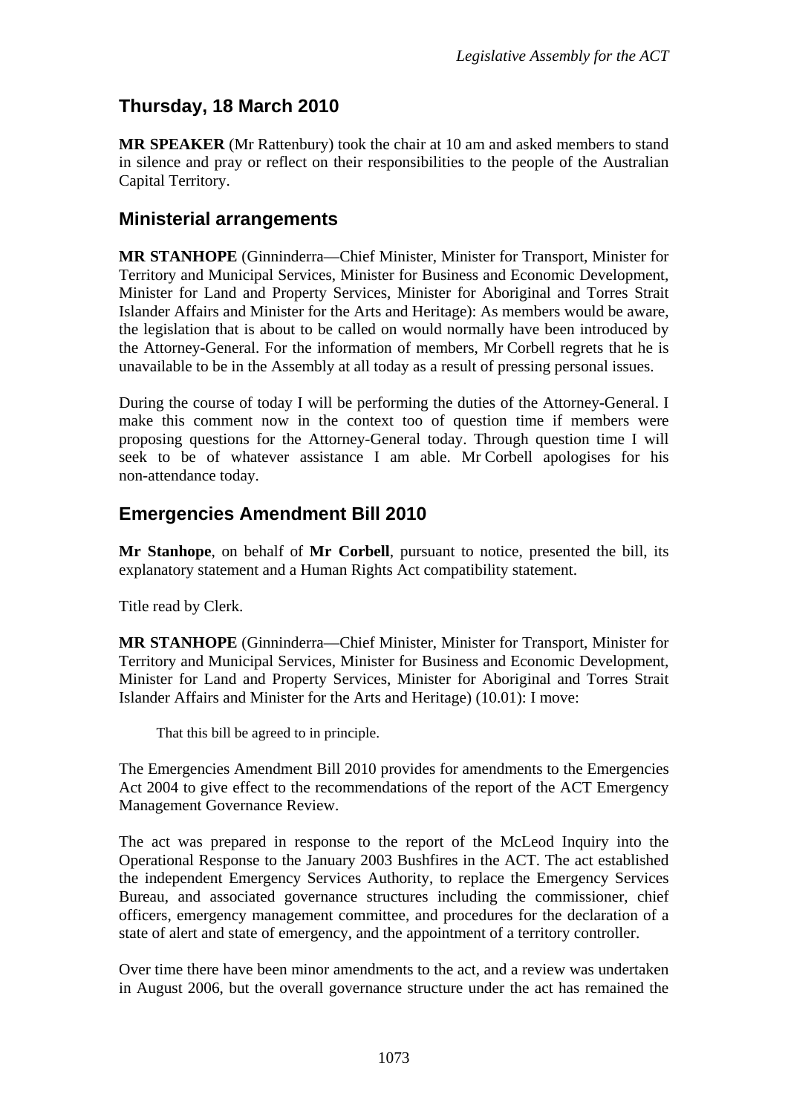# <span id="page-3-0"></span>**Thursday, 18 March 2010**

**MR SPEAKER** (Mr Rattenbury) took the chair at 10 am and asked members to stand in silence and pray or reflect on their responsibilities to the people of the Australian Capital Territory.

## <span id="page-3-1"></span>**Ministerial arrangements**

**MR STANHOPE** (Ginninderra—Chief Minister, Minister for Transport, Minister for Territory and Municipal Services, Minister for Business and Economic Development, Minister for Land and Property Services, Minister for Aboriginal and Torres Strait Islander Affairs and Minister for the Arts and Heritage): As members would be aware, the legislation that is about to be called on would normally have been introduced by the Attorney-General. For the information of members, Mr Corbell regrets that he is unavailable to be in the Assembly at all today as a result of pressing personal issues.

During the course of today I will be performing the duties of the Attorney-General. I make this comment now in the context too of question time if members were proposing questions for the Attorney-General today. Through question time I will seek to be of whatever assistance I am able. Mr Corbell apologises for his non-attendance today.

## <span id="page-3-2"></span>**Emergencies Amendment Bill 2010**

**Mr Stanhope**, on behalf of **Mr Corbell**, pursuant to notice, presented the bill, its explanatory statement and a Human Rights Act compatibility statement.

Title read by Clerk.

**MR STANHOPE** (Ginninderra—Chief Minister, Minister for Transport, Minister for Territory and Municipal Services, Minister for Business and Economic Development, Minister for Land and Property Services, Minister for Aboriginal and Torres Strait Islander Affairs and Minister for the Arts and Heritage) (10.01): I move:

That this bill be agreed to in principle.

The Emergencies Amendment Bill 2010 provides for amendments to the Emergencies Act 2004 to give effect to the recommendations of the report of the ACT Emergency Management Governance Review.

The act was prepared in response to the report of the McLeod Inquiry into the Operational Response to the January 2003 Bushfires in the ACT. The act established the independent Emergency Services Authority, to replace the Emergency Services Bureau, and associated governance structures including the commissioner, chief officers, emergency management committee, and procedures for the declaration of a state of alert and state of emergency, and the appointment of a territory controller.

Over time there have been minor amendments to the act, and a review was undertaken in August 2006, but the overall governance structure under the act has remained the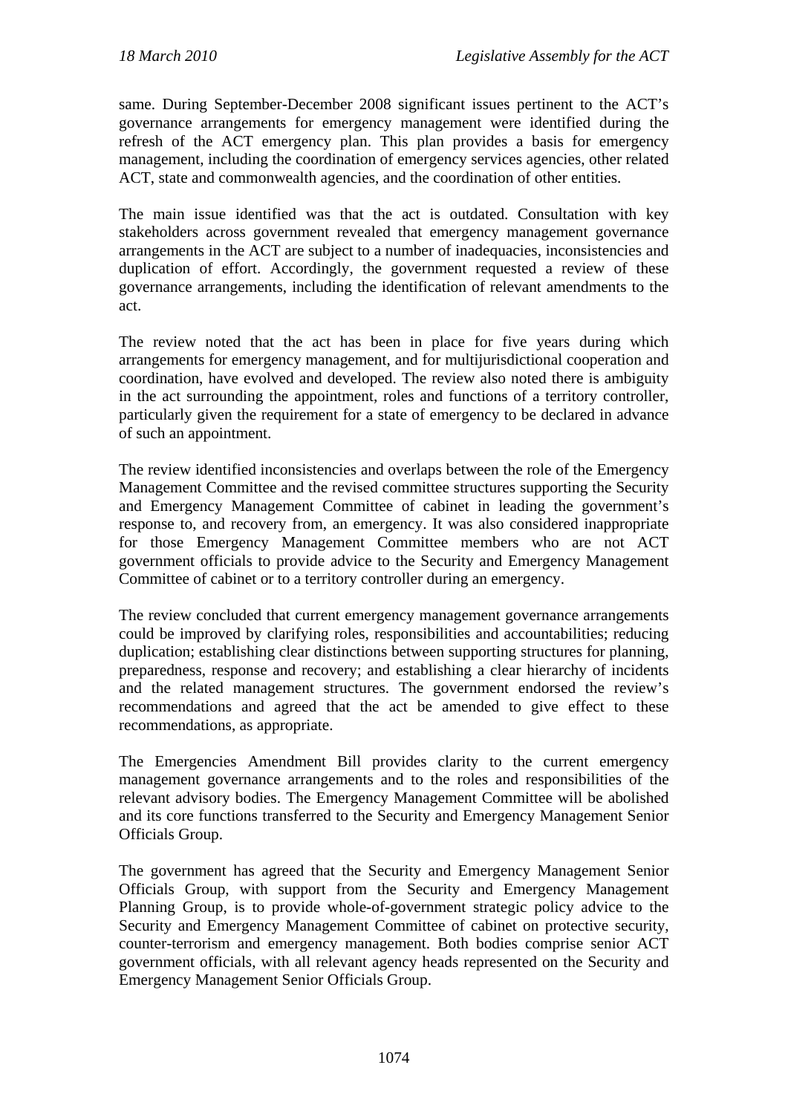same. During September-December 2008 significant issues pertinent to the ACT's governance arrangements for emergency management were identified during the refresh of the ACT emergency plan. This plan provides a basis for emergency management, including the coordination of emergency services agencies, other related ACT, state and commonwealth agencies, and the coordination of other entities.

The main issue identified was that the act is outdated. Consultation with key stakeholders across government revealed that emergency management governance arrangements in the ACT are subject to a number of inadequacies, inconsistencies and duplication of effort. Accordingly, the government requested a review of these governance arrangements, including the identification of relevant amendments to the act.

The review noted that the act has been in place for five years during which arrangements for emergency management, and for multijurisdictional cooperation and coordination, have evolved and developed. The review also noted there is ambiguity in the act surrounding the appointment, roles and functions of a territory controller, particularly given the requirement for a state of emergency to be declared in advance of such an appointment.

The review identified inconsistencies and overlaps between the role of the Emergency Management Committee and the revised committee structures supporting the Security and Emergency Management Committee of cabinet in leading the government's response to, and recovery from, an emergency. It was also considered inappropriate for those Emergency Management Committee members who are not ACT government officials to provide advice to the Security and Emergency Management Committee of cabinet or to a territory controller during an emergency.

The review concluded that current emergency management governance arrangements could be improved by clarifying roles, responsibilities and accountabilities; reducing duplication; establishing clear distinctions between supporting structures for planning, preparedness, response and recovery; and establishing a clear hierarchy of incidents and the related management structures. The government endorsed the review's recommendations and agreed that the act be amended to give effect to these recommendations, as appropriate.

The Emergencies Amendment Bill provides clarity to the current emergency management governance arrangements and to the roles and responsibilities of the relevant advisory bodies. The Emergency Management Committee will be abolished and its core functions transferred to the Security and Emergency Management Senior Officials Group.

The government has agreed that the Security and Emergency Management Senior Officials Group, with support from the Security and Emergency Management Planning Group, is to provide whole-of-government strategic policy advice to the Security and Emergency Management Committee of cabinet on protective security, counter-terrorism and emergency management. Both bodies comprise senior ACT government officials, with all relevant agency heads represented on the Security and Emergency Management Senior Officials Group.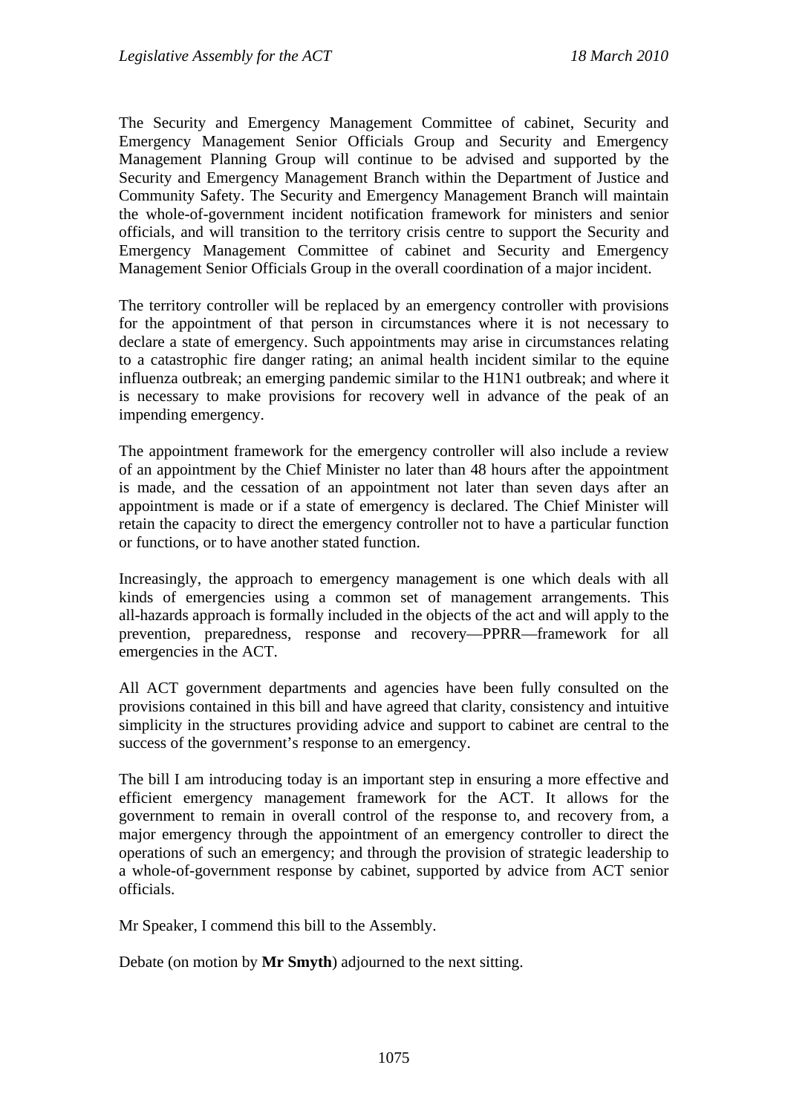The Security and Emergency Management Committee of cabinet, Security and Emergency Management Senior Officials Group and Security and Emergency Management Planning Group will continue to be advised and supported by the Security and Emergency Management Branch within the Department of Justice and Community Safety. The Security and Emergency Management Branch will maintain the whole-of-government incident notification framework for ministers and senior officials, and will transition to the territory crisis centre to support the Security and Emergency Management Committee of cabinet and Security and Emergency Management Senior Officials Group in the overall coordination of a major incident.

The territory controller will be replaced by an emergency controller with provisions for the appointment of that person in circumstances where it is not necessary to declare a state of emergency. Such appointments may arise in circumstances relating to a catastrophic fire danger rating; an animal health incident similar to the equine influenza outbreak; an emerging pandemic similar to the H1N1 outbreak; and where it is necessary to make provisions for recovery well in advance of the peak of an impending emergency.

The appointment framework for the emergency controller will also include a review of an appointment by the Chief Minister no later than 48 hours after the appointment is made, and the cessation of an appointment not later than seven days after an appointment is made or if a state of emergency is declared. The Chief Minister will retain the capacity to direct the emergency controller not to have a particular function or functions, or to have another stated function.

Increasingly, the approach to emergency management is one which deals with all kinds of emergencies using a common set of management arrangements. This all-hazards approach is formally included in the objects of the act and will apply to the prevention, preparedness, response and recovery—PPRR—framework for all emergencies in the ACT.

All ACT government departments and agencies have been fully consulted on the provisions contained in this bill and have agreed that clarity, consistency and intuitive simplicity in the structures providing advice and support to cabinet are central to the success of the government's response to an emergency.

The bill I am introducing today is an important step in ensuring a more effective and efficient emergency management framework for the ACT. It allows for the government to remain in overall control of the response to, and recovery from, a major emergency through the appointment of an emergency controller to direct the operations of such an emergency; and through the provision of strategic leadership to a whole-of-government response by cabinet, supported by advice from ACT senior officials.

Mr Speaker, I commend this bill to the Assembly.

Debate (on motion by **Mr Smyth**) adjourned to the next sitting.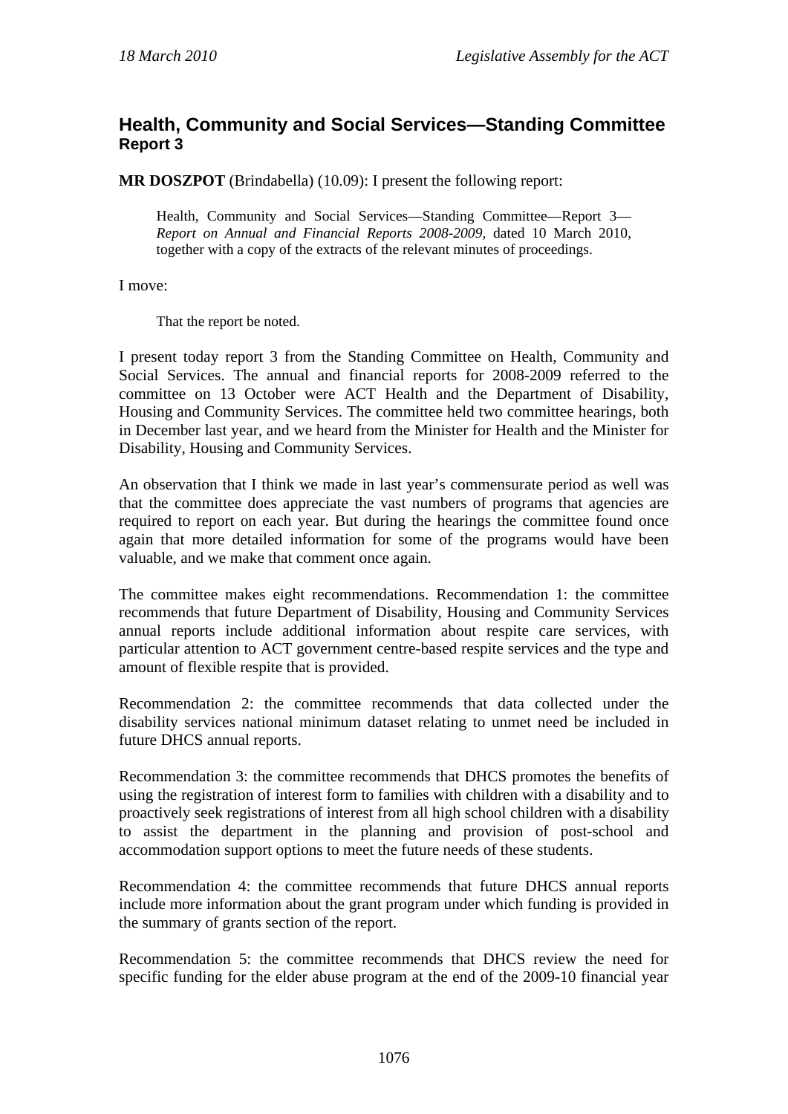#### <span id="page-6-0"></span>**Health, Community and Social Services—Standing Committee Report 3**

**MR DOSZPOT** (Brindabella) (10.09): I present the following report:

Health, Community and Social Services—Standing Committee—Report 3— *Report on Annual and Financial Reports 2008-2009,* dated 10 March 2010, together with a copy of the extracts of the relevant minutes of proceedings.

I move:

That the report be noted.

I present today report 3 from the Standing Committee on Health, Community and Social Services. The annual and financial reports for 2008-2009 referred to the committee on 13 October were ACT Health and the Department of Disability, Housing and Community Services. The committee held two committee hearings, both in December last year, and we heard from the Minister for Health and the Minister for Disability, Housing and Community Services.

An observation that I think we made in last year's commensurate period as well was that the committee does appreciate the vast numbers of programs that agencies are required to report on each year. But during the hearings the committee found once again that more detailed information for some of the programs would have been valuable, and we make that comment once again.

The committee makes eight recommendations. Recommendation 1: the committee recommends that future Department of Disability, Housing and Community Services annual reports include additional information about respite care services, with particular attention to ACT government centre-based respite services and the type and amount of flexible respite that is provided.

Recommendation 2: the committee recommends that data collected under the disability services national minimum dataset relating to unmet need be included in future DHCS annual reports.

Recommendation 3: the committee recommends that DHCS promotes the benefits of using the registration of interest form to families with children with a disability and to proactively seek registrations of interest from all high school children with a disability to assist the department in the planning and provision of post-school and accommodation support options to meet the future needs of these students.

Recommendation 4: the committee recommends that future DHCS annual reports include more information about the grant program under which funding is provided in the summary of grants section of the report.

Recommendation 5: the committee recommends that DHCS review the need for specific funding for the elder abuse program at the end of the 2009-10 financial year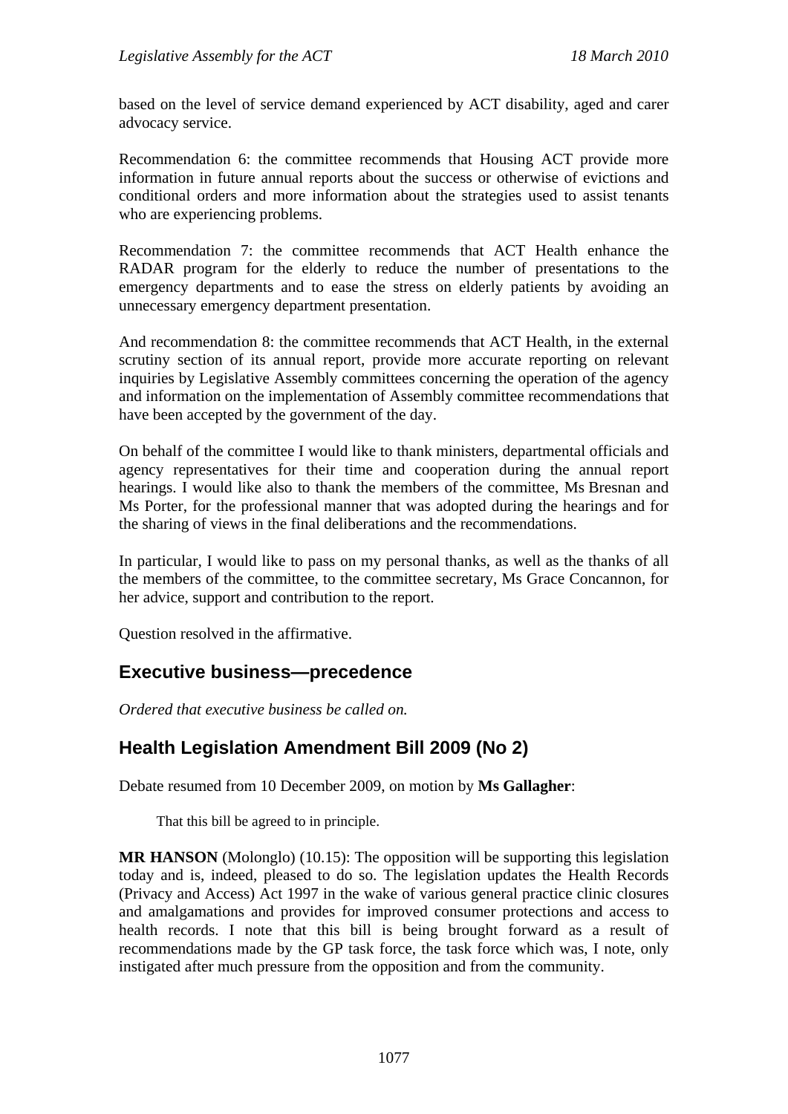based on the level of service demand experienced by ACT disability, aged and carer advocacy service.

Recommendation 6: the committee recommends that Housing ACT provide more information in future annual reports about the success or otherwise of evictions and conditional orders and more information about the strategies used to assist tenants who are experiencing problems.

Recommendation 7: the committee recommends that ACT Health enhance the RADAR program for the elderly to reduce the number of presentations to the emergency departments and to ease the stress on elderly patients by avoiding an unnecessary emergency department presentation.

And recommendation 8: the committee recommends that ACT Health, in the external scrutiny section of its annual report, provide more accurate reporting on relevant inquiries by Legislative Assembly committees concerning the operation of the agency and information on the implementation of Assembly committee recommendations that have been accepted by the government of the day.

On behalf of the committee I would like to thank ministers, departmental officials and agency representatives for their time and cooperation during the annual report hearings. I would like also to thank the members of the committee, Ms Bresnan and Ms Porter, for the professional manner that was adopted during the hearings and for the sharing of views in the final deliberations and the recommendations.

In particular, I would like to pass on my personal thanks, as well as the thanks of all the members of the committee, to the committee secretary, Ms Grace Concannon, for her advice, support and contribution to the report.

Question resolved in the affirmative.

#### <span id="page-7-0"></span>**Executive business—precedence**

*Ordered that executive business be called on.*

## <span id="page-7-1"></span>**Health Legislation Amendment Bill 2009 (No 2)**

Debate resumed from 10 December 2009, on motion by **Ms Gallagher**:

That this bill be agreed to in principle.

**MR HANSON** (Molonglo) (10.15): The opposition will be supporting this legislation today and is, indeed, pleased to do so. The legislation updates the Health Records (Privacy and Access) Act 1997 in the wake of various general practice clinic closures and amalgamations and provides for improved consumer protections and access to health records. I note that this bill is being brought forward as a result of recommendations made by the GP task force, the task force which was, I note, only instigated after much pressure from the opposition and from the community.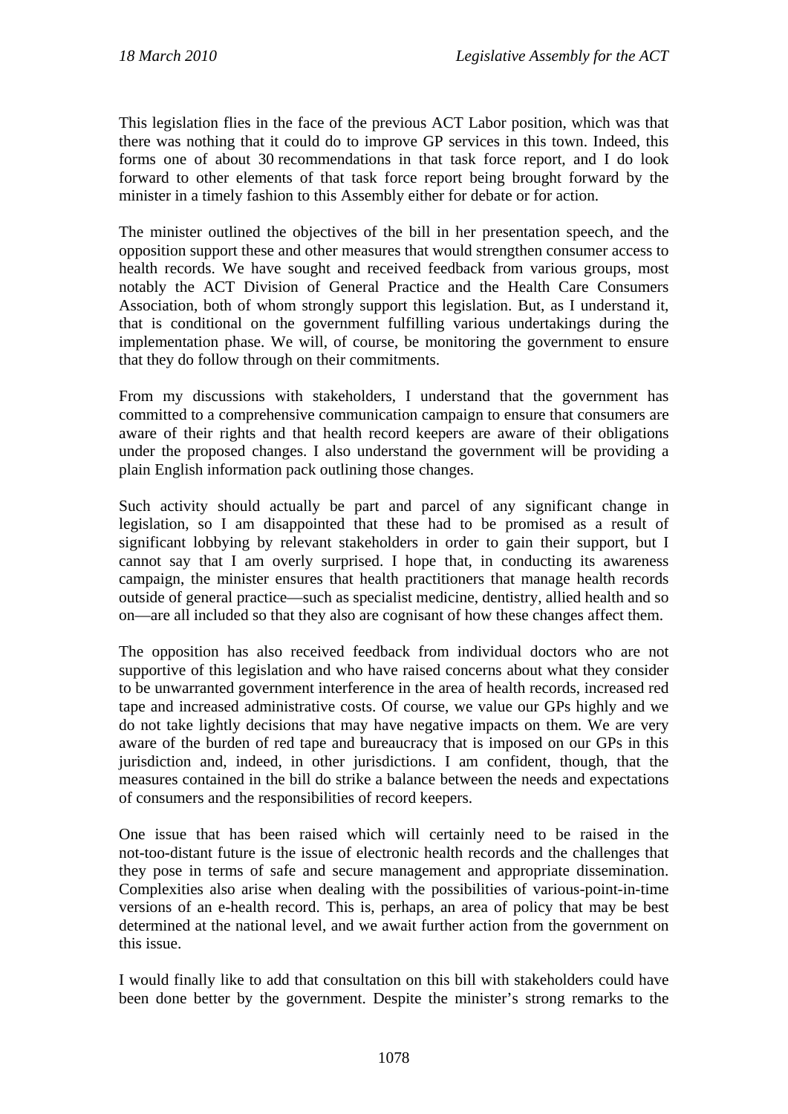This legislation flies in the face of the previous ACT Labor position, which was that there was nothing that it could do to improve GP services in this town. Indeed, this forms one of about 30 recommendations in that task force report, and I do look forward to other elements of that task force report being brought forward by the minister in a timely fashion to this Assembly either for debate or for action.

The minister outlined the objectives of the bill in her presentation speech, and the opposition support these and other measures that would strengthen consumer access to health records. We have sought and received feedback from various groups, most notably the ACT Division of General Practice and the Health Care Consumers Association, both of whom strongly support this legislation. But, as I understand it, that is conditional on the government fulfilling various undertakings during the implementation phase. We will, of course, be monitoring the government to ensure that they do follow through on their commitments.

From my discussions with stakeholders, I understand that the government has committed to a comprehensive communication campaign to ensure that consumers are aware of their rights and that health record keepers are aware of their obligations under the proposed changes. I also understand the government will be providing a plain English information pack outlining those changes.

Such activity should actually be part and parcel of any significant change in legislation, so I am disappointed that these had to be promised as a result of significant lobbying by relevant stakeholders in order to gain their support, but I cannot say that I am overly surprised. I hope that, in conducting its awareness campaign, the minister ensures that health practitioners that manage health records outside of general practice—such as specialist medicine, dentistry, allied health and so on—are all included so that they also are cognisant of how these changes affect them.

The opposition has also received feedback from individual doctors who are not supportive of this legislation and who have raised concerns about what they consider to be unwarranted government interference in the area of health records, increased red tape and increased administrative costs. Of course, we value our GPs highly and we do not take lightly decisions that may have negative impacts on them. We are very aware of the burden of red tape and bureaucracy that is imposed on our GPs in this jurisdiction and, indeed, in other jurisdictions. I am confident, though, that the measures contained in the bill do strike a balance between the needs and expectations of consumers and the responsibilities of record keepers.

One issue that has been raised which will certainly need to be raised in the not-too-distant future is the issue of electronic health records and the challenges that they pose in terms of safe and secure management and appropriate dissemination. Complexities also arise when dealing with the possibilities of various-point-in-time versions of an e-health record. This is, perhaps, an area of policy that may be best determined at the national level, and we await further action from the government on this issue.

I would finally like to add that consultation on this bill with stakeholders could have been done better by the government. Despite the minister's strong remarks to the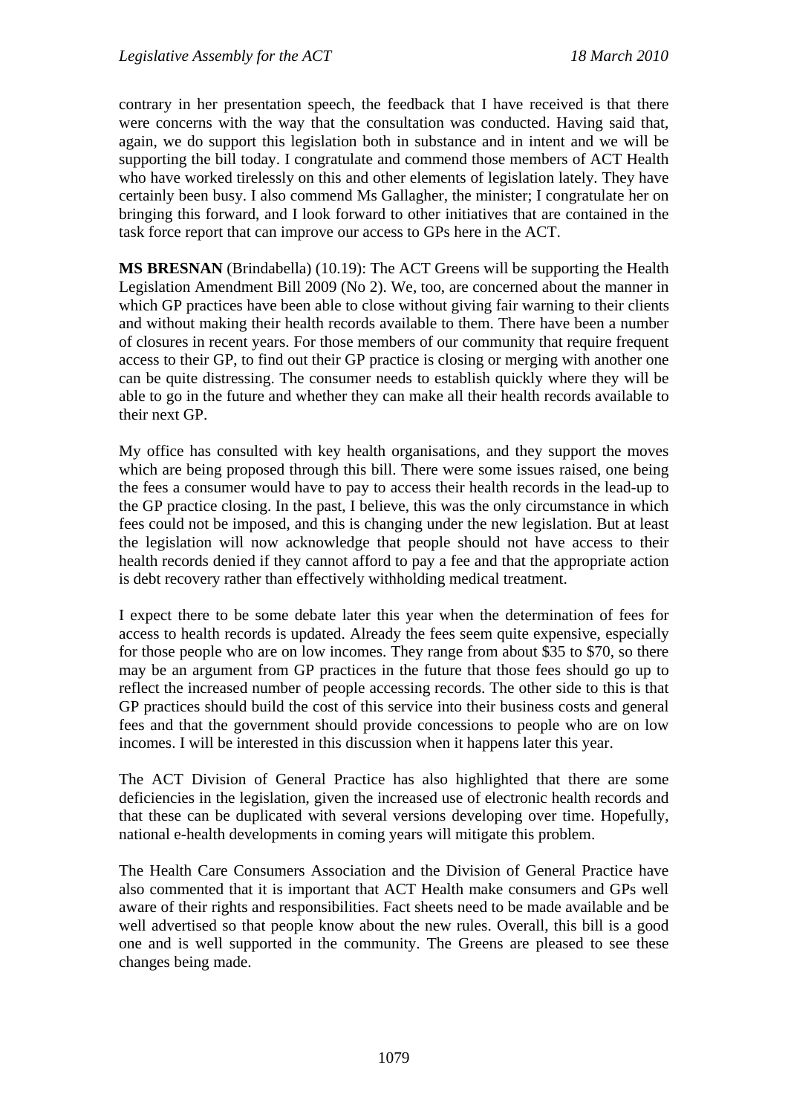contrary in her presentation speech, the feedback that I have received is that there were concerns with the way that the consultation was conducted. Having said that, again, we do support this legislation both in substance and in intent and we will be supporting the bill today. I congratulate and commend those members of ACT Health who have worked tirelessly on this and other elements of legislation lately. They have certainly been busy. I also commend Ms Gallagher, the minister; I congratulate her on bringing this forward, and I look forward to other initiatives that are contained in the task force report that can improve our access to GPs here in the ACT.

**MS BRESNAN** (Brindabella) (10.19): The ACT Greens will be supporting the Health Legislation Amendment Bill 2009 (No 2). We, too, are concerned about the manner in which GP practices have been able to close without giving fair warning to their clients and without making their health records available to them. There have been a number of closures in recent years. For those members of our community that require frequent access to their GP, to find out their GP practice is closing or merging with another one can be quite distressing. The consumer needs to establish quickly where they will be able to go in the future and whether they can make all their health records available to their next GP.

My office has consulted with key health organisations, and they support the moves which are being proposed through this bill. There were some issues raised, one being the fees a consumer would have to pay to access their health records in the lead-up to the GP practice closing. In the past, I believe, this was the only circumstance in which fees could not be imposed, and this is changing under the new legislation. But at least the legislation will now acknowledge that people should not have access to their health records denied if they cannot afford to pay a fee and that the appropriate action is debt recovery rather than effectively withholding medical treatment.

I expect there to be some debate later this year when the determination of fees for access to health records is updated. Already the fees seem quite expensive, especially for those people who are on low incomes. They range from about \$35 to \$70, so there may be an argument from GP practices in the future that those fees should go up to reflect the increased number of people accessing records. The other side to this is that GP practices should build the cost of this service into their business costs and general fees and that the government should provide concessions to people who are on low incomes. I will be interested in this discussion when it happens later this year.

The ACT Division of General Practice has also highlighted that there are some deficiencies in the legislation, given the increased use of electronic health records and that these can be duplicated with several versions developing over time. Hopefully, national e-health developments in coming years will mitigate this problem.

The Health Care Consumers Association and the Division of General Practice have also commented that it is important that ACT Health make consumers and GPs well aware of their rights and responsibilities. Fact sheets need to be made available and be well advertised so that people know about the new rules. Overall, this bill is a good one and is well supported in the community. The Greens are pleased to see these changes being made.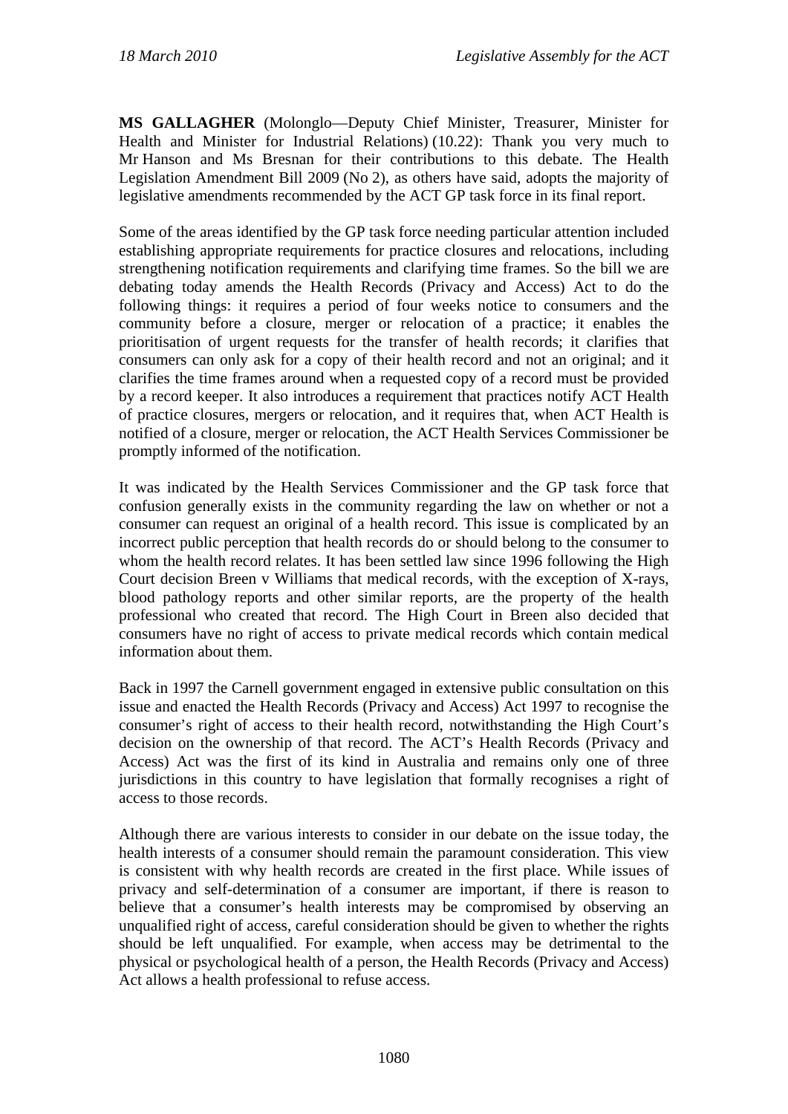**MS GALLAGHER** (Molonglo—Deputy Chief Minister, Treasurer, Minister for Health and Minister for Industrial Relations) (10.22): Thank you very much to Mr Hanson and Ms Bresnan for their contributions to this debate. The Health Legislation Amendment Bill 2009 (No 2), as others have said, adopts the majority of legislative amendments recommended by the ACT GP task force in its final report.

Some of the areas identified by the GP task force needing particular attention included establishing appropriate requirements for practice closures and relocations, including strengthening notification requirements and clarifying time frames. So the bill we are debating today amends the Health Records (Privacy and Access) Act to do the following things: it requires a period of four weeks notice to consumers and the community before a closure, merger or relocation of a practice; it enables the prioritisation of urgent requests for the transfer of health records; it clarifies that consumers can only ask for a copy of their health record and not an original; and it clarifies the time frames around when a requested copy of a record must be provided by a record keeper. It also introduces a requirement that practices notify ACT Health of practice closures, mergers or relocation, and it requires that, when ACT Health is notified of a closure, merger or relocation, the ACT Health Services Commissioner be promptly informed of the notification.

It was indicated by the Health Services Commissioner and the GP task force that confusion generally exists in the community regarding the law on whether or not a consumer can request an original of a health record. This issue is complicated by an incorrect public perception that health records do or should belong to the consumer to whom the health record relates. It has been settled law since 1996 following the High Court decision Breen v Williams that medical records, with the exception of X-rays, blood pathology reports and other similar reports, are the property of the health professional who created that record. The High Court in Breen also decided that consumers have no right of access to private medical records which contain medical information about them.

Back in 1997 the Carnell government engaged in extensive public consultation on this issue and enacted the Health Records (Privacy and Access) Act 1997 to recognise the consumer's right of access to their health record, notwithstanding the High Court's decision on the ownership of that record. The ACT's Health Records (Privacy and Access) Act was the first of its kind in Australia and remains only one of three jurisdictions in this country to have legislation that formally recognises a right of access to those records.

Although there are various interests to consider in our debate on the issue today, the health interests of a consumer should remain the paramount consideration. This view is consistent with why health records are created in the first place. While issues of privacy and self-determination of a consumer are important, if there is reason to believe that a consumer's health interests may be compromised by observing an unqualified right of access, careful consideration should be given to whether the rights should be left unqualified. For example, when access may be detrimental to the physical or psychological health of a person, the Health Records (Privacy and Access) Act allows a health professional to refuse access.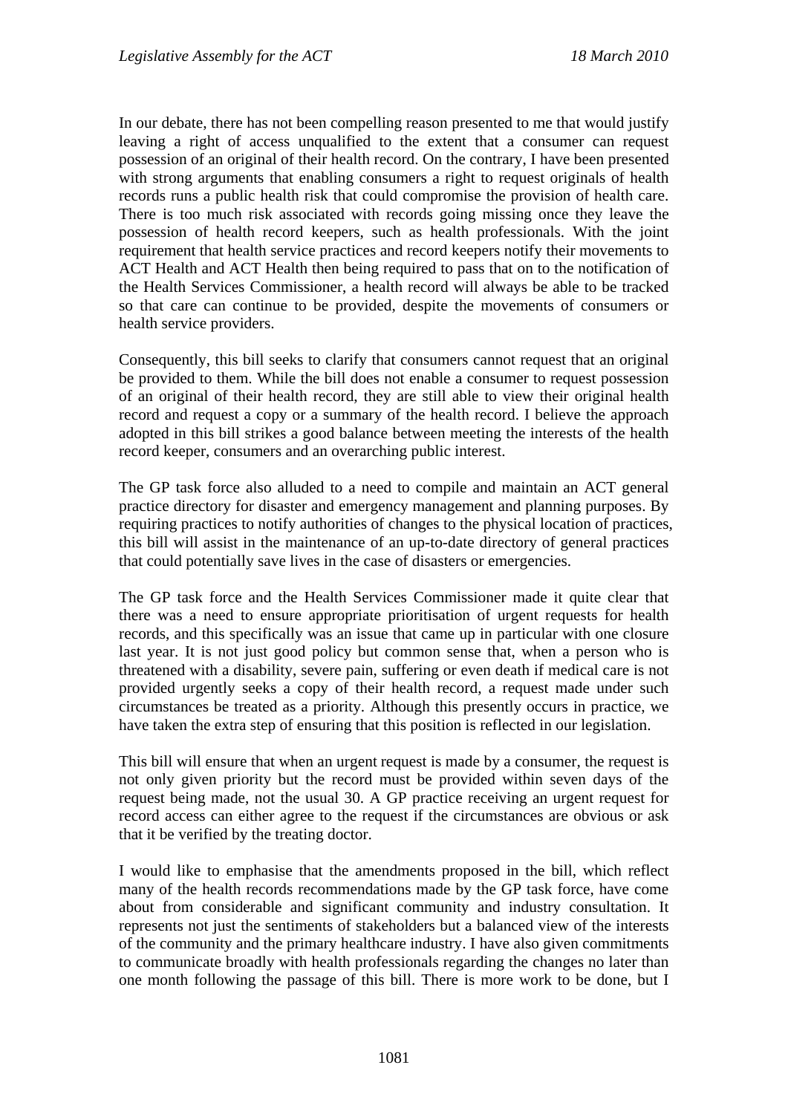In our debate, there has not been compelling reason presented to me that would justify leaving a right of access unqualified to the extent that a consumer can request possession of an original of their health record. On the contrary, I have been presented with strong arguments that enabling consumers a right to request originals of health records runs a public health risk that could compromise the provision of health care. There is too much risk associated with records going missing once they leave the possession of health record keepers, such as health professionals. With the joint requirement that health service practices and record keepers notify their movements to ACT Health and ACT Health then being required to pass that on to the notification of the Health Services Commissioner, a health record will always be able to be tracked so that care can continue to be provided, despite the movements of consumers or health service providers.

Consequently, this bill seeks to clarify that consumers cannot request that an original be provided to them. While the bill does not enable a consumer to request possession of an original of their health record, they are still able to view their original health record and request a copy or a summary of the health record. I believe the approach adopted in this bill strikes a good balance between meeting the interests of the health record keeper, consumers and an overarching public interest.

The GP task force also alluded to a need to compile and maintain an ACT general practice directory for disaster and emergency management and planning purposes. By requiring practices to notify authorities of changes to the physical location of practices, this bill will assist in the maintenance of an up-to-date directory of general practices that could potentially save lives in the case of disasters or emergencies.

The GP task force and the Health Services Commissioner made it quite clear that there was a need to ensure appropriate prioritisation of urgent requests for health records, and this specifically was an issue that came up in particular with one closure last year. It is not just good policy but common sense that, when a person who is threatened with a disability, severe pain, suffering or even death if medical care is not provided urgently seeks a copy of their health record, a request made under such circumstances be treated as a priority. Although this presently occurs in practice, we have taken the extra step of ensuring that this position is reflected in our legislation.

This bill will ensure that when an urgent request is made by a consumer, the request is not only given priority but the record must be provided within seven days of the request being made, not the usual 30. A GP practice receiving an urgent request for record access can either agree to the request if the circumstances are obvious or ask that it be verified by the treating doctor.

I would like to emphasise that the amendments proposed in the bill, which reflect many of the health records recommendations made by the GP task force, have come about from considerable and significant community and industry consultation. It represents not just the sentiments of stakeholders but a balanced view of the interests of the community and the primary healthcare industry. I have also given commitments to communicate broadly with health professionals regarding the changes no later than one month following the passage of this bill. There is more work to be done, but I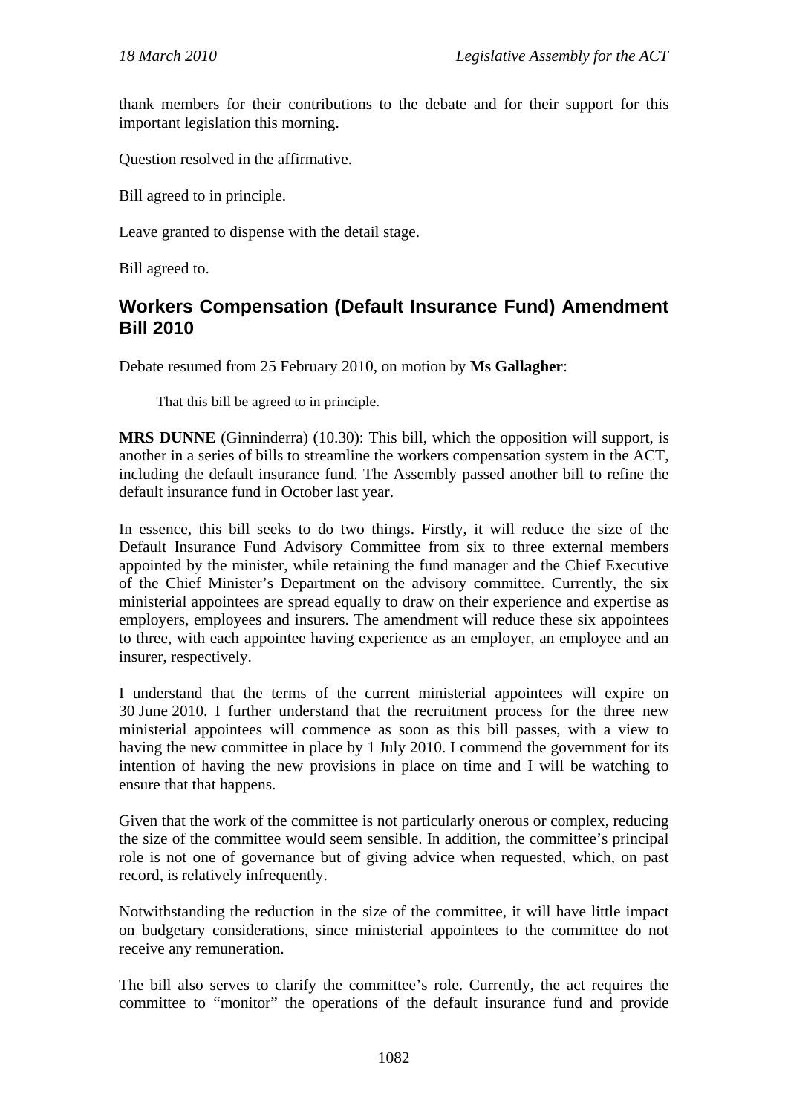thank members for their contributions to the debate and for their support for this important legislation this morning.

Question resolved in the affirmative.

Bill agreed to in principle.

Leave granted to dispense with the detail stage.

Bill agreed to.

### <span id="page-12-0"></span>**Workers Compensation (Default Insurance Fund) Amendment Bill 2010**

Debate resumed from 25 February 2010, on motion by **Ms Gallagher**:

That this bill be agreed to in principle.

**MRS DUNNE** (Ginninderra) (10.30): This bill, which the opposition will support, is another in a series of bills to streamline the workers compensation system in the ACT, including the default insurance fund. The Assembly passed another bill to refine the default insurance fund in October last year.

In essence, this bill seeks to do two things. Firstly, it will reduce the size of the Default Insurance Fund Advisory Committee from six to three external members appointed by the minister, while retaining the fund manager and the Chief Executive of the Chief Minister's Department on the advisory committee. Currently, the six ministerial appointees are spread equally to draw on their experience and expertise as employers, employees and insurers. The amendment will reduce these six appointees to three, with each appointee having experience as an employer, an employee and an insurer, respectively.

I understand that the terms of the current ministerial appointees will expire on 30 June 2010. I further understand that the recruitment process for the three new ministerial appointees will commence as soon as this bill passes, with a view to having the new committee in place by 1 July 2010. I commend the government for its intention of having the new provisions in place on time and I will be watching to ensure that that happens.

Given that the work of the committee is not particularly onerous or complex, reducing the size of the committee would seem sensible. In addition, the committee's principal role is not one of governance but of giving advice when requested, which, on past record, is relatively infrequently.

Notwithstanding the reduction in the size of the committee, it will have little impact on budgetary considerations, since ministerial appointees to the committee do not receive any remuneration.

The bill also serves to clarify the committee's role. Currently, the act requires the committee to "monitor" the operations of the default insurance fund and provide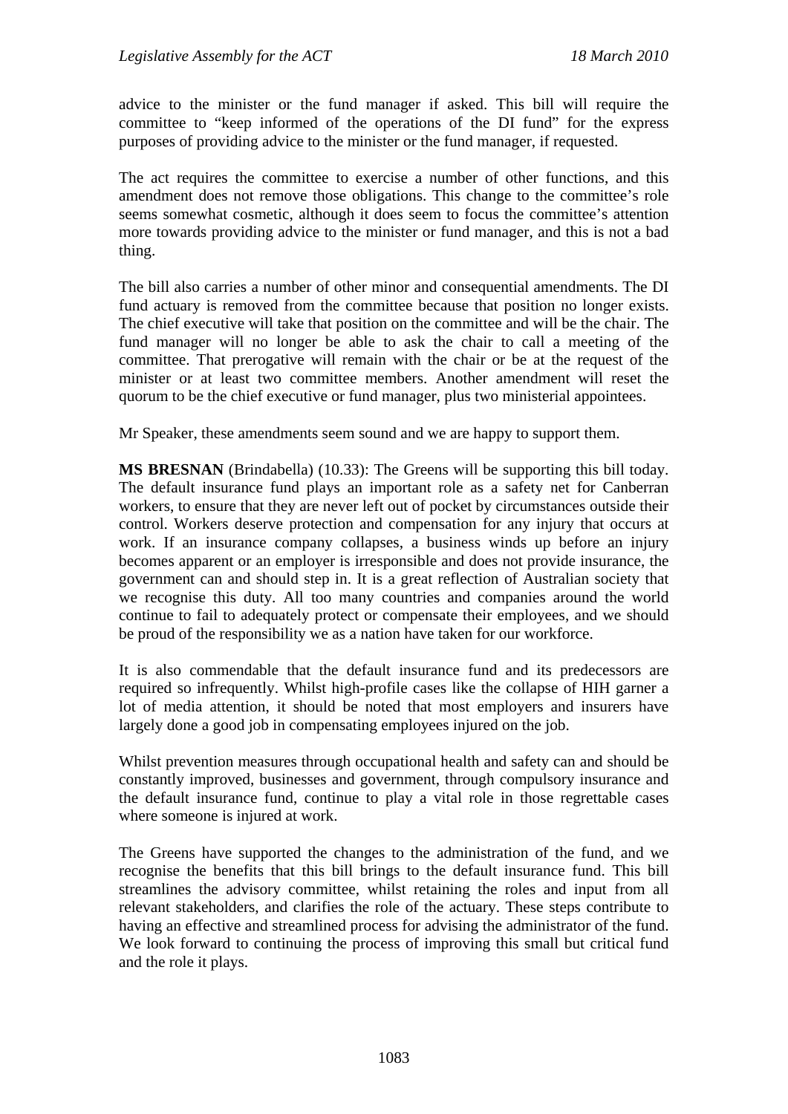advice to the minister or the fund manager if asked. This bill will require the committee to "keep informed of the operations of the DI fund" for the express purposes of providing advice to the minister or the fund manager, if requested.

The act requires the committee to exercise a number of other functions, and this amendment does not remove those obligations. This change to the committee's role seems somewhat cosmetic, although it does seem to focus the committee's attention more towards providing advice to the minister or fund manager, and this is not a bad thing.

The bill also carries a number of other minor and consequential amendments. The DI fund actuary is removed from the committee because that position no longer exists. The chief executive will take that position on the committee and will be the chair. The fund manager will no longer be able to ask the chair to call a meeting of the committee. That prerogative will remain with the chair or be at the request of the minister or at least two committee members. Another amendment will reset the quorum to be the chief executive or fund manager, plus two ministerial appointees.

Mr Speaker, these amendments seem sound and we are happy to support them.

**MS BRESNAN** (Brindabella) (10.33): The Greens will be supporting this bill today. The default insurance fund plays an important role as a safety net for Canberran workers, to ensure that they are never left out of pocket by circumstances outside their control. Workers deserve protection and compensation for any injury that occurs at work. If an insurance company collapses, a business winds up before an injury becomes apparent or an employer is irresponsible and does not provide insurance, the government can and should step in. It is a great reflection of Australian society that we recognise this duty. All too many countries and companies around the world continue to fail to adequately protect or compensate their employees, and we should be proud of the responsibility we as a nation have taken for our workforce.

It is also commendable that the default insurance fund and its predecessors are required so infrequently. Whilst high-profile cases like the collapse of HIH garner a lot of media attention, it should be noted that most employers and insurers have largely done a good job in compensating employees injured on the job.

Whilst prevention measures through occupational health and safety can and should be constantly improved, businesses and government, through compulsory insurance and the default insurance fund, continue to play a vital role in those regrettable cases where someone is injured at work.

The Greens have supported the changes to the administration of the fund, and we recognise the benefits that this bill brings to the default insurance fund. This bill streamlines the advisory committee, whilst retaining the roles and input from all relevant stakeholders, and clarifies the role of the actuary. These steps contribute to having an effective and streamlined process for advising the administrator of the fund. We look forward to continuing the process of improving this small but critical fund and the role it plays.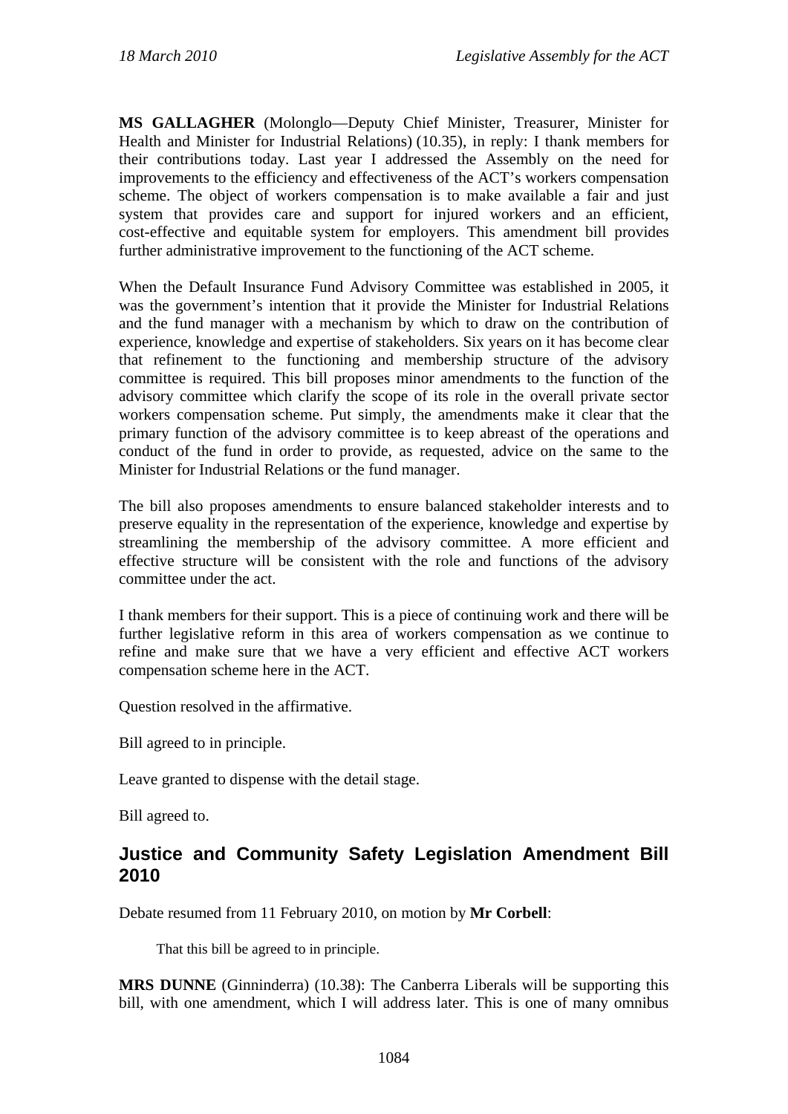**MS GALLAGHER** (Molonglo—Deputy Chief Minister, Treasurer, Minister for Health and Minister for Industrial Relations) (10.35), in reply: I thank members for their contributions today. Last year I addressed the Assembly on the need for improvements to the efficiency and effectiveness of the ACT's workers compensation scheme. The object of workers compensation is to make available a fair and just system that provides care and support for injured workers and an efficient, cost-effective and equitable system for employers. This amendment bill provides further administrative improvement to the functioning of the ACT scheme.

When the Default Insurance Fund Advisory Committee was established in 2005, it was the government's intention that it provide the Minister for Industrial Relations and the fund manager with a mechanism by which to draw on the contribution of experience, knowledge and expertise of stakeholders. Six years on it has become clear that refinement to the functioning and membership structure of the advisory committee is required. This bill proposes minor amendments to the function of the advisory committee which clarify the scope of its role in the overall private sector workers compensation scheme. Put simply, the amendments make it clear that the primary function of the advisory committee is to keep abreast of the operations and conduct of the fund in order to provide, as requested, advice on the same to the Minister for Industrial Relations or the fund manager.

The bill also proposes amendments to ensure balanced stakeholder interests and to preserve equality in the representation of the experience, knowledge and expertise by streamlining the membership of the advisory committee. A more efficient and effective structure will be consistent with the role and functions of the advisory committee under the act.

I thank members for their support. This is a piece of continuing work and there will be further legislative reform in this area of workers compensation as we continue to refine and make sure that we have a very efficient and effective ACT workers compensation scheme here in the ACT.

Question resolved in the affirmative.

Bill agreed to in principle.

Leave granted to dispense with the detail stage.

Bill agreed to.

#### <span id="page-14-0"></span>**Justice and Community Safety Legislation Amendment Bill 2010**

Debate resumed from 11 February 2010, on motion by **Mr Corbell**:

That this bill be agreed to in principle.

**MRS DUNNE** (Ginninderra) (10.38): The Canberra Liberals will be supporting this bill, with one amendment, which I will address later. This is one of many omnibus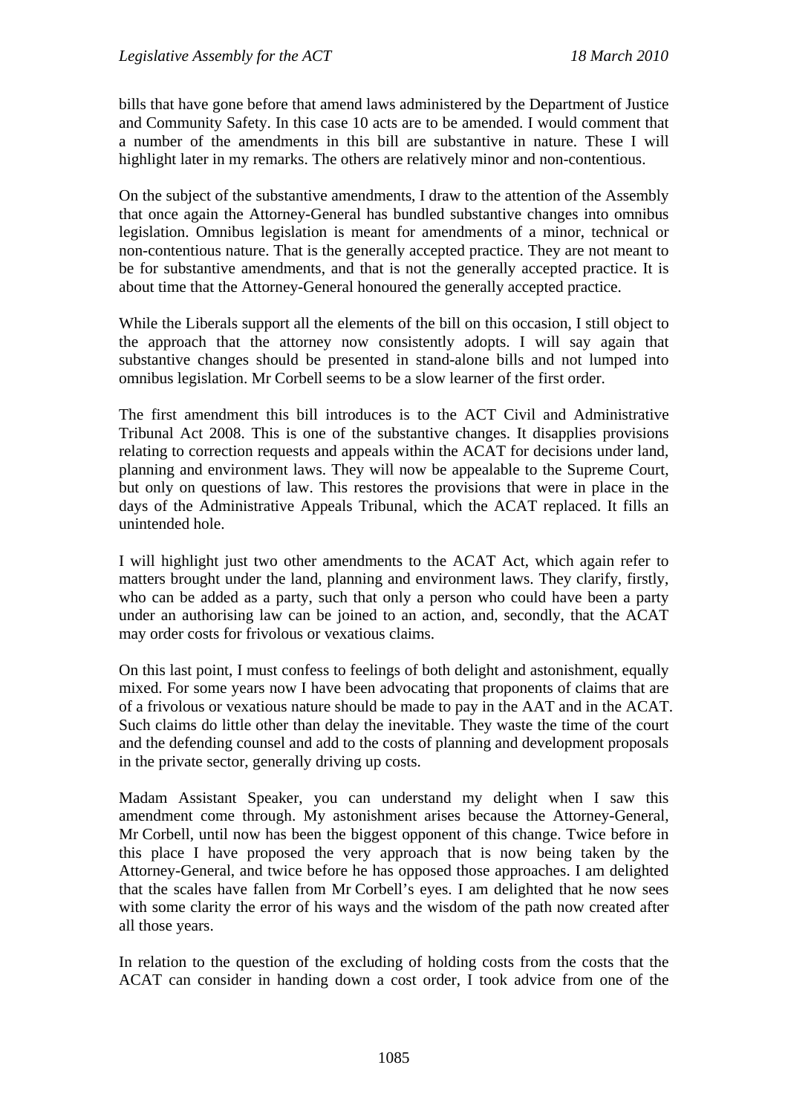bills that have gone before that amend laws administered by the Department of Justice and Community Safety. In this case 10 acts are to be amended. I would comment that a number of the amendments in this bill are substantive in nature. These I will highlight later in my remarks. The others are relatively minor and non-contentious.

On the subject of the substantive amendments, I draw to the attention of the Assembly that once again the Attorney-General has bundled substantive changes into omnibus legislation. Omnibus legislation is meant for amendments of a minor, technical or non-contentious nature. That is the generally accepted practice. They are not meant to be for substantive amendments, and that is not the generally accepted practice. It is about time that the Attorney-General honoured the generally accepted practice.

While the Liberals support all the elements of the bill on this occasion, I still object to the approach that the attorney now consistently adopts. I will say again that substantive changes should be presented in stand-alone bills and not lumped into omnibus legislation. Mr Corbell seems to be a slow learner of the first order.

The first amendment this bill introduces is to the ACT Civil and Administrative Tribunal Act 2008. This is one of the substantive changes. It disapplies provisions relating to correction requests and appeals within the ACAT for decisions under land, planning and environment laws. They will now be appealable to the Supreme Court, but only on questions of law. This restores the provisions that were in place in the days of the Administrative Appeals Tribunal, which the ACAT replaced. It fills an unintended hole.

I will highlight just two other amendments to the ACAT Act, which again refer to matters brought under the land, planning and environment laws. They clarify, firstly, who can be added as a party, such that only a person who could have been a party under an authorising law can be joined to an action, and, secondly, that the ACAT may order costs for frivolous or vexatious claims.

On this last point, I must confess to feelings of both delight and astonishment, equally mixed. For some years now I have been advocating that proponents of claims that are of a frivolous or vexatious nature should be made to pay in the AAT and in the ACAT. Such claims do little other than delay the inevitable. They waste the time of the court and the defending counsel and add to the costs of planning and development proposals in the private sector, generally driving up costs.

Madam Assistant Speaker, you can understand my delight when I saw this amendment come through. My astonishment arises because the Attorney-General, Mr Corbell, until now has been the biggest opponent of this change. Twice before in this place I have proposed the very approach that is now being taken by the Attorney-General, and twice before he has opposed those approaches. I am delighted that the scales have fallen from Mr Corbell's eyes. I am delighted that he now sees with some clarity the error of his ways and the wisdom of the path now created after all those years.

In relation to the question of the excluding of holding costs from the costs that the ACAT can consider in handing down a cost order, I took advice from one of the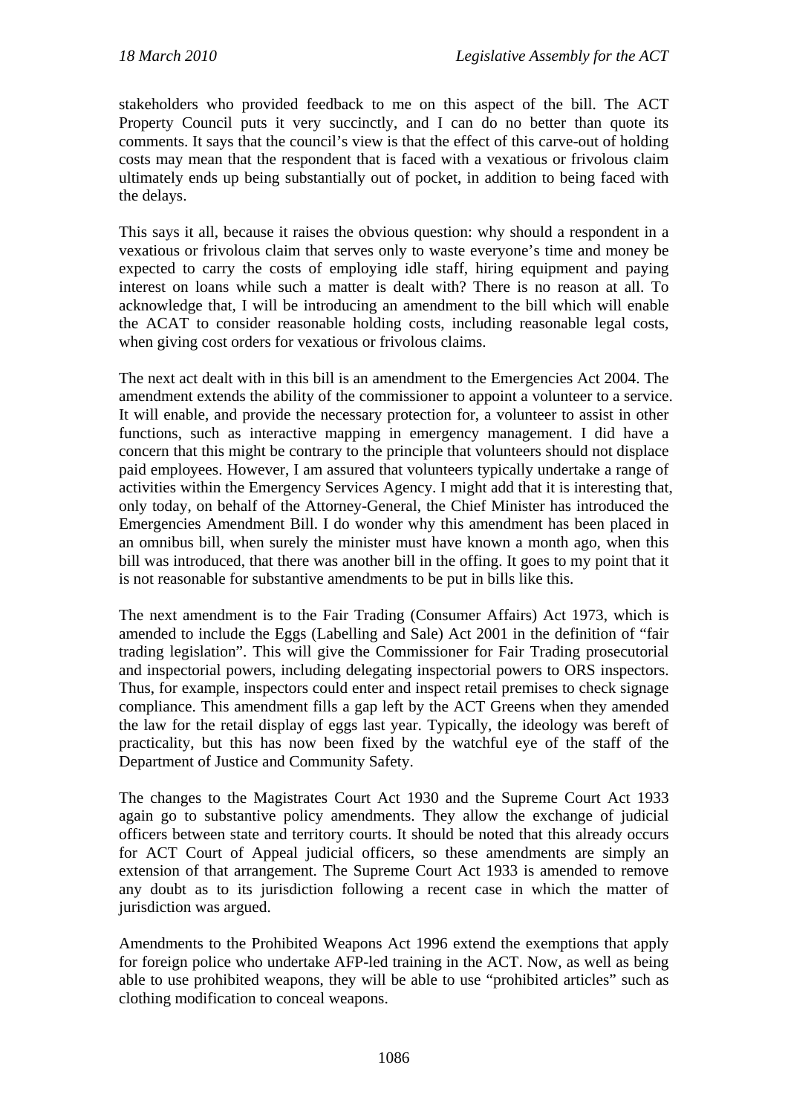stakeholders who provided feedback to me on this aspect of the bill. The ACT Property Council puts it very succinctly, and I can do no better than quote its comments. It says that the council's view is that the effect of this carve-out of holding costs may mean that the respondent that is faced with a vexatious or frivolous claim ultimately ends up being substantially out of pocket, in addition to being faced with the delays.

This says it all, because it raises the obvious question: why should a respondent in a vexatious or frivolous claim that serves only to waste everyone's time and money be expected to carry the costs of employing idle staff, hiring equipment and paying interest on loans while such a matter is dealt with? There is no reason at all. To acknowledge that, I will be introducing an amendment to the bill which will enable the ACAT to consider reasonable holding costs, including reasonable legal costs, when giving cost orders for vexatious or frivolous claims.

The next act dealt with in this bill is an amendment to the Emergencies Act 2004. The amendment extends the ability of the commissioner to appoint a volunteer to a service. It will enable, and provide the necessary protection for, a volunteer to assist in other functions, such as interactive mapping in emergency management. I did have a concern that this might be contrary to the principle that volunteers should not displace paid employees. However, I am assured that volunteers typically undertake a range of activities within the Emergency Services Agency. I might add that it is interesting that, only today, on behalf of the Attorney-General, the Chief Minister has introduced the Emergencies Amendment Bill. I do wonder why this amendment has been placed in an omnibus bill, when surely the minister must have known a month ago, when this bill was introduced, that there was another bill in the offing. It goes to my point that it is not reasonable for substantive amendments to be put in bills like this.

The next amendment is to the Fair Trading (Consumer Affairs) Act 1973, which is amended to include the Eggs (Labelling and Sale) Act 2001 in the definition of "fair trading legislation". This will give the Commissioner for Fair Trading prosecutorial and inspectorial powers, including delegating inspectorial powers to ORS inspectors. Thus, for example, inspectors could enter and inspect retail premises to check signage compliance. This amendment fills a gap left by the ACT Greens when they amended the law for the retail display of eggs last year. Typically, the ideology was bereft of practicality, but this has now been fixed by the watchful eye of the staff of the Department of Justice and Community Safety.

The changes to the Magistrates Court Act 1930 and the Supreme Court Act 1933 again go to substantive policy amendments. They allow the exchange of judicial officers between state and territory courts. It should be noted that this already occurs for ACT Court of Appeal judicial officers, so these amendments are simply an extension of that arrangement. The Supreme Court Act 1933 is amended to remove any doubt as to its jurisdiction following a recent case in which the matter of jurisdiction was argued.

Amendments to the Prohibited Weapons Act 1996 extend the exemptions that apply for foreign police who undertake AFP-led training in the ACT. Now, as well as being able to use prohibited weapons, they will be able to use "prohibited articles" such as clothing modification to conceal weapons.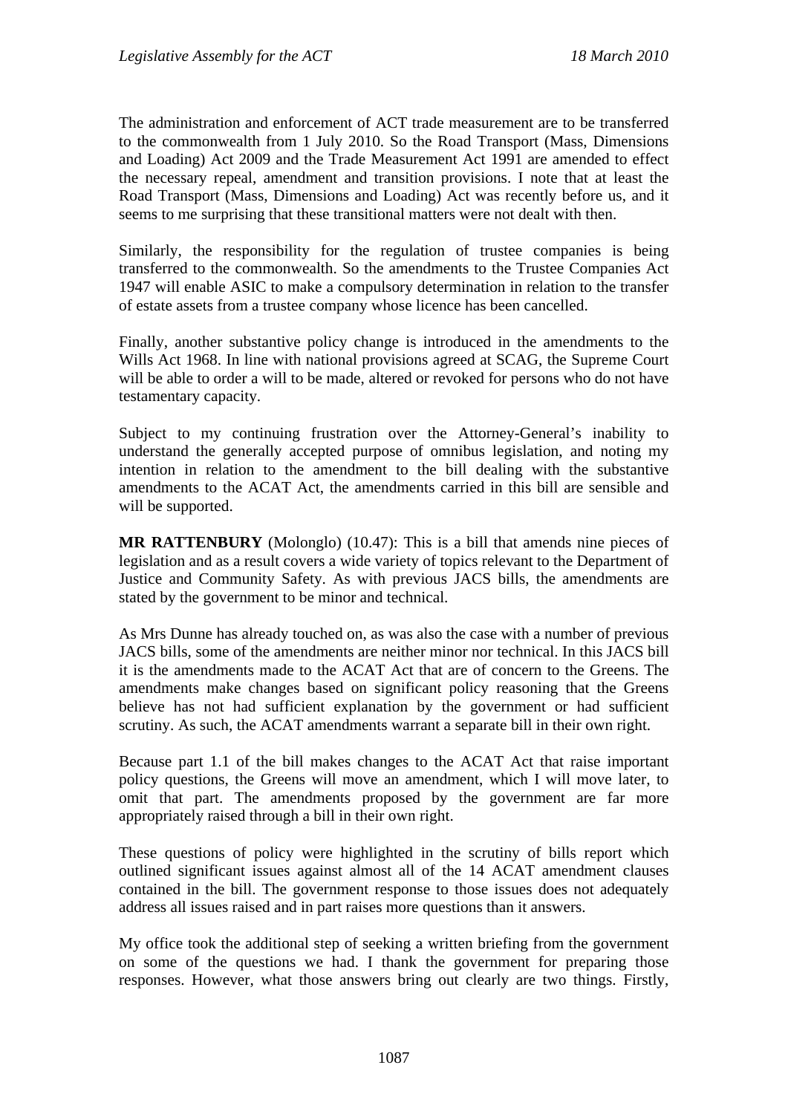The administration and enforcement of ACT trade measurement are to be transferred to the commonwealth from 1 July 2010. So the Road Transport (Mass, Dimensions and Loading) Act 2009 and the Trade Measurement Act 1991 are amended to effect the necessary repeal, amendment and transition provisions. I note that at least the Road Transport (Mass, Dimensions and Loading) Act was recently before us, and it seems to me surprising that these transitional matters were not dealt with then.

Similarly, the responsibility for the regulation of trustee companies is being transferred to the commonwealth. So the amendments to the Trustee Companies Act 1947 will enable ASIC to make a compulsory determination in relation to the transfer of estate assets from a trustee company whose licence has been cancelled.

Finally, another substantive policy change is introduced in the amendments to the Wills Act 1968. In line with national provisions agreed at SCAG, the Supreme Court will be able to order a will to be made, altered or revoked for persons who do not have testamentary capacity.

Subject to my continuing frustration over the Attorney-General's inability to understand the generally accepted purpose of omnibus legislation, and noting my intention in relation to the amendment to the bill dealing with the substantive amendments to the ACAT Act, the amendments carried in this bill are sensible and will be supported.

**MR RATTENBURY** (Molonglo) (10.47): This is a bill that amends nine pieces of legislation and as a result covers a wide variety of topics relevant to the Department of Justice and Community Safety. As with previous JACS bills, the amendments are stated by the government to be minor and technical.

As Mrs Dunne has already touched on, as was also the case with a number of previous JACS bills, some of the amendments are neither minor nor technical. In this JACS bill it is the amendments made to the ACAT Act that are of concern to the Greens. The amendments make changes based on significant policy reasoning that the Greens believe has not had sufficient explanation by the government or had sufficient scrutiny. As such, the ACAT amendments warrant a separate bill in their own right.

Because part 1.1 of the bill makes changes to the ACAT Act that raise important policy questions, the Greens will move an amendment, which I will move later, to omit that part. The amendments proposed by the government are far more appropriately raised through a bill in their own right.

These questions of policy were highlighted in the scrutiny of bills report which outlined significant issues against almost all of the 14 ACAT amendment clauses contained in the bill. The government response to those issues does not adequately address all issues raised and in part raises more questions than it answers.

My office took the additional step of seeking a written briefing from the government on some of the questions we had. I thank the government for preparing those responses. However, what those answers bring out clearly are two things. Firstly,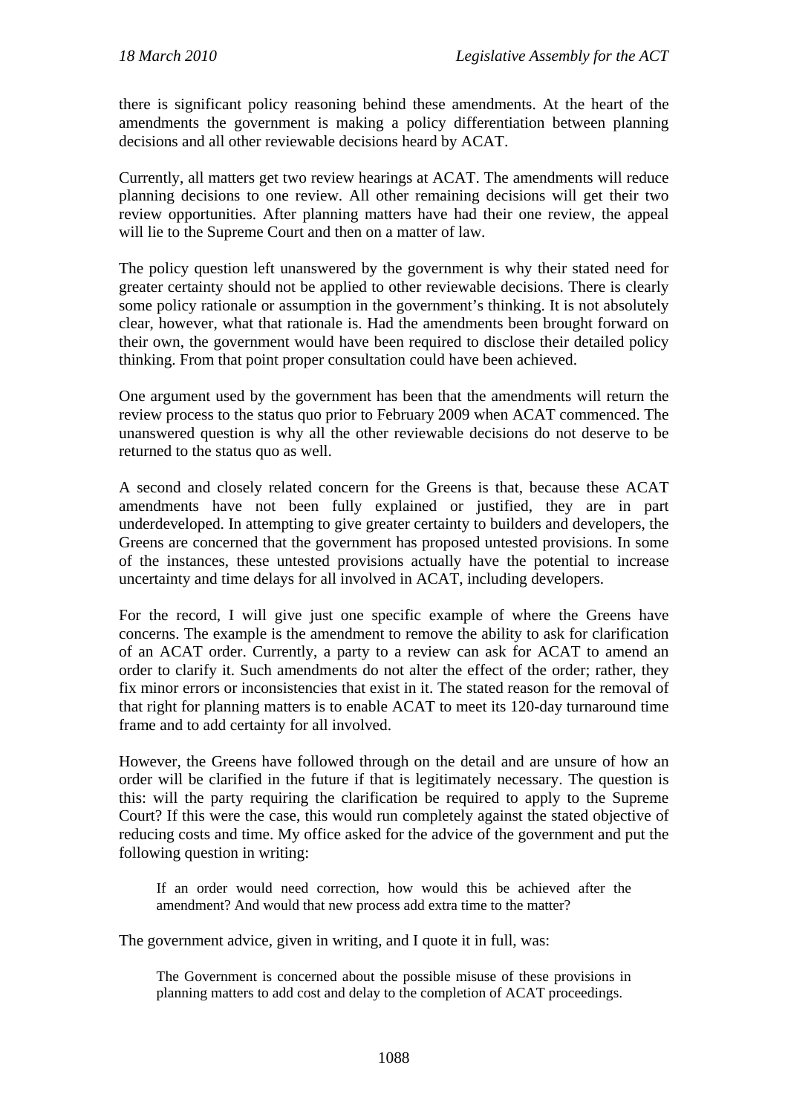there is significant policy reasoning behind these amendments. At the heart of the amendments the government is making a policy differentiation between planning decisions and all other reviewable decisions heard by ACAT.

Currently, all matters get two review hearings at ACAT. The amendments will reduce planning decisions to one review. All other remaining decisions will get their two review opportunities. After planning matters have had their one review, the appeal will lie to the Supreme Court and then on a matter of law.

The policy question left unanswered by the government is why their stated need for greater certainty should not be applied to other reviewable decisions. There is clearly some policy rationale or assumption in the government's thinking. It is not absolutely clear, however, what that rationale is. Had the amendments been brought forward on their own, the government would have been required to disclose their detailed policy thinking. From that point proper consultation could have been achieved.

One argument used by the government has been that the amendments will return the review process to the status quo prior to February 2009 when ACAT commenced. The unanswered question is why all the other reviewable decisions do not deserve to be returned to the status quo as well.

A second and closely related concern for the Greens is that, because these ACAT amendments have not been fully explained or justified, they are in part underdeveloped. In attempting to give greater certainty to builders and developers, the Greens are concerned that the government has proposed untested provisions. In some of the instances, these untested provisions actually have the potential to increase uncertainty and time delays for all involved in ACAT, including developers.

For the record, I will give just one specific example of where the Greens have concerns. The example is the amendment to remove the ability to ask for clarification of an ACAT order. Currently, a party to a review can ask for ACAT to amend an order to clarify it. Such amendments do not alter the effect of the order; rather, they fix minor errors or inconsistencies that exist in it. The stated reason for the removal of that right for planning matters is to enable ACAT to meet its 120-day turnaround time frame and to add certainty for all involved.

However, the Greens have followed through on the detail and are unsure of how an order will be clarified in the future if that is legitimately necessary. The question is this: will the party requiring the clarification be required to apply to the Supreme Court? If this were the case, this would run completely against the stated objective of reducing costs and time. My office asked for the advice of the government and put the following question in writing:

If an order would need correction, how would this be achieved after the amendment? And would that new process add extra time to the matter?

The government advice, given in writing, and I quote it in full, was:

The Government is concerned about the possible misuse of these provisions in planning matters to add cost and delay to the completion of ACAT proceedings.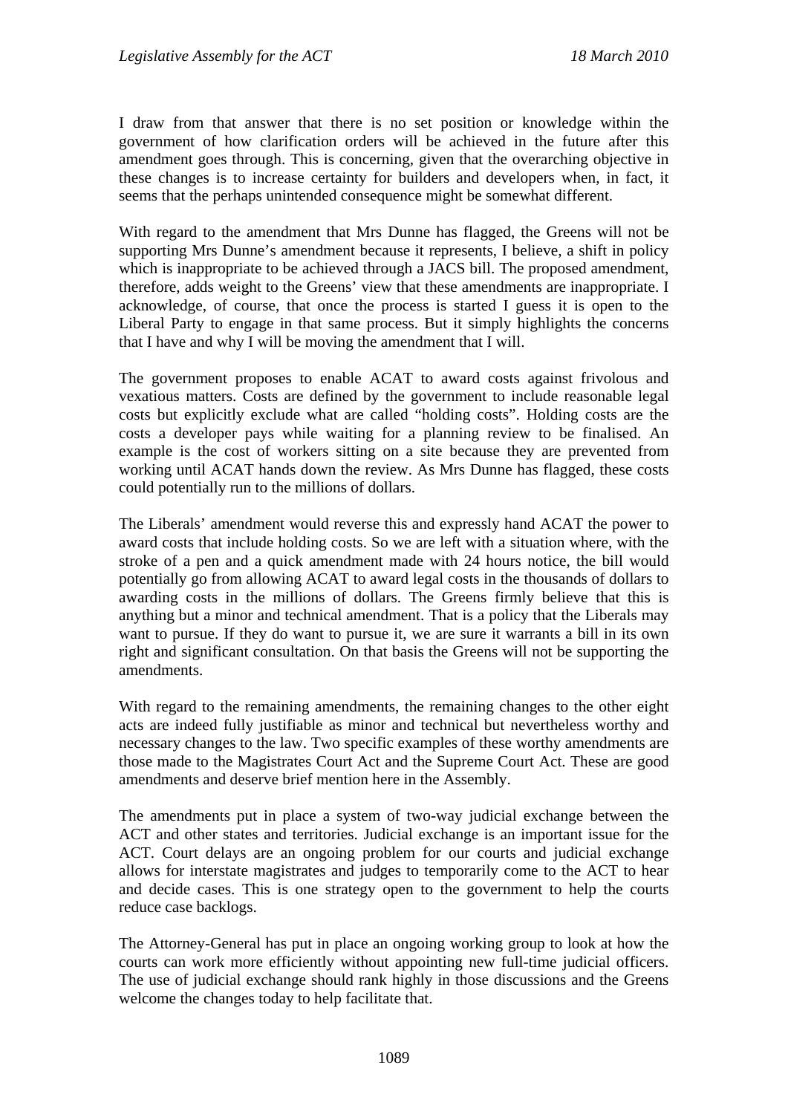I draw from that answer that there is no set position or knowledge within the government of how clarification orders will be achieved in the future after this amendment goes through. This is concerning, given that the overarching objective in these changes is to increase certainty for builders and developers when, in fact, it seems that the perhaps unintended consequence might be somewhat different.

With regard to the amendment that Mrs Dunne has flagged, the Greens will not be supporting Mrs Dunne's amendment because it represents, I believe, a shift in policy which is inappropriate to be achieved through a JACS bill. The proposed amendment, therefore, adds weight to the Greens' view that these amendments are inappropriate. I acknowledge, of course, that once the process is started I guess it is open to the Liberal Party to engage in that same process. But it simply highlights the concerns that I have and why I will be moving the amendment that I will.

The government proposes to enable ACAT to award costs against frivolous and vexatious matters. Costs are defined by the government to include reasonable legal costs but explicitly exclude what are called "holding costs". Holding costs are the costs a developer pays while waiting for a planning review to be finalised. An example is the cost of workers sitting on a site because they are prevented from working until ACAT hands down the review. As Mrs Dunne has flagged, these costs could potentially run to the millions of dollars.

The Liberals' amendment would reverse this and expressly hand ACAT the power to award costs that include holding costs. So we are left with a situation where, with the stroke of a pen and a quick amendment made with 24 hours notice, the bill would potentially go from allowing ACAT to award legal costs in the thousands of dollars to awarding costs in the millions of dollars. The Greens firmly believe that this is anything but a minor and technical amendment. That is a policy that the Liberals may want to pursue. If they do want to pursue it, we are sure it warrants a bill in its own right and significant consultation. On that basis the Greens will not be supporting the amendments.

With regard to the remaining amendments, the remaining changes to the other eight acts are indeed fully justifiable as minor and technical but nevertheless worthy and necessary changes to the law. Two specific examples of these worthy amendments are those made to the Magistrates Court Act and the Supreme Court Act. These are good amendments and deserve brief mention here in the Assembly.

The amendments put in place a system of two-way judicial exchange between the ACT and other states and territories. Judicial exchange is an important issue for the ACT. Court delays are an ongoing problem for our courts and judicial exchange allows for interstate magistrates and judges to temporarily come to the ACT to hear and decide cases. This is one strategy open to the government to help the courts reduce case backlogs.

The Attorney-General has put in place an ongoing working group to look at how the courts can work more efficiently without appointing new full-time judicial officers. The use of judicial exchange should rank highly in those discussions and the Greens welcome the changes today to help facilitate that.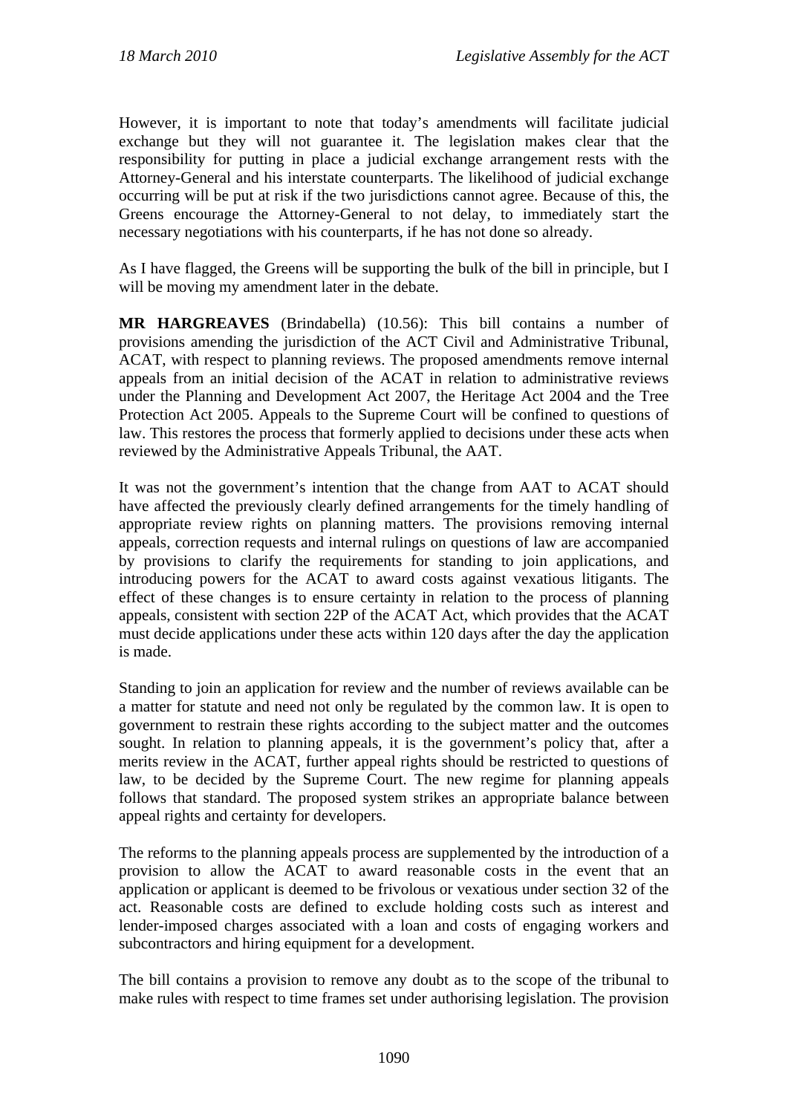However, it is important to note that today's amendments will facilitate judicial exchange but they will not guarantee it. The legislation makes clear that the responsibility for putting in place a judicial exchange arrangement rests with the Attorney-General and his interstate counterparts. The likelihood of judicial exchange occurring will be put at risk if the two jurisdictions cannot agree. Because of this, the Greens encourage the Attorney-General to not delay, to immediately start the necessary negotiations with his counterparts, if he has not done so already.

As I have flagged, the Greens will be supporting the bulk of the bill in principle, but I will be moving my amendment later in the debate.

**MR HARGREAVES** (Brindabella) (10.56): This bill contains a number of provisions amending the jurisdiction of the ACT Civil and Administrative Tribunal, ACAT, with respect to planning reviews. The proposed amendments remove internal appeals from an initial decision of the ACAT in relation to administrative reviews under the Planning and Development Act 2007, the Heritage Act 2004 and the Tree Protection Act 2005. Appeals to the Supreme Court will be confined to questions of law. This restores the process that formerly applied to decisions under these acts when reviewed by the Administrative Appeals Tribunal, the AAT.

It was not the government's intention that the change from AAT to ACAT should have affected the previously clearly defined arrangements for the timely handling of appropriate review rights on planning matters. The provisions removing internal appeals, correction requests and internal rulings on questions of law are accompanied by provisions to clarify the requirements for standing to join applications, and introducing powers for the ACAT to award costs against vexatious litigants. The effect of these changes is to ensure certainty in relation to the process of planning appeals, consistent with section 22P of the ACAT Act, which provides that the ACAT must decide applications under these acts within 120 days after the day the application is made.

Standing to join an application for review and the number of reviews available can be a matter for statute and need not only be regulated by the common law. It is open to government to restrain these rights according to the subject matter and the outcomes sought. In relation to planning appeals, it is the government's policy that, after a merits review in the ACAT, further appeal rights should be restricted to questions of law, to be decided by the Supreme Court. The new regime for planning appeals follows that standard. The proposed system strikes an appropriate balance between appeal rights and certainty for developers.

The reforms to the planning appeals process are supplemented by the introduction of a provision to allow the ACAT to award reasonable costs in the event that an application or applicant is deemed to be frivolous or vexatious under section 32 of the act. Reasonable costs are defined to exclude holding costs such as interest and lender-imposed charges associated with a loan and costs of engaging workers and subcontractors and hiring equipment for a development.

The bill contains a provision to remove any doubt as to the scope of the tribunal to make rules with respect to time frames set under authorising legislation. The provision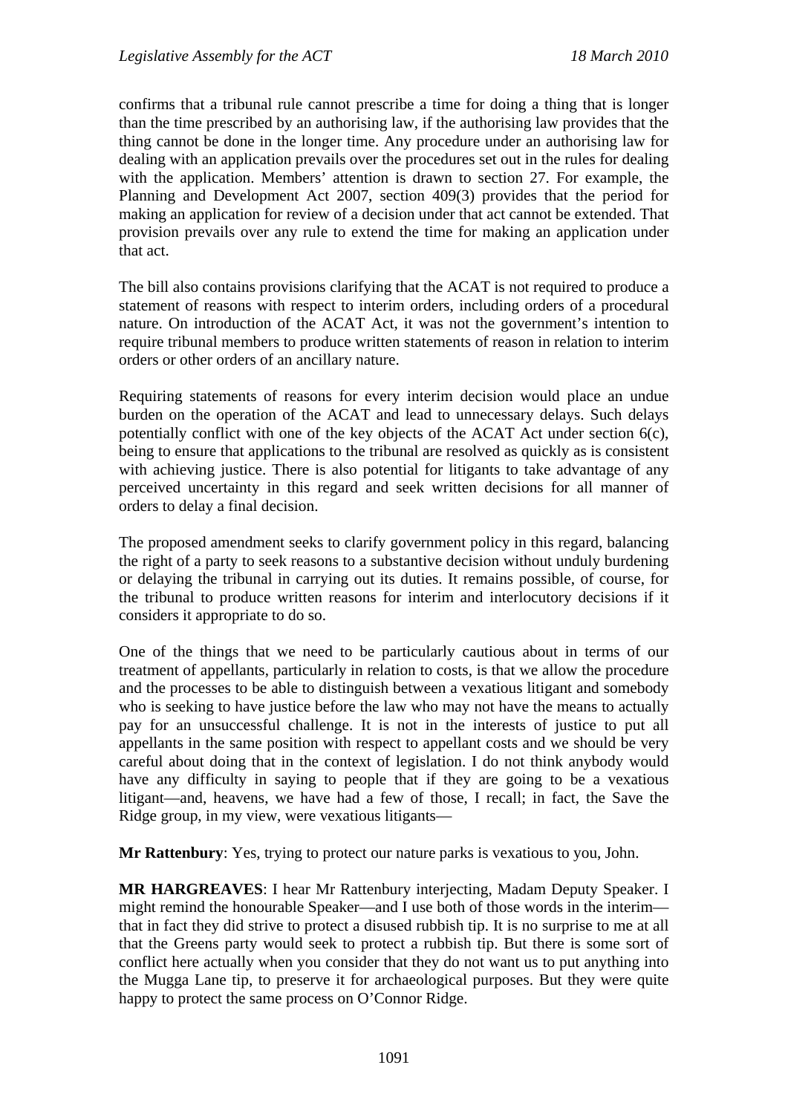confirms that a tribunal rule cannot prescribe a time for doing a thing that is longer than the time prescribed by an authorising law, if the authorising law provides that the thing cannot be done in the longer time. Any procedure under an authorising law for dealing with an application prevails over the procedures set out in the rules for dealing with the application. Members' attention is drawn to section 27. For example, the Planning and Development Act 2007, section 409(3) provides that the period for making an application for review of a decision under that act cannot be extended. That provision prevails over any rule to extend the time for making an application under that act.

The bill also contains provisions clarifying that the ACAT is not required to produce a statement of reasons with respect to interim orders, including orders of a procedural nature. On introduction of the ACAT Act, it was not the government's intention to require tribunal members to produce written statements of reason in relation to interim orders or other orders of an ancillary nature.

Requiring statements of reasons for every interim decision would place an undue burden on the operation of the ACAT and lead to unnecessary delays. Such delays potentially conflict with one of the key objects of the ACAT Act under section 6(c), being to ensure that applications to the tribunal are resolved as quickly as is consistent with achieving justice. There is also potential for litigants to take advantage of any perceived uncertainty in this regard and seek written decisions for all manner of orders to delay a final decision.

The proposed amendment seeks to clarify government policy in this regard, balancing the right of a party to seek reasons to a substantive decision without unduly burdening or delaying the tribunal in carrying out its duties. It remains possible, of course, for the tribunal to produce written reasons for interim and interlocutory decisions if it considers it appropriate to do so.

One of the things that we need to be particularly cautious about in terms of our treatment of appellants, particularly in relation to costs, is that we allow the procedure and the processes to be able to distinguish between a vexatious litigant and somebody who is seeking to have justice before the law who may not have the means to actually pay for an unsuccessful challenge. It is not in the interests of justice to put all appellants in the same position with respect to appellant costs and we should be very careful about doing that in the context of legislation. I do not think anybody would have any difficulty in saying to people that if they are going to be a vexatious litigant—and, heavens, we have had a few of those, I recall; in fact, the Save the Ridge group, in my view, were vexatious litigants—

**Mr Rattenbury**: Yes, trying to protect our nature parks is vexatious to you, John.

**MR HARGREAVES**: I hear Mr Rattenbury interjecting, Madam Deputy Speaker. I might remind the honourable Speaker—and I use both of those words in the interim that in fact they did strive to protect a disused rubbish tip. It is no surprise to me at all that the Greens party would seek to protect a rubbish tip. But there is some sort of conflict here actually when you consider that they do not want us to put anything into the Mugga Lane tip, to preserve it for archaeological purposes. But they were quite happy to protect the same process on O'Connor Ridge.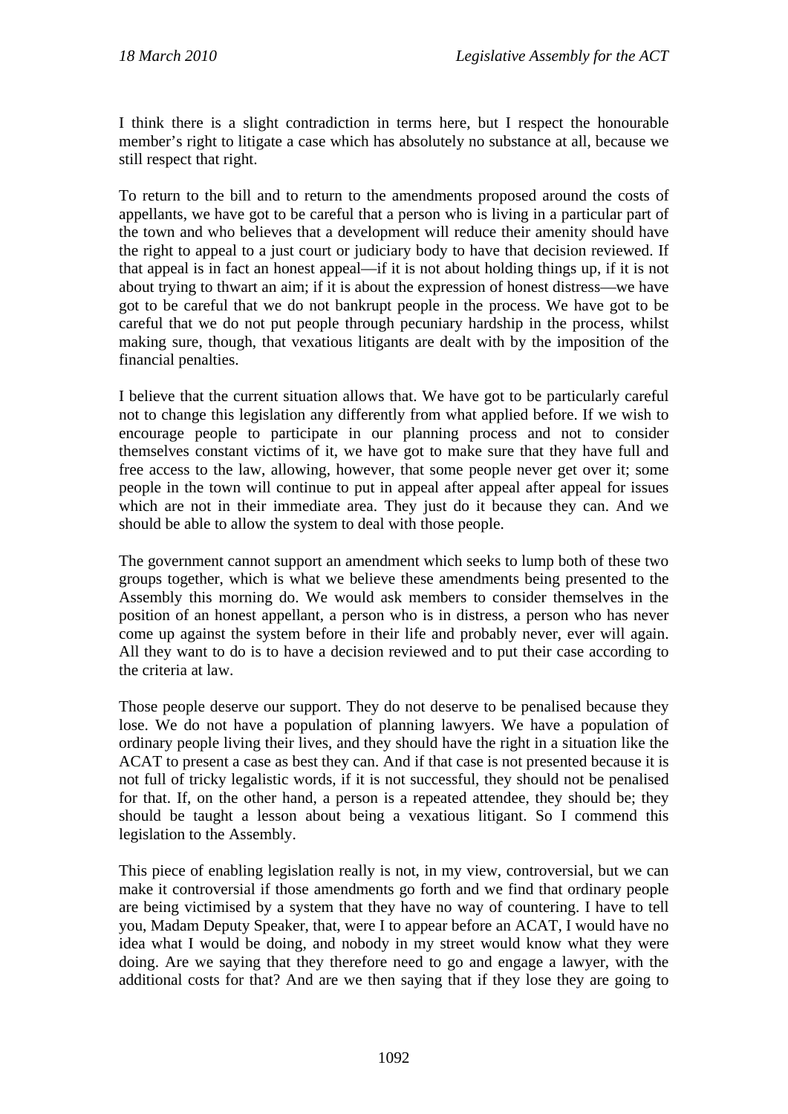I think there is a slight contradiction in terms here, but I respect the honourable member's right to litigate a case which has absolutely no substance at all, because we still respect that right.

To return to the bill and to return to the amendments proposed around the costs of appellants, we have got to be careful that a person who is living in a particular part of the town and who believes that a development will reduce their amenity should have the right to appeal to a just court or judiciary body to have that decision reviewed. If that appeal is in fact an honest appeal—if it is not about holding things up, if it is not about trying to thwart an aim; if it is about the expression of honest distress—we have got to be careful that we do not bankrupt people in the process. We have got to be careful that we do not put people through pecuniary hardship in the process, whilst making sure, though, that vexatious litigants are dealt with by the imposition of the financial penalties.

I believe that the current situation allows that. We have got to be particularly careful not to change this legislation any differently from what applied before. If we wish to encourage people to participate in our planning process and not to consider themselves constant victims of it, we have got to make sure that they have full and free access to the law, allowing, however, that some people never get over it; some people in the town will continue to put in appeal after appeal after appeal for issues which are not in their immediate area. They just do it because they can. And we should be able to allow the system to deal with those people.

The government cannot support an amendment which seeks to lump both of these two groups together, which is what we believe these amendments being presented to the Assembly this morning do. We would ask members to consider themselves in the position of an honest appellant, a person who is in distress, a person who has never come up against the system before in their life and probably never, ever will again. All they want to do is to have a decision reviewed and to put their case according to the criteria at law.

Those people deserve our support. They do not deserve to be penalised because they lose. We do not have a population of planning lawyers. We have a population of ordinary people living their lives, and they should have the right in a situation like the ACAT to present a case as best they can. And if that case is not presented because it is not full of tricky legalistic words, if it is not successful, they should not be penalised for that. If, on the other hand, a person is a repeated attendee, they should be; they should be taught a lesson about being a vexatious litigant. So I commend this legislation to the Assembly.

This piece of enabling legislation really is not, in my view, controversial, but we can make it controversial if those amendments go forth and we find that ordinary people are being victimised by a system that they have no way of countering. I have to tell you, Madam Deputy Speaker, that, were I to appear before an ACAT, I would have no idea what I would be doing, and nobody in my street would know what they were doing. Are we saying that they therefore need to go and engage a lawyer, with the additional costs for that? And are we then saying that if they lose they are going to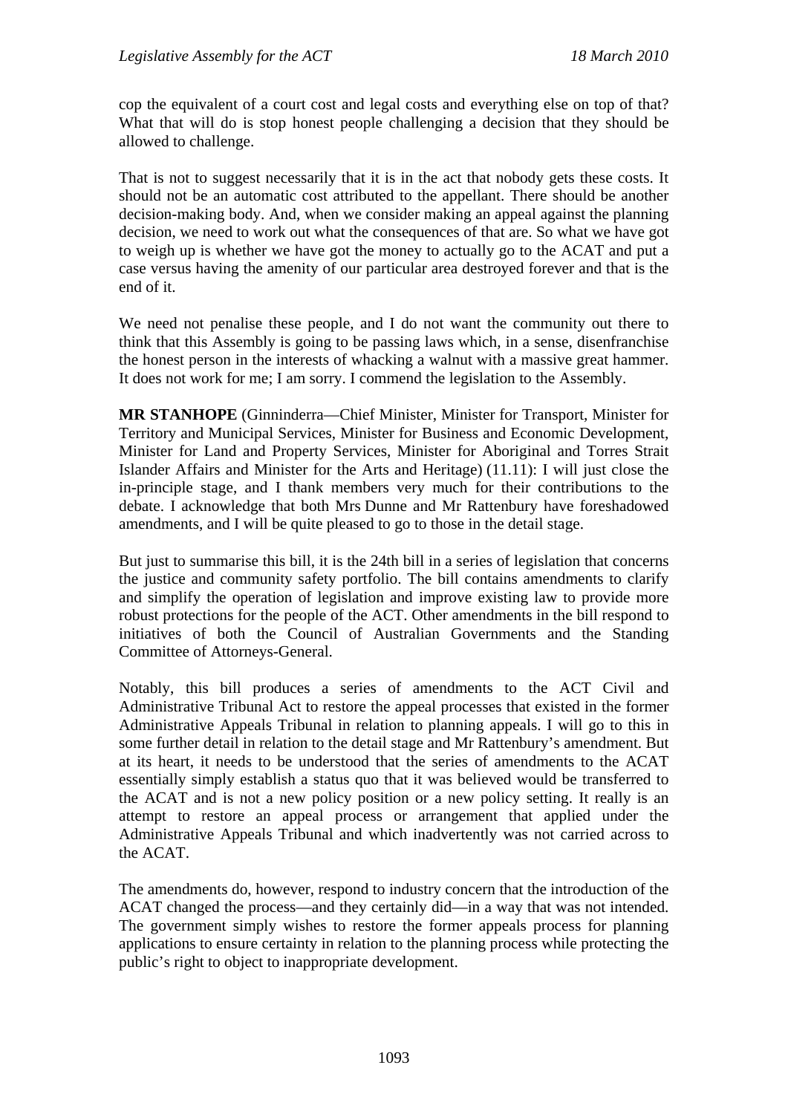cop the equivalent of a court cost and legal costs and everything else on top of that? What that will do is stop honest people challenging a decision that they should be allowed to challenge.

That is not to suggest necessarily that it is in the act that nobody gets these costs. It should not be an automatic cost attributed to the appellant. There should be another decision-making body. And, when we consider making an appeal against the planning decision, we need to work out what the consequences of that are. So what we have got to weigh up is whether we have got the money to actually go to the ACAT and put a case versus having the amenity of our particular area destroyed forever and that is the end of it.

We need not penalise these people, and I do not want the community out there to think that this Assembly is going to be passing laws which, in a sense, disenfranchise the honest person in the interests of whacking a walnut with a massive great hammer. It does not work for me; I am sorry. I commend the legislation to the Assembly.

**MR STANHOPE** (Ginninderra—Chief Minister, Minister for Transport, Minister for Territory and Municipal Services, Minister for Business and Economic Development, Minister for Land and Property Services, Minister for Aboriginal and Torres Strait Islander Affairs and Minister for the Arts and Heritage) (11.11): I will just close the in-principle stage, and I thank members very much for their contributions to the debate. I acknowledge that both Mrs Dunne and Mr Rattenbury have foreshadowed amendments, and I will be quite pleased to go to those in the detail stage.

But just to summarise this bill, it is the 24th bill in a series of legislation that concerns the justice and community safety portfolio. The bill contains amendments to clarify and simplify the operation of legislation and improve existing law to provide more robust protections for the people of the ACT. Other amendments in the bill respond to initiatives of both the Council of Australian Governments and the Standing Committee of Attorneys-General.

Notably, this bill produces a series of amendments to the ACT Civil and Administrative Tribunal Act to restore the appeal processes that existed in the former Administrative Appeals Tribunal in relation to planning appeals. I will go to this in some further detail in relation to the detail stage and Mr Rattenbury's amendment. But at its heart, it needs to be understood that the series of amendments to the ACAT essentially simply establish a status quo that it was believed would be transferred to the ACAT and is not a new policy position or a new policy setting. It really is an attempt to restore an appeal process or arrangement that applied under the Administrative Appeals Tribunal and which inadvertently was not carried across to the ACAT.

The amendments do, however, respond to industry concern that the introduction of the ACAT changed the process—and they certainly did—in a way that was not intended. The government simply wishes to restore the former appeals process for planning applications to ensure certainty in relation to the planning process while protecting the public's right to object to inappropriate development.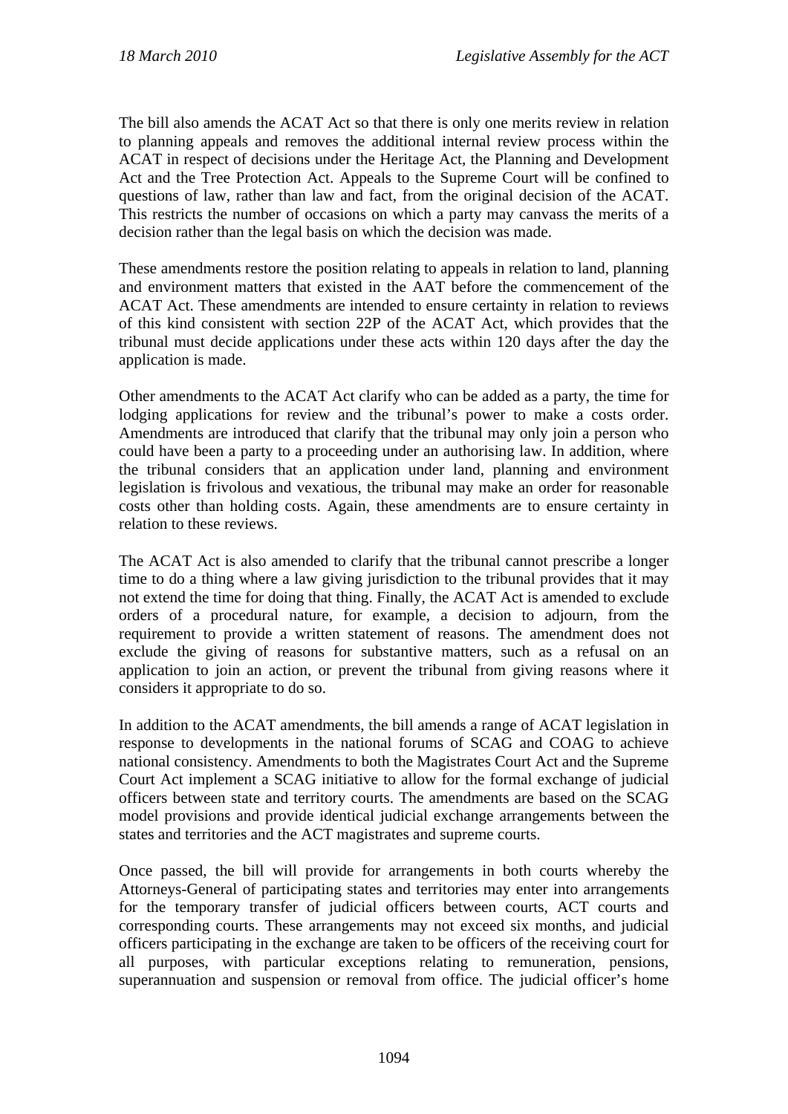The bill also amends the ACAT Act so that there is only one merits review in relation to planning appeals and removes the additional internal review process within the ACAT in respect of decisions under the Heritage Act, the Planning and Development Act and the Tree Protection Act. Appeals to the Supreme Court will be confined to questions of law, rather than law and fact, from the original decision of the ACAT. This restricts the number of occasions on which a party may canvass the merits of a decision rather than the legal basis on which the decision was made.

These amendments restore the position relating to appeals in relation to land, planning and environment matters that existed in the AAT before the commencement of the ACAT Act. These amendments are intended to ensure certainty in relation to reviews of this kind consistent with section 22P of the ACAT Act, which provides that the tribunal must decide applications under these acts within 120 days after the day the application is made.

Other amendments to the ACAT Act clarify who can be added as a party, the time for lodging applications for review and the tribunal's power to make a costs order. Amendments are introduced that clarify that the tribunal may only join a person who could have been a party to a proceeding under an authorising law. In addition, where the tribunal considers that an application under land, planning and environment legislation is frivolous and vexatious, the tribunal may make an order for reasonable costs other than holding costs. Again, these amendments are to ensure certainty in relation to these reviews.

The ACAT Act is also amended to clarify that the tribunal cannot prescribe a longer time to do a thing where a law giving jurisdiction to the tribunal provides that it may not extend the time for doing that thing. Finally, the ACAT Act is amended to exclude orders of a procedural nature, for example, a decision to adjourn, from the requirement to provide a written statement of reasons. The amendment does not exclude the giving of reasons for substantive matters, such as a refusal on an application to join an action, or prevent the tribunal from giving reasons where it considers it appropriate to do so.

In addition to the ACAT amendments, the bill amends a range of ACAT legislation in response to developments in the national forums of SCAG and COAG to achieve national consistency. Amendments to both the Magistrates Court Act and the Supreme Court Act implement a SCAG initiative to allow for the formal exchange of judicial officers between state and territory courts. The amendments are based on the SCAG model provisions and provide identical judicial exchange arrangements between the states and territories and the ACT magistrates and supreme courts.

Once passed, the bill will provide for arrangements in both courts whereby the Attorneys-General of participating states and territories may enter into arrangements for the temporary transfer of judicial officers between courts, ACT courts and corresponding courts. These arrangements may not exceed six months, and judicial officers participating in the exchange are taken to be officers of the receiving court for all purposes, with particular exceptions relating to remuneration, pensions, superannuation and suspension or removal from office. The judicial officer's home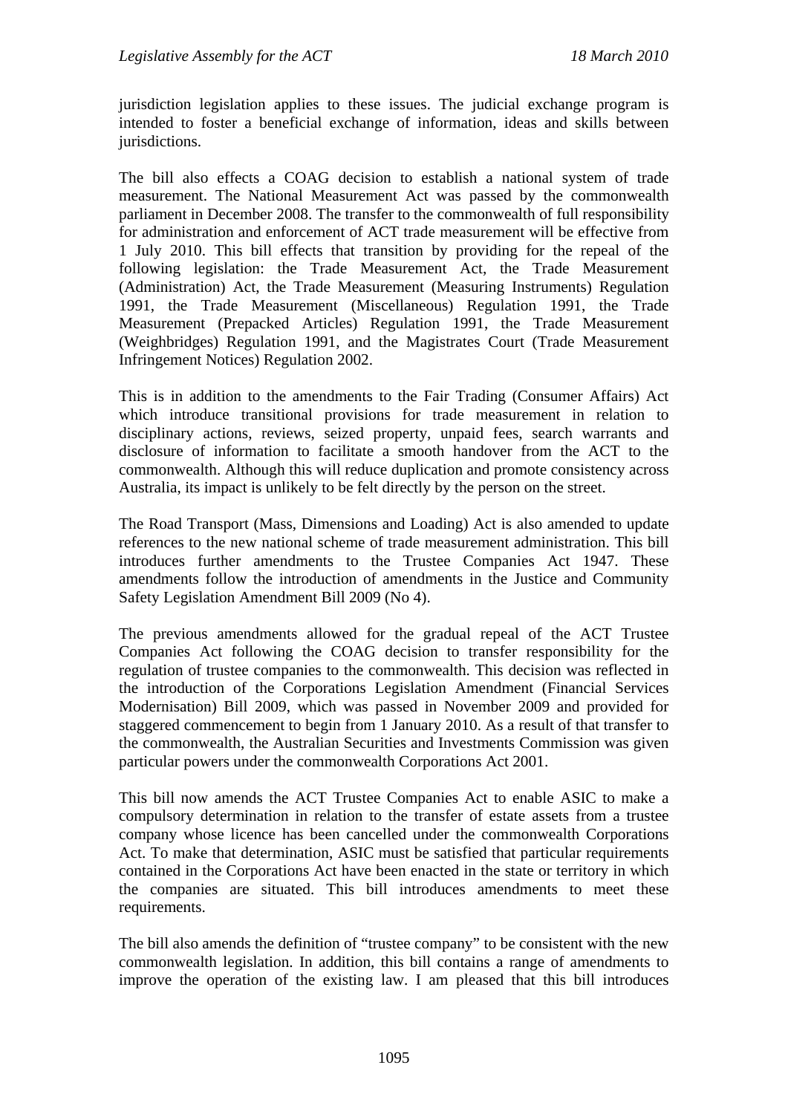jurisdiction legislation applies to these issues. The judicial exchange program is intended to foster a beneficial exchange of information, ideas and skills between jurisdictions.

The bill also effects a COAG decision to establish a national system of trade measurement. The National Measurement Act was passed by the commonwealth parliament in December 2008. The transfer to the commonwealth of full responsibility for administration and enforcement of ACT trade measurement will be effective from 1 July 2010. This bill effects that transition by providing for the repeal of the following legislation: the Trade Measurement Act, the Trade Measurement (Administration) Act, the Trade Measurement (Measuring Instruments) Regulation 1991, the Trade Measurement (Miscellaneous) Regulation 1991, the Trade Measurement (Prepacked Articles) Regulation 1991, the Trade Measurement (Weighbridges) Regulation 1991, and the Magistrates Court (Trade Measurement Infringement Notices) Regulation 2002.

This is in addition to the amendments to the Fair Trading (Consumer Affairs) Act which introduce transitional provisions for trade measurement in relation to disciplinary actions, reviews, seized property, unpaid fees, search warrants and disclosure of information to facilitate a smooth handover from the ACT to the commonwealth. Although this will reduce duplication and promote consistency across Australia, its impact is unlikely to be felt directly by the person on the street.

The Road Transport (Mass, Dimensions and Loading) Act is also amended to update references to the new national scheme of trade measurement administration. This bill introduces further amendments to the Trustee Companies Act 1947. These amendments follow the introduction of amendments in the Justice and Community Safety Legislation Amendment Bill 2009 (No 4).

The previous amendments allowed for the gradual repeal of the ACT Trustee Companies Act following the COAG decision to transfer responsibility for the regulation of trustee companies to the commonwealth. This decision was reflected in the introduction of the Corporations Legislation Amendment (Financial Services Modernisation) Bill 2009, which was passed in November 2009 and provided for staggered commencement to begin from 1 January 2010. As a result of that transfer to the commonwealth, the Australian Securities and Investments Commission was given particular powers under the commonwealth Corporations Act 2001.

This bill now amends the ACT Trustee Companies Act to enable ASIC to make a compulsory determination in relation to the transfer of estate assets from a trustee company whose licence has been cancelled under the commonwealth Corporations Act. To make that determination, ASIC must be satisfied that particular requirements contained in the Corporations Act have been enacted in the state or territory in which the companies are situated. This bill introduces amendments to meet these requirements.

The bill also amends the definition of "trustee company" to be consistent with the new commonwealth legislation. In addition, this bill contains a range of amendments to improve the operation of the existing law. I am pleased that this bill introduces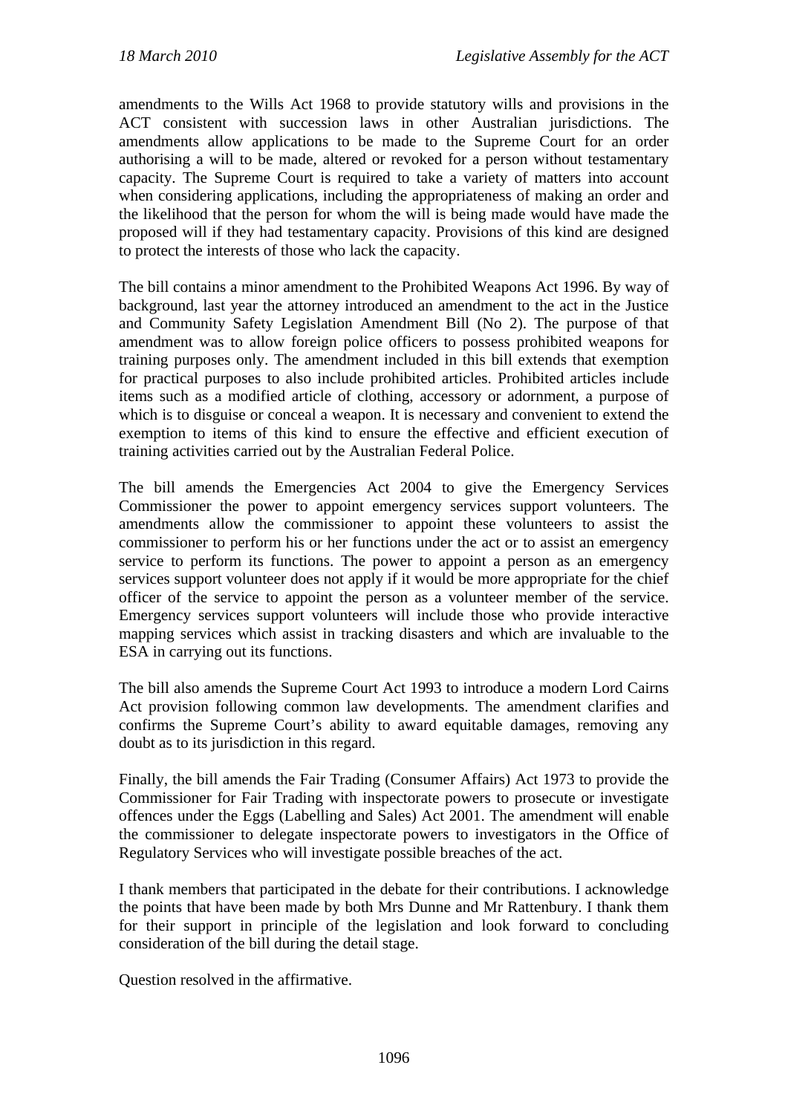amendments to the Wills Act 1968 to provide statutory wills and provisions in the ACT consistent with succession laws in other Australian jurisdictions. The amendments allow applications to be made to the Supreme Court for an order authorising a will to be made, altered or revoked for a person without testamentary capacity. The Supreme Court is required to take a variety of matters into account when considering applications, including the appropriateness of making an order and the likelihood that the person for whom the will is being made would have made the proposed will if they had testamentary capacity. Provisions of this kind are designed to protect the interests of those who lack the capacity.

The bill contains a minor amendment to the Prohibited Weapons Act 1996. By way of background, last year the attorney introduced an amendment to the act in the Justice and Community Safety Legislation Amendment Bill (No 2). The purpose of that amendment was to allow foreign police officers to possess prohibited weapons for training purposes only. The amendment included in this bill extends that exemption for practical purposes to also include prohibited articles. Prohibited articles include items such as a modified article of clothing, accessory or adornment, a purpose of which is to disguise or conceal a weapon. It is necessary and convenient to extend the exemption to items of this kind to ensure the effective and efficient execution of training activities carried out by the Australian Federal Police.

The bill amends the Emergencies Act 2004 to give the Emergency Services Commissioner the power to appoint emergency services support volunteers. The amendments allow the commissioner to appoint these volunteers to assist the commissioner to perform his or her functions under the act or to assist an emergency service to perform its functions. The power to appoint a person as an emergency services support volunteer does not apply if it would be more appropriate for the chief officer of the service to appoint the person as a volunteer member of the service. Emergency services support volunteers will include those who provide interactive mapping services which assist in tracking disasters and which are invaluable to the ESA in carrying out its functions.

The bill also amends the Supreme Court Act 1993 to introduce a modern Lord Cairns Act provision following common law developments. The amendment clarifies and confirms the Supreme Court's ability to award equitable damages, removing any doubt as to its jurisdiction in this regard.

Finally, the bill amends the Fair Trading (Consumer Affairs) Act 1973 to provide the Commissioner for Fair Trading with inspectorate powers to prosecute or investigate offences under the Eggs (Labelling and Sales) Act 2001. The amendment will enable the commissioner to delegate inspectorate powers to investigators in the Office of Regulatory Services who will investigate possible breaches of the act.

I thank members that participated in the debate for their contributions. I acknowledge the points that have been made by both Mrs Dunne and Mr Rattenbury. I thank them for their support in principle of the legislation and look forward to concluding consideration of the bill during the detail stage.

Question resolved in the affirmative.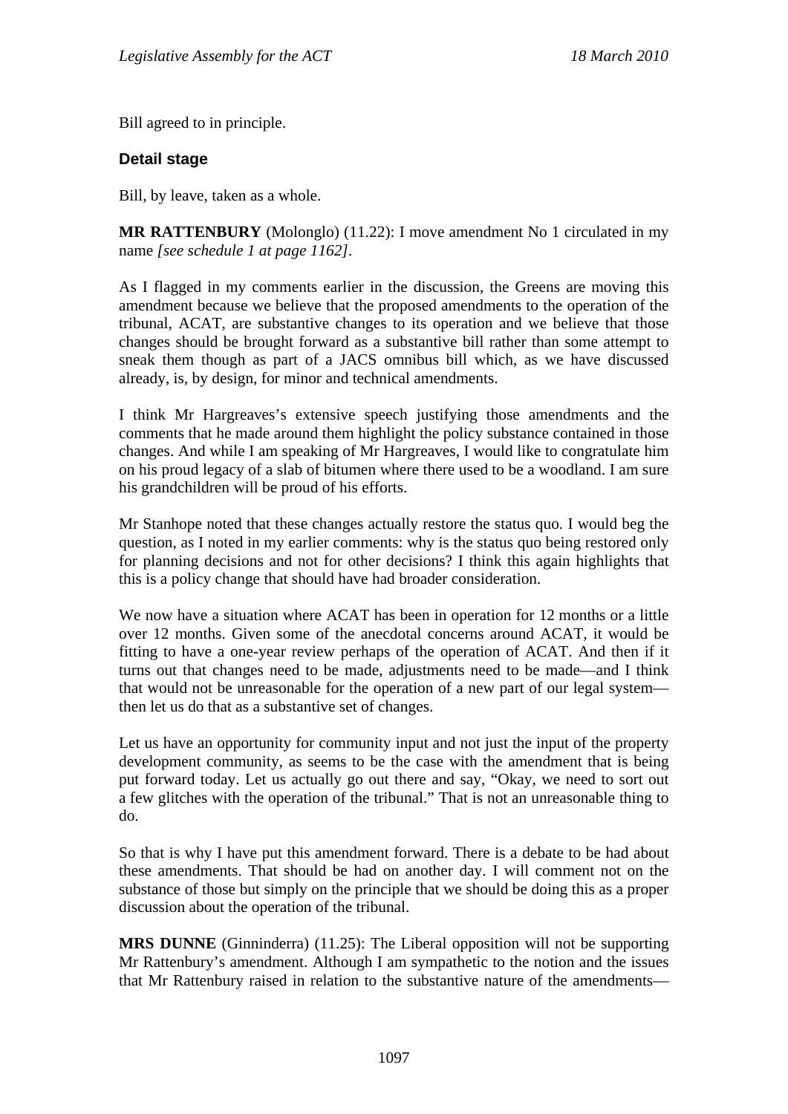Bill agreed to in principle.

#### **Detail stage**

Bill, by leave, taken as a whole.

**MR RATTENBURY** (Molonglo) (11.22): I move amendment No 1 circulated in my name *[see schedule 1 at page 1162]*.

As I flagged in my comments earlier in the discussion, the Greens are moving this amendment because we believe that the proposed amendments to the operation of the tribunal, ACAT, are substantive changes to its operation and we believe that those changes should be brought forward as a substantive bill rather than some attempt to sneak them though as part of a JACS omnibus bill which, as we have discussed already, is, by design, for minor and technical amendments.

I think Mr Hargreaves's extensive speech justifying those amendments and the comments that he made around them highlight the policy substance contained in those changes. And while I am speaking of Mr Hargreaves, I would like to congratulate him on his proud legacy of a slab of bitumen where there used to be a woodland. I am sure his grandchildren will be proud of his efforts.

Mr Stanhope noted that these changes actually restore the status quo. I would beg the question, as I noted in my earlier comments: why is the status quo being restored only for planning decisions and not for other decisions? I think this again highlights that this is a policy change that should have had broader consideration.

We now have a situation where ACAT has been in operation for 12 months or a little over 12 months. Given some of the anecdotal concerns around ACAT, it would be fitting to have a one-year review perhaps of the operation of ACAT. And then if it turns out that changes need to be made, adjustments need to be made—and I think that would not be unreasonable for the operation of a new part of our legal system then let us do that as a substantive set of changes.

Let us have an opportunity for community input and not just the input of the property development community, as seems to be the case with the amendment that is being put forward today. Let us actually go out there and say, "Okay, we need to sort out a few glitches with the operation of the tribunal." That is not an unreasonable thing to do.

So that is why I have put this amendment forward. There is a debate to be had about these amendments. That should be had on another day. I will comment not on the substance of those but simply on the principle that we should be doing this as a proper discussion about the operation of the tribunal.

**MRS DUNNE** (Ginninderra) (11.25): The Liberal opposition will not be supporting Mr Rattenbury's amendment. Although I am sympathetic to the notion and the issues that Mr Rattenbury raised in relation to the substantive nature of the amendments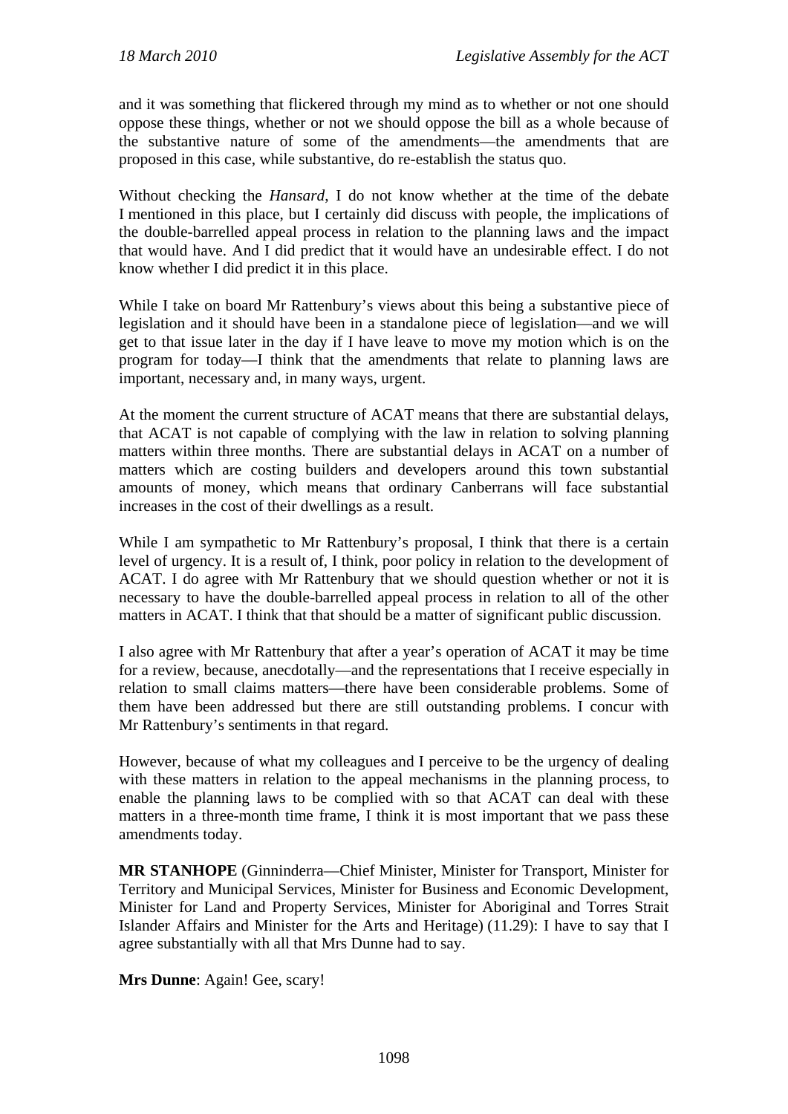and it was something that flickered through my mind as to whether or not one should oppose these things, whether or not we should oppose the bill as a whole because of the substantive nature of some of the amendments—the amendments that are proposed in this case, while substantive, do re-establish the status quo.

Without checking the *Hansard*, I do not know whether at the time of the debate I mentioned in this place, but I certainly did discuss with people, the implications of the double-barrelled appeal process in relation to the planning laws and the impact that would have. And I did predict that it would have an undesirable effect. I do not know whether I did predict it in this place.

While I take on board Mr Rattenbury's views about this being a substantive piece of legislation and it should have been in a standalone piece of legislation—and we will get to that issue later in the day if I have leave to move my motion which is on the program for today—I think that the amendments that relate to planning laws are important, necessary and, in many ways, urgent.

At the moment the current structure of ACAT means that there are substantial delays, that ACAT is not capable of complying with the law in relation to solving planning matters within three months. There are substantial delays in ACAT on a number of matters which are costing builders and developers around this town substantial amounts of money, which means that ordinary Canberrans will face substantial increases in the cost of their dwellings as a result.

While I am sympathetic to Mr Rattenbury's proposal, I think that there is a certain level of urgency. It is a result of, I think, poor policy in relation to the development of ACAT. I do agree with Mr Rattenbury that we should question whether or not it is necessary to have the double-barrelled appeal process in relation to all of the other matters in ACAT. I think that that should be a matter of significant public discussion.

I also agree with Mr Rattenbury that after a year's operation of ACAT it may be time for a review, because, anecdotally—and the representations that I receive especially in relation to small claims matters—there have been considerable problems. Some of them have been addressed but there are still outstanding problems. I concur with Mr Rattenbury's sentiments in that regard.

However, because of what my colleagues and I perceive to be the urgency of dealing with these matters in relation to the appeal mechanisms in the planning process, to enable the planning laws to be complied with so that ACAT can deal with these matters in a three-month time frame, I think it is most important that we pass these amendments today.

**MR STANHOPE** (Ginninderra—Chief Minister, Minister for Transport, Minister for Territory and Municipal Services, Minister for Business and Economic Development, Minister for Land and Property Services, Minister for Aboriginal and Torres Strait Islander Affairs and Minister for the Arts and Heritage) (11.29): I have to say that I agree substantially with all that Mrs Dunne had to say.

**Mrs Dunne**: Again! Gee, scary!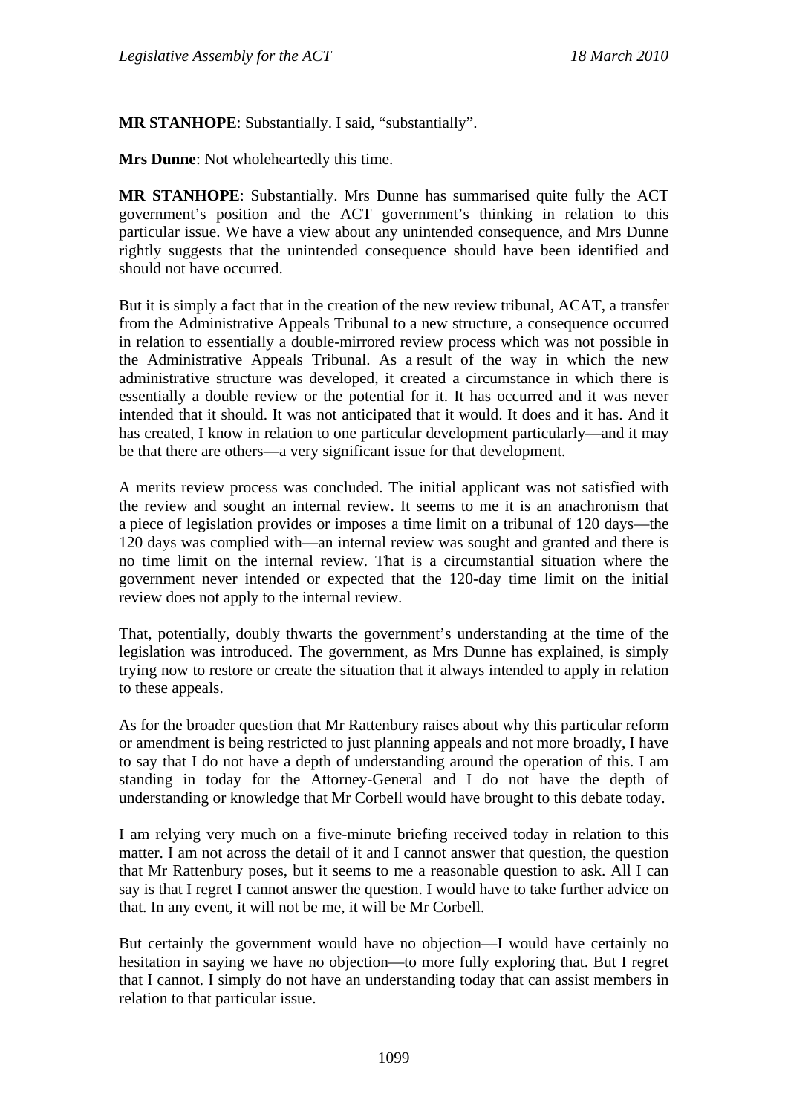**MR STANHOPE**: Substantially. I said, "substantially".

**Mrs Dunne**: Not wholeheartedly this time.

**MR STANHOPE**: Substantially. Mrs Dunne has summarised quite fully the ACT government's position and the ACT government's thinking in relation to this particular issue. We have a view about any unintended consequence, and Mrs Dunne rightly suggests that the unintended consequence should have been identified and should not have occurred.

But it is simply a fact that in the creation of the new review tribunal, ACAT, a transfer from the Administrative Appeals Tribunal to a new structure, a consequence occurred in relation to essentially a double-mirrored review process which was not possible in the Administrative Appeals Tribunal. As a result of the way in which the new administrative structure was developed, it created a circumstance in which there is essentially a double review or the potential for it. It has occurred and it was never intended that it should. It was not anticipated that it would. It does and it has. And it has created, I know in relation to one particular development particularly—and it may be that there are others—a very significant issue for that development.

A merits review process was concluded. The initial applicant was not satisfied with the review and sought an internal review. It seems to me it is an anachronism that a piece of legislation provides or imposes a time limit on a tribunal of 120 days—the 120 days was complied with—an internal review was sought and granted and there is no time limit on the internal review. That is a circumstantial situation where the government never intended or expected that the 120-day time limit on the initial review does not apply to the internal review.

That, potentially, doubly thwarts the government's understanding at the time of the legislation was introduced. The government, as Mrs Dunne has explained, is simply trying now to restore or create the situation that it always intended to apply in relation to these appeals.

As for the broader question that Mr Rattenbury raises about why this particular reform or amendment is being restricted to just planning appeals and not more broadly, I have to say that I do not have a depth of understanding around the operation of this. I am standing in today for the Attorney-General and I do not have the depth of understanding or knowledge that Mr Corbell would have brought to this debate today.

I am relying very much on a five-minute briefing received today in relation to this matter. I am not across the detail of it and I cannot answer that question, the question that Mr Rattenbury poses, but it seems to me a reasonable question to ask. All I can say is that I regret I cannot answer the question. I would have to take further advice on that. In any event, it will not be me, it will be Mr Corbell.

But certainly the government would have no objection—I would have certainly no hesitation in saying we have no objection—to more fully exploring that. But I regret that I cannot. I simply do not have an understanding today that can assist members in relation to that particular issue.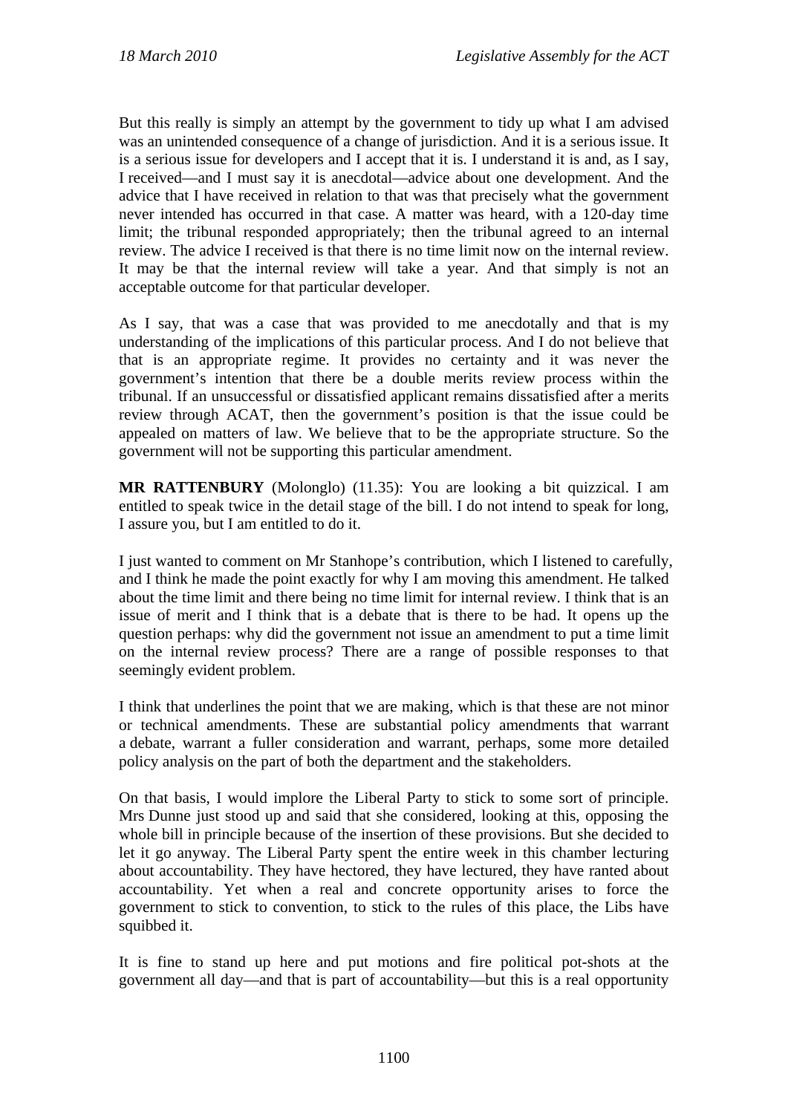But this really is simply an attempt by the government to tidy up what I am advised was an unintended consequence of a change of jurisdiction. And it is a serious issue. It is a serious issue for developers and I accept that it is. I understand it is and, as I say, I received—and I must say it is anecdotal—advice about one development. And the advice that I have received in relation to that was that precisely what the government never intended has occurred in that case. A matter was heard, with a 120-day time limit; the tribunal responded appropriately; then the tribunal agreed to an internal review. The advice I received is that there is no time limit now on the internal review. It may be that the internal review will take a year. And that simply is not an acceptable outcome for that particular developer.

As I say, that was a case that was provided to me anecdotally and that is my understanding of the implications of this particular process. And I do not believe that that is an appropriate regime. It provides no certainty and it was never the government's intention that there be a double merits review process within the tribunal. If an unsuccessful or dissatisfied applicant remains dissatisfied after a merits review through ACAT, then the government's position is that the issue could be appealed on matters of law. We believe that to be the appropriate structure. So the government will not be supporting this particular amendment.

**MR RATTENBURY** (Molonglo) (11.35): You are looking a bit quizzical. I am entitled to speak twice in the detail stage of the bill. I do not intend to speak for long, I assure you, but I am entitled to do it.

I just wanted to comment on Mr Stanhope's contribution, which I listened to carefully, and I think he made the point exactly for why I am moving this amendment. He talked about the time limit and there being no time limit for internal review. I think that is an issue of merit and I think that is a debate that is there to be had. It opens up the question perhaps: why did the government not issue an amendment to put a time limit on the internal review process? There are a range of possible responses to that seemingly evident problem.

I think that underlines the point that we are making, which is that these are not minor or technical amendments. These are substantial policy amendments that warrant a debate, warrant a fuller consideration and warrant, perhaps, some more detailed policy analysis on the part of both the department and the stakeholders.

On that basis, I would implore the Liberal Party to stick to some sort of principle. Mrs Dunne just stood up and said that she considered, looking at this, opposing the whole bill in principle because of the insertion of these provisions. But she decided to let it go anyway. The Liberal Party spent the entire week in this chamber lecturing about accountability. They have hectored, they have lectured, they have ranted about accountability. Yet when a real and concrete opportunity arises to force the government to stick to convention, to stick to the rules of this place, the Libs have squibbed it.

It is fine to stand up here and put motions and fire political pot-shots at the government all day—and that is part of accountability—but this is a real opportunity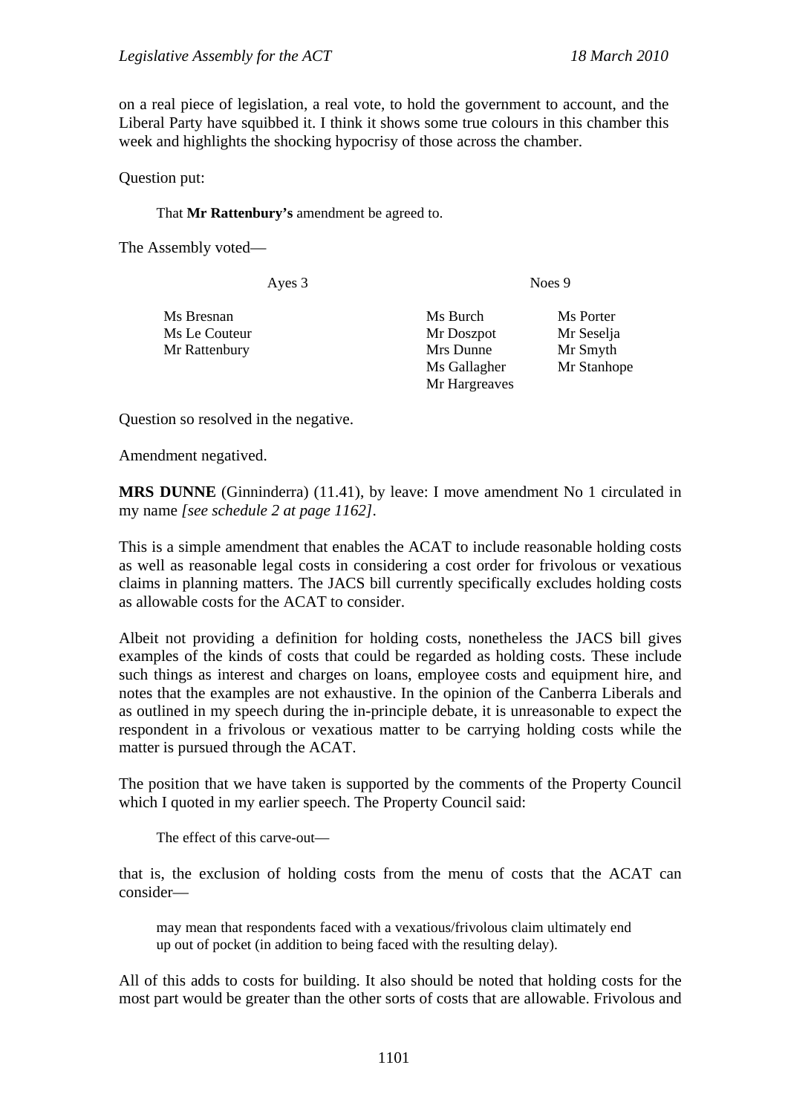on a real piece of legislation, a real vote, to hold the government to account, and the Liberal Party have squibbed it. I think it shows some true colours in this chamber this week and highlights the shocking hypocrisy of those across the chamber.

Question put:

That **Mr Rattenbury's** amendment be agreed to.

The Assembly voted—

Ayes 3 Noes 9

| Ms Bresnan    | Ms Burch      | Ms Porter   |
|---------------|---------------|-------------|
| Ms Le Couteur | Mr Doszpot    | Mr Seselja  |
| Mr Rattenbury | Mrs Dunne     | Mr Smyth    |
|               | Ms Gallagher  | Mr Stanhope |
|               | Mr Hargreaves |             |
|               |               |             |

Question so resolved in the negative.

Amendment negatived.

**MRS DUNNE** (Ginninderra) (11.41), by leave: I move amendment No 1 circulated in my name *[see schedule 2 at page 1162]*.

This is a simple amendment that enables the ACAT to include reasonable holding costs as well as reasonable legal costs in considering a cost order for frivolous or vexatious claims in planning matters. The JACS bill currently specifically excludes holding costs as allowable costs for the ACAT to consider.

Albeit not providing a definition for holding costs, nonetheless the JACS bill gives examples of the kinds of costs that could be regarded as holding costs. These include such things as interest and charges on loans, employee costs and equipment hire, and notes that the examples are not exhaustive. In the opinion of the Canberra Liberals and as outlined in my speech during the in-principle debate, it is unreasonable to expect the respondent in a frivolous or vexatious matter to be carrying holding costs while the matter is pursued through the ACAT.

The position that we have taken is supported by the comments of the Property Council which I quoted in my earlier speech. The Property Council said:

The effect of this carve-out—

that is, the exclusion of holding costs from the menu of costs that the ACAT can consider—

may mean that respondents faced with a vexatious/frivolous claim ultimately end up out of pocket (in addition to being faced with the resulting delay).

All of this adds to costs for building. It also should be noted that holding costs for the most part would be greater than the other sorts of costs that are allowable. Frivolous and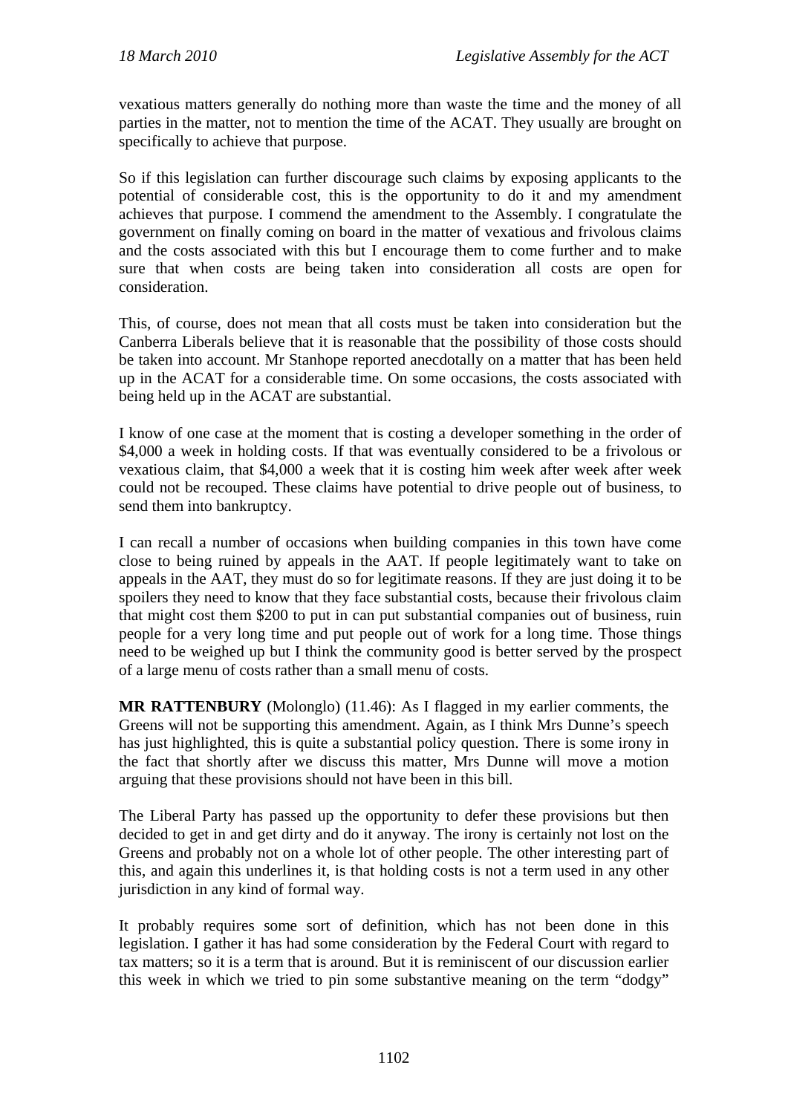vexatious matters generally do nothing more than waste the time and the money of all parties in the matter, not to mention the time of the ACAT. They usually are brought on specifically to achieve that purpose.

So if this legislation can further discourage such claims by exposing applicants to the potential of considerable cost, this is the opportunity to do it and my amendment achieves that purpose. I commend the amendment to the Assembly. I congratulate the government on finally coming on board in the matter of vexatious and frivolous claims and the costs associated with this but I encourage them to come further and to make sure that when costs are being taken into consideration all costs are open for consideration.

This, of course, does not mean that all costs must be taken into consideration but the Canberra Liberals believe that it is reasonable that the possibility of those costs should be taken into account. Mr Stanhope reported anecdotally on a matter that has been held up in the ACAT for a considerable time. On some occasions, the costs associated with being held up in the ACAT are substantial.

I know of one case at the moment that is costing a developer something in the order of \$4,000 a week in holding costs. If that was eventually considered to be a frivolous or vexatious claim, that \$4,000 a week that it is costing him week after week after week could not be recouped. These claims have potential to drive people out of business, to send them into bankruptcy.

I can recall a number of occasions when building companies in this town have come close to being ruined by appeals in the AAT. If people legitimately want to take on appeals in the AAT, they must do so for legitimate reasons. If they are just doing it to be spoilers they need to know that they face substantial costs, because their frivolous claim that might cost them \$200 to put in can put substantial companies out of business, ruin people for a very long time and put people out of work for a long time. Those things need to be weighed up but I think the community good is better served by the prospect of a large menu of costs rather than a small menu of costs.

**MR RATTENBURY** (Molonglo) (11.46): As I flagged in my earlier comments, the Greens will not be supporting this amendment. Again, as I think Mrs Dunne's speech has just highlighted, this is quite a substantial policy question. There is some irony in the fact that shortly after we discuss this matter, Mrs Dunne will move a motion arguing that these provisions should not have been in this bill.

The Liberal Party has passed up the opportunity to defer these provisions but then decided to get in and get dirty and do it anyway. The irony is certainly not lost on the Greens and probably not on a whole lot of other people. The other interesting part of this, and again this underlines it, is that holding costs is not a term used in any other jurisdiction in any kind of formal way.

It probably requires some sort of definition, which has not been done in this legislation. I gather it has had some consideration by the Federal Court with regard to tax matters; so it is a term that is around. But it is reminiscent of our discussion earlier this week in which we tried to pin some substantive meaning on the term "dodgy"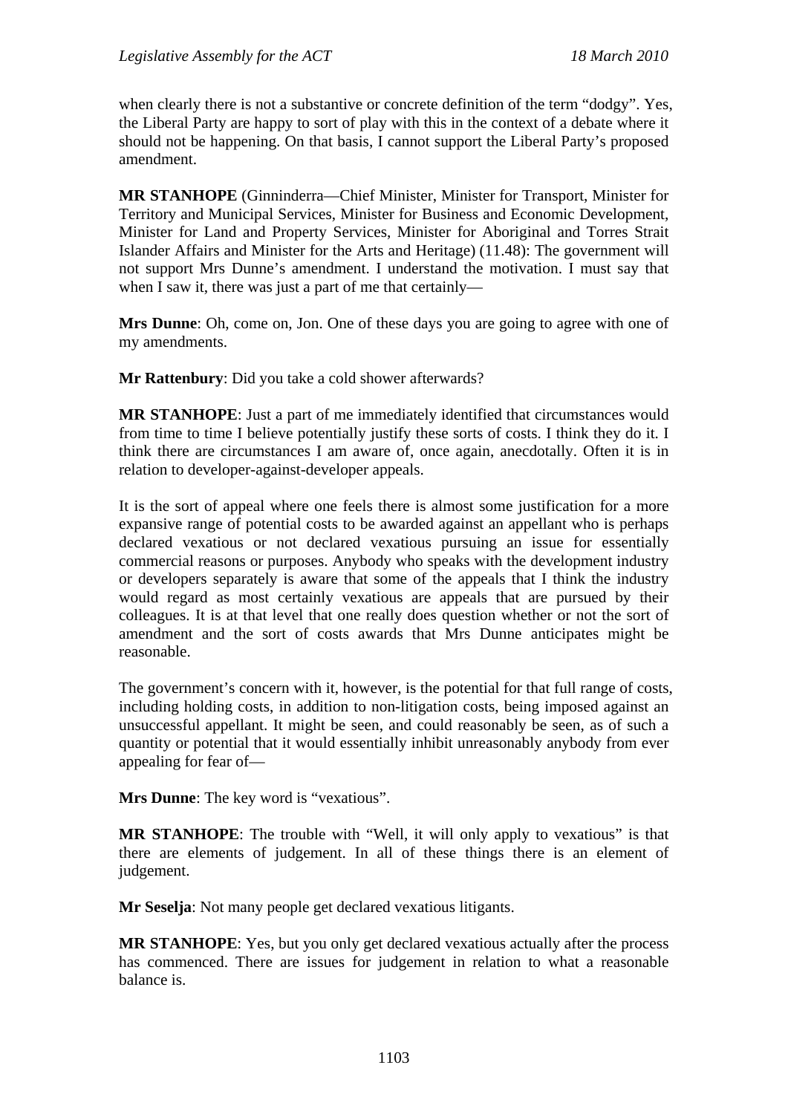when clearly there is not a substantive or concrete definition of the term "dodgy". Yes, the Liberal Party are happy to sort of play with this in the context of a debate where it should not be happening. On that basis, I cannot support the Liberal Party's proposed amendment.

**MR STANHOPE** (Ginninderra—Chief Minister, Minister for Transport, Minister for Territory and Municipal Services, Minister for Business and Economic Development, Minister for Land and Property Services, Minister for Aboriginal and Torres Strait Islander Affairs and Minister for the Arts and Heritage) (11.48): The government will not support Mrs Dunne's amendment. I understand the motivation. I must say that when I saw it, there was just a part of me that certainly—

**Mrs Dunne**: Oh, come on, Jon. One of these days you are going to agree with one of my amendments.

**Mr Rattenbury**: Did you take a cold shower afterwards?

**MR STANHOPE**: Just a part of me immediately identified that circumstances would from time to time I believe potentially justify these sorts of costs. I think they do it. I think there are circumstances I am aware of, once again, anecdotally. Often it is in relation to developer-against-developer appeals.

It is the sort of appeal where one feels there is almost some justification for a more expansive range of potential costs to be awarded against an appellant who is perhaps declared vexatious or not declared vexatious pursuing an issue for essentially commercial reasons or purposes. Anybody who speaks with the development industry or developers separately is aware that some of the appeals that I think the industry would regard as most certainly vexatious are appeals that are pursued by their colleagues. It is at that level that one really does question whether or not the sort of amendment and the sort of costs awards that Mrs Dunne anticipates might be reasonable.

The government's concern with it, however, is the potential for that full range of costs, including holding costs, in addition to non-litigation costs, being imposed against an unsuccessful appellant. It might be seen, and could reasonably be seen, as of such a quantity or potential that it would essentially inhibit unreasonably anybody from ever appealing for fear of—

**Mrs Dunne**: The key word is "vexatious".

**MR STANHOPE**: The trouble with "Well, it will only apply to vexatious" is that there are elements of judgement. In all of these things there is an element of judgement.

**Mr Seselja**: Not many people get declared vexatious litigants.

**MR STANHOPE**: Yes, but you only get declared vexatious actually after the process has commenced. There are issues for judgement in relation to what a reasonable balance is.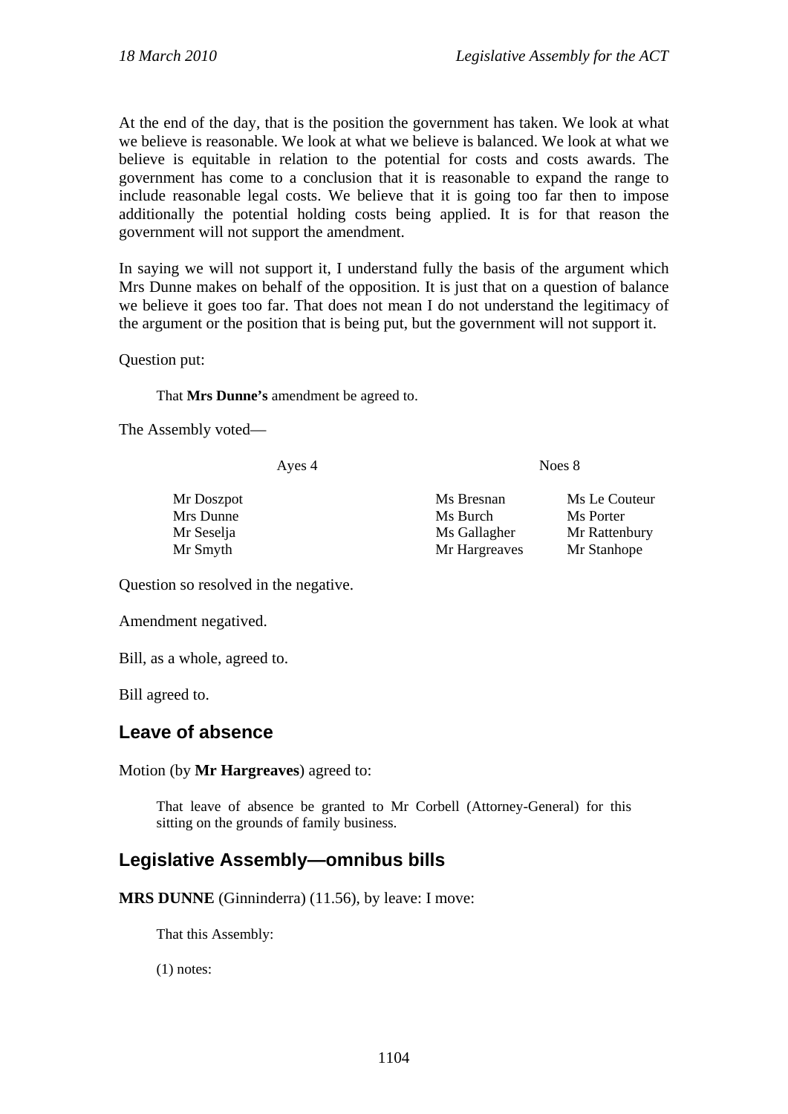At the end of the day, that is the position the government has taken. We look at what we believe is reasonable. We look at what we believe is balanced. We look at what we believe is equitable in relation to the potential for costs and costs awards. The government has come to a conclusion that it is reasonable to expand the range to include reasonable legal costs. We believe that it is going too far then to impose additionally the potential holding costs being applied. It is for that reason the government will not support the amendment.

In saying we will not support it, I understand fully the basis of the argument which Mrs Dunne makes on behalf of the opposition. It is just that on a question of balance we believe it goes too far. That does not mean I do not understand the legitimacy of the argument or the position that is being put, but the government will not support it.

Question put:

That **Mrs Dunne's** amendment be agreed to.

The Assembly voted—

Ayes 4 Noes 8

Mr Doszpot Ms Bresnan Ms Le Couteur Mrs Dunne Ms Burch Ms Burch Ms Porter Mr Seselja Ms Gallagher Mr Rattenbury Mr Smyth Mr Hargreaves Mr Stanhope

Question so resolved in the negative.

Amendment negatived.

Bill, as a whole, agreed to.

Bill agreed to.

#### <span id="page-34-0"></span>**Leave of absence**

Motion (by **Mr Hargreaves**) agreed to:

That leave of absence be granted to Mr Corbell (Attorney-General) for this sitting on the grounds of family business.

#### <span id="page-34-1"></span>**Legislative Assembly—omnibus bills**

**MRS DUNNE** (Ginninderra) (11.56), by leave: I move:

That this Assembly:

(1) notes: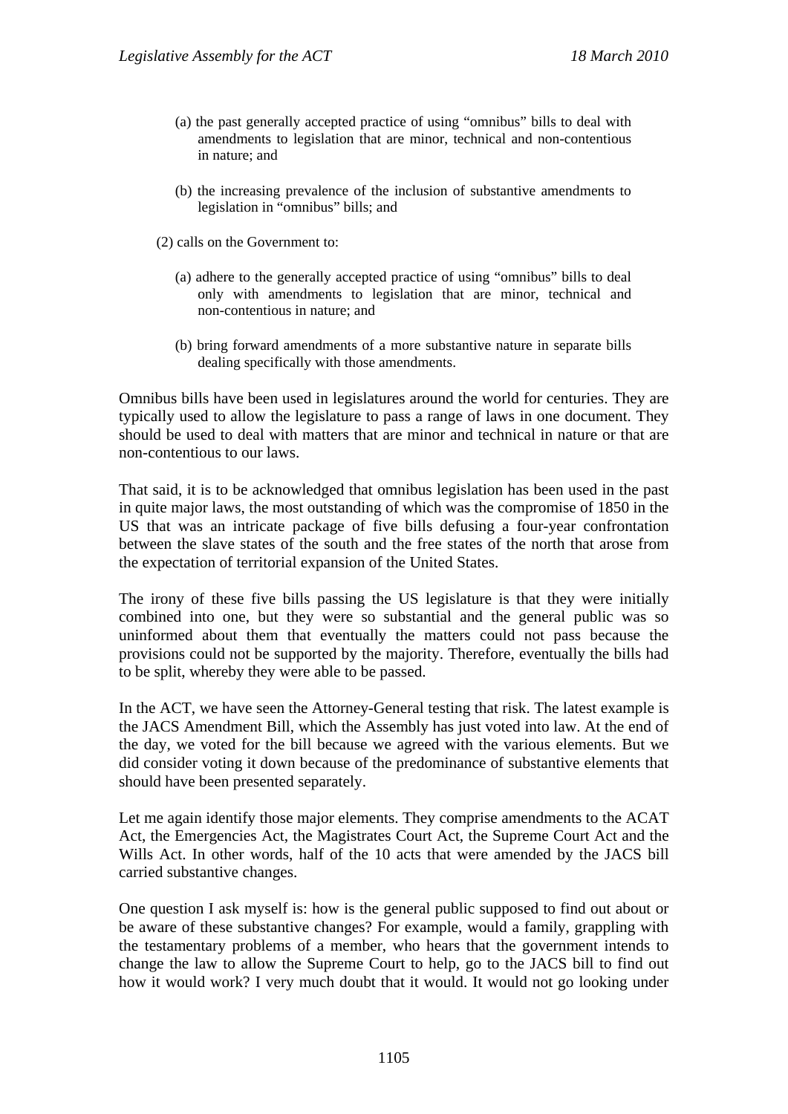- (a) the past generally accepted practice of using "omnibus" bills to deal with amendments to legislation that are minor, technical and non-contentious in nature; and
- (b) the increasing prevalence of the inclusion of substantive amendments to legislation in "omnibus" bills; and
- (2) calls on the Government to:
	- (a) adhere to the generally accepted practice of using "omnibus" bills to deal only with amendments to legislation that are minor, technical and non-contentious in nature; and
	- (b) bring forward amendments of a more substantive nature in separate bills dealing specifically with those amendments.

Omnibus bills have been used in legislatures around the world for centuries. They are typically used to allow the legislature to pass a range of laws in one document. They should be used to deal with matters that are minor and technical in nature or that are non-contentious to our laws.

That said, it is to be acknowledged that omnibus legislation has been used in the past in quite major laws, the most outstanding of which was the compromise of 1850 in the US that was an intricate package of five bills defusing a four-year confrontation between the slave states of the south and the free states of the north that arose from the expectation of territorial expansion of the United States.

The irony of these five bills passing the US legislature is that they were initially combined into one, but they were so substantial and the general public was so uninformed about them that eventually the matters could not pass because the provisions could not be supported by the majority. Therefore, eventually the bills had to be split, whereby they were able to be passed.

In the ACT, we have seen the Attorney-General testing that risk. The latest example is the JACS Amendment Bill, which the Assembly has just voted into law. At the end of the day, we voted for the bill because we agreed with the various elements. But we did consider voting it down because of the predominance of substantive elements that should have been presented separately.

Let me again identify those major elements. They comprise amendments to the ACAT Act, the Emergencies Act, the Magistrates Court Act, the Supreme Court Act and the Wills Act. In other words, half of the 10 acts that were amended by the JACS bill carried substantive changes.

One question I ask myself is: how is the general public supposed to find out about or be aware of these substantive changes? For example, would a family, grappling with the testamentary problems of a member, who hears that the government intends to change the law to allow the Supreme Court to help, go to the JACS bill to find out how it would work? I very much doubt that it would. It would not go looking under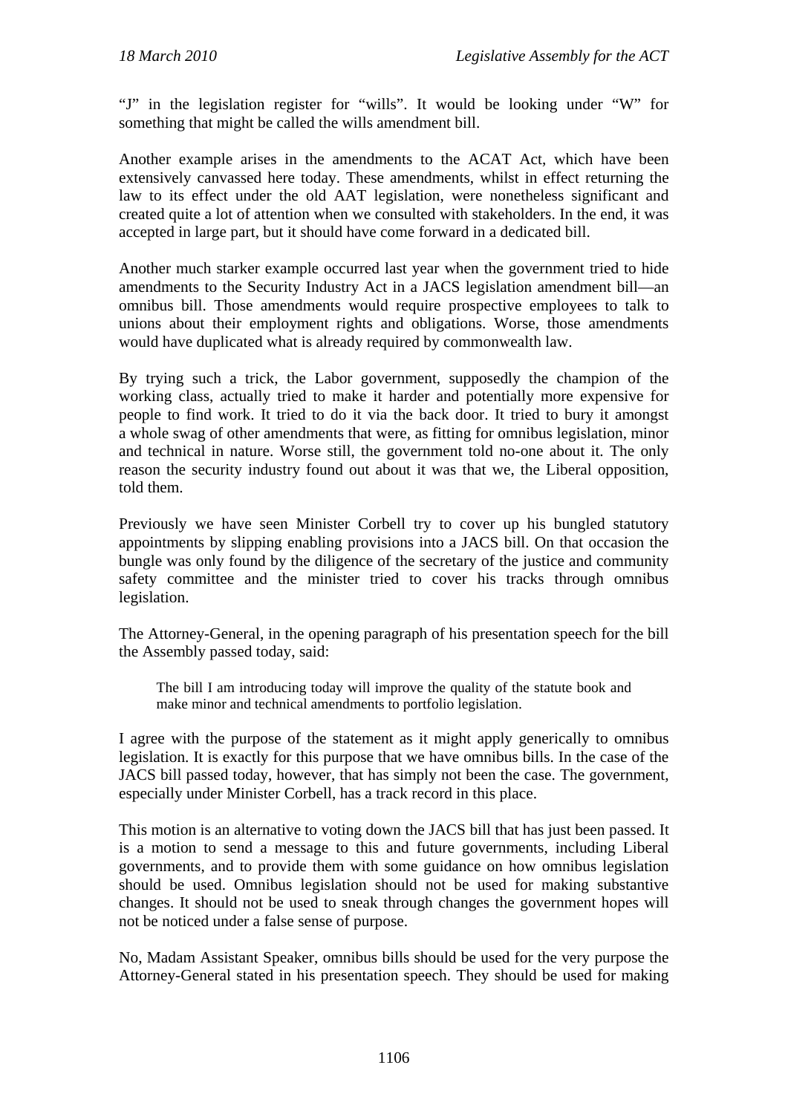"J" in the legislation register for "wills". It would be looking under "W" for something that might be called the wills amendment bill.

Another example arises in the amendments to the ACAT Act, which have been extensively canvassed here today. These amendments, whilst in effect returning the law to its effect under the old AAT legislation, were nonetheless significant and created quite a lot of attention when we consulted with stakeholders. In the end, it was accepted in large part, but it should have come forward in a dedicated bill.

Another much starker example occurred last year when the government tried to hide amendments to the Security Industry Act in a JACS legislation amendment bill—an omnibus bill. Those amendments would require prospective employees to talk to unions about their employment rights and obligations. Worse, those amendments would have duplicated what is already required by commonwealth law.

By trying such a trick, the Labor government, supposedly the champion of the working class, actually tried to make it harder and potentially more expensive for people to find work. It tried to do it via the back door. It tried to bury it amongst a whole swag of other amendments that were, as fitting for omnibus legislation, minor and technical in nature. Worse still, the government told no-one about it. The only reason the security industry found out about it was that we, the Liberal opposition, told them.

Previously we have seen Minister Corbell try to cover up his bungled statutory appointments by slipping enabling provisions into a JACS bill. On that occasion the bungle was only found by the diligence of the secretary of the justice and community safety committee and the minister tried to cover his tracks through omnibus legislation.

The Attorney-General, in the opening paragraph of his presentation speech for the bill the Assembly passed today, said:

The bill I am introducing today will improve the quality of the statute book and make minor and technical amendments to portfolio legislation.

I agree with the purpose of the statement as it might apply generically to omnibus legislation. It is exactly for this purpose that we have omnibus bills. In the case of the JACS bill passed today, however, that has simply not been the case. The government, especially under Minister Corbell, has a track record in this place.

This motion is an alternative to voting down the JACS bill that has just been passed. It is a motion to send a message to this and future governments, including Liberal governments, and to provide them with some guidance on how omnibus legislation should be used. Omnibus legislation should not be used for making substantive changes. It should not be used to sneak through changes the government hopes will not be noticed under a false sense of purpose.

No, Madam Assistant Speaker, omnibus bills should be used for the very purpose the Attorney-General stated in his presentation speech. They should be used for making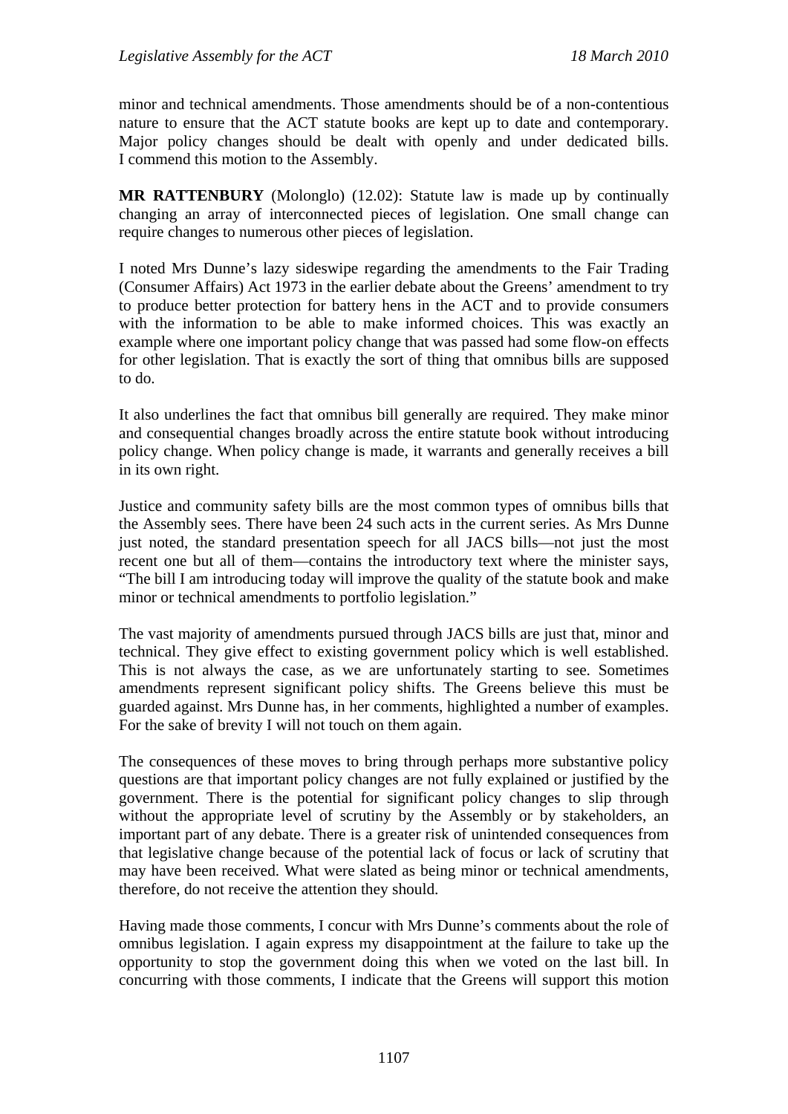minor and technical amendments. Those amendments should be of a non-contentious nature to ensure that the ACT statute books are kept up to date and contemporary. Major policy changes should be dealt with openly and under dedicated bills. I commend this motion to the Assembly.

**MR RATTENBURY** (Molonglo) (12.02): Statute law is made up by continually changing an array of interconnected pieces of legislation. One small change can require changes to numerous other pieces of legislation.

I noted Mrs Dunne's lazy sideswipe regarding the amendments to the Fair Trading (Consumer Affairs) Act 1973 in the earlier debate about the Greens' amendment to try to produce better protection for battery hens in the ACT and to provide consumers with the information to be able to make informed choices. This was exactly an example where one important policy change that was passed had some flow-on effects for other legislation. That is exactly the sort of thing that omnibus bills are supposed to do.

It also underlines the fact that omnibus bill generally are required. They make minor and consequential changes broadly across the entire statute book without introducing policy change. When policy change is made, it warrants and generally receives a bill in its own right.

Justice and community safety bills are the most common types of omnibus bills that the Assembly sees. There have been 24 such acts in the current series. As Mrs Dunne just noted, the standard presentation speech for all JACS bills—not just the most recent one but all of them—contains the introductory text where the minister says, "The bill I am introducing today will improve the quality of the statute book and make minor or technical amendments to portfolio legislation."

The vast majority of amendments pursued through JACS bills are just that, minor and technical. They give effect to existing government policy which is well established. This is not always the case, as we are unfortunately starting to see. Sometimes amendments represent significant policy shifts. The Greens believe this must be guarded against. Mrs Dunne has, in her comments, highlighted a number of examples. For the sake of brevity I will not touch on them again.

The consequences of these moves to bring through perhaps more substantive policy questions are that important policy changes are not fully explained or justified by the government. There is the potential for significant policy changes to slip through without the appropriate level of scrutiny by the Assembly or by stakeholders, an important part of any debate. There is a greater risk of unintended consequences from that legislative change because of the potential lack of focus or lack of scrutiny that may have been received. What were slated as being minor or technical amendments, therefore, do not receive the attention they should.

Having made those comments, I concur with Mrs Dunne's comments about the role of omnibus legislation. I again express my disappointment at the failure to take up the opportunity to stop the government doing this when we voted on the last bill. In concurring with those comments, I indicate that the Greens will support this motion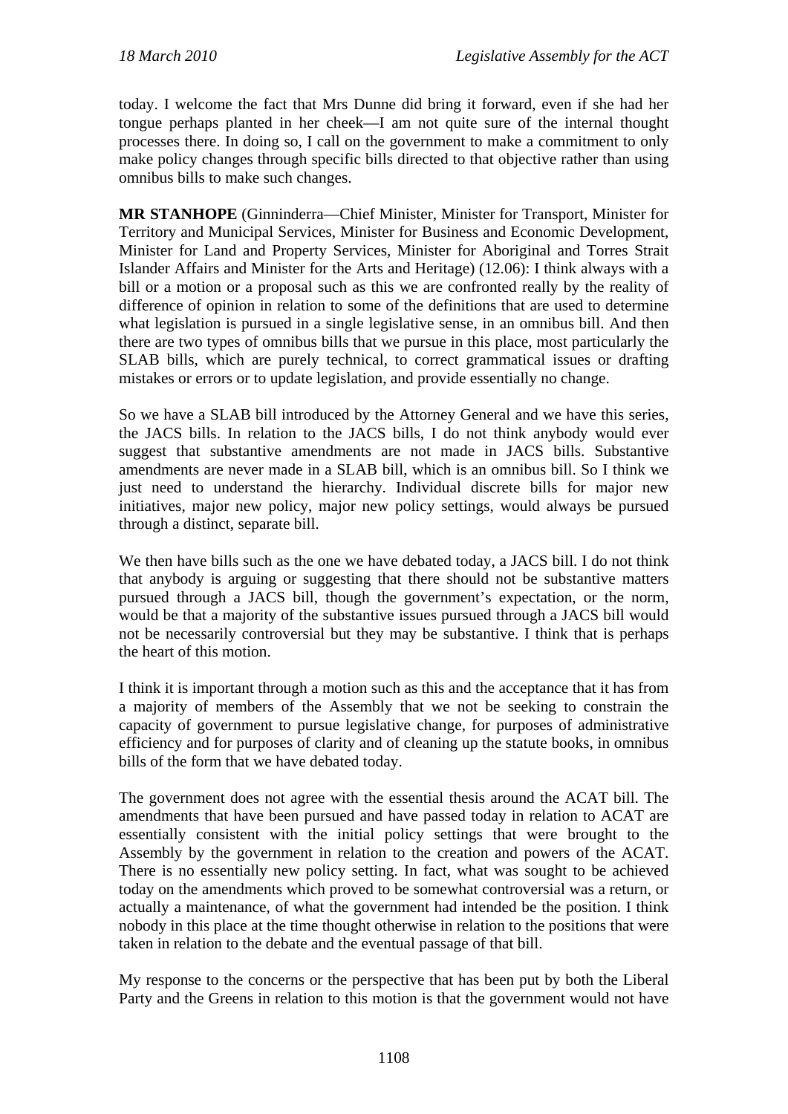today. I welcome the fact that Mrs Dunne did bring it forward, even if she had her tongue perhaps planted in her cheek—I am not quite sure of the internal thought processes there. In doing so, I call on the government to make a commitment to only make policy changes through specific bills directed to that objective rather than using omnibus bills to make such changes.

**MR STANHOPE** (Ginninderra—Chief Minister, Minister for Transport, Minister for Territory and Municipal Services, Minister for Business and Economic Development, Minister for Land and Property Services, Minister for Aboriginal and Torres Strait Islander Affairs and Minister for the Arts and Heritage) (12.06): I think always with a bill or a motion or a proposal such as this we are confronted really by the reality of difference of opinion in relation to some of the definitions that are used to determine what legislation is pursued in a single legislative sense, in an omnibus bill. And then there are two types of omnibus bills that we pursue in this place, most particularly the SLAB bills, which are purely technical, to correct grammatical issues or drafting mistakes or errors or to update legislation, and provide essentially no change.

So we have a SLAB bill introduced by the Attorney General and we have this series, the JACS bills. In relation to the JACS bills, I do not think anybody would ever suggest that substantive amendments are not made in JACS bills. Substantive amendments are never made in a SLAB bill, which is an omnibus bill. So I think we just need to understand the hierarchy. Individual discrete bills for major new initiatives, major new policy, major new policy settings, would always be pursued through a distinct, separate bill.

We then have bills such as the one we have debated today, a JACS bill. I do not think that anybody is arguing or suggesting that there should not be substantive matters pursued through a JACS bill, though the government's expectation, or the norm, would be that a majority of the substantive issues pursued through a JACS bill would not be necessarily controversial but they may be substantive. I think that is perhaps the heart of this motion.

I think it is important through a motion such as this and the acceptance that it has from a majority of members of the Assembly that we not be seeking to constrain the capacity of government to pursue legislative change, for purposes of administrative efficiency and for purposes of clarity and of cleaning up the statute books, in omnibus bills of the form that we have debated today.

The government does not agree with the essential thesis around the ACAT bill. The amendments that have been pursued and have passed today in relation to ACAT are essentially consistent with the initial policy settings that were brought to the Assembly by the government in relation to the creation and powers of the ACAT. There is no essentially new policy setting. In fact, what was sought to be achieved today on the amendments which proved to be somewhat controversial was a return, or actually a maintenance, of what the government had intended be the position. I think nobody in this place at the time thought otherwise in relation to the positions that were taken in relation to the debate and the eventual passage of that bill.

My response to the concerns or the perspective that has been put by both the Liberal Party and the Greens in relation to this motion is that the government would not have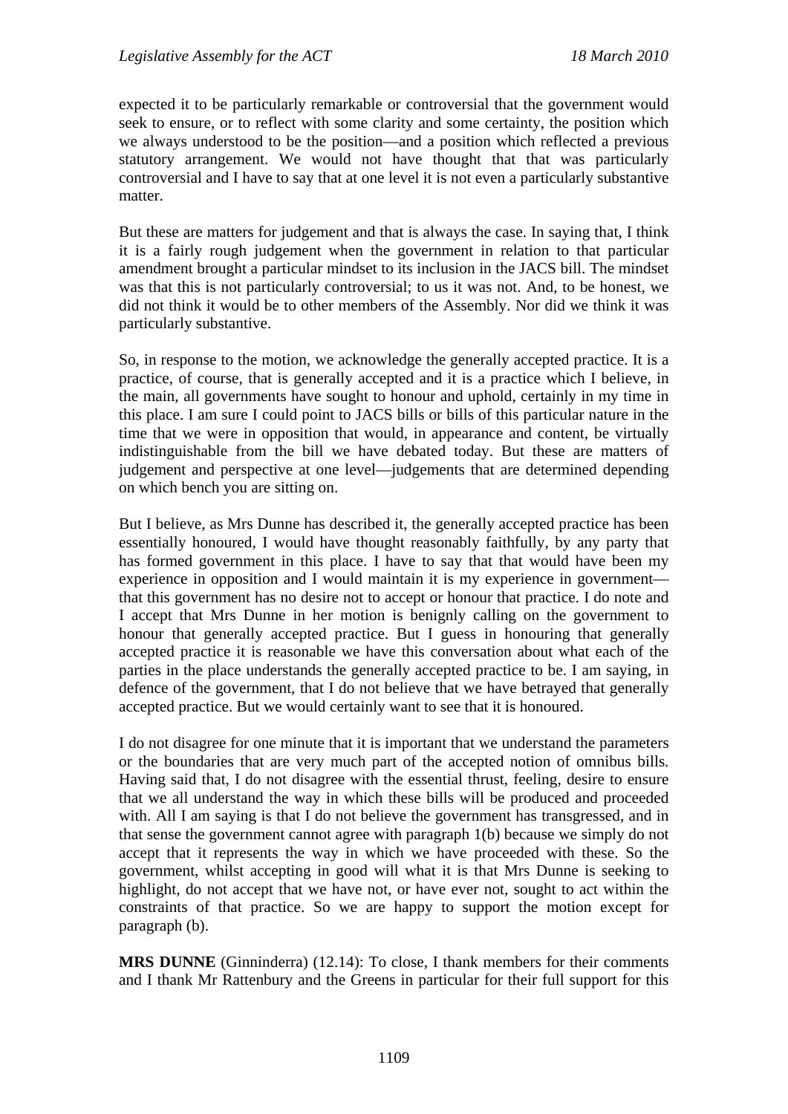expected it to be particularly remarkable or controversial that the government would seek to ensure, or to reflect with some clarity and some certainty, the position which we always understood to be the position—and a position which reflected a previous statutory arrangement. We would not have thought that that was particularly controversial and I have to say that at one level it is not even a particularly substantive matter.

But these are matters for judgement and that is always the case. In saying that, I think it is a fairly rough judgement when the government in relation to that particular amendment brought a particular mindset to its inclusion in the JACS bill. The mindset was that this is not particularly controversial; to us it was not. And, to be honest, we did not think it would be to other members of the Assembly. Nor did we think it was particularly substantive.

So, in response to the motion, we acknowledge the generally accepted practice. It is a practice, of course, that is generally accepted and it is a practice which I believe, in the main, all governments have sought to honour and uphold, certainly in my time in this place. I am sure I could point to JACS bills or bills of this particular nature in the time that we were in opposition that would, in appearance and content, be virtually indistinguishable from the bill we have debated today. But these are matters of judgement and perspective at one level—judgements that are determined depending on which bench you are sitting on.

But I believe, as Mrs Dunne has described it, the generally accepted practice has been essentially honoured, I would have thought reasonably faithfully, by any party that has formed government in this place. I have to say that that would have been my experience in opposition and I would maintain it is my experience in government that this government has no desire not to accept or honour that practice. I do note and I accept that Mrs Dunne in her motion is benignly calling on the government to honour that generally accepted practice. But I guess in honouring that generally accepted practice it is reasonable we have this conversation about what each of the parties in the place understands the generally accepted practice to be. I am saying, in defence of the government, that I do not believe that we have betrayed that generally accepted practice. But we would certainly want to see that it is honoured.

I do not disagree for one minute that it is important that we understand the parameters or the boundaries that are very much part of the accepted notion of omnibus bills. Having said that, I do not disagree with the essential thrust, feeling, desire to ensure that we all understand the way in which these bills will be produced and proceeded with. All I am saying is that I do not believe the government has transgressed, and in that sense the government cannot agree with paragraph 1(b) because we simply do not accept that it represents the way in which we have proceeded with these. So the government, whilst accepting in good will what it is that Mrs Dunne is seeking to highlight, do not accept that we have not, or have ever not, sought to act within the constraints of that practice. So we are happy to support the motion except for paragraph (b).

**MRS DUNNE** (Ginninderra) (12.14): To close, I thank members for their comments and I thank Mr Rattenbury and the Greens in particular for their full support for this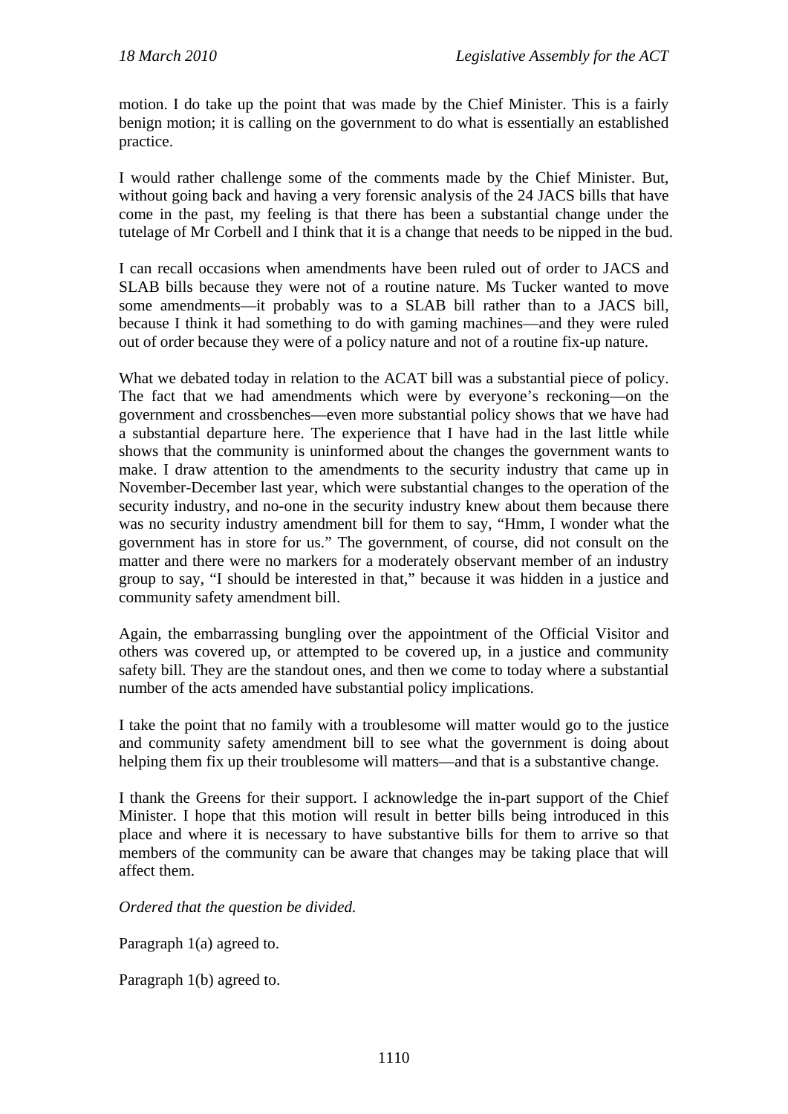motion. I do take up the point that was made by the Chief Minister. This is a fairly benign motion; it is calling on the government to do what is essentially an established practice.

I would rather challenge some of the comments made by the Chief Minister. But, without going back and having a very forensic analysis of the 24 JACS bills that have come in the past, my feeling is that there has been a substantial change under the tutelage of Mr Corbell and I think that it is a change that needs to be nipped in the bud.

I can recall occasions when amendments have been ruled out of order to JACS and SLAB bills because they were not of a routine nature. Ms Tucker wanted to move some amendments—it probably was to a SLAB bill rather than to a JACS bill, because I think it had something to do with gaming machines—and they were ruled out of order because they were of a policy nature and not of a routine fix-up nature.

What we debated today in relation to the ACAT bill was a substantial piece of policy. The fact that we had amendments which were by everyone's reckoning—on the government and crossbenches—even more substantial policy shows that we have had a substantial departure here. The experience that I have had in the last little while shows that the community is uninformed about the changes the government wants to make. I draw attention to the amendments to the security industry that came up in November-December last year, which were substantial changes to the operation of the security industry, and no-one in the security industry knew about them because there was no security industry amendment bill for them to say, "Hmm, I wonder what the government has in store for us." The government, of course, did not consult on the matter and there were no markers for a moderately observant member of an industry group to say, "I should be interested in that," because it was hidden in a justice and community safety amendment bill.

Again, the embarrassing bungling over the appointment of the Official Visitor and others was covered up, or attempted to be covered up, in a justice and community safety bill. They are the standout ones, and then we come to today where a substantial number of the acts amended have substantial policy implications.

I take the point that no family with a troublesome will matter would go to the justice and community safety amendment bill to see what the government is doing about helping them fix up their troublesome will matters—and that is a substantive change.

I thank the Greens for their support. I acknowledge the in-part support of the Chief Minister. I hope that this motion will result in better bills being introduced in this place and where it is necessary to have substantive bills for them to arrive so that members of the community can be aware that changes may be taking place that will affect them.

*Ordered that the question be divided.* 

Paragraph 1(a) agreed to.

Paragraph 1(b) agreed to.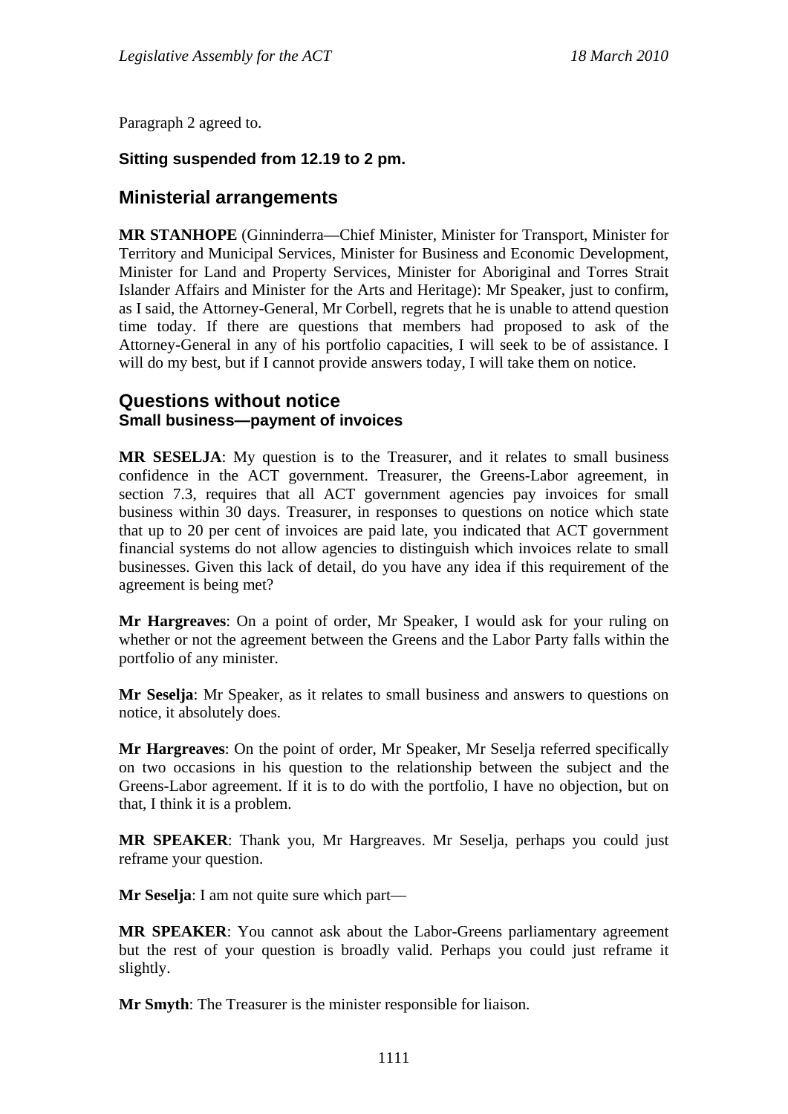Paragraph 2 agreed to.

# **Sitting suspended from 12.19 to 2 pm.**

# **Ministerial arrangements**

**MR STANHOPE** (Ginninderra—Chief Minister, Minister for Transport, Minister for Territory and Municipal Services, Minister for Business and Economic Development, Minister for Land and Property Services, Minister for Aboriginal and Torres Strait Islander Affairs and Minister for the Arts and Heritage): Mr Speaker, just to confirm, as I said, the Attorney-General, Mr Corbell, regrets that he is unable to attend question time today. If there are questions that members had proposed to ask of the Attorney-General in any of his portfolio capacities, I will seek to be of assistance. I will do my best, but if I cannot provide answers today, I will take them on notice.

# **Questions without notice Small business—payment of invoices**

**MR SESELJA**: My question is to the Treasurer, and it relates to small business confidence in the ACT government. Treasurer, the Greens-Labor agreement, in section 7.3, requires that all ACT government agencies pay invoices for small business within 30 days. Treasurer, in responses to questions on notice which state that up to 20 per cent of invoices are paid late, you indicated that ACT government financial systems do not allow agencies to distinguish which invoices relate to small businesses. Given this lack of detail, do you have any idea if this requirement of the agreement is being met?

**Mr Hargreaves**: On a point of order, Mr Speaker, I would ask for your ruling on whether or not the agreement between the Greens and the Labor Party falls within the portfolio of any minister.

**Mr Seselja**: Mr Speaker, as it relates to small business and answers to questions on notice, it absolutely does.

**Mr Hargreaves**: On the point of order, Mr Speaker, Mr Seselja referred specifically on two occasions in his question to the relationship between the subject and the Greens-Labor agreement. If it is to do with the portfolio, I have no objection, but on that, I think it is a problem.

**MR SPEAKER**: Thank you, Mr Hargreaves. Mr Seselja, perhaps you could just reframe your question.

**Mr Seselja**: I am not quite sure which part—

**MR SPEAKER**: You cannot ask about the Labor-Greens parliamentary agreement but the rest of your question is broadly valid. Perhaps you could just reframe it slightly.

**Mr Smyth**: The Treasurer is the minister responsible for liaison.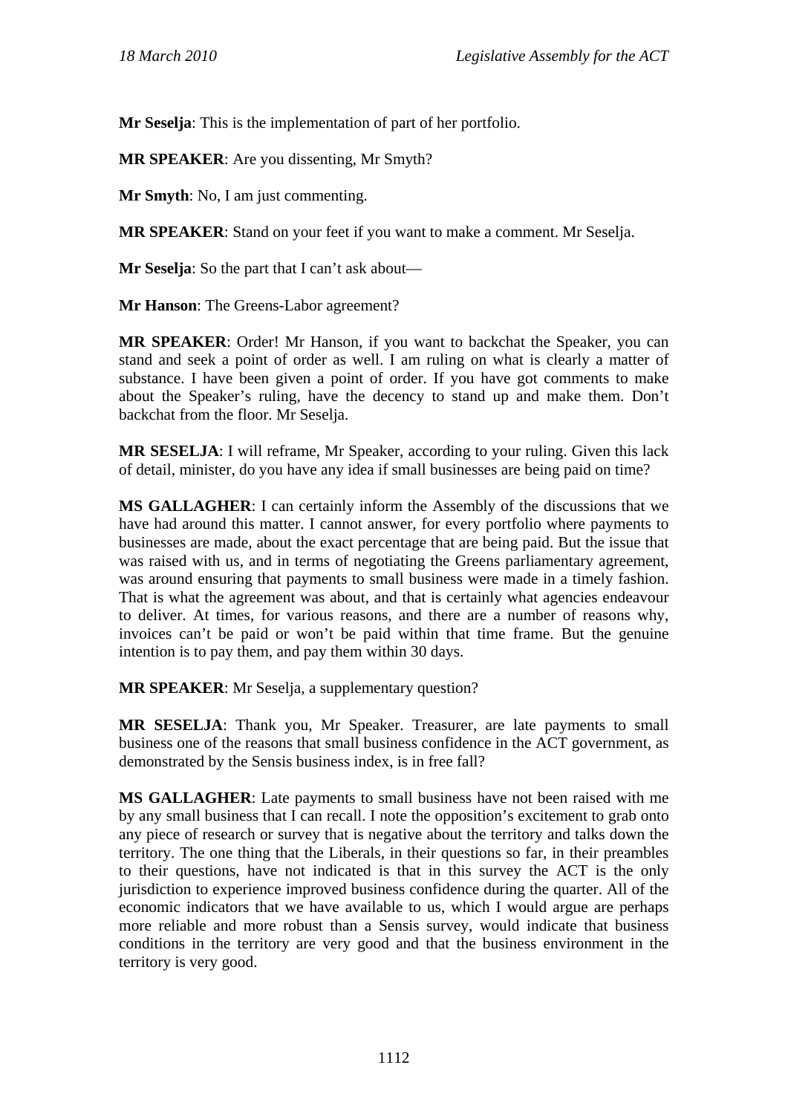**Mr Seselja**: This is the implementation of part of her portfolio.

**MR SPEAKER**: Are you dissenting, Mr Smyth?

**Mr Smyth**: No, I am just commenting.

**MR SPEAKER**: Stand on your feet if you want to make a comment. Mr Seselja.

**Mr Seselja**: So the part that I can't ask about—

**Mr Hanson**: The Greens-Labor agreement?

**MR SPEAKER**: Order! Mr Hanson, if you want to backchat the Speaker, you can stand and seek a point of order as well. I am ruling on what is clearly a matter of substance. I have been given a point of order. If you have got comments to make about the Speaker's ruling, have the decency to stand up and make them. Don't backchat from the floor. Mr Seselja.

**MR SESELJA**: I will reframe, Mr Speaker, according to your ruling. Given this lack of detail, minister, do you have any idea if small businesses are being paid on time?

**MS GALLAGHER**: I can certainly inform the Assembly of the discussions that we have had around this matter. I cannot answer, for every portfolio where payments to businesses are made, about the exact percentage that are being paid. But the issue that was raised with us, and in terms of negotiating the Greens parliamentary agreement, was around ensuring that payments to small business were made in a timely fashion. That is what the agreement was about, and that is certainly what agencies endeavour to deliver. At times, for various reasons, and there are a number of reasons why, invoices can't be paid or won't be paid within that time frame. But the genuine intention is to pay them, and pay them within 30 days.

**MR SPEAKER**: Mr Seselja, a supplementary question?

**MR SESELJA**: Thank you, Mr Speaker. Treasurer, are late payments to small business one of the reasons that small business confidence in the ACT government, as demonstrated by the Sensis business index, is in free fall?

**MS GALLAGHER**: Late payments to small business have not been raised with me by any small business that I can recall. I note the opposition's excitement to grab onto any piece of research or survey that is negative about the territory and talks down the territory. The one thing that the Liberals, in their questions so far, in their preambles to their questions, have not indicated is that in this survey the ACT is the only jurisdiction to experience improved business confidence during the quarter. All of the economic indicators that we have available to us, which I would argue are perhaps more reliable and more robust than a Sensis survey, would indicate that business conditions in the territory are very good and that the business environment in the territory is very good.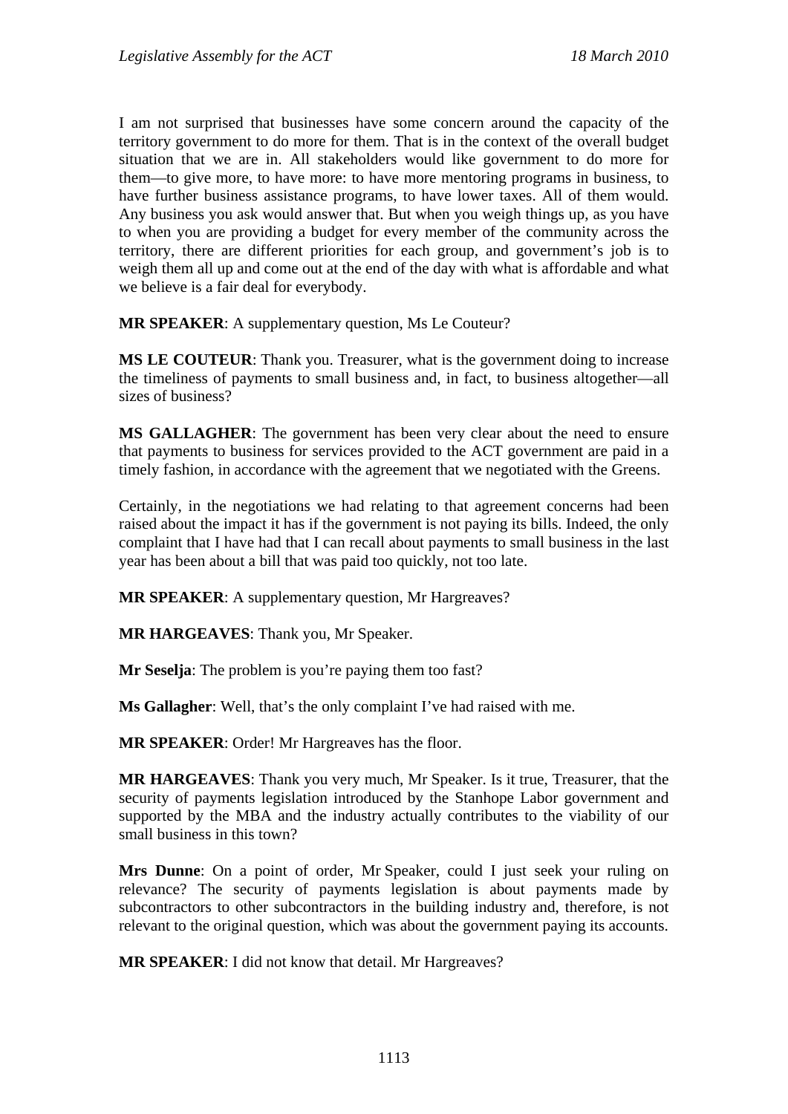I am not surprised that businesses have some concern around the capacity of the territory government to do more for them. That is in the context of the overall budget situation that we are in. All stakeholders would like government to do more for them—to give more, to have more: to have more mentoring programs in business, to have further business assistance programs, to have lower taxes. All of them would. Any business you ask would answer that. But when you weigh things up, as you have to when you are providing a budget for every member of the community across the territory, there are different priorities for each group, and government's job is to weigh them all up and come out at the end of the day with what is affordable and what we believe is a fair deal for everybody.

**MR SPEAKER**: A supplementary question, Ms Le Couteur?

**MS LE COUTEUR**: Thank you. Treasurer, what is the government doing to increase the timeliness of payments to small business and, in fact, to business altogether—all sizes of business?

**MS GALLAGHER**: The government has been very clear about the need to ensure that payments to business for services provided to the ACT government are paid in a timely fashion, in accordance with the agreement that we negotiated with the Greens.

Certainly, in the negotiations we had relating to that agreement concerns had been raised about the impact it has if the government is not paying its bills. Indeed, the only complaint that I have had that I can recall about payments to small business in the last year has been about a bill that was paid too quickly, not too late.

**MR SPEAKER**: A supplementary question, Mr Hargreaves?

**MR HARGEAVES**: Thank you, Mr Speaker.

**Mr Seselja**: The problem is you're paying them too fast?

**Ms Gallagher**: Well, that's the only complaint I've had raised with me.

**MR SPEAKER**: Order! Mr Hargreaves has the floor.

**MR HARGEAVES**: Thank you very much, Mr Speaker. Is it true, Treasurer, that the security of payments legislation introduced by the Stanhope Labor government and supported by the MBA and the industry actually contributes to the viability of our small business in this town?

**Mrs Dunne**: On a point of order, Mr Speaker, could I just seek your ruling on relevance? The security of payments legislation is about payments made by subcontractors to other subcontractors in the building industry and, therefore, is not relevant to the original question, which was about the government paying its accounts.

**MR SPEAKER**: I did not know that detail. Mr Hargreaves?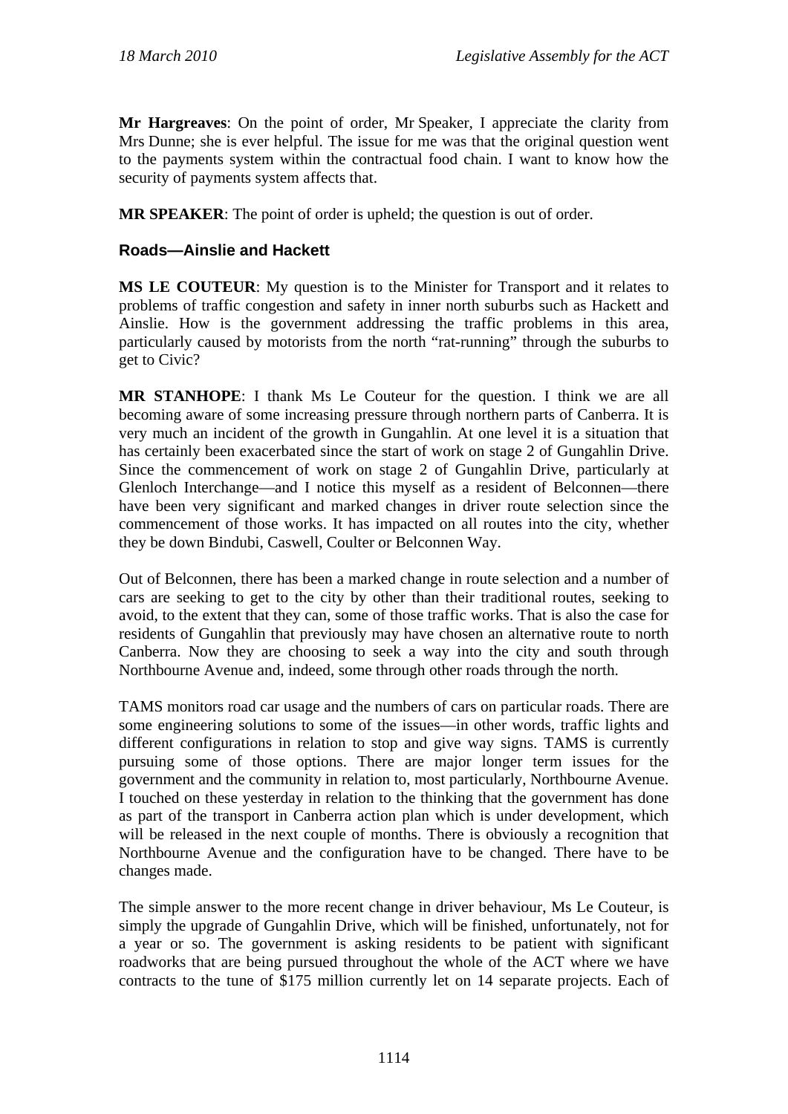**Mr Hargreaves**: On the point of order, Mr Speaker, I appreciate the clarity from Mrs Dunne; she is ever helpful. The issue for me was that the original question went to the payments system within the contractual food chain. I want to know how the security of payments system affects that.

**MR SPEAKER**: The point of order is upheld; the question is out of order.

# **Roads—Ainslie and Hackett**

**MS LE COUTEUR**: My question is to the Minister for Transport and it relates to problems of traffic congestion and safety in inner north suburbs such as Hackett and Ainslie. How is the government addressing the traffic problems in this area, particularly caused by motorists from the north "rat-running" through the suburbs to get to Civic?

**MR STANHOPE**: I thank Ms Le Couteur for the question. I think we are all becoming aware of some increasing pressure through northern parts of Canberra. It is very much an incident of the growth in Gungahlin. At one level it is a situation that has certainly been exacerbated since the start of work on stage 2 of Gungahlin Drive. Since the commencement of work on stage 2 of Gungahlin Drive, particularly at Glenloch Interchange—and I notice this myself as a resident of Belconnen—there have been very significant and marked changes in driver route selection since the commencement of those works. It has impacted on all routes into the city, whether they be down Bindubi, Caswell, Coulter or Belconnen Way.

Out of Belconnen, there has been a marked change in route selection and a number of cars are seeking to get to the city by other than their traditional routes, seeking to avoid, to the extent that they can, some of those traffic works. That is also the case for residents of Gungahlin that previously may have chosen an alternative route to north Canberra. Now they are choosing to seek a way into the city and south through Northbourne Avenue and, indeed, some through other roads through the north.

TAMS monitors road car usage and the numbers of cars on particular roads. There are some engineering solutions to some of the issues—in other words, traffic lights and different configurations in relation to stop and give way signs. TAMS is currently pursuing some of those options. There are major longer term issues for the government and the community in relation to, most particularly, Northbourne Avenue. I touched on these yesterday in relation to the thinking that the government has done as part of the transport in Canberra action plan which is under development, which will be released in the next couple of months. There is obviously a recognition that Northbourne Avenue and the configuration have to be changed. There have to be changes made.

The simple answer to the more recent change in driver behaviour, Ms Le Couteur, is simply the upgrade of Gungahlin Drive, which will be finished, unfortunately, not for a year or so. The government is asking residents to be patient with significant roadworks that are being pursued throughout the whole of the ACT where we have contracts to the tune of \$175 million currently let on 14 separate projects. Each of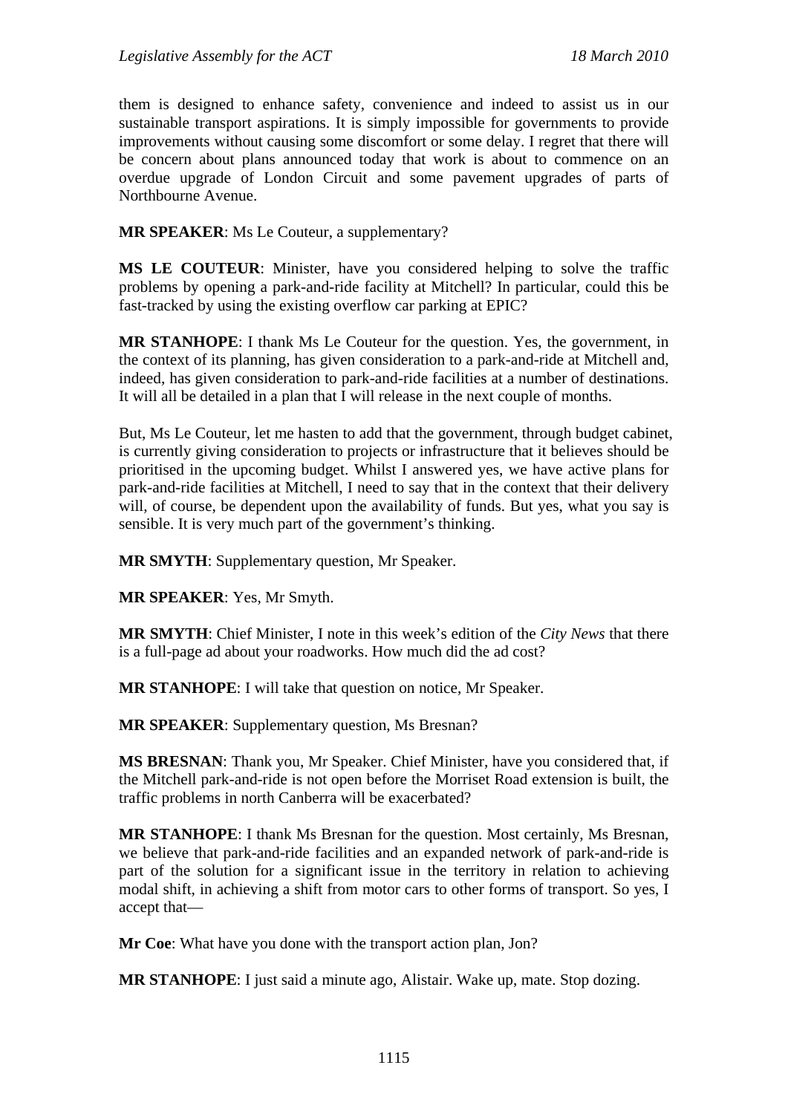them is designed to enhance safety, convenience and indeed to assist us in our sustainable transport aspirations. It is simply impossible for governments to provide improvements without causing some discomfort or some delay. I regret that there will be concern about plans announced today that work is about to commence on an overdue upgrade of London Circuit and some pavement upgrades of parts of Northbourne Avenue.

**MR SPEAKER**: Ms Le Couteur, a supplementary?

**MS LE COUTEUR**: Minister, have you considered helping to solve the traffic problems by opening a park-and-ride facility at Mitchell? In particular, could this be fast-tracked by using the existing overflow car parking at EPIC?

**MR STANHOPE**: I thank Ms Le Couteur for the question. Yes, the government, in the context of its planning, has given consideration to a park-and-ride at Mitchell and, indeed, has given consideration to park-and-ride facilities at a number of destinations. It will all be detailed in a plan that I will release in the next couple of months.

But, Ms Le Couteur, let me hasten to add that the government, through budget cabinet, is currently giving consideration to projects or infrastructure that it believes should be prioritised in the upcoming budget. Whilst I answered yes, we have active plans for park-and-ride facilities at Mitchell, I need to say that in the context that their delivery will, of course, be dependent upon the availability of funds. But yes, what you say is sensible. It is very much part of the government's thinking.

**MR SMYTH**: Supplementary question, Mr Speaker.

**MR SPEAKER**: Yes, Mr Smyth.

**MR SMYTH**: Chief Minister, I note in this week's edition of the *City News* that there is a full-page ad about your roadworks. How much did the ad cost?

**MR STANHOPE**: I will take that question on notice, Mr Speaker.

**MR SPEAKER**: Supplementary question, Ms Bresnan?

**MS BRESNAN**: Thank you, Mr Speaker. Chief Minister, have you considered that, if the Mitchell park-and-ride is not open before the Morriset Road extension is built, the traffic problems in north Canberra will be exacerbated?

**MR STANHOPE**: I thank Ms Bresnan for the question. Most certainly, Ms Bresnan, we believe that park-and-ride facilities and an expanded network of park-and-ride is part of the solution for a significant issue in the territory in relation to achieving modal shift, in achieving a shift from motor cars to other forms of transport. So yes, I accept that—

**Mr Coe**: What have you done with the transport action plan, Jon?

**MR STANHOPE**: I just said a minute ago, Alistair. Wake up, mate. Stop dozing.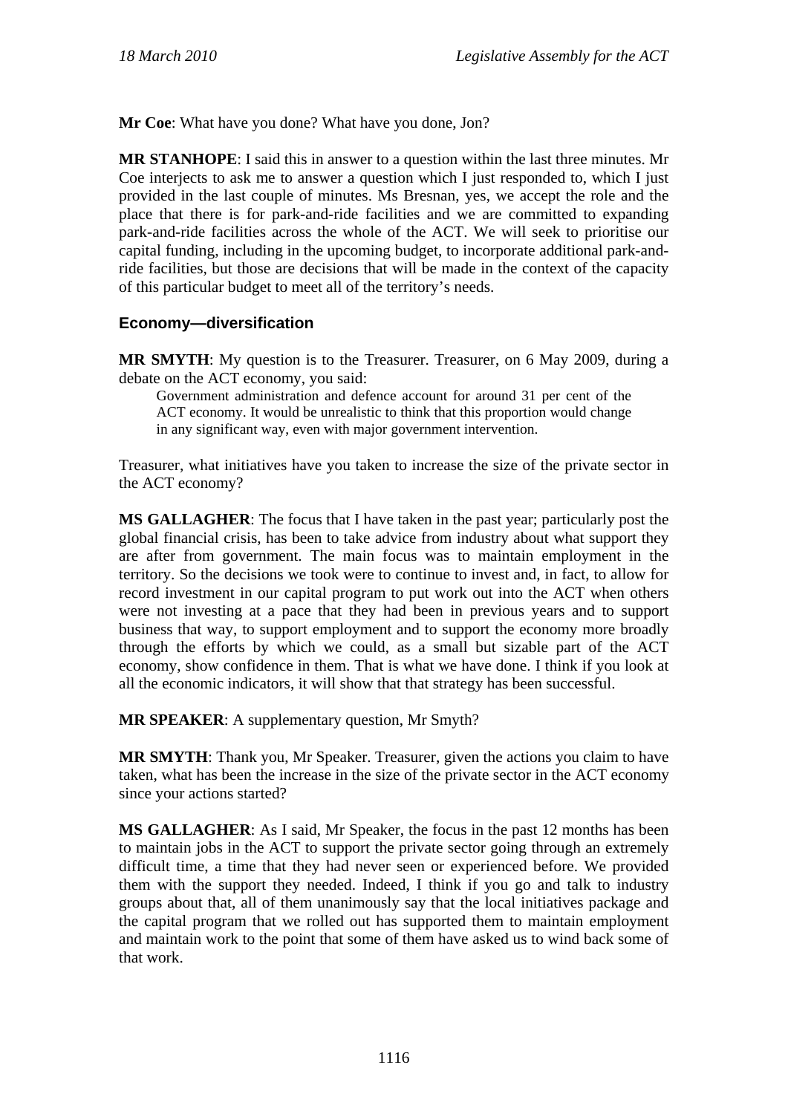**Mr Coe**: What have you done? What have you done, Jon?

**MR STANHOPE**: I said this in answer to a question within the last three minutes. Mr Coe interjects to ask me to answer a question which I just responded to, which I just provided in the last couple of minutes. Ms Bresnan, yes, we accept the role and the place that there is for park-and-ride facilities and we are committed to expanding park-and-ride facilities across the whole of the ACT. We will seek to prioritise our capital funding, including in the upcoming budget, to incorporate additional park-andride facilities, but those are decisions that will be made in the context of the capacity of this particular budget to meet all of the territory's needs.

## **Economy—diversification**

**MR SMYTH**: My question is to the Treasurer. Treasurer, on 6 May 2009, during a debate on the ACT economy, you said:

Government administration and defence account for around 31 per cent of the ACT economy. It would be unrealistic to think that this proportion would change in any significant way, even with major government intervention.

Treasurer, what initiatives have you taken to increase the size of the private sector in the ACT economy?

**MS GALLAGHER**: The focus that I have taken in the past year; particularly post the global financial crisis, has been to take advice from industry about what support they are after from government. The main focus was to maintain employment in the territory. So the decisions we took were to continue to invest and, in fact, to allow for record investment in our capital program to put work out into the ACT when others were not investing at a pace that they had been in previous years and to support business that way, to support employment and to support the economy more broadly through the efforts by which we could, as a small but sizable part of the ACT economy, show confidence in them. That is what we have done. I think if you look at all the economic indicators, it will show that that strategy has been successful.

**MR SPEAKER:** A supplementary question, Mr Smyth?

**MR SMYTH**: Thank you, Mr Speaker. Treasurer, given the actions you claim to have taken, what has been the increase in the size of the private sector in the ACT economy since your actions started?

**MS GALLAGHER**: As I said, Mr Speaker, the focus in the past 12 months has been to maintain jobs in the ACT to support the private sector going through an extremely difficult time, a time that they had never seen or experienced before. We provided them with the support they needed. Indeed, I think if you go and talk to industry groups about that, all of them unanimously say that the local initiatives package and the capital program that we rolled out has supported them to maintain employment and maintain work to the point that some of them have asked us to wind back some of that work.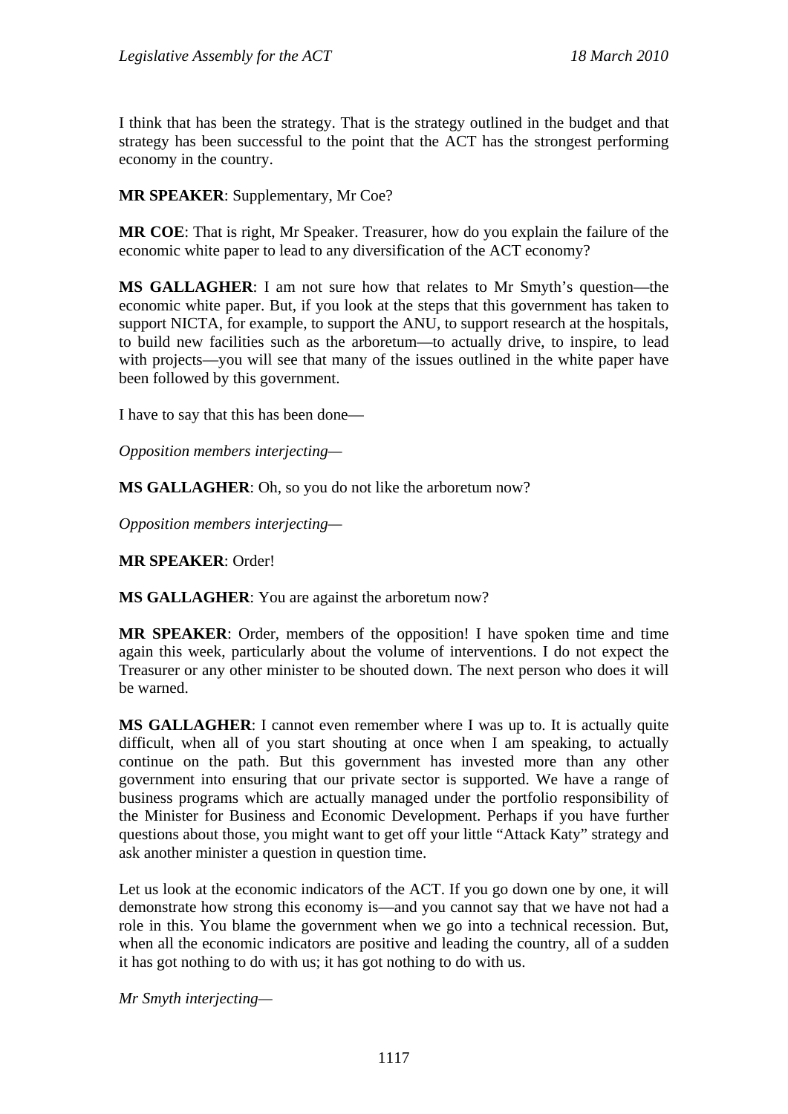I think that has been the strategy. That is the strategy outlined in the budget and that strategy has been successful to the point that the ACT has the strongest performing economy in the country.

### **MR SPEAKER**: Supplementary, Mr Coe?

**MR COE**: That is right, Mr Speaker. Treasurer, how do you explain the failure of the economic white paper to lead to any diversification of the ACT economy?

**MS GALLAGHER**: I am not sure how that relates to Mr Smyth's question—the economic white paper. But, if you look at the steps that this government has taken to support NICTA, for example, to support the ANU, to support research at the hospitals, to build new facilities such as the arboretum—to actually drive, to inspire, to lead with projects—you will see that many of the issues outlined in the white paper have been followed by this government.

I have to say that this has been done—

*Opposition members interjecting—* 

**MS GALLAGHER**: Oh, so you do not like the arboretum now?

*Opposition members interjecting—* 

**MR SPEAKER**: Order!

**MS GALLAGHER**: You are against the arboretum now?

**MR SPEAKER**: Order, members of the opposition! I have spoken time and time again this week, particularly about the volume of interventions. I do not expect the Treasurer or any other minister to be shouted down. The next person who does it will be warned.

**MS GALLAGHER**: I cannot even remember where I was up to. It is actually quite difficult, when all of you start shouting at once when I am speaking, to actually continue on the path. But this government has invested more than any other government into ensuring that our private sector is supported. We have a range of business programs which are actually managed under the portfolio responsibility of the Minister for Business and Economic Development. Perhaps if you have further questions about those, you might want to get off your little "Attack Katy" strategy and ask another minister a question in question time.

Let us look at the economic indicators of the ACT. If you go down one by one, it will demonstrate how strong this economy is—and you cannot say that we have not had a role in this. You blame the government when we go into a technical recession. But, when all the economic indicators are positive and leading the country, all of a sudden it has got nothing to do with us; it has got nothing to do with us.

*Mr Smyth interjecting—*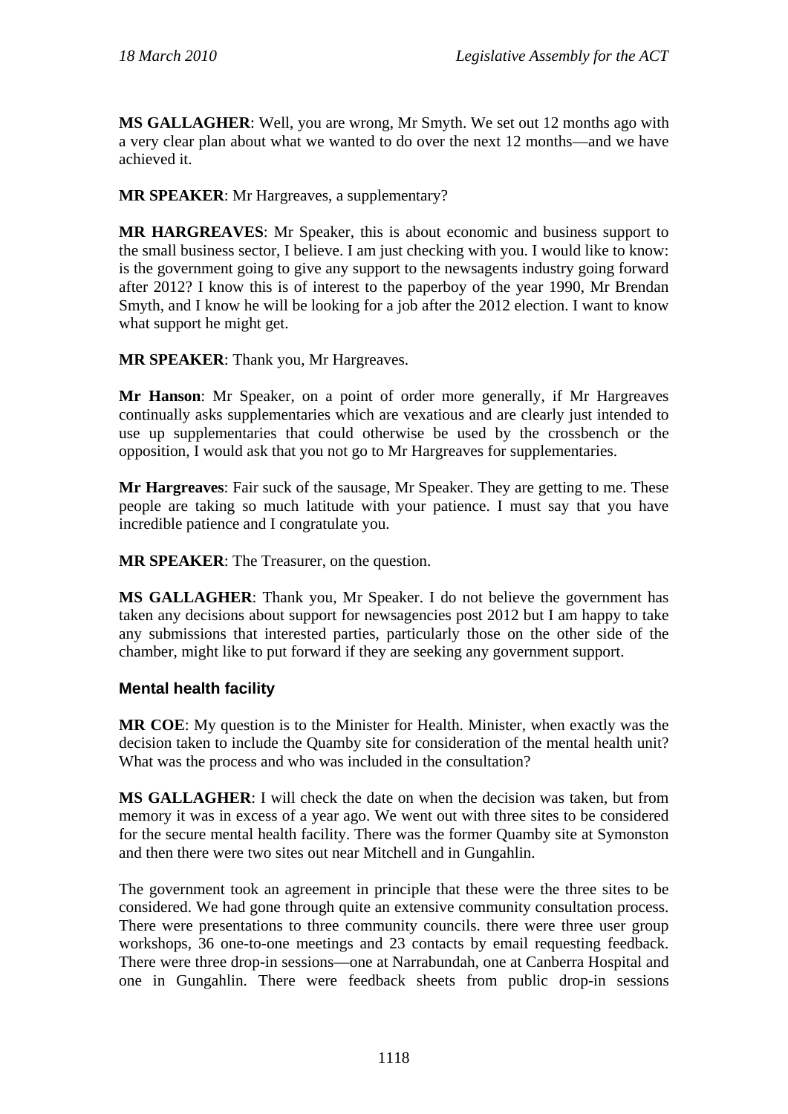**MS GALLAGHER**: Well, you are wrong, Mr Smyth. We set out 12 months ago with a very clear plan about what we wanted to do over the next 12 months—and we have achieved it.

**MR SPEAKER**: Mr Hargreaves, a supplementary?

**MR HARGREAVES**: Mr Speaker, this is about economic and business support to the small business sector, I believe. I am just checking with you. I would like to know: is the government going to give any support to the newsagents industry going forward after 2012? I know this is of interest to the paperboy of the year 1990, Mr Brendan Smyth, and I know he will be looking for a job after the 2012 election. I want to know what support he might get.

**MR SPEAKER**: Thank you, Mr Hargreaves.

**Mr Hanson**: Mr Speaker, on a point of order more generally, if Mr Hargreaves continually asks supplementaries which are vexatious and are clearly just intended to use up supplementaries that could otherwise be used by the crossbench or the opposition, I would ask that you not go to Mr Hargreaves for supplementaries.

**Mr Hargreaves**: Fair suck of the sausage, Mr Speaker. They are getting to me. These people are taking so much latitude with your patience. I must say that you have incredible patience and I congratulate you.

**MR SPEAKER**: The Treasurer, on the question.

**MS GALLAGHER**: Thank you, Mr Speaker. I do not believe the government has taken any decisions about support for newsagencies post 2012 but I am happy to take any submissions that interested parties, particularly those on the other side of the chamber, might like to put forward if they are seeking any government support.

## **Mental health facility**

**MR COE**: My question is to the Minister for Health. Minister, when exactly was the decision taken to include the Quamby site for consideration of the mental health unit? What was the process and who was included in the consultation?

**MS GALLAGHER**: I will check the date on when the decision was taken, but from memory it was in excess of a year ago. We went out with three sites to be considered for the secure mental health facility. There was the former Quamby site at Symonston and then there were two sites out near Mitchell and in Gungahlin.

The government took an agreement in principle that these were the three sites to be considered. We had gone through quite an extensive community consultation process. There were presentations to three community councils. there were three user group workshops, 36 one-to-one meetings and 23 contacts by email requesting feedback. There were three drop-in sessions—one at Narrabundah, one at Canberra Hospital and one in Gungahlin. There were feedback sheets from public drop-in sessions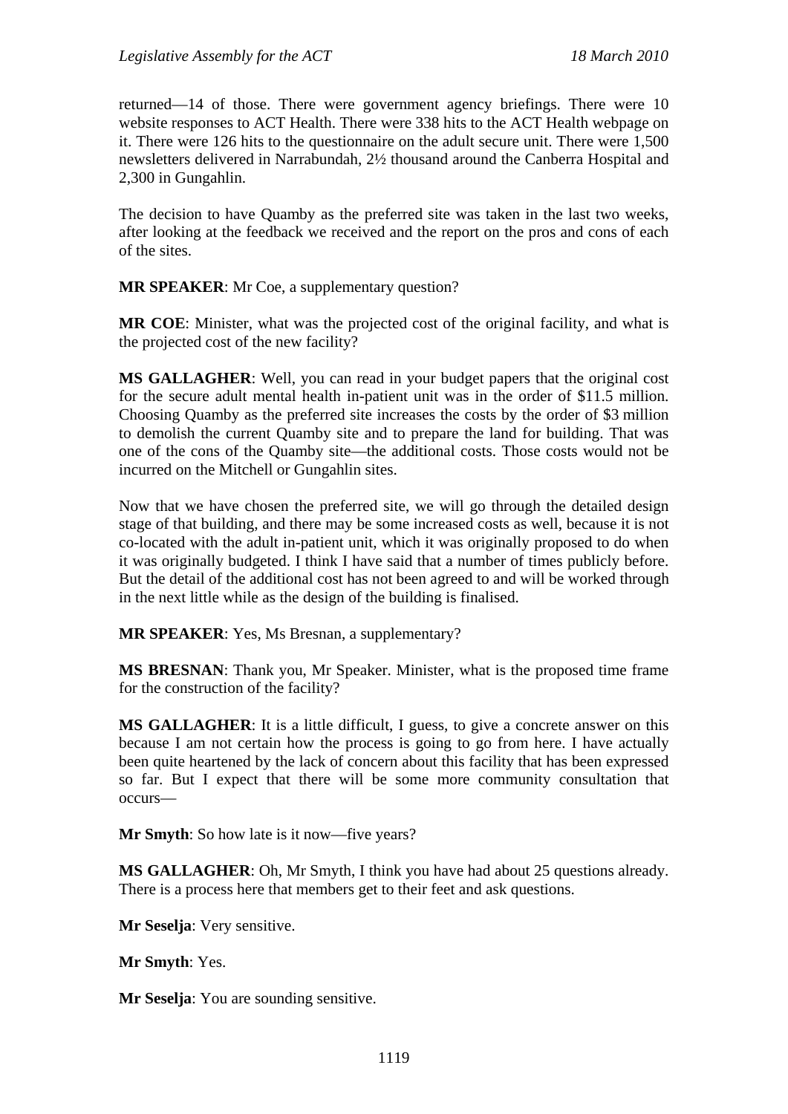returned—14 of those. There were government agency briefings. There were 10 website responses to ACT Health. There were 338 hits to the ACT Health webpage on it. There were 126 hits to the questionnaire on the adult secure unit. There were 1,500 newsletters delivered in Narrabundah, 2½ thousand around the Canberra Hospital and 2,300 in Gungahlin.

The decision to have Quamby as the preferred site was taken in the last two weeks, after looking at the feedback we received and the report on the pros and cons of each of the sites.

**MR SPEAKER**: Mr Coe, a supplementary question?

**MR COE**: Minister, what was the projected cost of the original facility, and what is the projected cost of the new facility?

**MS GALLAGHER**: Well, you can read in your budget papers that the original cost for the secure adult mental health in-patient unit was in the order of \$11.5 million. Choosing Quamby as the preferred site increases the costs by the order of \$3 million to demolish the current Quamby site and to prepare the land for building. That was one of the cons of the Quamby site—the additional costs. Those costs would not be incurred on the Mitchell or Gungahlin sites.

Now that we have chosen the preferred site, we will go through the detailed design stage of that building, and there may be some increased costs as well, because it is not co-located with the adult in-patient unit, which it was originally proposed to do when it was originally budgeted. I think I have said that a number of times publicly before. But the detail of the additional cost has not been agreed to and will be worked through in the next little while as the design of the building is finalised.

**MR SPEAKER**: Yes, Ms Bresnan, a supplementary?

**MS BRESNAN**: Thank you, Mr Speaker. Minister, what is the proposed time frame for the construction of the facility?

**MS GALLAGHER**: It is a little difficult, I guess, to give a concrete answer on this because I am not certain how the process is going to go from here. I have actually been quite heartened by the lack of concern about this facility that has been expressed so far. But I expect that there will be some more community consultation that occurs—

**Mr Smyth**: So how late is it now—five years?

**MS GALLAGHER**: Oh, Mr Smyth, I think you have had about 25 questions already. There is a process here that members get to their feet and ask questions.

**Mr Seselja**: Very sensitive.

**Mr Smyth**: Yes.

**Mr Seselja**: You are sounding sensitive.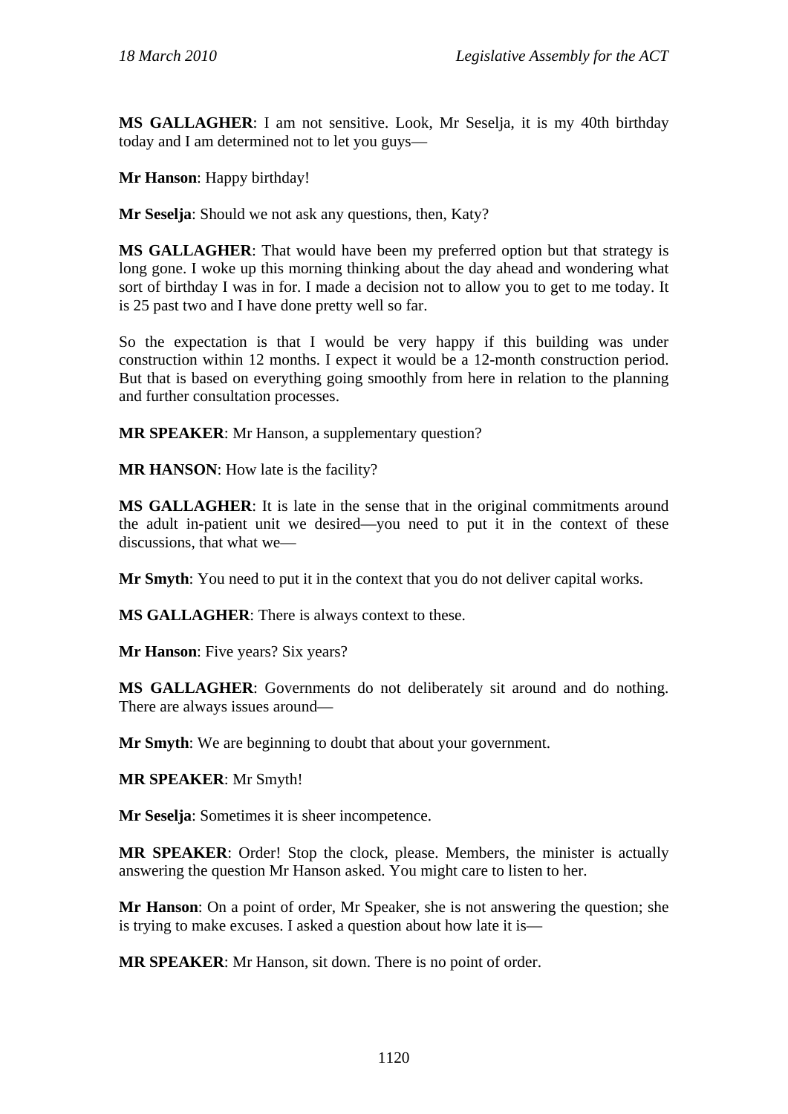**MS GALLAGHER**: I am not sensitive. Look, Mr Seselja, it is my 40th birthday today and I am determined not to let you guys—

**Mr Hanson**: Happy birthday!

**Mr Seselja**: Should we not ask any questions, then, Katy?

**MS GALLAGHER**: That would have been my preferred option but that strategy is long gone. I woke up this morning thinking about the day ahead and wondering what sort of birthday I was in for. I made a decision not to allow you to get to me today. It is 25 past two and I have done pretty well so far.

So the expectation is that I would be very happy if this building was under construction within 12 months. I expect it would be a 12-month construction period. But that is based on everything going smoothly from here in relation to the planning and further consultation processes.

**MR SPEAKER**: Mr Hanson, a supplementary question?

**MR HANSON**: How late is the facility?

**MS GALLAGHER**: It is late in the sense that in the original commitments around the adult in-patient unit we desired—you need to put it in the context of these discussions, that what we—

**Mr Smyth**: You need to put it in the context that you do not deliver capital works.

**MS GALLAGHER**: There is always context to these.

**Mr Hanson**: Five years? Six years?

**MS GALLAGHER**: Governments do not deliberately sit around and do nothing. There are always issues around—

**Mr Smyth**: We are beginning to doubt that about your government.

**MR SPEAKER**: Mr Smyth!

**Mr Seselja**: Sometimes it is sheer incompetence.

**MR SPEAKER**: Order! Stop the clock, please. Members, the minister is actually answering the question Mr Hanson asked. You might care to listen to her.

**Mr Hanson**: On a point of order, Mr Speaker, she is not answering the question; she is trying to make excuses. I asked a question about how late it is—

**MR SPEAKER**: Mr Hanson, sit down. There is no point of order.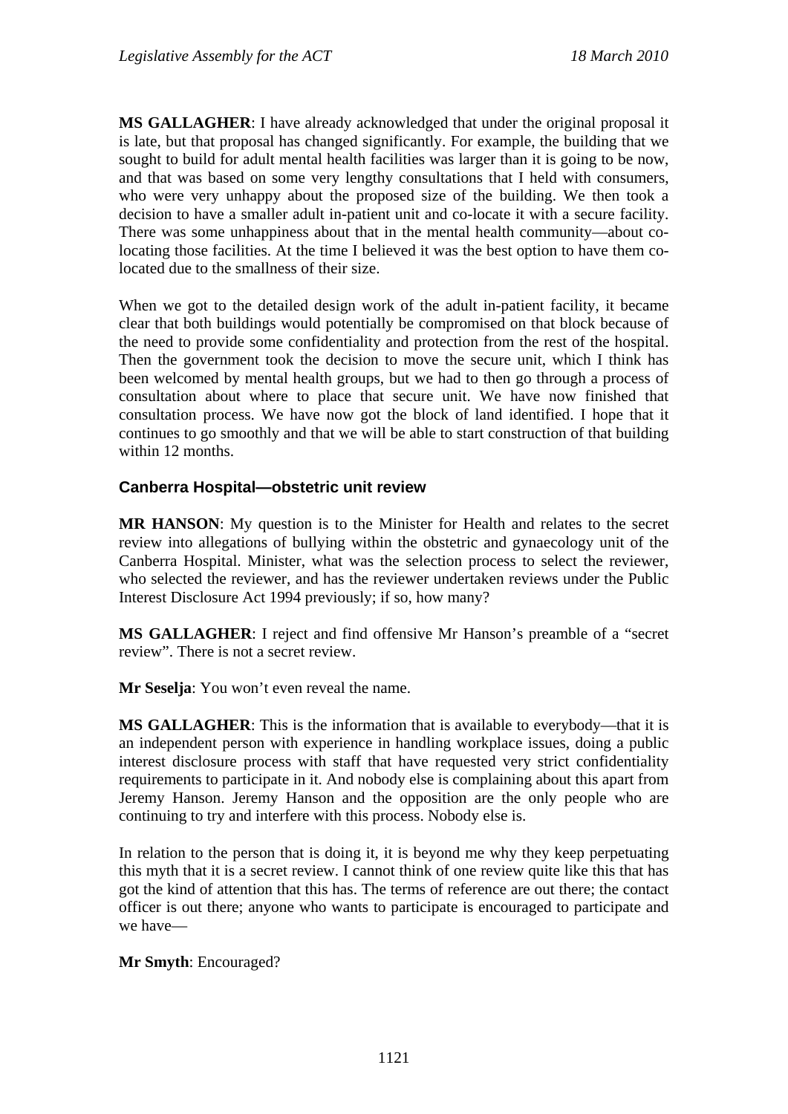**MS GALLAGHER**: I have already acknowledged that under the original proposal it is late, but that proposal has changed significantly. For example, the building that we sought to build for adult mental health facilities was larger than it is going to be now, and that was based on some very lengthy consultations that I held with consumers, who were very unhappy about the proposed size of the building. We then took a decision to have a smaller adult in-patient unit and co-locate it with a secure facility. There was some unhappiness about that in the mental health community—about colocating those facilities. At the time I believed it was the best option to have them colocated due to the smallness of their size.

When we got to the detailed design work of the adult in-patient facility, it became clear that both buildings would potentially be compromised on that block because of the need to provide some confidentiality and protection from the rest of the hospital. Then the government took the decision to move the secure unit, which I think has been welcomed by mental health groups, but we had to then go through a process of consultation about where to place that secure unit. We have now finished that consultation process. We have now got the block of land identified. I hope that it continues to go smoothly and that we will be able to start construction of that building within 12 months.

## **Canberra Hospital—obstetric unit review**

**MR HANSON**: My question is to the Minister for Health and relates to the secret review into allegations of bullying within the obstetric and gynaecology unit of the Canberra Hospital. Minister, what was the selection process to select the reviewer, who selected the reviewer, and has the reviewer undertaken reviews under the Public Interest Disclosure Act 1994 previously; if so, how many?

**MS GALLAGHER**: I reject and find offensive Mr Hanson's preamble of a "secret review". There is not a secret review.

**Mr Seselja**: You won't even reveal the name.

**MS GALLAGHER**: This is the information that is available to everybody—that it is an independent person with experience in handling workplace issues, doing a public interest disclosure process with staff that have requested very strict confidentiality requirements to participate in it. And nobody else is complaining about this apart from Jeremy Hanson. Jeremy Hanson and the opposition are the only people who are continuing to try and interfere with this process. Nobody else is.

In relation to the person that is doing it, it is beyond me why they keep perpetuating this myth that it is a secret review. I cannot think of one review quite like this that has got the kind of attention that this has. The terms of reference are out there; the contact officer is out there; anyone who wants to participate is encouraged to participate and we have—

## **Mr Smyth**: Encouraged?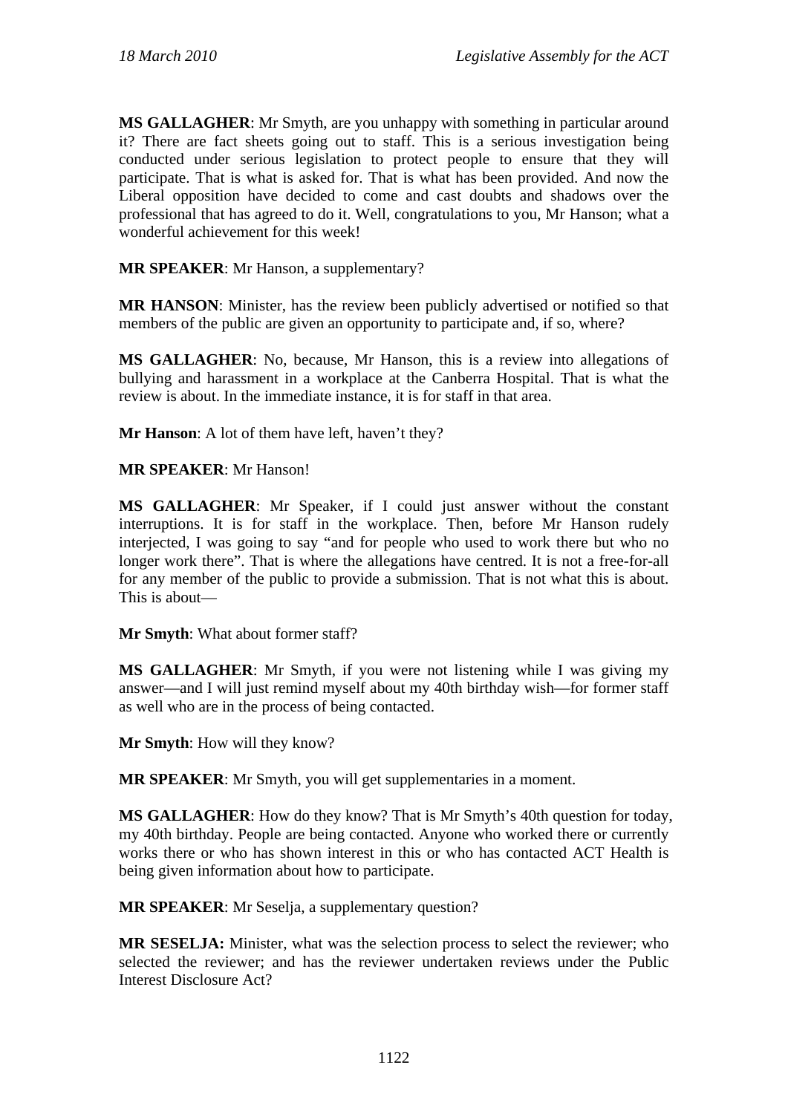**MS GALLAGHER**: Mr Smyth, are you unhappy with something in particular around it? There are fact sheets going out to staff. This is a serious investigation being conducted under serious legislation to protect people to ensure that they will participate. That is what is asked for. That is what has been provided. And now the Liberal opposition have decided to come and cast doubts and shadows over the professional that has agreed to do it. Well, congratulations to you, Mr Hanson; what a wonderful achievement for this week!

**MR SPEAKER**: Mr Hanson, a supplementary?

**MR HANSON**: Minister, has the review been publicly advertised or notified so that members of the public are given an opportunity to participate and, if so, where?

**MS GALLAGHER**: No, because, Mr Hanson, this is a review into allegations of bullying and harassment in a workplace at the Canberra Hospital. That is what the review is about. In the immediate instance, it is for staff in that area.

**Mr Hanson**: A lot of them have left, haven't they?

**MR SPEAKER**: Mr Hanson!

**MS GALLAGHER**: Mr Speaker, if I could just answer without the constant interruptions. It is for staff in the workplace. Then, before Mr Hanson rudely interjected, I was going to say "and for people who used to work there but who no longer work there". That is where the allegations have centred. It is not a free-for-all for any member of the public to provide a submission. That is not what this is about. This is about—

**Mr Smyth**: What about former staff?

**MS GALLAGHER**: Mr Smyth, if you were not listening while I was giving my answer—and I will just remind myself about my 40th birthday wish—for former staff as well who are in the process of being contacted.

**Mr Smyth**: How will they know?

**MR SPEAKER**: Mr Smyth, you will get supplementaries in a moment.

**MS GALLAGHER**: How do they know? That is Mr Smyth's 40th question for today, my 40th birthday. People are being contacted. Anyone who worked there or currently works there or who has shown interest in this or who has contacted ACT Health is being given information about how to participate.

**MR SPEAKER**: Mr Seselja, a supplementary question?

**MR SESELJA:** Minister, what was the selection process to select the reviewer; who selected the reviewer; and has the reviewer undertaken reviews under the Public Interest Disclosure Act?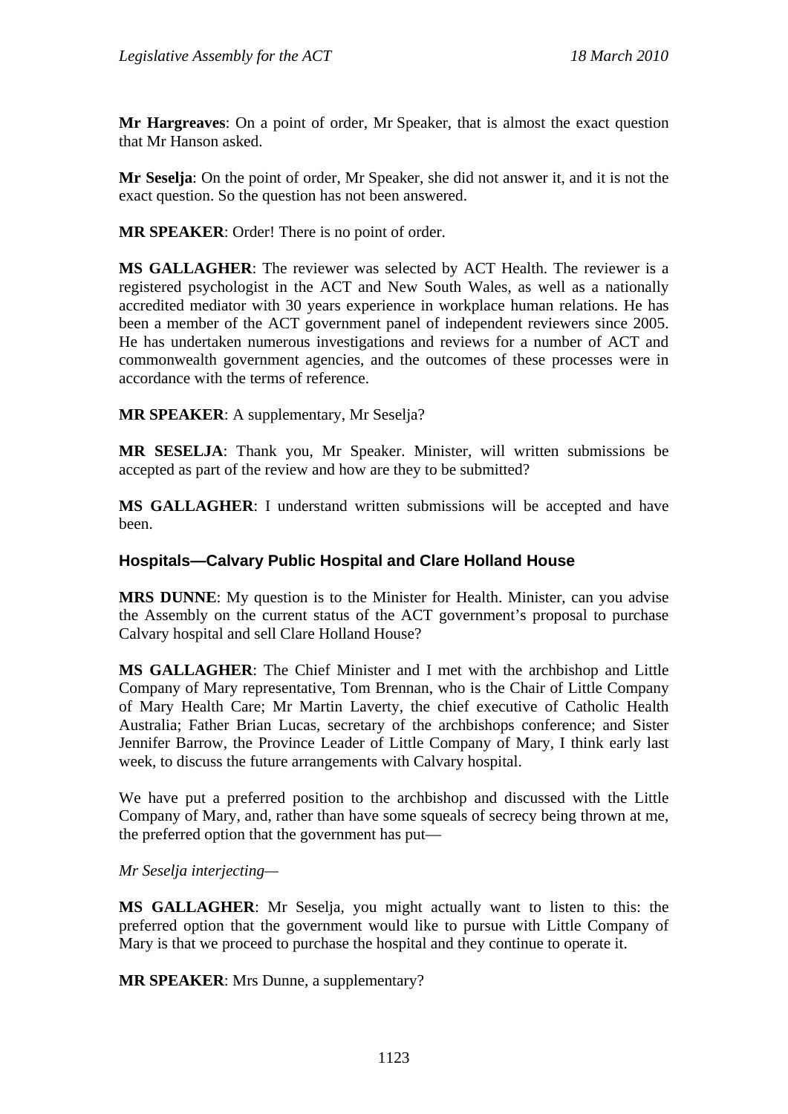**Mr Hargreaves**: On a point of order, Mr Speaker, that is almost the exact question that Mr Hanson asked.

**Mr Seselja**: On the point of order, Mr Speaker, she did not answer it, and it is not the exact question. So the question has not been answered.

**MR SPEAKER**: Order! There is no point of order.

**MS GALLAGHER**: The reviewer was selected by ACT Health. The reviewer is a registered psychologist in the ACT and New South Wales, as well as a nationally accredited mediator with 30 years experience in workplace human relations. He has been a member of the ACT government panel of independent reviewers since 2005. He has undertaken numerous investigations and reviews for a number of ACT and commonwealth government agencies, and the outcomes of these processes were in accordance with the terms of reference.

**MR SPEAKER:** A supplementary, Mr Seselja?

**MR SESELJA**: Thank you, Mr Speaker. Minister, will written submissions be accepted as part of the review and how are they to be submitted?

**MS GALLAGHER**: I understand written submissions will be accepted and have been.

## **Hospitals—Calvary Public Hospital and Clare Holland House**

**MRS DUNNE:** My question is to the Minister for Health. Minister, can you advise the Assembly on the current status of the ACT government's proposal to purchase Calvary hospital and sell Clare Holland House?

**MS GALLAGHER**: The Chief Minister and I met with the archbishop and Little Company of Mary representative, Tom Brennan, who is the Chair of Little Company of Mary Health Care; Mr Martin Laverty, the chief executive of Catholic Health Australia; Father Brian Lucas, secretary of the archbishops conference; and Sister Jennifer Barrow, the Province Leader of Little Company of Mary, I think early last week, to discuss the future arrangements with Calvary hospital.

We have put a preferred position to the archbishop and discussed with the Little Company of Mary, and, rather than have some squeals of secrecy being thrown at me, the preferred option that the government has put—

#### *Mr Seselja interjecting—*

**MS GALLAGHER**: Mr Seselja, you might actually want to listen to this: the preferred option that the government would like to pursue with Little Company of Mary is that we proceed to purchase the hospital and they continue to operate it.

**MR SPEAKER**: Mrs Dunne, a supplementary?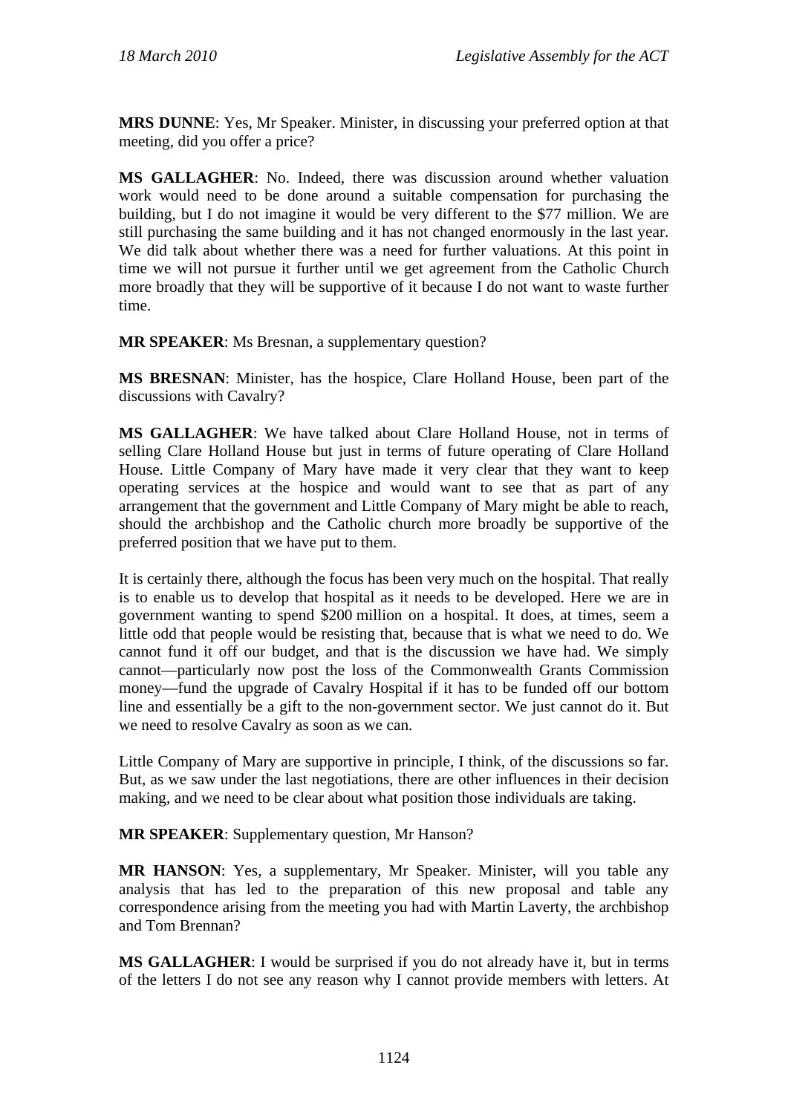**MRS DUNNE**: Yes, Mr Speaker. Minister, in discussing your preferred option at that meeting, did you offer a price?

**MS GALLAGHER**: No. Indeed, there was discussion around whether valuation work would need to be done around a suitable compensation for purchasing the building, but I do not imagine it would be very different to the \$77 million. We are still purchasing the same building and it has not changed enormously in the last year. We did talk about whether there was a need for further valuations. At this point in time we will not pursue it further until we get agreement from the Catholic Church more broadly that they will be supportive of it because I do not want to waste further time.

**MR SPEAKER:** Ms Bresnan, a supplementary question?

**MS BRESNAN**: Minister, has the hospice, Clare Holland House, been part of the discussions with Cavalry?

**MS GALLAGHER**: We have talked about Clare Holland House, not in terms of selling Clare Holland House but just in terms of future operating of Clare Holland House. Little Company of Mary have made it very clear that they want to keep operating services at the hospice and would want to see that as part of any arrangement that the government and Little Company of Mary might be able to reach, should the archbishop and the Catholic church more broadly be supportive of the preferred position that we have put to them.

It is certainly there, although the focus has been very much on the hospital. That really is to enable us to develop that hospital as it needs to be developed. Here we are in government wanting to spend \$200 million on a hospital. It does, at times, seem a little odd that people would be resisting that, because that is what we need to do. We cannot fund it off our budget, and that is the discussion we have had. We simply cannot—particularly now post the loss of the Commonwealth Grants Commission money—fund the upgrade of Cavalry Hospital if it has to be funded off our bottom line and essentially be a gift to the non-government sector. We just cannot do it. But we need to resolve Cavalry as soon as we can.

Little Company of Mary are supportive in principle, I think, of the discussions so far. But, as we saw under the last negotiations, there are other influences in their decision making, and we need to be clear about what position those individuals are taking.

**MR SPEAKER**: Supplementary question, Mr Hanson?

**MR HANSON**: Yes, a supplementary, Mr Speaker. Minister, will you table any analysis that has led to the preparation of this new proposal and table any correspondence arising from the meeting you had with Martin Laverty, the archbishop and Tom Brennan?

**MS GALLAGHER**: I would be surprised if you do not already have it, but in terms of the letters I do not see any reason why I cannot provide members with letters. At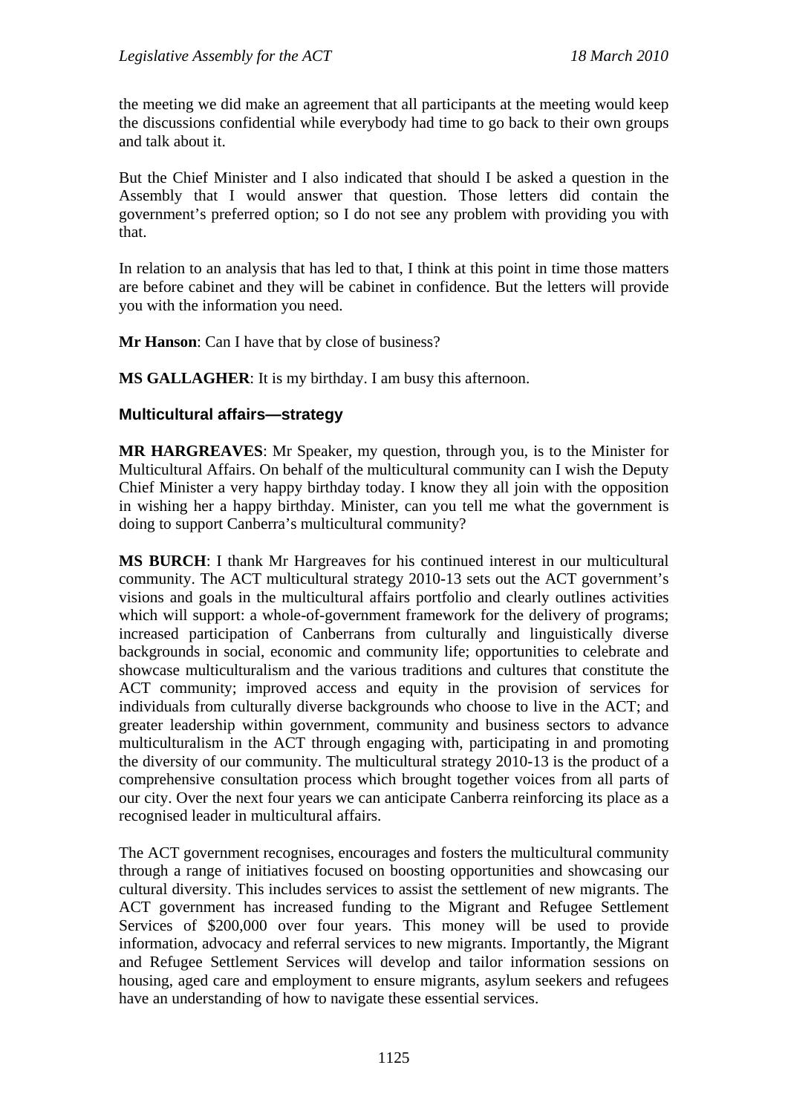the meeting we did make an agreement that all participants at the meeting would keep the discussions confidential while everybody had time to go back to their own groups and talk about it.

But the Chief Minister and I also indicated that should I be asked a question in the Assembly that I would answer that question. Those letters did contain the government's preferred option; so I do not see any problem with providing you with that.

In relation to an analysis that has led to that, I think at this point in time those matters are before cabinet and they will be cabinet in confidence. But the letters will provide you with the information you need.

**Mr Hanson**: Can I have that by close of business?

**MS GALLAGHER**: It is my birthday. I am busy this afternoon.

#### **Multicultural affairs—strategy**

**MR HARGREAVES**: Mr Speaker, my question, through you, is to the Minister for Multicultural Affairs. On behalf of the multicultural community can I wish the Deputy Chief Minister a very happy birthday today. I know they all join with the opposition in wishing her a happy birthday. Minister, can you tell me what the government is doing to support Canberra's multicultural community?

**MS BURCH**: I thank Mr Hargreaves for his continued interest in our multicultural community. The ACT multicultural strategy 2010-13 sets out the ACT government's visions and goals in the multicultural affairs portfolio and clearly outlines activities which will support: a whole-of-government framework for the delivery of programs; increased participation of Canberrans from culturally and linguistically diverse backgrounds in social, economic and community life; opportunities to celebrate and showcase multiculturalism and the various traditions and cultures that constitute the ACT community; improved access and equity in the provision of services for individuals from culturally diverse backgrounds who choose to live in the ACT; and greater leadership within government, community and business sectors to advance multiculturalism in the ACT through engaging with, participating in and promoting the diversity of our community. The multicultural strategy 2010-13 is the product of a comprehensive consultation process which brought together voices from all parts of our city. Over the next four years we can anticipate Canberra reinforcing its place as a recognised leader in multicultural affairs.

The ACT government recognises, encourages and fosters the multicultural community through a range of initiatives focused on boosting opportunities and showcasing our cultural diversity. This includes services to assist the settlement of new migrants. The ACT government has increased funding to the Migrant and Refugee Settlement Services of \$200,000 over four years. This money will be used to provide information, advocacy and referral services to new migrants. Importantly, the Migrant and Refugee Settlement Services will develop and tailor information sessions on housing, aged care and employment to ensure migrants, asylum seekers and refugees have an understanding of how to navigate these essential services.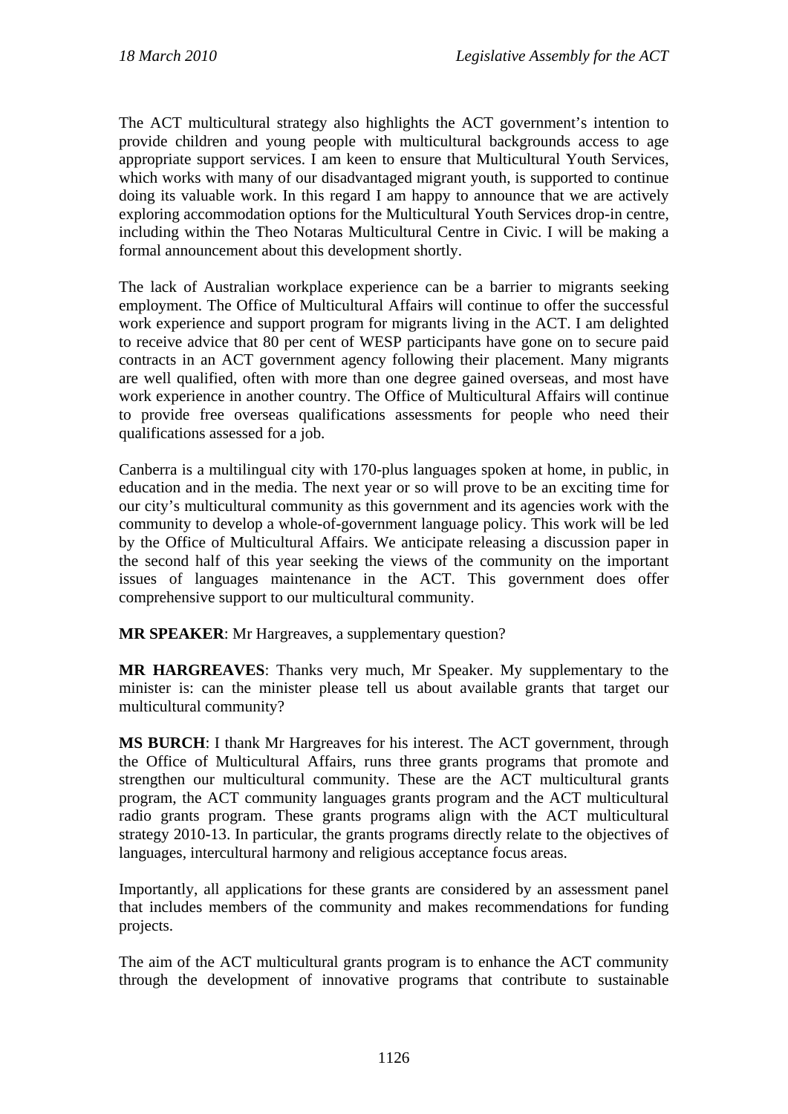The ACT multicultural strategy also highlights the ACT government's intention to provide children and young people with multicultural backgrounds access to age appropriate support services. I am keen to ensure that Multicultural Youth Services, which works with many of our disadvantaged migrant youth, is supported to continue doing its valuable work. In this regard I am happy to announce that we are actively exploring accommodation options for the Multicultural Youth Services drop-in centre, including within the Theo Notaras Multicultural Centre in Civic. I will be making a formal announcement about this development shortly.

The lack of Australian workplace experience can be a barrier to migrants seeking employment. The Office of Multicultural Affairs will continue to offer the successful work experience and support program for migrants living in the ACT. I am delighted to receive advice that 80 per cent of WESP participants have gone on to secure paid contracts in an ACT government agency following their placement. Many migrants are well qualified, often with more than one degree gained overseas, and most have work experience in another country. The Office of Multicultural Affairs will continue to provide free overseas qualifications assessments for people who need their qualifications assessed for a job.

Canberra is a multilingual city with 170-plus languages spoken at home, in public, in education and in the media. The next year or so will prove to be an exciting time for our city's multicultural community as this government and its agencies work with the community to develop a whole-of-government language policy. This work will be led by the Office of Multicultural Affairs. We anticipate releasing a discussion paper in the second half of this year seeking the views of the community on the important issues of languages maintenance in the ACT. This government does offer comprehensive support to our multicultural community.

**MR SPEAKER**: Mr Hargreaves, a supplementary question?

**MR HARGREAVES**: Thanks very much, Mr Speaker. My supplementary to the minister is: can the minister please tell us about available grants that target our multicultural community?

**MS BURCH**: I thank Mr Hargreaves for his interest. The ACT government, through the Office of Multicultural Affairs, runs three grants programs that promote and strengthen our multicultural community. These are the ACT multicultural grants program, the ACT community languages grants program and the ACT multicultural radio grants program. These grants programs align with the ACT multicultural strategy 2010-13. In particular, the grants programs directly relate to the objectives of languages, intercultural harmony and religious acceptance focus areas.

Importantly, all applications for these grants are considered by an assessment panel that includes members of the community and makes recommendations for funding projects.

The aim of the ACT multicultural grants program is to enhance the ACT community through the development of innovative programs that contribute to sustainable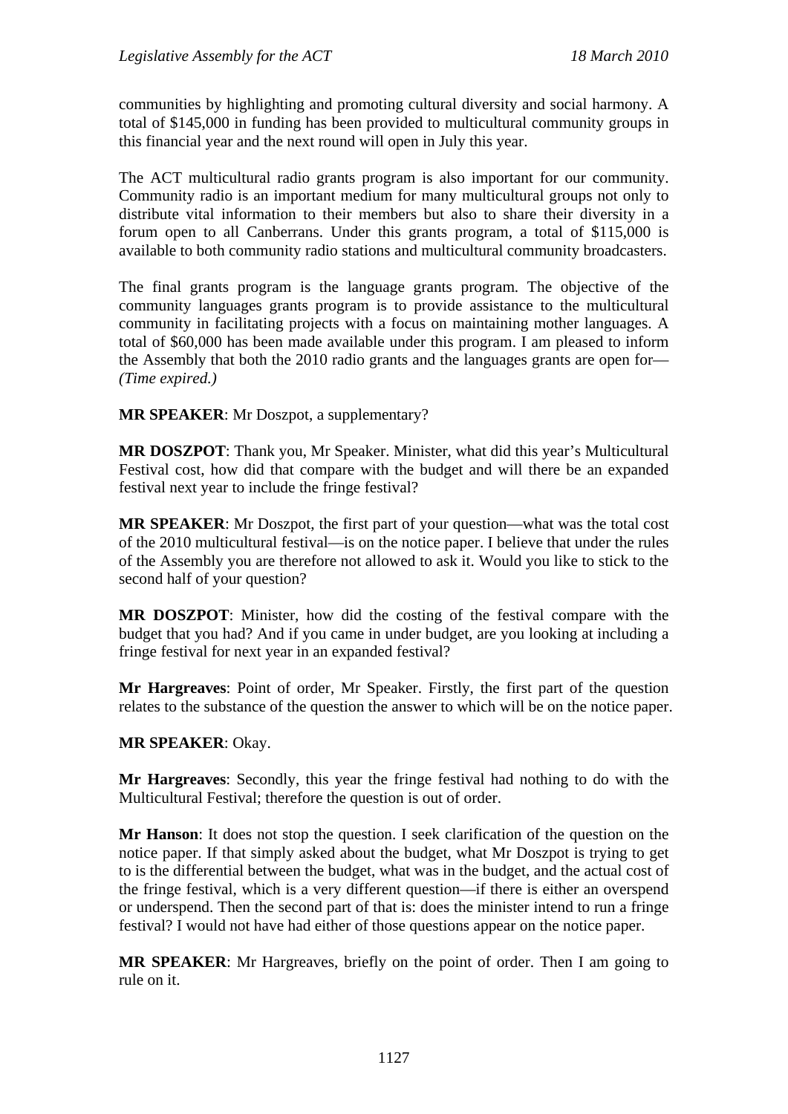communities by highlighting and promoting cultural diversity and social harmony. A total of \$145,000 in funding has been provided to multicultural community groups in this financial year and the next round will open in July this year.

The ACT multicultural radio grants program is also important for our community. Community radio is an important medium for many multicultural groups not only to distribute vital information to their members but also to share their diversity in a forum open to all Canberrans. Under this grants program, a total of \$115,000 is available to both community radio stations and multicultural community broadcasters.

The final grants program is the language grants program. The objective of the community languages grants program is to provide assistance to the multicultural community in facilitating projects with a focus on maintaining mother languages. A total of \$60,000 has been made available under this program. I am pleased to inform the Assembly that both the 2010 radio grants and the languages grants are open for— *(Time expired.)*

**MR SPEAKER**: Mr Doszpot, a supplementary?

**MR DOSZPOT**: Thank you, Mr Speaker. Minister, what did this year's Multicultural Festival cost, how did that compare with the budget and will there be an expanded festival next year to include the fringe festival?

**MR SPEAKER**: Mr Doszpot, the first part of your question—what was the total cost of the 2010 multicultural festival—is on the notice paper. I believe that under the rules of the Assembly you are therefore not allowed to ask it. Would you like to stick to the second half of your question?

**MR DOSZPOT**: Minister, how did the costing of the festival compare with the budget that you had? And if you came in under budget, are you looking at including a fringe festival for next year in an expanded festival?

**Mr Hargreaves**: Point of order, Mr Speaker. Firstly, the first part of the question relates to the substance of the question the answer to which will be on the notice paper.

## **MR SPEAKER**: Okay.

**Mr Hargreaves**: Secondly, this year the fringe festival had nothing to do with the Multicultural Festival; therefore the question is out of order.

**Mr Hanson**: It does not stop the question. I seek clarification of the question on the notice paper. If that simply asked about the budget, what Mr Doszpot is trying to get to is the differential between the budget, what was in the budget, and the actual cost of the fringe festival, which is a very different question—if there is either an overspend or underspend. Then the second part of that is: does the minister intend to run a fringe festival? I would not have had either of those questions appear on the notice paper.

**MR SPEAKER**: Mr Hargreaves, briefly on the point of order. Then I am going to rule on it.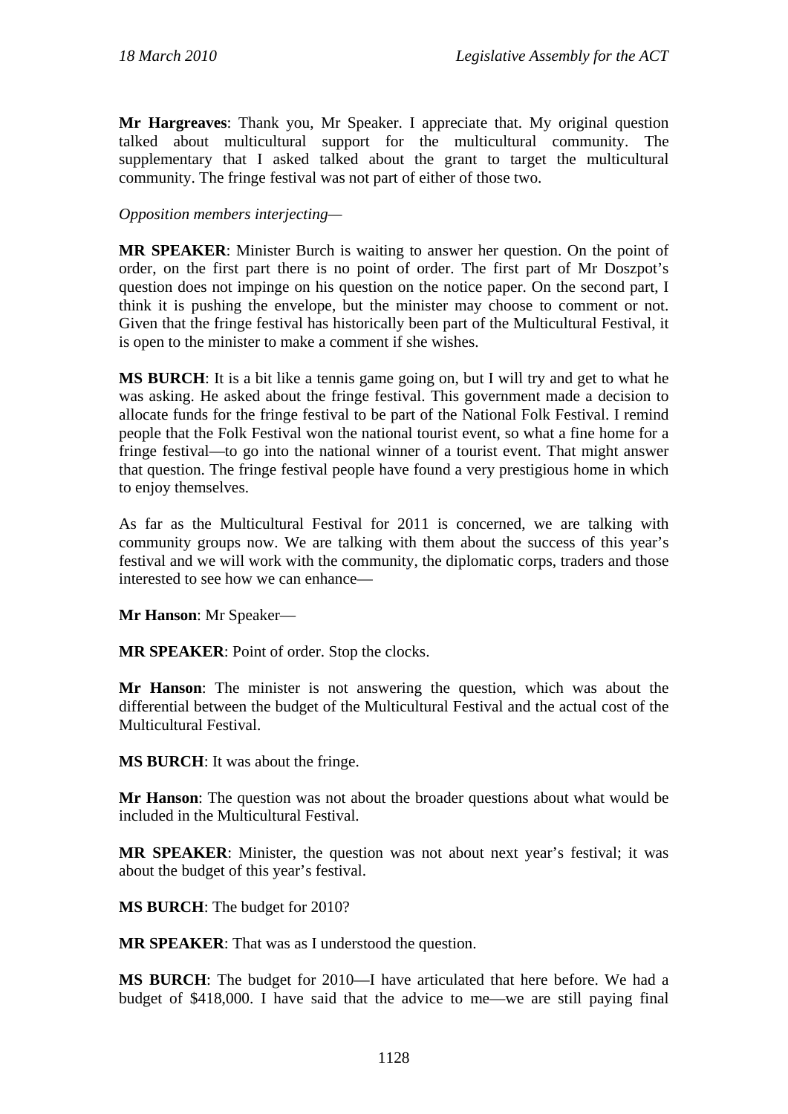**Mr Hargreaves**: Thank you, Mr Speaker. I appreciate that. My original question talked about multicultural support for the multicultural community. The supplementary that I asked talked about the grant to target the multicultural community. The fringe festival was not part of either of those two.

#### *Opposition members interjecting—*

**MR SPEAKER**: Minister Burch is waiting to answer her question. On the point of order, on the first part there is no point of order. The first part of Mr Doszpot's question does not impinge on his question on the notice paper. On the second part, I think it is pushing the envelope, but the minister may choose to comment or not. Given that the fringe festival has historically been part of the Multicultural Festival, it is open to the minister to make a comment if she wishes.

**MS BURCH**: It is a bit like a tennis game going on, but I will try and get to what he was asking. He asked about the fringe festival. This government made a decision to allocate funds for the fringe festival to be part of the National Folk Festival. I remind people that the Folk Festival won the national tourist event, so what a fine home for a fringe festival—to go into the national winner of a tourist event. That might answer that question. The fringe festival people have found a very prestigious home in which to enjoy themselves.

As far as the Multicultural Festival for 2011 is concerned, we are talking with community groups now. We are talking with them about the success of this year's festival and we will work with the community, the diplomatic corps, traders and those interested to see how we can enhance—

**Mr Hanson**: Mr Speaker—

**MR SPEAKER**: Point of order. Stop the clocks.

**Mr Hanson**: The minister is not answering the question, which was about the differential between the budget of the Multicultural Festival and the actual cost of the Multicultural Festival.

**MS BURCH**: It was about the fringe.

**Mr Hanson**: The question was not about the broader questions about what would be included in the Multicultural Festival.

**MR SPEAKER**: Minister, the question was not about next year's festival; it was about the budget of this year's festival.

**MS BURCH**: The budget for 2010?

**MR SPEAKER**: That was as I understood the question.

**MS BURCH**: The budget for 2010—I have articulated that here before. We had a budget of \$418,000. I have said that the advice to me—we are still paying final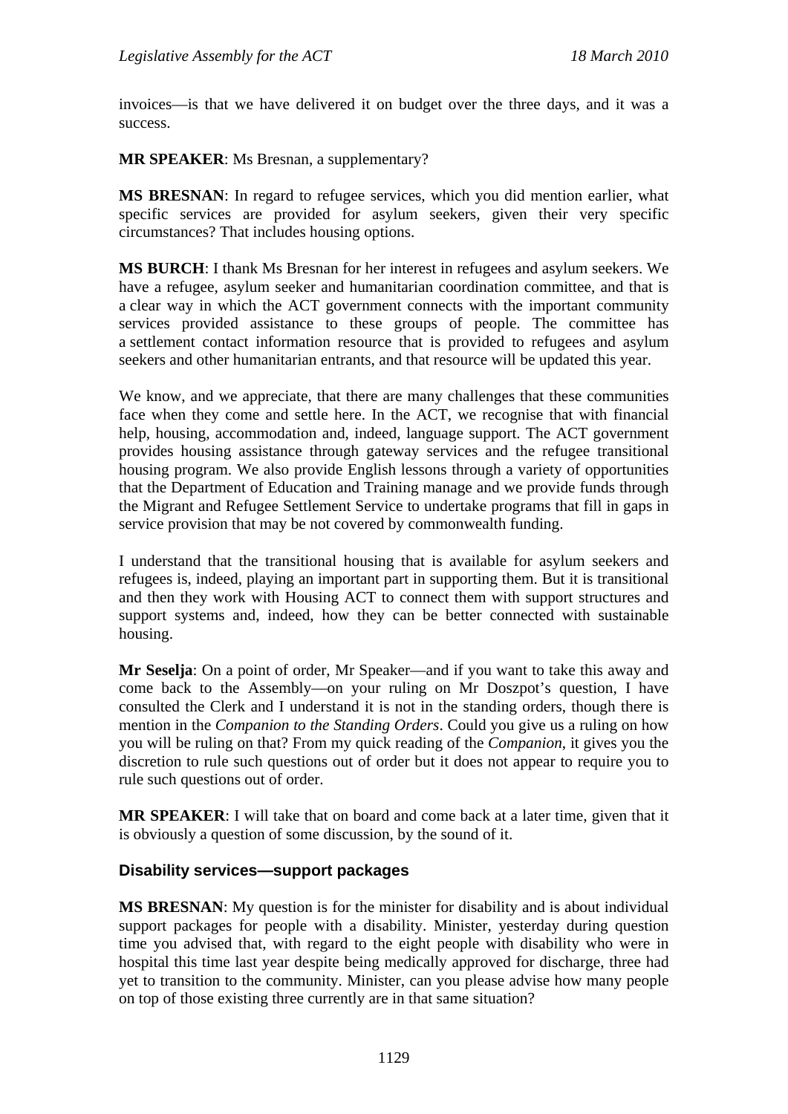invoices—is that we have delivered it on budget over the three days, and it was a success.

**MR SPEAKER**: Ms Bresnan, a supplementary?

**MS BRESNAN**: In regard to refugee services, which you did mention earlier, what specific services are provided for asylum seekers, given their very specific circumstances? That includes housing options.

**MS BURCH**: I thank Ms Bresnan for her interest in refugees and asylum seekers. We have a refugee, asylum seeker and humanitarian coordination committee, and that is a clear way in which the ACT government connects with the important community services provided assistance to these groups of people. The committee has a settlement contact information resource that is provided to refugees and asylum seekers and other humanitarian entrants, and that resource will be updated this year.

We know, and we appreciate, that there are many challenges that these communities face when they come and settle here. In the ACT, we recognise that with financial help, housing, accommodation and, indeed, language support. The ACT government provides housing assistance through gateway services and the refugee transitional housing program. We also provide English lessons through a variety of opportunities that the Department of Education and Training manage and we provide funds through the Migrant and Refugee Settlement Service to undertake programs that fill in gaps in service provision that may be not covered by commonwealth funding.

I understand that the transitional housing that is available for asylum seekers and refugees is, indeed, playing an important part in supporting them. But it is transitional and then they work with Housing ACT to connect them with support structures and support systems and, indeed, how they can be better connected with sustainable housing.

**Mr Seselja**: On a point of order, Mr Speaker—and if you want to take this away and come back to the Assembly—on your ruling on Mr Doszpot's question, I have consulted the Clerk and I understand it is not in the standing orders, though there is mention in the *Companion to the Standing Orders*. Could you give us a ruling on how you will be ruling on that? From my quick reading of the *Companion*, it gives you the discretion to rule such questions out of order but it does not appear to require you to rule such questions out of order.

**MR SPEAKER**: I will take that on board and come back at a later time, given that it is obviously a question of some discussion, by the sound of it.

## **Disability services—support packages**

**MS BRESNAN**: My question is for the minister for disability and is about individual support packages for people with a disability. Minister, yesterday during question time you advised that, with regard to the eight people with disability who were in hospital this time last year despite being medically approved for discharge, three had yet to transition to the community. Minister, can you please advise how many people on top of those existing three currently are in that same situation?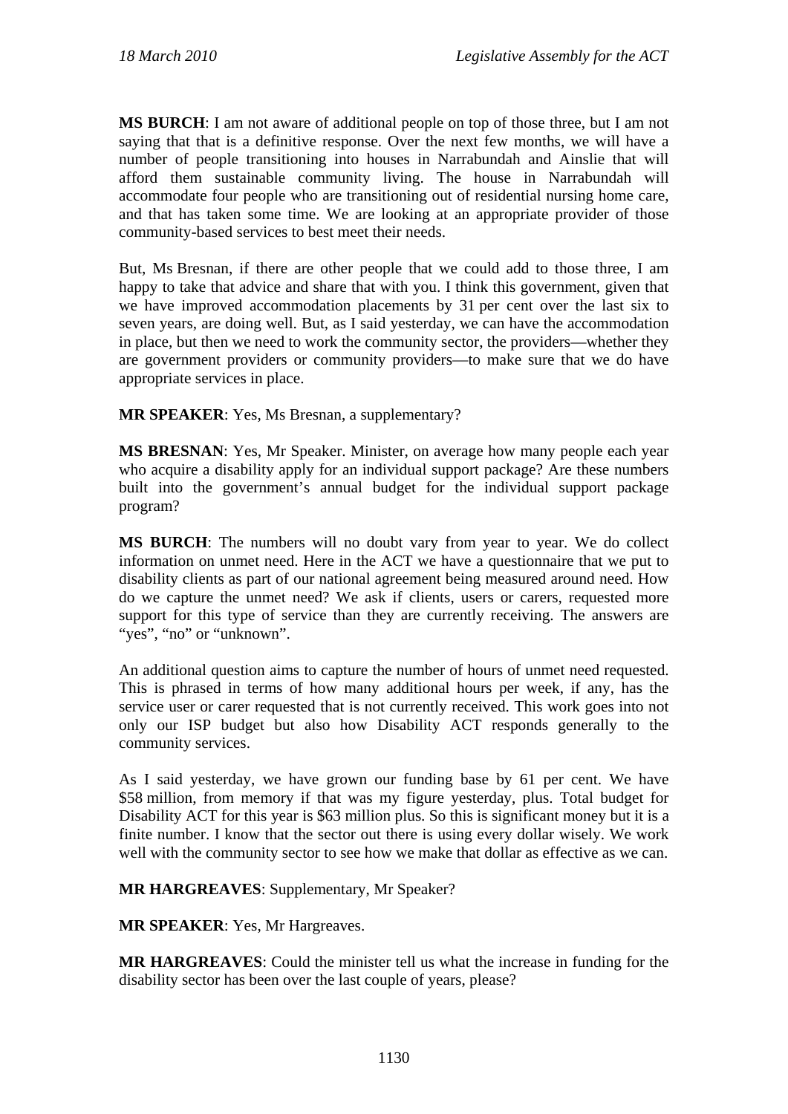**MS BURCH**: I am not aware of additional people on top of those three, but I am not saying that that is a definitive response. Over the next few months, we will have a number of people transitioning into houses in Narrabundah and Ainslie that will afford them sustainable community living. The house in Narrabundah will accommodate four people who are transitioning out of residential nursing home care, and that has taken some time. We are looking at an appropriate provider of those community-based services to best meet their needs.

But, Ms Bresnan, if there are other people that we could add to those three, I am happy to take that advice and share that with you. I think this government, given that we have improved accommodation placements by 31 per cent over the last six to seven years, are doing well. But, as I said yesterday, we can have the accommodation in place, but then we need to work the community sector, the providers—whether they are government providers or community providers—to make sure that we do have appropriate services in place.

**MR SPEAKER**: Yes, Ms Bresnan, a supplementary?

**MS BRESNAN**: Yes, Mr Speaker. Minister, on average how many people each year who acquire a disability apply for an individual support package? Are these numbers built into the government's annual budget for the individual support package program?

**MS BURCH**: The numbers will no doubt vary from year to year. We do collect information on unmet need. Here in the ACT we have a questionnaire that we put to disability clients as part of our national agreement being measured around need. How do we capture the unmet need? We ask if clients, users or carers, requested more support for this type of service than they are currently receiving. The answers are "yes", "no" or "unknown".

An additional question aims to capture the number of hours of unmet need requested. This is phrased in terms of how many additional hours per week, if any, has the service user or carer requested that is not currently received. This work goes into not only our ISP budget but also how Disability ACT responds generally to the community services.

As I said yesterday, we have grown our funding base by 61 per cent. We have \$58 million, from memory if that was my figure yesterday, plus. Total budget for Disability ACT for this year is \$63 million plus. So this is significant money but it is a finite number. I know that the sector out there is using every dollar wisely. We work well with the community sector to see how we make that dollar as effective as we can.

**MR HARGREAVES**: Supplementary, Mr Speaker?

**MR SPEAKER**: Yes, Mr Hargreaves.

**MR HARGREAVES**: Could the minister tell us what the increase in funding for the disability sector has been over the last couple of years, please?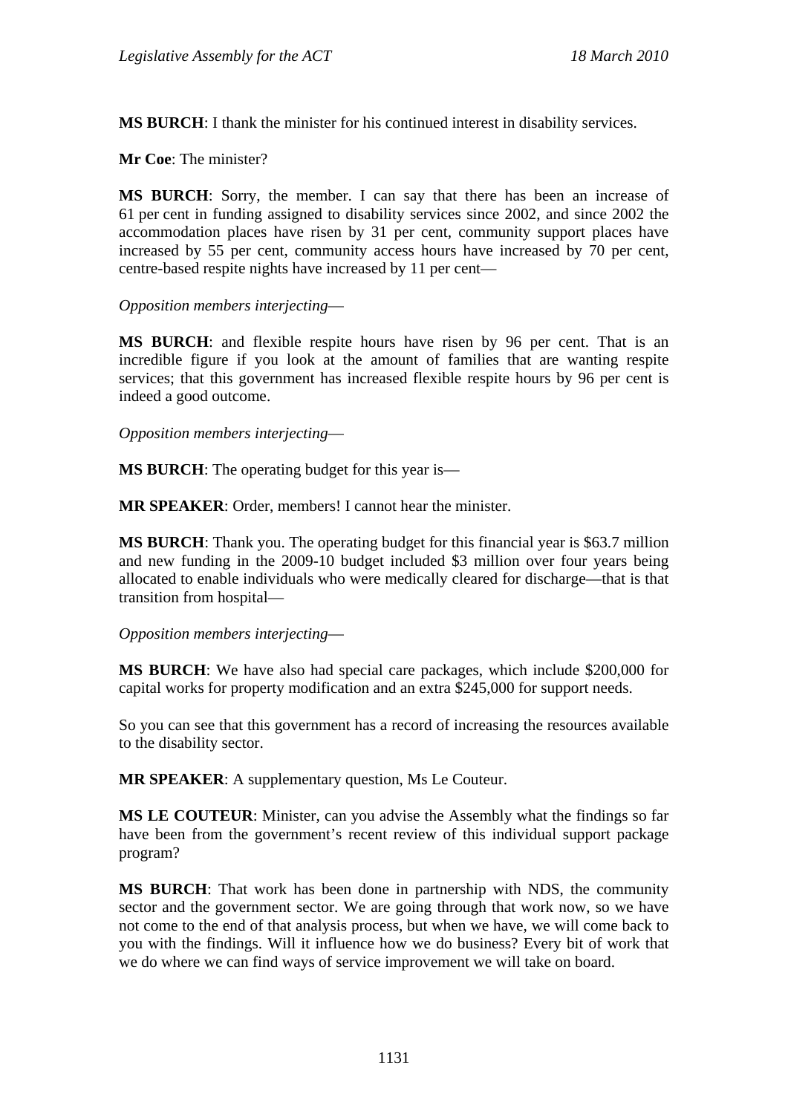**MS BURCH**: I thank the minister for his continued interest in disability services.

**Mr Coe**: The minister?

**MS BURCH**: Sorry, the member. I can say that there has been an increase of 61 per cent in funding assigned to disability services since 2002, and since 2002 the accommodation places have risen by 31 per cent, community support places have increased by 55 per cent, community access hours have increased by 70 per cent, centre-based respite nights have increased by 11 per cent—

*Opposition members interjecting*—

**MS BURCH**: and flexible respite hours have risen by 96 per cent. That is an incredible figure if you look at the amount of families that are wanting respite services; that this government has increased flexible respite hours by 96 per cent is indeed a good outcome.

*Opposition members interjecting*—

**MS BURCH**: The operating budget for this year is—

**MR SPEAKER**: Order, members! I cannot hear the minister.

**MS BURCH**: Thank you. The operating budget for this financial year is \$63.7 million and new funding in the 2009-10 budget included \$3 million over four years being allocated to enable individuals who were medically cleared for discharge—that is that transition from hospital—

*Opposition members interjecting*—

**MS BURCH**: We have also had special care packages, which include \$200,000 for capital works for property modification and an extra \$245,000 for support needs.

So you can see that this government has a record of increasing the resources available to the disability sector.

**MR SPEAKER**: A supplementary question, Ms Le Couteur.

**MS LE COUTEUR**: Minister, can you advise the Assembly what the findings so far have been from the government's recent review of this individual support package program?

**MS BURCH**: That work has been done in partnership with NDS, the community sector and the government sector. We are going through that work now, so we have not come to the end of that analysis process, but when we have, we will come back to you with the findings. Will it influence how we do business? Every bit of work that we do where we can find ways of service improvement we will take on board.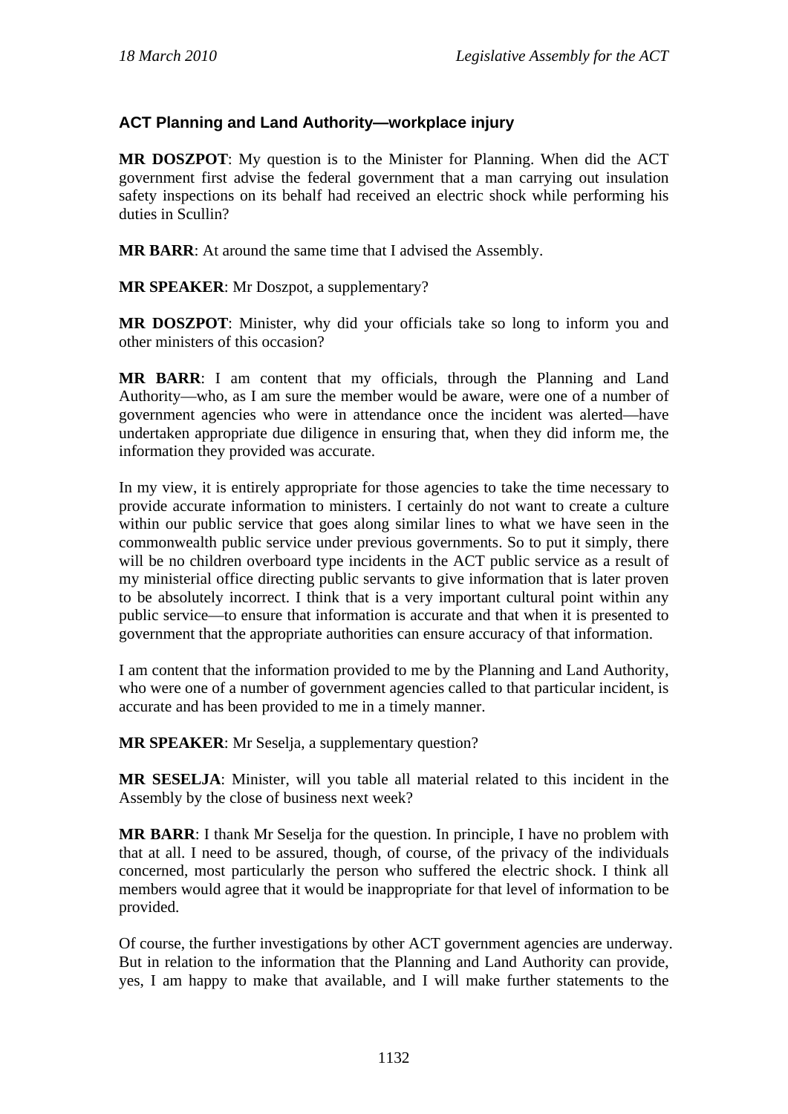# **ACT Planning and Land Authority—workplace injury**

**MR DOSZPOT**: My question is to the Minister for Planning. When did the ACT government first advise the federal government that a man carrying out insulation safety inspections on its behalf had received an electric shock while performing his duties in Scullin?

**MR BARR**: At around the same time that I advised the Assembly.

**MR SPEAKER**: Mr Doszpot, a supplementary?

**MR DOSZPOT**: Minister, why did your officials take so long to inform you and other ministers of this occasion?

**MR BARR**: I am content that my officials, through the Planning and Land Authority—who, as I am sure the member would be aware, were one of a number of government agencies who were in attendance once the incident was alerted—have undertaken appropriate due diligence in ensuring that, when they did inform me, the information they provided was accurate.

In my view, it is entirely appropriate for those agencies to take the time necessary to provide accurate information to ministers. I certainly do not want to create a culture within our public service that goes along similar lines to what we have seen in the commonwealth public service under previous governments. So to put it simply, there will be no children overboard type incidents in the ACT public service as a result of my ministerial office directing public servants to give information that is later proven to be absolutely incorrect. I think that is a very important cultural point within any public service—to ensure that information is accurate and that when it is presented to government that the appropriate authorities can ensure accuracy of that information.

I am content that the information provided to me by the Planning and Land Authority, who were one of a number of government agencies called to that particular incident, is accurate and has been provided to me in a timely manner.

**MR SPEAKER**: Mr Seselja, a supplementary question?

**MR SESELJA**: Minister, will you table all material related to this incident in the Assembly by the close of business next week?

**MR BARR**: I thank Mr Seselja for the question. In principle, I have no problem with that at all. I need to be assured, though, of course, of the privacy of the individuals concerned, most particularly the person who suffered the electric shock. I think all members would agree that it would be inappropriate for that level of information to be provided.

Of course, the further investigations by other ACT government agencies are underway. But in relation to the information that the Planning and Land Authority can provide, yes, I am happy to make that available, and I will make further statements to the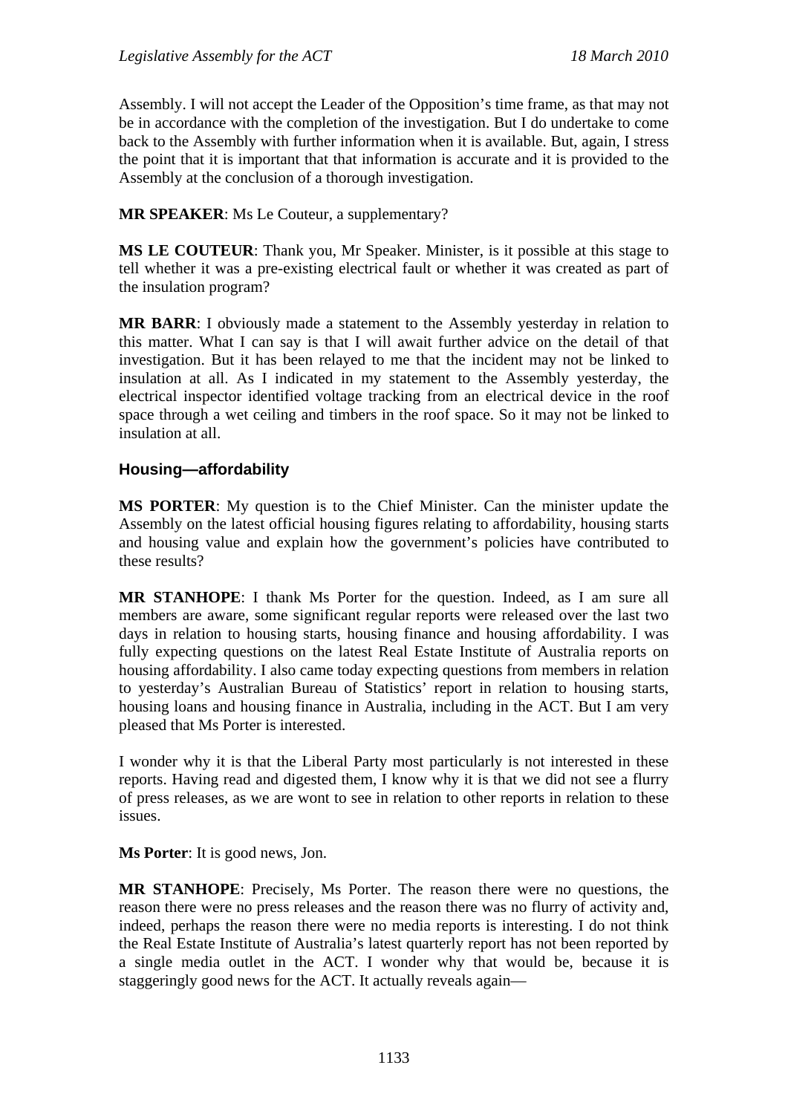Assembly. I will not accept the Leader of the Opposition's time frame, as that may not be in accordance with the completion of the investigation. But I do undertake to come back to the Assembly with further information when it is available. But, again, I stress the point that it is important that that information is accurate and it is provided to the Assembly at the conclusion of a thorough investigation.

**MR SPEAKER**: Ms Le Couteur, a supplementary?

**MS LE COUTEUR**: Thank you, Mr Speaker. Minister, is it possible at this stage to tell whether it was a pre-existing electrical fault or whether it was created as part of the insulation program?

**MR BARR**: I obviously made a statement to the Assembly yesterday in relation to this matter. What I can say is that I will await further advice on the detail of that investigation. But it has been relayed to me that the incident may not be linked to insulation at all. As I indicated in my statement to the Assembly yesterday, the electrical inspector identified voltage tracking from an electrical device in the roof space through a wet ceiling and timbers in the roof space. So it may not be linked to insulation at all.

## **Housing—affordability**

**MS PORTER**: My question is to the Chief Minister. Can the minister update the Assembly on the latest official housing figures relating to affordability, housing starts and housing value and explain how the government's policies have contributed to these results?

**MR STANHOPE**: I thank Ms Porter for the question. Indeed, as I am sure all members are aware, some significant regular reports were released over the last two days in relation to housing starts, housing finance and housing affordability. I was fully expecting questions on the latest Real Estate Institute of Australia reports on housing affordability. I also came today expecting questions from members in relation to yesterday's Australian Bureau of Statistics' report in relation to housing starts, housing loans and housing finance in Australia, including in the ACT. But I am very pleased that Ms Porter is interested.

I wonder why it is that the Liberal Party most particularly is not interested in these reports. Having read and digested them, I know why it is that we did not see a flurry of press releases, as we are wont to see in relation to other reports in relation to these issues.

**Ms Porter**: It is good news, Jon.

**MR STANHOPE**: Precisely, Ms Porter. The reason there were no questions, the reason there were no press releases and the reason there was no flurry of activity and, indeed, perhaps the reason there were no media reports is interesting. I do not think the Real Estate Institute of Australia's latest quarterly report has not been reported by a single media outlet in the ACT. I wonder why that would be, because it is staggeringly good news for the ACT. It actually reveals again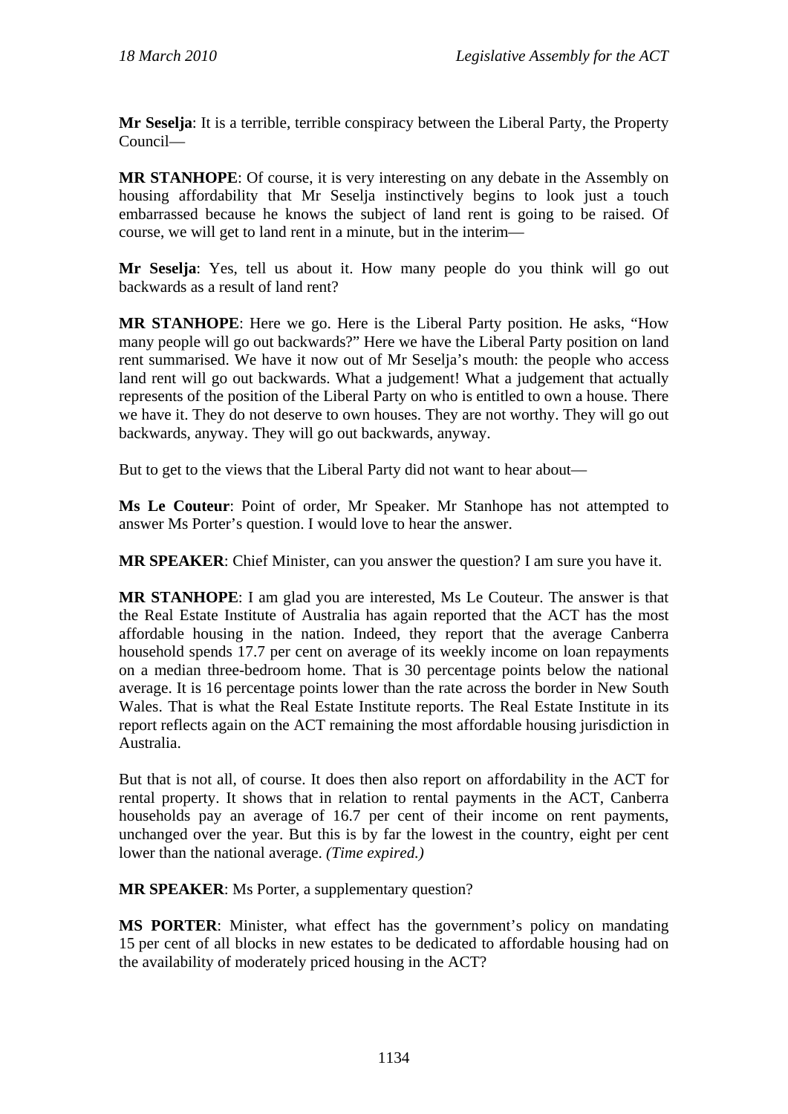**Mr Seselja**: It is a terrible, terrible conspiracy between the Liberal Party, the Property Council—

**MR STANHOPE**: Of course, it is very interesting on any debate in the Assembly on housing affordability that Mr Seselja instinctively begins to look just a touch embarrassed because he knows the subject of land rent is going to be raised. Of course, we will get to land rent in a minute, but in the interim—

**Mr Seselja**: Yes, tell us about it. How many people do you think will go out backwards as a result of land rent?

**MR STANHOPE**: Here we go. Here is the Liberal Party position. He asks, "How many people will go out backwards?" Here we have the Liberal Party position on land rent summarised. We have it now out of Mr Seselja's mouth: the people who access land rent will go out backwards. What a judgement! What a judgement that actually represents of the position of the Liberal Party on who is entitled to own a house. There we have it. They do not deserve to own houses. They are not worthy. They will go out backwards, anyway. They will go out backwards, anyway.

But to get to the views that the Liberal Party did not want to hear about—

**Ms Le Couteur**: Point of order, Mr Speaker. Mr Stanhope has not attempted to answer Ms Porter's question. I would love to hear the answer.

**MR SPEAKER**: Chief Minister, can you answer the question? I am sure you have it.

**MR STANHOPE**: I am glad you are interested, Ms Le Couteur. The answer is that the Real Estate Institute of Australia has again reported that the ACT has the most affordable housing in the nation. Indeed, they report that the average Canberra household spends 17.7 per cent on average of its weekly income on loan repayments on a median three-bedroom home. That is 30 percentage points below the national average. It is 16 percentage points lower than the rate across the border in New South Wales. That is what the Real Estate Institute reports. The Real Estate Institute in its report reflects again on the ACT remaining the most affordable housing jurisdiction in Australia.

But that is not all, of course. It does then also report on affordability in the ACT for rental property. It shows that in relation to rental payments in the ACT, Canberra households pay an average of 16.7 per cent of their income on rent payments, unchanged over the year. But this is by far the lowest in the country, eight per cent lower than the national average. *(Time expired.)*

**MR SPEAKER**: Ms Porter, a supplementary question?

**MS PORTER**: Minister, what effect has the government's policy on mandating 15 per cent of all blocks in new estates to be dedicated to affordable housing had on the availability of moderately priced housing in the ACT?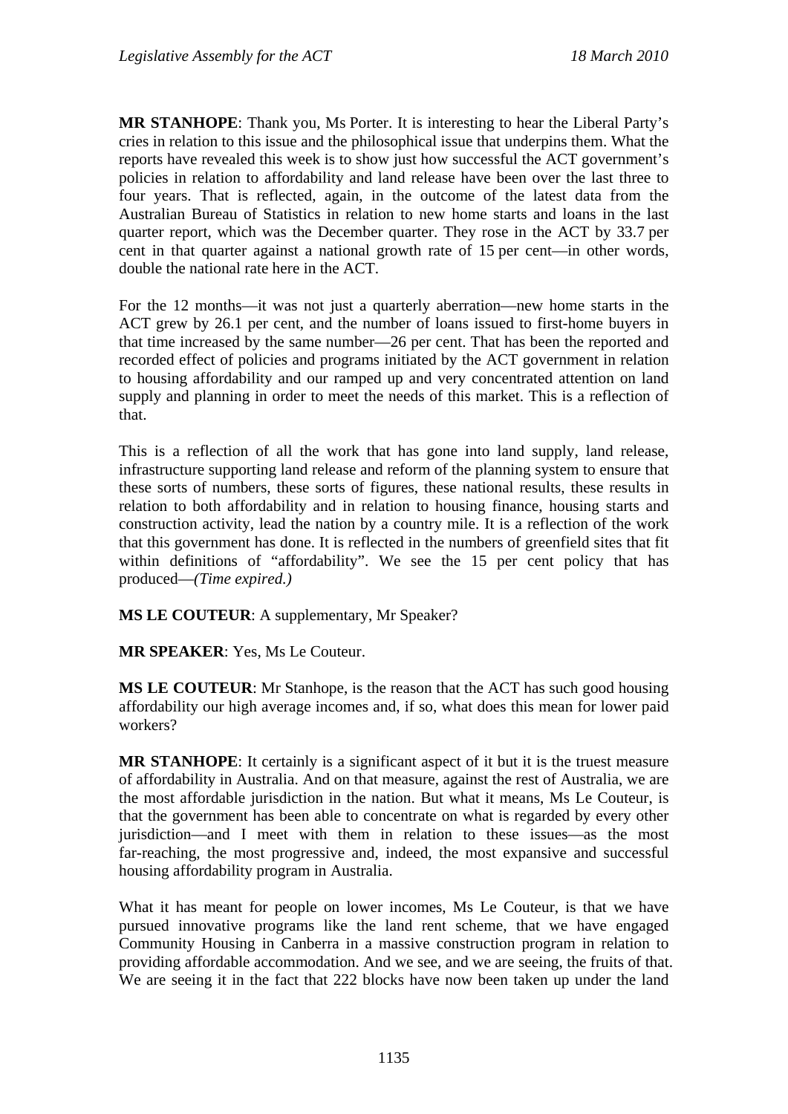**MR STANHOPE**: Thank you, Ms Porter. It is interesting to hear the Liberal Party's cries in relation to this issue and the philosophical issue that underpins them. What the reports have revealed this week is to show just how successful the ACT government's policies in relation to affordability and land release have been over the last three to four years. That is reflected, again, in the outcome of the latest data from the Australian Bureau of Statistics in relation to new home starts and loans in the last quarter report, which was the December quarter. They rose in the ACT by 33.7 per cent in that quarter against a national growth rate of 15 per cent—in other words, double the national rate here in the ACT.

For the 12 months—it was not just a quarterly aberration—new home starts in the ACT grew by 26.1 per cent, and the number of loans issued to first-home buyers in that time increased by the same number—26 per cent. That has been the reported and recorded effect of policies and programs initiated by the ACT government in relation to housing affordability and our ramped up and very concentrated attention on land supply and planning in order to meet the needs of this market. This is a reflection of that.

This is a reflection of all the work that has gone into land supply, land release, infrastructure supporting land release and reform of the planning system to ensure that these sorts of numbers, these sorts of figures, these national results, these results in relation to both affordability and in relation to housing finance, housing starts and construction activity, lead the nation by a country mile. It is a reflection of the work that this government has done. It is reflected in the numbers of greenfield sites that fit within definitions of "affordability". We see the 15 per cent policy that has produced—*(Time expired.)*

**MS LE COUTEUR**: A supplementary, Mr Speaker?

**MR SPEAKER**: Yes, Ms Le Couteur.

**MS LE COUTEUR**: Mr Stanhope, is the reason that the ACT has such good housing affordability our high average incomes and, if so, what does this mean for lower paid workers?

**MR STANHOPE**: It certainly is a significant aspect of it but it is the truest measure of affordability in Australia. And on that measure, against the rest of Australia, we are the most affordable jurisdiction in the nation. But what it means, Ms Le Couteur, is that the government has been able to concentrate on what is regarded by every other jurisdiction—and I meet with them in relation to these issues—as the most far-reaching, the most progressive and, indeed, the most expansive and successful housing affordability program in Australia.

What it has meant for people on lower incomes, Ms Le Couteur, is that we have pursued innovative programs like the land rent scheme, that we have engaged Community Housing in Canberra in a massive construction program in relation to providing affordable accommodation. And we see, and we are seeing, the fruits of that. We are seeing it in the fact that 222 blocks have now been taken up under the land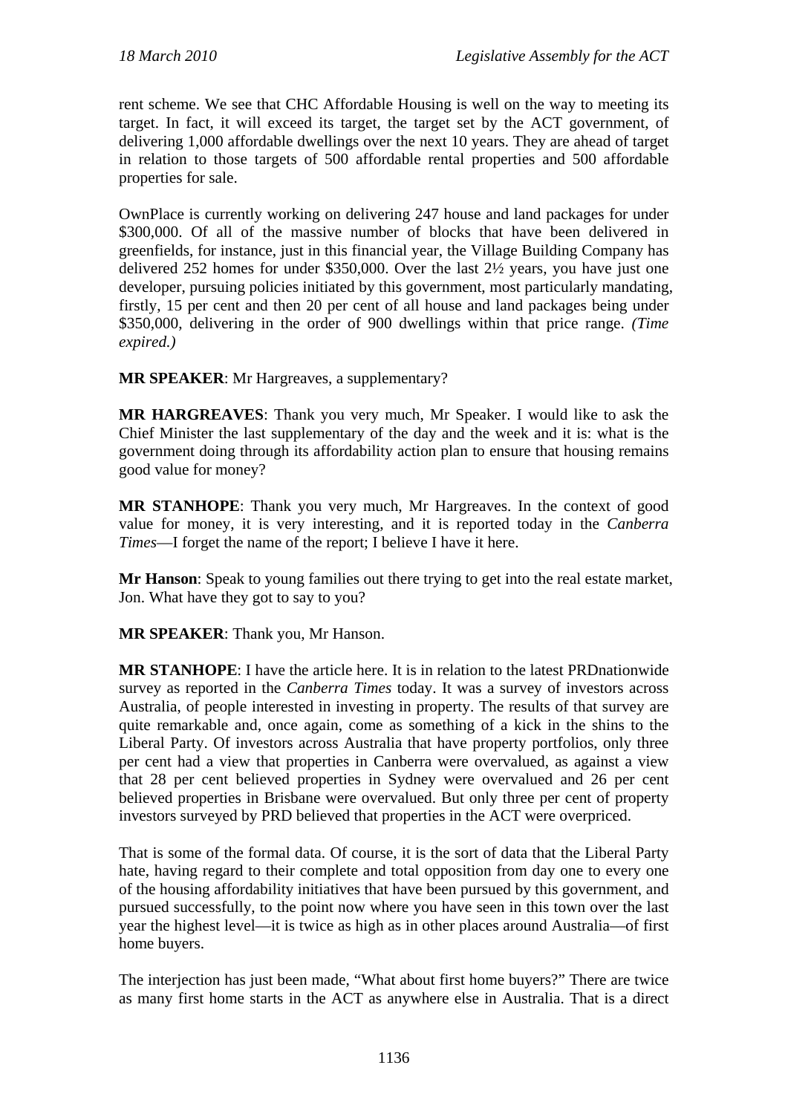rent scheme. We see that CHC Affordable Housing is well on the way to meeting its target. In fact, it will exceed its target, the target set by the ACT government, of delivering 1,000 affordable dwellings over the next 10 years. They are ahead of target in relation to those targets of 500 affordable rental properties and 500 affordable properties for sale.

OwnPlace is currently working on delivering 247 house and land packages for under \$300,000. Of all of the massive number of blocks that have been delivered in greenfields, for instance, just in this financial year, the Village Building Company has delivered 252 homes for under \$350,000. Over the last 2½ years, you have just one developer, pursuing policies initiated by this government, most particularly mandating, firstly, 15 per cent and then 20 per cent of all house and land packages being under \$350,000, delivering in the order of 900 dwellings within that price range. *(Time expired.)* 

**MR SPEAKER**: Mr Hargreaves, a supplementary?

**MR HARGREAVES**: Thank you very much, Mr Speaker. I would like to ask the Chief Minister the last supplementary of the day and the week and it is: what is the government doing through its affordability action plan to ensure that housing remains good value for money?

**MR STANHOPE**: Thank you very much, Mr Hargreaves. In the context of good value for money, it is very interesting, and it is reported today in the *Canberra Times*—I forget the name of the report; I believe I have it here.

**Mr Hanson**: Speak to young families out there trying to get into the real estate market, Jon. What have they got to say to you?

**MR SPEAKER**: Thank you, Mr Hanson.

**MR STANHOPE**: I have the article here. It is in relation to the latest PRDnationwide survey as reported in the *Canberra Times* today. It was a survey of investors across Australia, of people interested in investing in property. The results of that survey are quite remarkable and, once again, come as something of a kick in the shins to the Liberal Party. Of investors across Australia that have property portfolios, only three per cent had a view that properties in Canberra were overvalued, as against a view that 28 per cent believed properties in Sydney were overvalued and 26 per cent believed properties in Brisbane were overvalued. But only three per cent of property investors surveyed by PRD believed that properties in the ACT were overpriced.

That is some of the formal data. Of course, it is the sort of data that the Liberal Party hate, having regard to their complete and total opposition from day one to every one of the housing affordability initiatives that have been pursued by this government, and pursued successfully, to the point now where you have seen in this town over the last year the highest level—it is twice as high as in other places around Australia—of first home buyers.

The interjection has just been made, "What about first home buyers?" There are twice as many first home starts in the ACT as anywhere else in Australia. That is a direct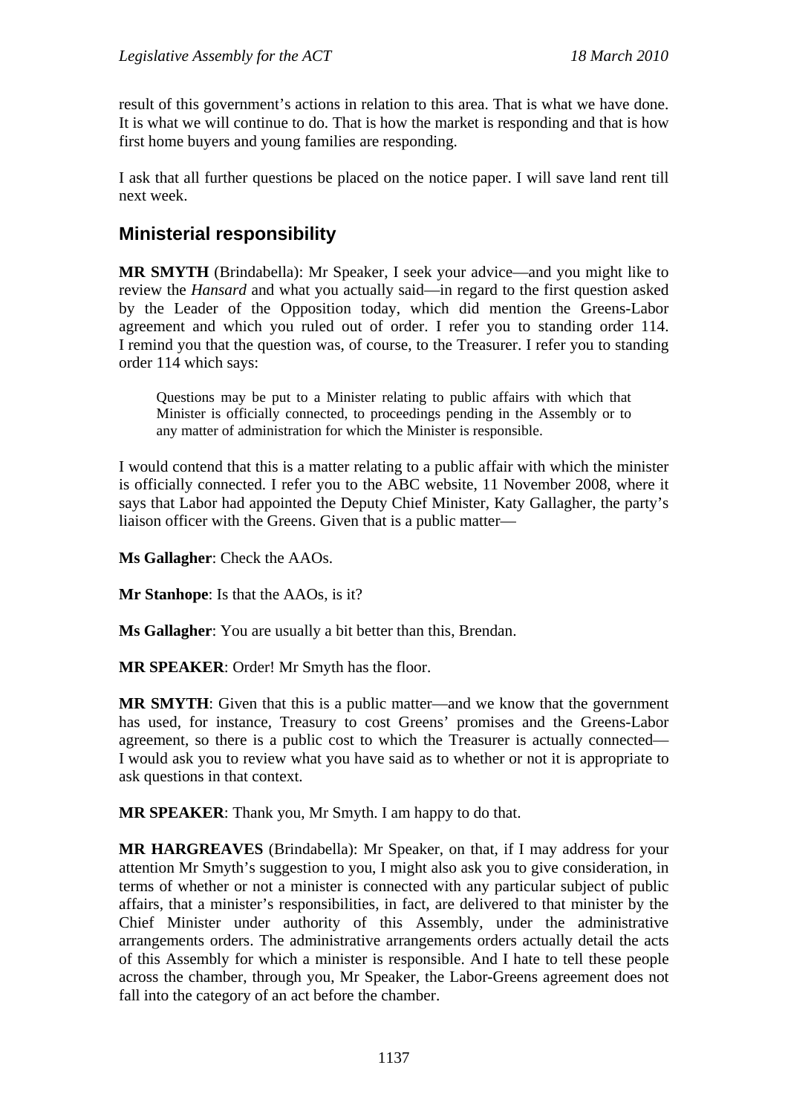result of this government's actions in relation to this area. That is what we have done. It is what we will continue to do. That is how the market is responding and that is how first home buyers and young families are responding.

I ask that all further questions be placed on the notice paper. I will save land rent till next week.

# **Ministerial responsibility**

**MR SMYTH** (Brindabella): Mr Speaker, I seek your advice—and you might like to review the *Hansard* and what you actually said—in regard to the first question asked by the Leader of the Opposition today, which did mention the Greens-Labor agreement and which you ruled out of order. I refer you to standing order 114. I remind you that the question was, of course, to the Treasurer. I refer you to standing order 114 which says:

Questions may be put to a Minister relating to public affairs with which that Minister is officially connected, to proceedings pending in the Assembly or to any matter of administration for which the Minister is responsible.

I would contend that this is a matter relating to a public affair with which the minister is officially connected. I refer you to the ABC website, 11 November 2008, where it says that Labor had appointed the Deputy Chief Minister, Katy Gallagher, the party's liaison officer with the Greens. Given that is a public matter—

**Ms Gallagher**: Check the AAOs.

**Mr Stanhope:** Is that the AAOs, is it?

**Ms Gallagher**: You are usually a bit better than this, Brendan.

**MR SPEAKER**: Order! Mr Smyth has the floor.

**MR SMYTH**: Given that this is a public matter—and we know that the government has used, for instance, Treasury to cost Greens' promises and the Greens-Labor agreement, so there is a public cost to which the Treasurer is actually connected— I would ask you to review what you have said as to whether or not it is appropriate to ask questions in that context.

**MR SPEAKER**: Thank you, Mr Smyth. I am happy to do that.

**MR HARGREAVES** (Brindabella): Mr Speaker, on that, if I may address for your attention Mr Smyth's suggestion to you, I might also ask you to give consideration, in terms of whether or not a minister is connected with any particular subject of public affairs, that a minister's responsibilities, in fact, are delivered to that minister by the Chief Minister under authority of this Assembly, under the administrative arrangements orders. The administrative arrangements orders actually detail the acts of this Assembly for which a minister is responsible. And I hate to tell these people across the chamber, through you, Mr Speaker, the Labor-Greens agreement does not fall into the category of an act before the chamber.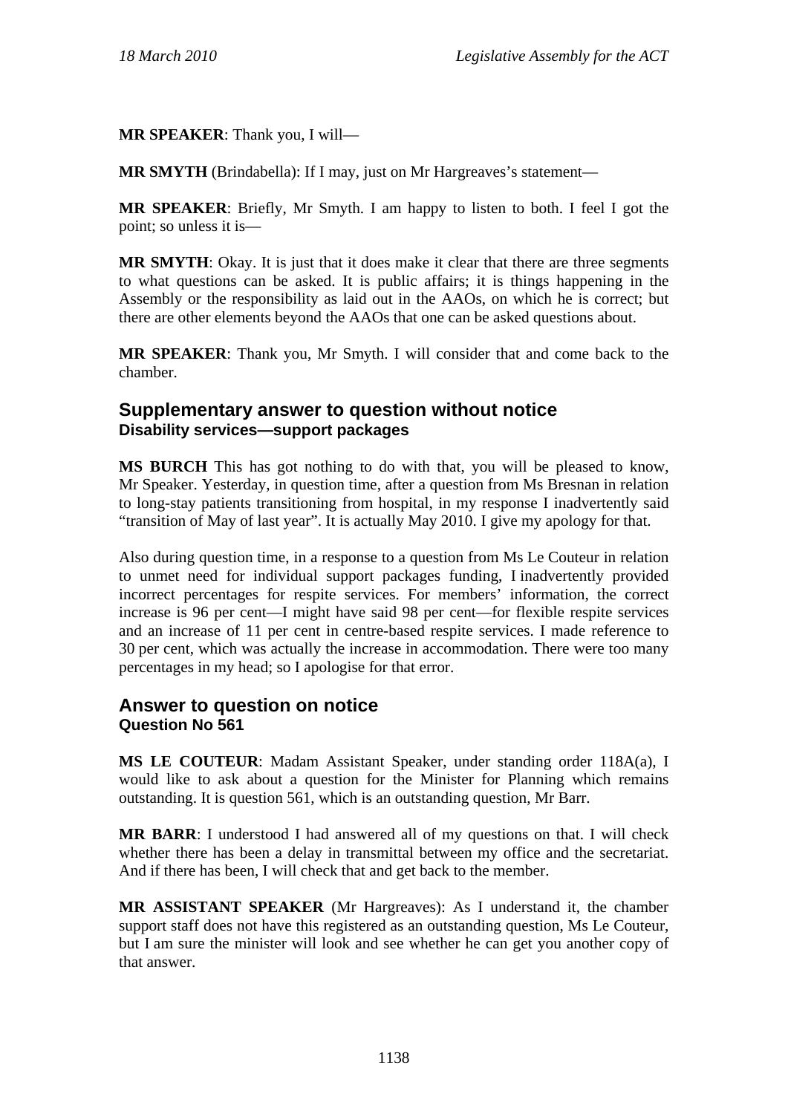**MR SPEAKER**: Thank you, I will—

**MR SMYTH** (Brindabella): If I may, just on Mr Hargreaves's statement—

**MR SPEAKER**: Briefly, Mr Smyth. I am happy to listen to both. I feel I got the point; so unless it is—

**MR SMYTH:** Okay. It is just that it does make it clear that there are three segments to what questions can be asked. It is public affairs; it is things happening in the Assembly or the responsibility as laid out in the AAOs, on which he is correct; but there are other elements beyond the AAOs that one can be asked questions about.

**MR SPEAKER**: Thank you, Mr Smyth. I will consider that and come back to the chamber.

# **Supplementary answer to question without notice Disability services—support packages**

**MS BURCH** This has got nothing to do with that, you will be pleased to know, Mr Speaker. Yesterday, in question time, after a question from Ms Bresnan in relation to long-stay patients transitioning from hospital, in my response I inadvertently said "transition of May of last year". It is actually May 2010. I give my apology for that.

Also during question time, in a response to a question from Ms Le Couteur in relation to unmet need for individual support packages funding, I inadvertently provided incorrect percentages for respite services. For members' information, the correct increase is 96 per cent—I might have said 98 per cent—for flexible respite services and an increase of 11 per cent in centre-based respite services. I made reference to 30 per cent, which was actually the increase in accommodation. There were too many percentages in my head; so I apologise for that error.

# **Answer to question on notice Question No 561**

**MS LE COUTEUR**: Madam Assistant Speaker, under standing order 118A(a), I would like to ask about a question for the Minister for Planning which remains outstanding. It is question 561, which is an outstanding question, Mr Barr.

**MR BARR**: I understood I had answered all of my questions on that. I will check whether there has been a delay in transmittal between my office and the secretariat. And if there has been, I will check that and get back to the member.

**MR ASSISTANT SPEAKER** (Mr Hargreaves): As I understand it, the chamber support staff does not have this registered as an outstanding question, Ms Le Couteur, but I am sure the minister will look and see whether he can get you another copy of that answer.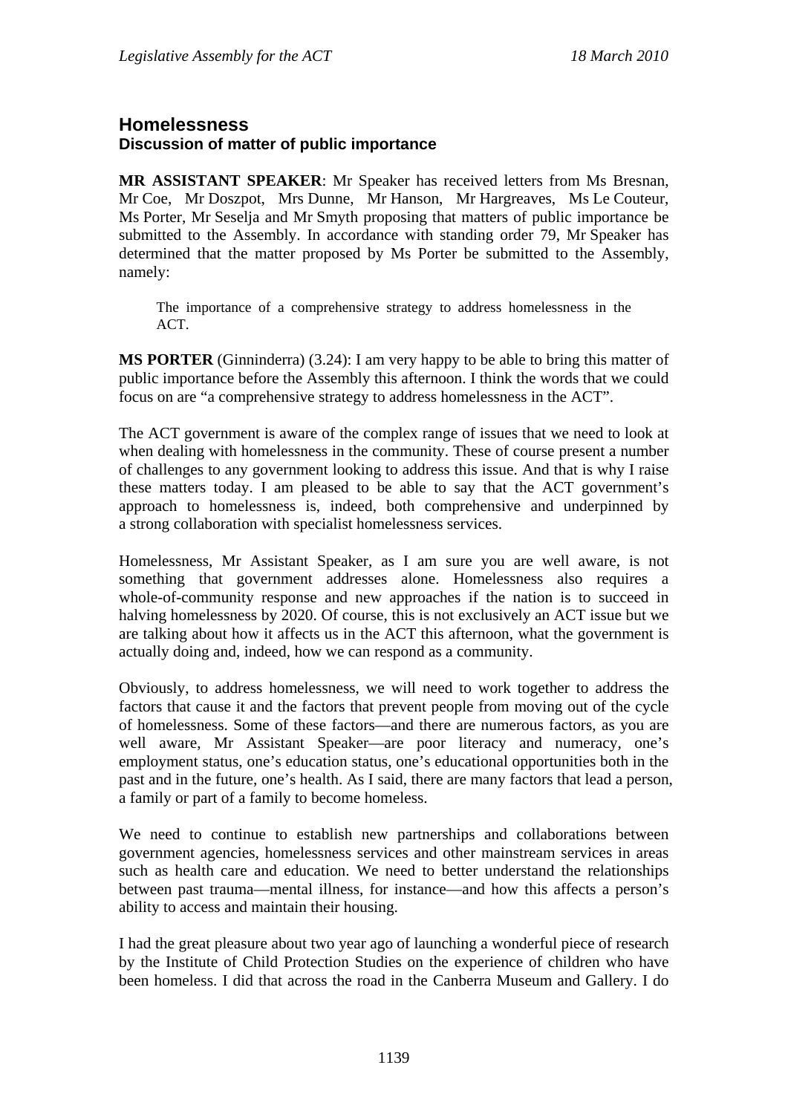# **Homelessness Discussion of matter of public importance**

**MR ASSISTANT SPEAKER**: Mr Speaker has received letters from Ms Bresnan, Mr Coe, Mr Doszpot, Mrs Dunne, Mr Hanson, Mr Hargreaves, Ms Le Couteur, Ms Porter, Mr Seselja and Mr Smyth proposing that matters of public importance be submitted to the Assembly. In accordance with standing order 79, Mr Speaker has determined that the matter proposed by Ms Porter be submitted to the Assembly, namely:

The importance of a comprehensive strategy to address homelessness in the ACT.

**MS PORTER** (Ginninderra) (3.24): I am very happy to be able to bring this matter of public importance before the Assembly this afternoon. I think the words that we could focus on are "a comprehensive strategy to address homelessness in the ACT".

The ACT government is aware of the complex range of issues that we need to look at when dealing with homelessness in the community. These of course present a number of challenges to any government looking to address this issue. And that is why I raise these matters today. I am pleased to be able to say that the ACT government's approach to homelessness is, indeed, both comprehensive and underpinned by a strong collaboration with specialist homelessness services.

Homelessness, Mr Assistant Speaker, as I am sure you are well aware, is not something that government addresses alone. Homelessness also requires a whole-of-community response and new approaches if the nation is to succeed in halving homelessness by 2020. Of course, this is not exclusively an ACT issue but we are talking about how it affects us in the ACT this afternoon, what the government is actually doing and, indeed, how we can respond as a community.

Obviously, to address homelessness, we will need to work together to address the factors that cause it and the factors that prevent people from moving out of the cycle of homelessness. Some of these factors—and there are numerous factors, as you are well aware, Mr Assistant Speaker—are poor literacy and numeracy, one's employment status, one's education status, one's educational opportunities both in the past and in the future, one's health. As I said, there are many factors that lead a person, a family or part of a family to become homeless.

We need to continue to establish new partnerships and collaborations between government agencies, homelessness services and other mainstream services in areas such as health care and education. We need to better understand the relationships between past trauma—mental illness, for instance—and how this affects a person's ability to access and maintain their housing.

I had the great pleasure about two year ago of launching a wonderful piece of research by the Institute of Child Protection Studies on the experience of children who have been homeless. I did that across the road in the Canberra Museum and Gallery. I do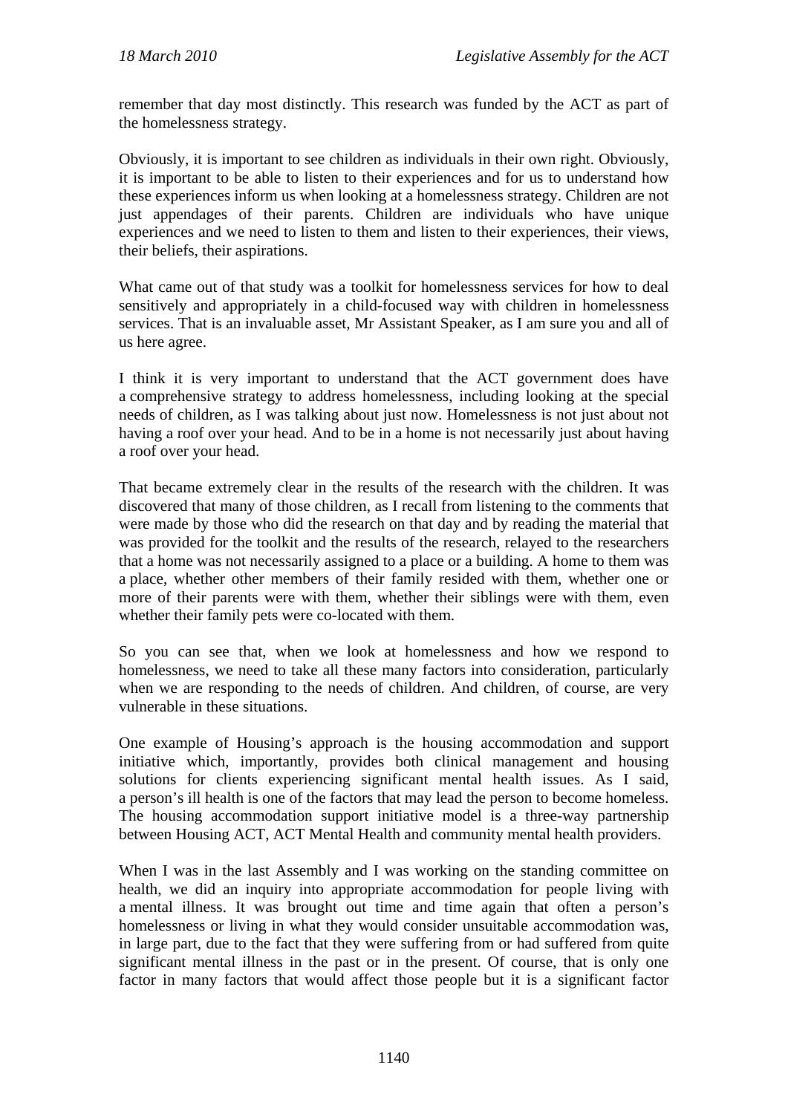remember that day most distinctly. This research was funded by the ACT as part of the homelessness strategy.

Obviously, it is important to see children as individuals in their own right. Obviously, it is important to be able to listen to their experiences and for us to understand how these experiences inform us when looking at a homelessness strategy. Children are not just appendages of their parents. Children are individuals who have unique experiences and we need to listen to them and listen to their experiences, their views, their beliefs, their aspirations.

What came out of that study was a toolkit for homelessness services for how to deal sensitively and appropriately in a child-focused way with children in homelessness services. That is an invaluable asset, Mr Assistant Speaker, as I am sure you and all of us here agree.

I think it is very important to understand that the ACT government does have a comprehensive strategy to address homelessness, including looking at the special needs of children, as I was talking about just now. Homelessness is not just about not having a roof over your head. And to be in a home is not necessarily just about having a roof over your head.

That became extremely clear in the results of the research with the children. It was discovered that many of those children, as I recall from listening to the comments that were made by those who did the research on that day and by reading the material that was provided for the toolkit and the results of the research, relayed to the researchers that a home was not necessarily assigned to a place or a building. A home to them was a place, whether other members of their family resided with them, whether one or more of their parents were with them, whether their siblings were with them, even whether their family pets were co-located with them.

So you can see that, when we look at homelessness and how we respond to homelessness, we need to take all these many factors into consideration, particularly when we are responding to the needs of children. And children, of course, are very vulnerable in these situations.

One example of Housing's approach is the housing accommodation and support initiative which, importantly, provides both clinical management and housing solutions for clients experiencing significant mental health issues. As I said, a person's ill health is one of the factors that may lead the person to become homeless. The housing accommodation support initiative model is a three-way partnership between Housing ACT, ACT Mental Health and community mental health providers.

When I was in the last Assembly and I was working on the standing committee on health, we did an inquiry into appropriate accommodation for people living with a mental illness. It was brought out time and time again that often a person's homelessness or living in what they would consider unsuitable accommodation was, in large part, due to the fact that they were suffering from or had suffered from quite significant mental illness in the past or in the present. Of course, that is only one factor in many factors that would affect those people but it is a significant factor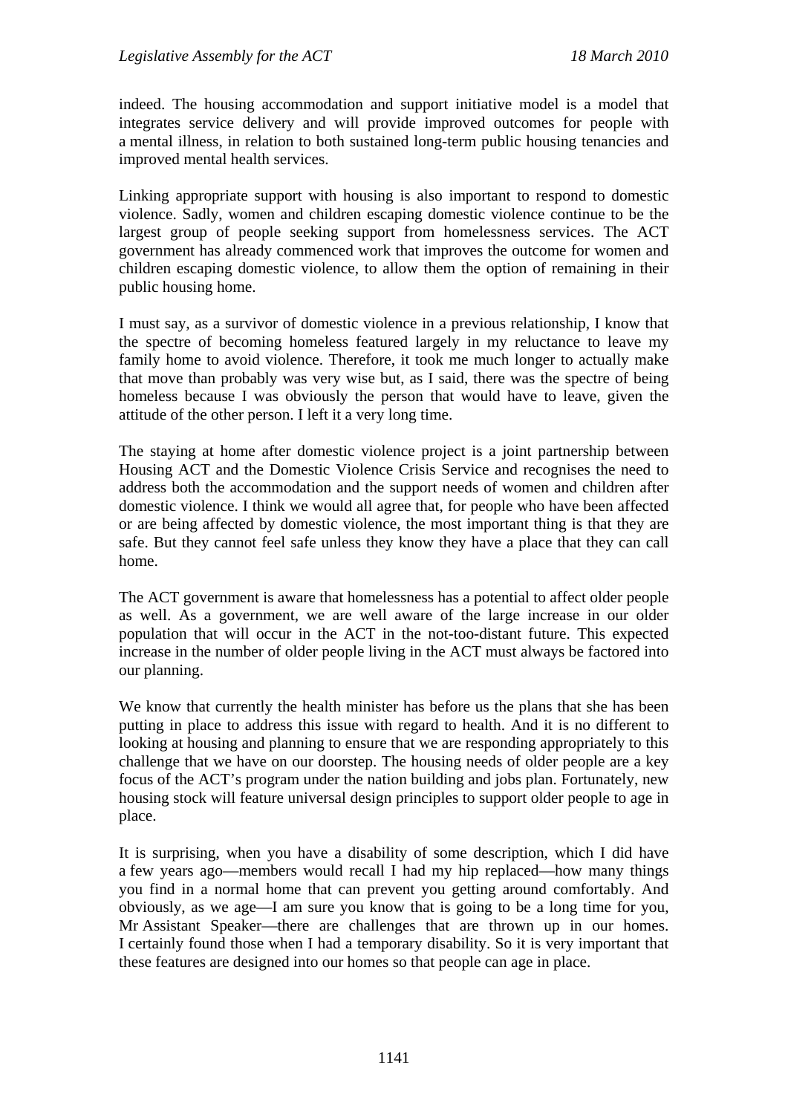indeed. The housing accommodation and support initiative model is a model that integrates service delivery and will provide improved outcomes for people with a mental illness, in relation to both sustained long-term public housing tenancies and improved mental health services.

Linking appropriate support with housing is also important to respond to domestic violence. Sadly, women and children escaping domestic violence continue to be the largest group of people seeking support from homelessness services. The ACT government has already commenced work that improves the outcome for women and children escaping domestic violence, to allow them the option of remaining in their public housing home.

I must say, as a survivor of domestic violence in a previous relationship, I know that the spectre of becoming homeless featured largely in my reluctance to leave my family home to avoid violence. Therefore, it took me much longer to actually make that move than probably was very wise but, as I said, there was the spectre of being homeless because I was obviously the person that would have to leave, given the attitude of the other person. I left it a very long time.

The staying at home after domestic violence project is a joint partnership between Housing ACT and the Domestic Violence Crisis Service and recognises the need to address both the accommodation and the support needs of women and children after domestic violence. I think we would all agree that, for people who have been affected or are being affected by domestic violence, the most important thing is that they are safe. But they cannot feel safe unless they know they have a place that they can call home.

The ACT government is aware that homelessness has a potential to affect older people as well. As a government, we are well aware of the large increase in our older population that will occur in the ACT in the not-too-distant future. This expected increase in the number of older people living in the ACT must always be factored into our planning.

We know that currently the health minister has before us the plans that she has been putting in place to address this issue with regard to health. And it is no different to looking at housing and planning to ensure that we are responding appropriately to this challenge that we have on our doorstep. The housing needs of older people are a key focus of the ACT's program under the nation building and jobs plan. Fortunately, new housing stock will feature universal design principles to support older people to age in place.

It is surprising, when you have a disability of some description, which I did have a few years ago—members would recall I had my hip replaced—how many things you find in a normal home that can prevent you getting around comfortably. And obviously, as we age—I am sure you know that is going to be a long time for you, Mr Assistant Speaker—there are challenges that are thrown up in our homes. I certainly found those when I had a temporary disability. So it is very important that these features are designed into our homes so that people can age in place.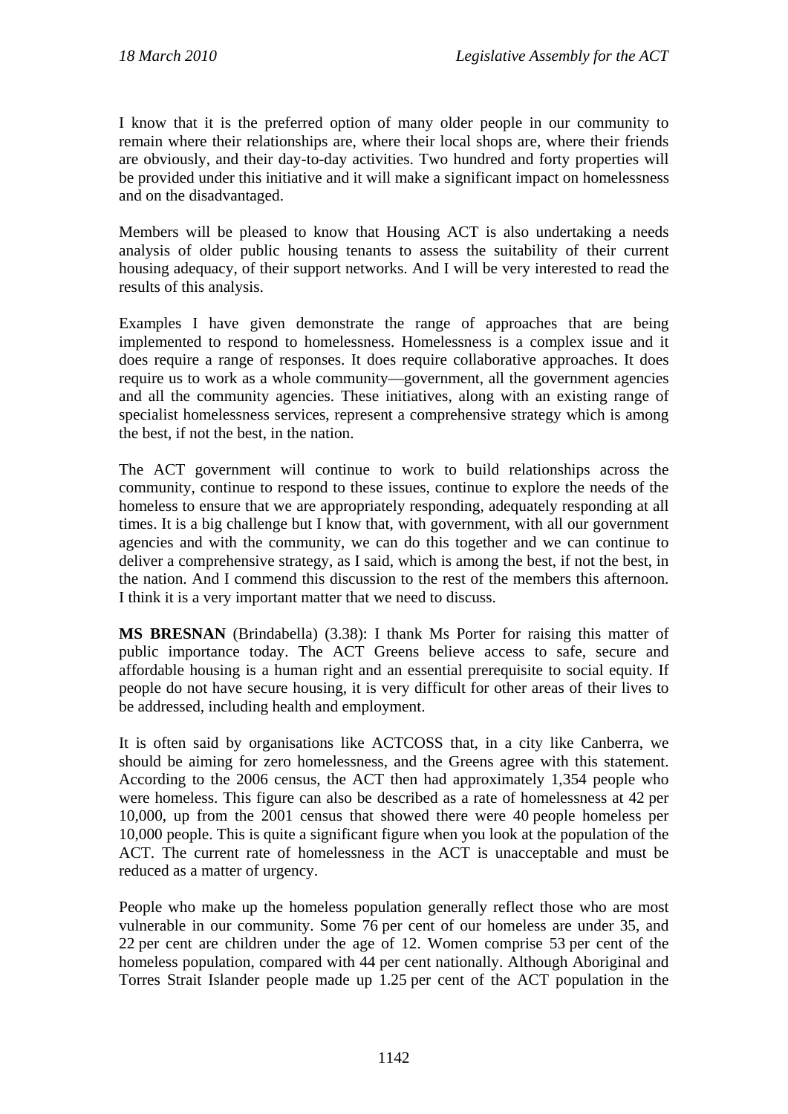I know that it is the preferred option of many older people in our community to remain where their relationships are, where their local shops are, where their friends are obviously, and their day-to-day activities. Two hundred and forty properties will be provided under this initiative and it will make a significant impact on homelessness and on the disadvantaged.

Members will be pleased to know that Housing ACT is also undertaking a needs analysis of older public housing tenants to assess the suitability of their current housing adequacy, of their support networks. And I will be very interested to read the results of this analysis.

Examples I have given demonstrate the range of approaches that are being implemented to respond to homelessness. Homelessness is a complex issue and it does require a range of responses. It does require collaborative approaches. It does require us to work as a whole community—government, all the government agencies and all the community agencies. These initiatives, along with an existing range of specialist homelessness services, represent a comprehensive strategy which is among the best, if not the best, in the nation.

The ACT government will continue to work to build relationships across the community, continue to respond to these issues, continue to explore the needs of the homeless to ensure that we are appropriately responding, adequately responding at all times. It is a big challenge but I know that, with government, with all our government agencies and with the community, we can do this together and we can continue to deliver a comprehensive strategy, as I said, which is among the best, if not the best, in the nation. And I commend this discussion to the rest of the members this afternoon. I think it is a very important matter that we need to discuss.

**MS BRESNAN** (Brindabella) (3.38): I thank Ms Porter for raising this matter of public importance today. The ACT Greens believe access to safe, secure and affordable housing is a human right and an essential prerequisite to social equity. If people do not have secure housing, it is very difficult for other areas of their lives to be addressed, including health and employment.

It is often said by organisations like ACTCOSS that, in a city like Canberra, we should be aiming for zero homelessness, and the Greens agree with this statement. According to the 2006 census, the ACT then had approximately 1,354 people who were homeless. This figure can also be described as a rate of homelessness at 42 per 10,000, up from the 2001 census that showed there were 40 people homeless per 10,000 people. This is quite a significant figure when you look at the population of the ACT. The current rate of homelessness in the ACT is unacceptable and must be reduced as a matter of urgency.

People who make up the homeless population generally reflect those who are most vulnerable in our community. Some 76 per cent of our homeless are under 35, and 22 per cent are children under the age of 12. Women comprise 53 per cent of the homeless population, compared with 44 per cent nationally. Although Aboriginal and Torres Strait Islander people made up 1.25 per cent of the ACT population in the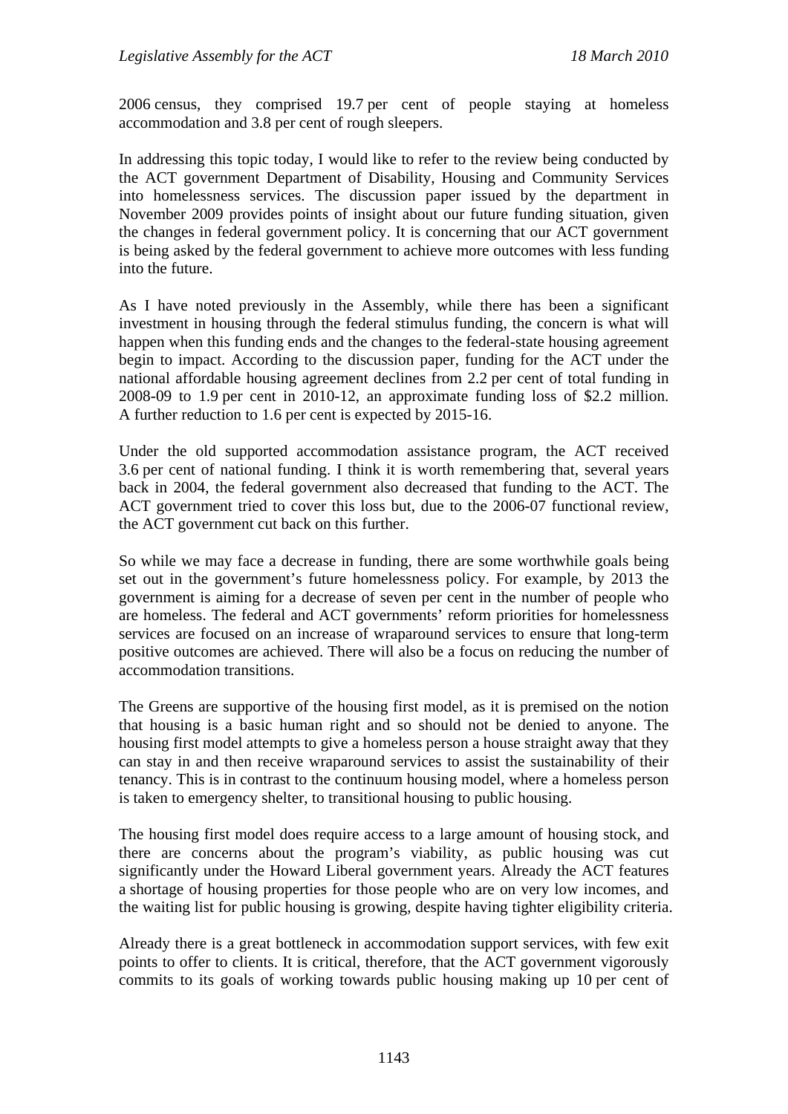2006 census, they comprised 19.7 per cent of people staying at homeless accommodation and 3.8 per cent of rough sleepers.

In addressing this topic today, I would like to refer to the review being conducted by the ACT government Department of Disability, Housing and Community Services into homelessness services. The discussion paper issued by the department in November 2009 provides points of insight about our future funding situation, given the changes in federal government policy. It is concerning that our ACT government is being asked by the federal government to achieve more outcomes with less funding into the future.

As I have noted previously in the Assembly, while there has been a significant investment in housing through the federal stimulus funding, the concern is what will happen when this funding ends and the changes to the federal-state housing agreement begin to impact. According to the discussion paper, funding for the ACT under the national affordable housing agreement declines from 2.2 per cent of total funding in 2008-09 to 1.9 per cent in 2010-12, an approximate funding loss of \$2.2 million. A further reduction to 1.6 per cent is expected by 2015-16.

Under the old supported accommodation assistance program, the ACT received 3.6 per cent of national funding. I think it is worth remembering that, several years back in 2004, the federal government also decreased that funding to the ACT. The ACT government tried to cover this loss but, due to the 2006-07 functional review, the ACT government cut back on this further.

So while we may face a decrease in funding, there are some worthwhile goals being set out in the government's future homelessness policy. For example, by 2013 the government is aiming for a decrease of seven per cent in the number of people who are homeless. The federal and ACT governments' reform priorities for homelessness services are focused on an increase of wraparound services to ensure that long-term positive outcomes are achieved. There will also be a focus on reducing the number of accommodation transitions.

The Greens are supportive of the housing first model, as it is premised on the notion that housing is a basic human right and so should not be denied to anyone. The housing first model attempts to give a homeless person a house straight away that they can stay in and then receive wraparound services to assist the sustainability of their tenancy. This is in contrast to the continuum housing model, where a homeless person is taken to emergency shelter, to transitional housing to public housing.

The housing first model does require access to a large amount of housing stock, and there are concerns about the program's viability, as public housing was cut significantly under the Howard Liberal government years. Already the ACT features a shortage of housing properties for those people who are on very low incomes, and the waiting list for public housing is growing, despite having tighter eligibility criteria.

Already there is a great bottleneck in accommodation support services, with few exit points to offer to clients. It is critical, therefore, that the ACT government vigorously commits to its goals of working towards public housing making up 10 per cent of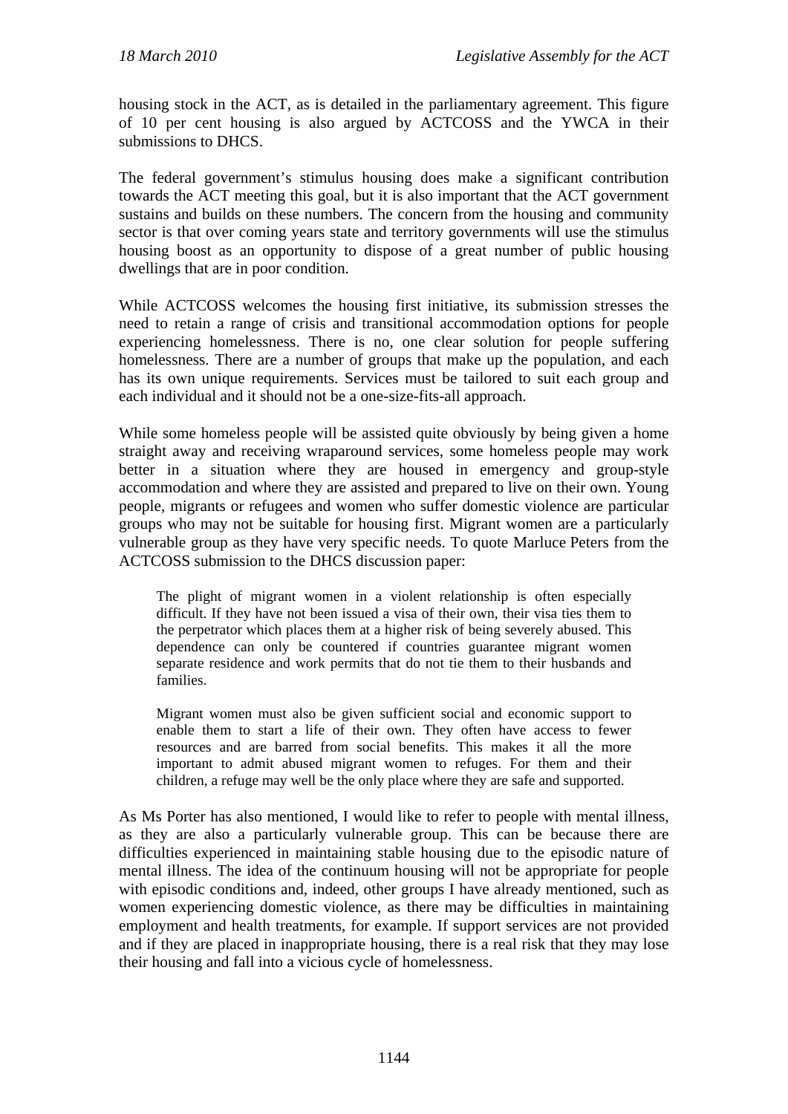housing stock in the ACT, as is detailed in the parliamentary agreement. This figure of 10 per cent housing is also argued by ACTCOSS and the YWCA in their submissions to DHCS.

The federal government's stimulus housing does make a significant contribution towards the ACT meeting this goal, but it is also important that the ACT government sustains and builds on these numbers. The concern from the housing and community sector is that over coming years state and territory governments will use the stimulus housing boost as an opportunity to dispose of a great number of public housing dwellings that are in poor condition.

While ACTCOSS welcomes the housing first initiative, its submission stresses the need to retain a range of crisis and transitional accommodation options for people experiencing homelessness. There is no, one clear solution for people suffering homelessness. There are a number of groups that make up the population, and each has its own unique requirements. Services must be tailored to suit each group and each individual and it should not be a one-size-fits-all approach.

While some homeless people will be assisted quite obviously by being given a home straight away and receiving wraparound services, some homeless people may work better in a situation where they are housed in emergency and group-style accommodation and where they are assisted and prepared to live on their own. Young people, migrants or refugees and women who suffer domestic violence are particular groups who may not be suitable for housing first. Migrant women are a particularly vulnerable group as they have very specific needs. To quote Marluce Peters from the ACTCOSS submission to the DHCS discussion paper:

The plight of migrant women in a violent relationship is often especially difficult. If they have not been issued a visa of their own, their visa ties them to the perpetrator which places them at a higher risk of being severely abused. This dependence can only be countered if countries guarantee migrant women separate residence and work permits that do not tie them to their husbands and families.

Migrant women must also be given sufficient social and economic support to enable them to start a life of their own. They often have access to fewer resources and are barred from social benefits. This makes it all the more important to admit abused migrant women to refuges. For them and their children, a refuge may well be the only place where they are safe and supported.

As Ms Porter has also mentioned, I would like to refer to people with mental illness, as they are also a particularly vulnerable group. This can be because there are difficulties experienced in maintaining stable housing due to the episodic nature of mental illness. The idea of the continuum housing will not be appropriate for people with episodic conditions and, indeed, other groups I have already mentioned, such as women experiencing domestic violence, as there may be difficulties in maintaining employment and health treatments, for example. If support services are not provided and if they are placed in inappropriate housing, there is a real risk that they may lose their housing and fall into a vicious cycle of homelessness.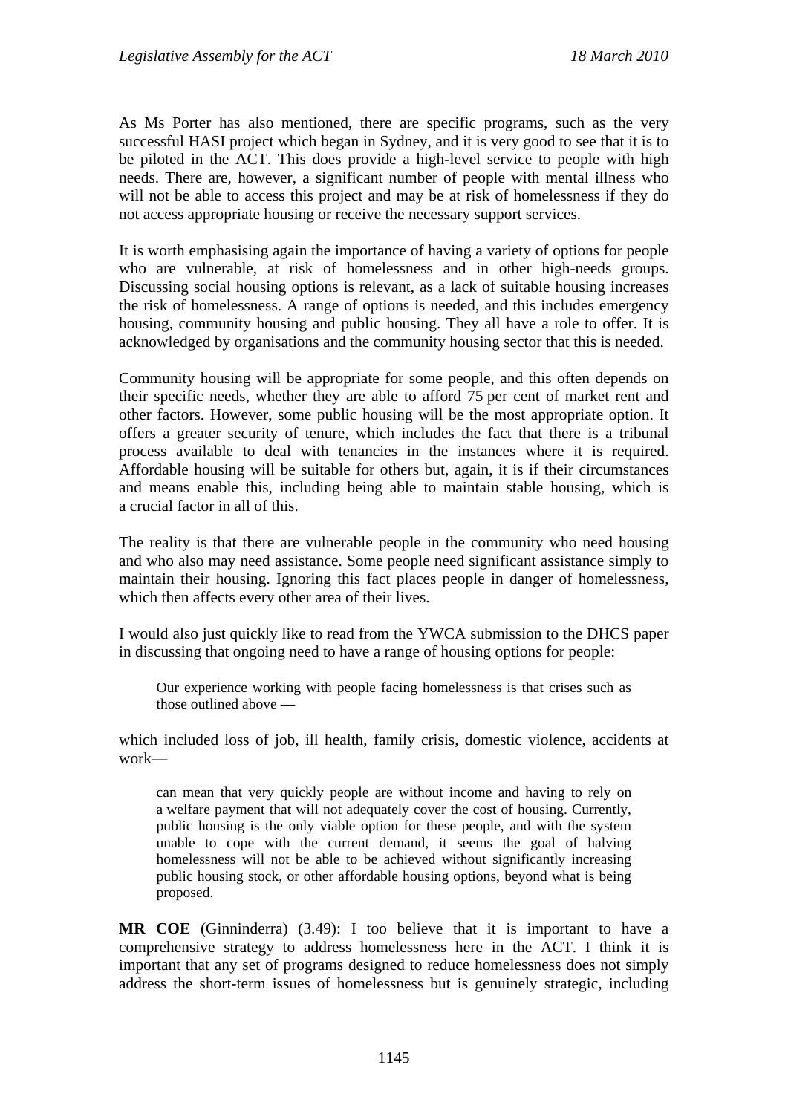As Ms Porter has also mentioned, there are specific programs, such as the very successful HASI project which began in Sydney, and it is very good to see that it is to be piloted in the ACT. This does provide a high-level service to people with high needs. There are, however, a significant number of people with mental illness who will not be able to access this project and may be at risk of homelessness if they do not access appropriate housing or receive the necessary support services.

It is worth emphasising again the importance of having a variety of options for people who are vulnerable, at risk of homelessness and in other high-needs groups. Discussing social housing options is relevant, as a lack of suitable housing increases the risk of homelessness. A range of options is needed, and this includes emergency housing, community housing and public housing. They all have a role to offer. It is acknowledged by organisations and the community housing sector that this is needed.

Community housing will be appropriate for some people, and this often depends on their specific needs, whether they are able to afford 75 per cent of market rent and other factors. However, some public housing will be the most appropriate option. It offers a greater security of tenure, which includes the fact that there is a tribunal process available to deal with tenancies in the instances where it is required. Affordable housing will be suitable for others but, again, it is if their circumstances and means enable this, including being able to maintain stable housing, which is a crucial factor in all of this.

The reality is that there are vulnerable people in the community who need housing and who also may need assistance. Some people need significant assistance simply to maintain their housing. Ignoring this fact places people in danger of homelessness, which then affects every other area of their lives.

I would also just quickly like to read from the YWCA submission to the DHCS paper in discussing that ongoing need to have a range of housing options for people:

Our experience working with people facing homelessness is that crises such as those outlined above —

which included loss of job, ill health, family crisis, domestic violence, accidents at work—

can mean that very quickly people are without income and having to rely on a welfare payment that will not adequately cover the cost of housing. Currently, public housing is the only viable option for these people, and with the system unable to cope with the current demand, it seems the goal of halving homelessness will not be able to be achieved without significantly increasing public housing stock, or other affordable housing options, beyond what is being proposed.

**MR COE** (Ginninderra) (3.49): I too believe that it is important to have a comprehensive strategy to address homelessness here in the ACT. I think it is important that any set of programs designed to reduce homelessness does not simply address the short-term issues of homelessness but is genuinely strategic, including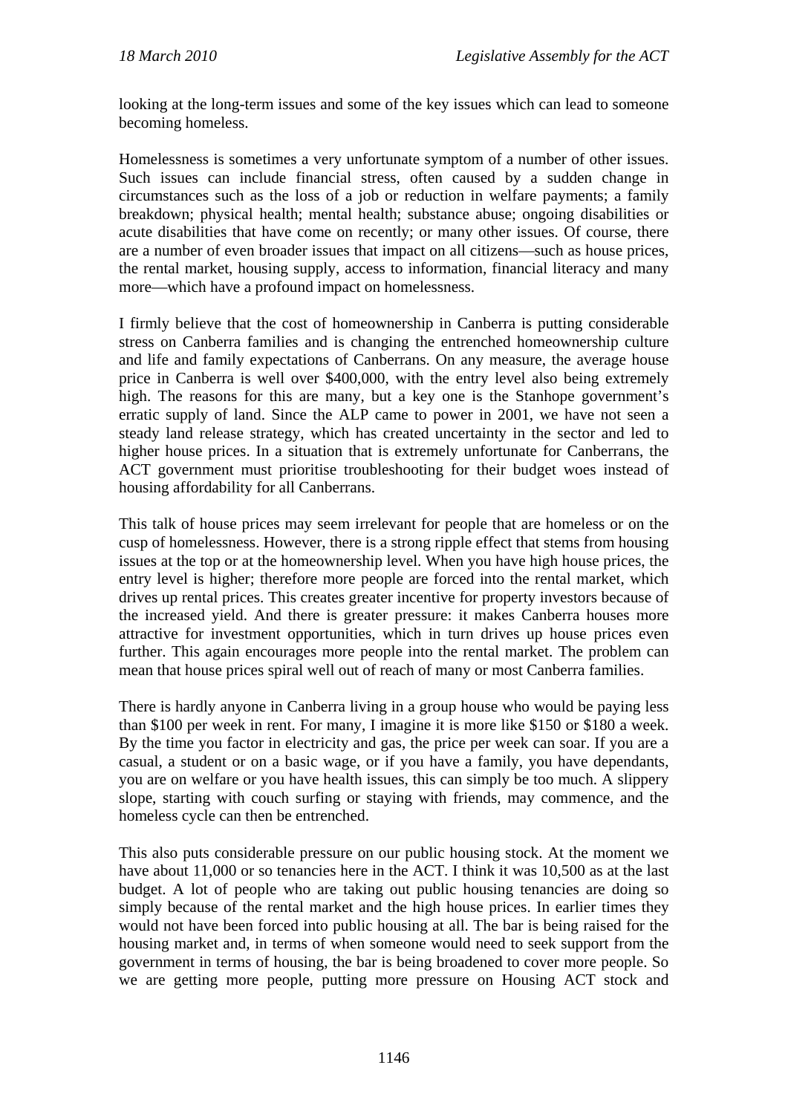looking at the long-term issues and some of the key issues which can lead to someone becoming homeless.

Homelessness is sometimes a very unfortunate symptom of a number of other issues. Such issues can include financial stress, often caused by a sudden change in circumstances such as the loss of a job or reduction in welfare payments; a family breakdown; physical health; mental health; substance abuse; ongoing disabilities or acute disabilities that have come on recently; or many other issues. Of course, there are a number of even broader issues that impact on all citizens—such as house prices, the rental market, housing supply, access to information, financial literacy and many more—which have a profound impact on homelessness.

I firmly believe that the cost of homeownership in Canberra is putting considerable stress on Canberra families and is changing the entrenched homeownership culture and life and family expectations of Canberrans. On any measure, the average house price in Canberra is well over \$400,000, with the entry level also being extremely high. The reasons for this are many, but a key one is the Stanhope government's erratic supply of land. Since the ALP came to power in 2001, we have not seen a steady land release strategy, which has created uncertainty in the sector and led to higher house prices. In a situation that is extremely unfortunate for Canberrans, the ACT government must prioritise troubleshooting for their budget woes instead of housing affordability for all Canberrans.

This talk of house prices may seem irrelevant for people that are homeless or on the cusp of homelessness. However, there is a strong ripple effect that stems from housing issues at the top or at the homeownership level. When you have high house prices, the entry level is higher; therefore more people are forced into the rental market, which drives up rental prices. This creates greater incentive for property investors because of the increased yield. And there is greater pressure: it makes Canberra houses more attractive for investment opportunities, which in turn drives up house prices even further. This again encourages more people into the rental market. The problem can mean that house prices spiral well out of reach of many or most Canberra families.

There is hardly anyone in Canberra living in a group house who would be paying less than \$100 per week in rent. For many, I imagine it is more like \$150 or \$180 a week. By the time you factor in electricity and gas, the price per week can soar. If you are a casual, a student or on a basic wage, or if you have a family, you have dependants, you are on welfare or you have health issues, this can simply be too much. A slippery slope, starting with couch surfing or staying with friends, may commence, and the homeless cycle can then be entrenched.

This also puts considerable pressure on our public housing stock. At the moment we have about 11,000 or so tenancies here in the ACT. I think it was 10,500 as at the last budget. A lot of people who are taking out public housing tenancies are doing so simply because of the rental market and the high house prices. In earlier times they would not have been forced into public housing at all. The bar is being raised for the housing market and, in terms of when someone would need to seek support from the government in terms of housing, the bar is being broadened to cover more people. So we are getting more people, putting more pressure on Housing ACT stock and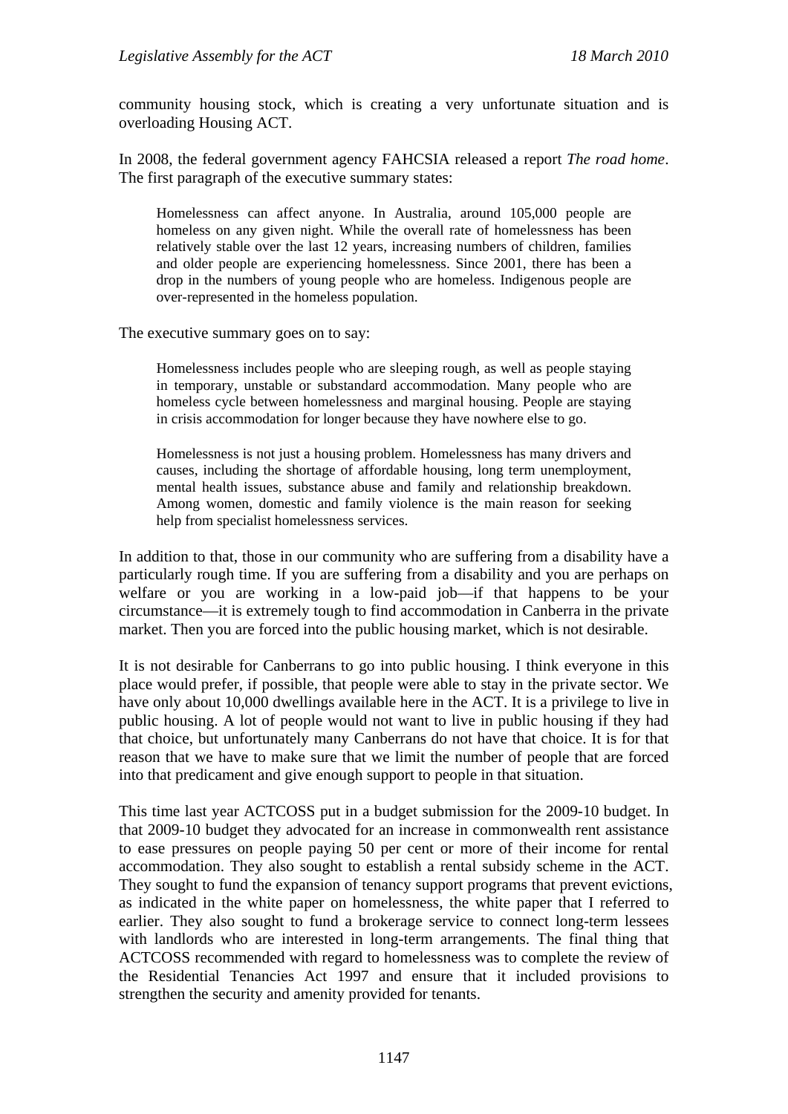community housing stock, which is creating a very unfortunate situation and is overloading Housing ACT.

In 2008, the federal government agency FAHCSIA released a report *The road home*. The first paragraph of the executive summary states:

Homelessness can affect anyone. In Australia, around 105,000 people are homeless on any given night. While the overall rate of homelessness has been relatively stable over the last 12 years, increasing numbers of children, families and older people are experiencing homelessness. Since 2001, there has been a drop in the numbers of young people who are homeless. Indigenous people are over-represented in the homeless population.

The executive summary goes on to say:

Homelessness includes people who are sleeping rough, as well as people staying in temporary, unstable or substandard accommodation. Many people who are homeless cycle between homelessness and marginal housing. People are staying in crisis accommodation for longer because they have nowhere else to go.

Homelessness is not just a housing problem. Homelessness has many drivers and causes, including the shortage of affordable housing, long term unemployment, mental health issues, substance abuse and family and relationship breakdown. Among women, domestic and family violence is the main reason for seeking help from specialist homelessness services.

In addition to that, those in our community who are suffering from a disability have a particularly rough time. If you are suffering from a disability and you are perhaps on welfare or you are working in a low-paid job—if that happens to be your circumstance—it is extremely tough to find accommodation in Canberra in the private market. Then you are forced into the public housing market, which is not desirable.

It is not desirable for Canberrans to go into public housing. I think everyone in this place would prefer, if possible, that people were able to stay in the private sector. We have only about 10,000 dwellings available here in the ACT. It is a privilege to live in public housing. A lot of people would not want to live in public housing if they had that choice, but unfortunately many Canberrans do not have that choice. It is for that reason that we have to make sure that we limit the number of people that are forced into that predicament and give enough support to people in that situation.

This time last year ACTCOSS put in a budget submission for the 2009-10 budget. In that 2009-10 budget they advocated for an increase in commonwealth rent assistance to ease pressures on people paying 50 per cent or more of their income for rental accommodation. They also sought to establish a rental subsidy scheme in the ACT. They sought to fund the expansion of tenancy support programs that prevent evictions, as indicated in the white paper on homelessness, the white paper that I referred to earlier. They also sought to fund a brokerage service to connect long-term lessees with landlords who are interested in long-term arrangements. The final thing that ACTCOSS recommended with regard to homelessness was to complete the review of the Residential Tenancies Act 1997 and ensure that it included provisions to strengthen the security and amenity provided for tenants.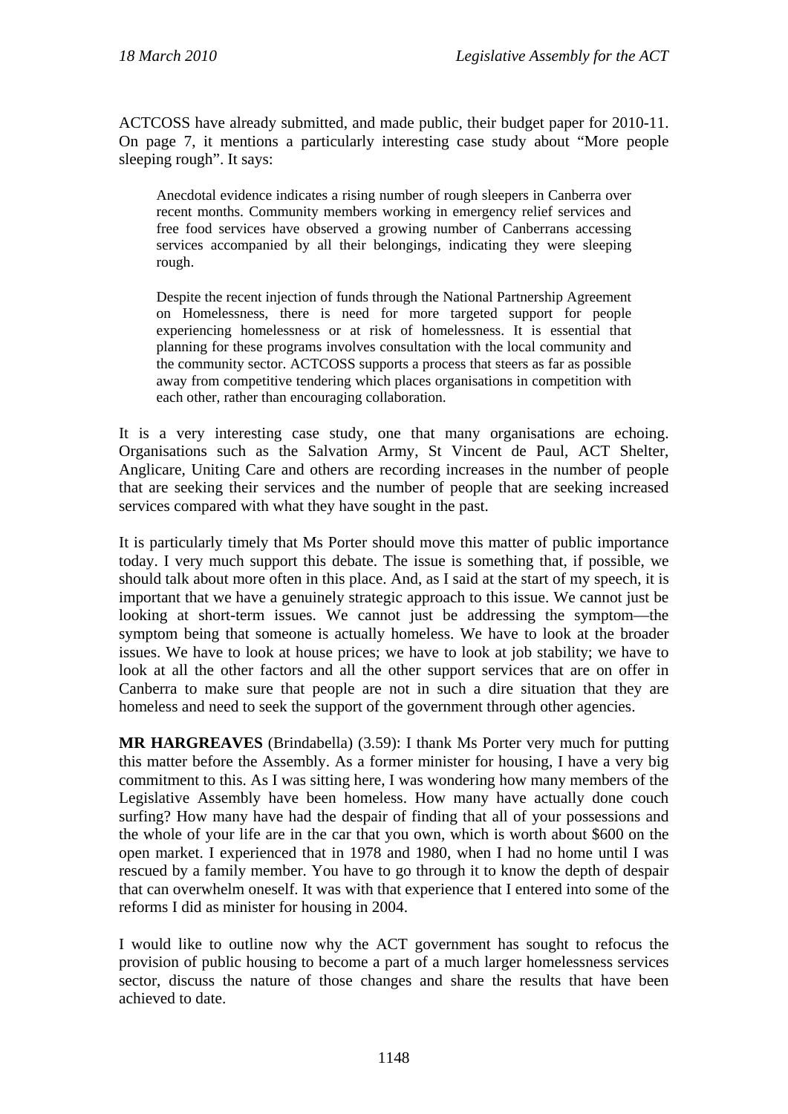ACTCOSS have already submitted, and made public, their budget paper for 2010-11. On page 7, it mentions a particularly interesting case study about "More people sleeping rough". It says:

Anecdotal evidence indicates a rising number of rough sleepers in Canberra over recent months. Community members working in emergency relief services and free food services have observed a growing number of Canberrans accessing services accompanied by all their belongings, indicating they were sleeping rough.

Despite the recent injection of funds through the National Partnership Agreement on Homelessness, there is need for more targeted support for people experiencing homelessness or at risk of homelessness. It is essential that planning for these programs involves consultation with the local community and the community sector. ACTCOSS supports a process that steers as far as possible away from competitive tendering which places organisations in competition with each other, rather than encouraging collaboration.

It is a very interesting case study, one that many organisations are echoing. Organisations such as the Salvation Army, St Vincent de Paul, ACT Shelter, Anglicare, Uniting Care and others are recording increases in the number of people that are seeking their services and the number of people that are seeking increased services compared with what they have sought in the past.

It is particularly timely that Ms Porter should move this matter of public importance today. I very much support this debate. The issue is something that, if possible, we should talk about more often in this place. And, as I said at the start of my speech, it is important that we have a genuinely strategic approach to this issue. We cannot just be looking at short-term issues. We cannot just be addressing the symptom—the symptom being that someone is actually homeless. We have to look at the broader issues. We have to look at house prices; we have to look at job stability; we have to look at all the other factors and all the other support services that are on offer in Canberra to make sure that people are not in such a dire situation that they are homeless and need to seek the support of the government through other agencies.

**MR HARGREAVES** (Brindabella) (3.59): I thank Ms Porter very much for putting this matter before the Assembly. As a former minister for housing, I have a very big commitment to this. As I was sitting here, I was wondering how many members of the Legislative Assembly have been homeless. How many have actually done couch surfing? How many have had the despair of finding that all of your possessions and the whole of your life are in the car that you own, which is worth about \$600 on the open market. I experienced that in 1978 and 1980, when I had no home until I was rescued by a family member. You have to go through it to know the depth of despair that can overwhelm oneself. It was with that experience that I entered into some of the reforms I did as minister for housing in 2004.

I would like to outline now why the ACT government has sought to refocus the provision of public housing to become a part of a much larger homelessness services sector, discuss the nature of those changes and share the results that have been achieved to date.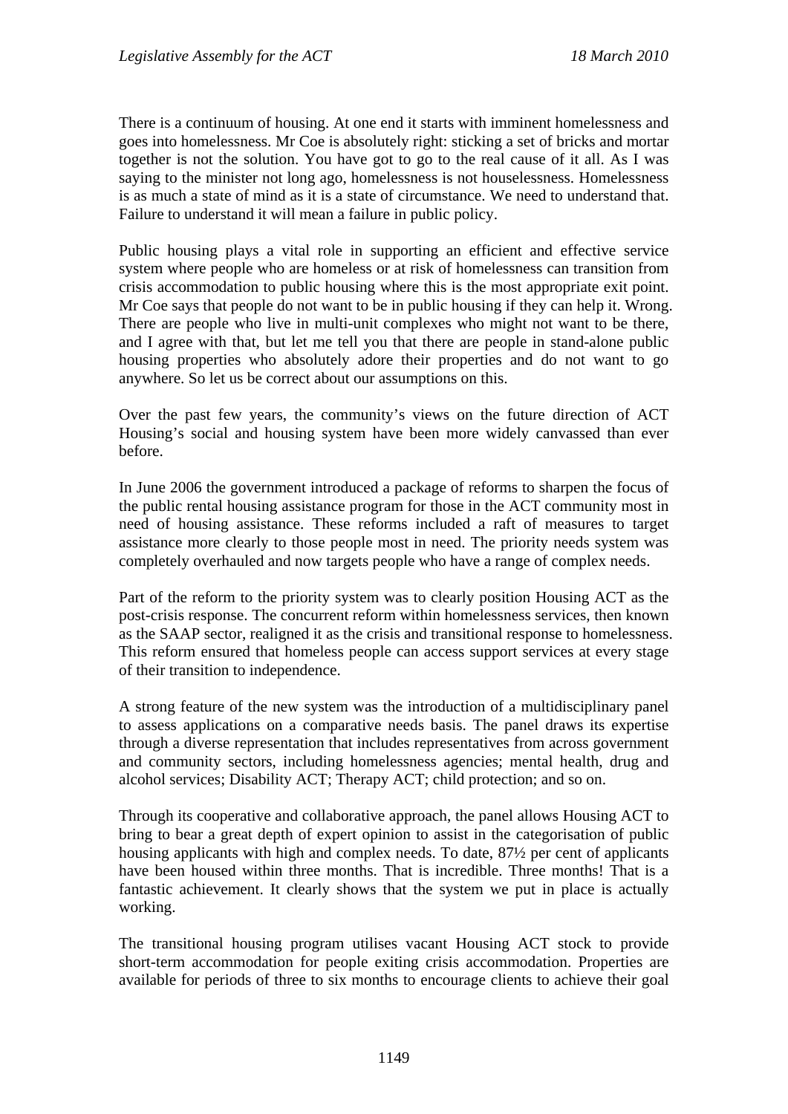There is a continuum of housing. At one end it starts with imminent homelessness and goes into homelessness. Mr Coe is absolutely right: sticking a set of bricks and mortar together is not the solution. You have got to go to the real cause of it all. As I was saying to the minister not long ago, homelessness is not houselessness. Homelessness is as much a state of mind as it is a state of circumstance. We need to understand that. Failure to understand it will mean a failure in public policy.

Public housing plays a vital role in supporting an efficient and effective service system where people who are homeless or at risk of homelessness can transition from crisis accommodation to public housing where this is the most appropriate exit point. Mr Coe says that people do not want to be in public housing if they can help it. Wrong. There are people who live in multi-unit complexes who might not want to be there, and I agree with that, but let me tell you that there are people in stand-alone public housing properties who absolutely adore their properties and do not want to go anywhere. So let us be correct about our assumptions on this.

Over the past few years, the community's views on the future direction of ACT Housing's social and housing system have been more widely canvassed than ever before.

In June 2006 the government introduced a package of reforms to sharpen the focus of the public rental housing assistance program for those in the ACT community most in need of housing assistance. These reforms included a raft of measures to target assistance more clearly to those people most in need. The priority needs system was completely overhauled and now targets people who have a range of complex needs.

Part of the reform to the priority system was to clearly position Housing ACT as the post-crisis response. The concurrent reform within homelessness services, then known as the SAAP sector, realigned it as the crisis and transitional response to homelessness. This reform ensured that homeless people can access support services at every stage of their transition to independence.

A strong feature of the new system was the introduction of a multidisciplinary panel to assess applications on a comparative needs basis. The panel draws its expertise through a diverse representation that includes representatives from across government and community sectors, including homelessness agencies; mental health, drug and alcohol services; Disability ACT; Therapy ACT; child protection; and so on.

Through its cooperative and collaborative approach, the panel allows Housing ACT to bring to bear a great depth of expert opinion to assist in the categorisation of public housing applicants with high and complex needs. To date, 87½ per cent of applicants have been housed within three months. That is incredible. Three months! That is a fantastic achievement. It clearly shows that the system we put in place is actually working.

The transitional housing program utilises vacant Housing ACT stock to provide short-term accommodation for people exiting crisis accommodation. Properties are available for periods of three to six months to encourage clients to achieve their goal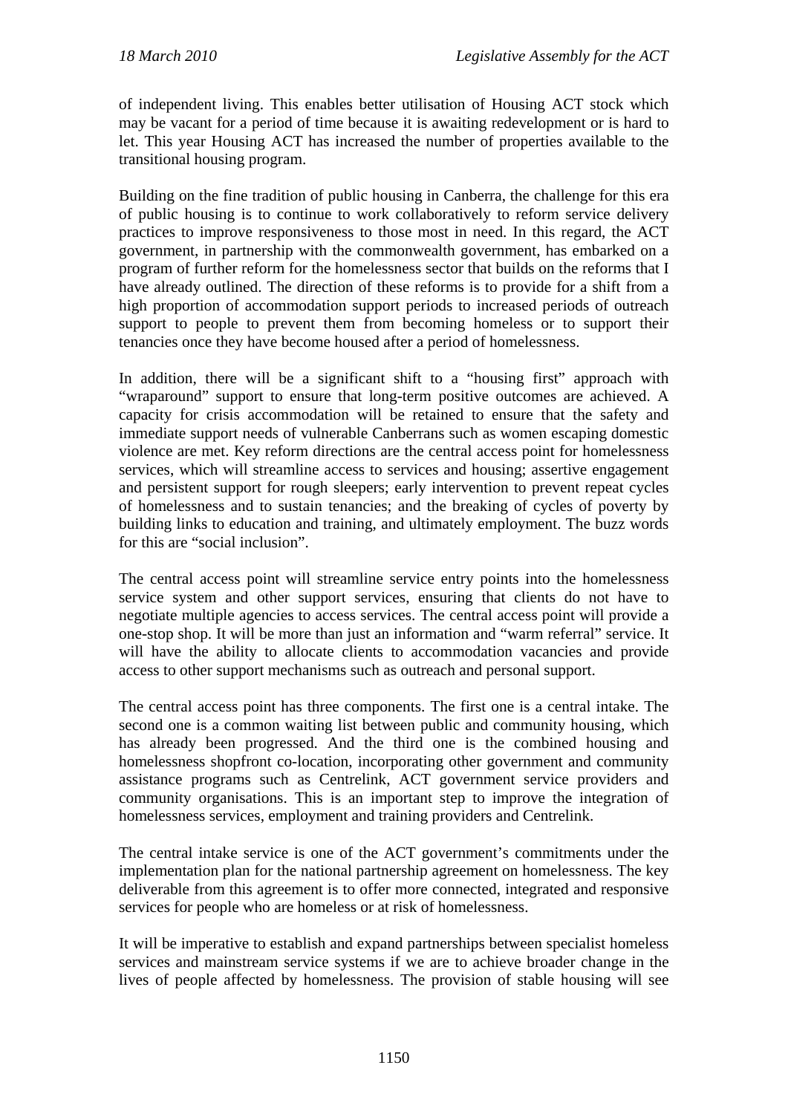of independent living. This enables better utilisation of Housing ACT stock which may be vacant for a period of time because it is awaiting redevelopment or is hard to let. This year Housing ACT has increased the number of properties available to the transitional housing program.

Building on the fine tradition of public housing in Canberra, the challenge for this era of public housing is to continue to work collaboratively to reform service delivery practices to improve responsiveness to those most in need. In this regard, the ACT government, in partnership with the commonwealth government, has embarked on a program of further reform for the homelessness sector that builds on the reforms that I have already outlined. The direction of these reforms is to provide for a shift from a high proportion of accommodation support periods to increased periods of outreach support to people to prevent them from becoming homeless or to support their tenancies once they have become housed after a period of homelessness.

In addition, there will be a significant shift to a "housing first" approach with "wraparound" support to ensure that long-term positive outcomes are achieved. A capacity for crisis accommodation will be retained to ensure that the safety and immediate support needs of vulnerable Canberrans such as women escaping domestic violence are met. Key reform directions are the central access point for homelessness services, which will streamline access to services and housing; assertive engagement and persistent support for rough sleepers; early intervention to prevent repeat cycles of homelessness and to sustain tenancies; and the breaking of cycles of poverty by building links to education and training, and ultimately employment. The buzz words for this are "social inclusion".

The central access point will streamline service entry points into the homelessness service system and other support services, ensuring that clients do not have to negotiate multiple agencies to access services. The central access point will provide a one-stop shop. It will be more than just an information and "warm referral" service. It will have the ability to allocate clients to accommodation vacancies and provide access to other support mechanisms such as outreach and personal support.

The central access point has three components. The first one is a central intake. The second one is a common waiting list between public and community housing, which has already been progressed. And the third one is the combined housing and homelessness shopfront co-location, incorporating other government and community assistance programs such as Centrelink, ACT government service providers and community organisations. This is an important step to improve the integration of homelessness services, employment and training providers and Centrelink.

The central intake service is one of the ACT government's commitments under the implementation plan for the national partnership agreement on homelessness. The key deliverable from this agreement is to offer more connected, integrated and responsive services for people who are homeless or at risk of homelessness.

It will be imperative to establish and expand partnerships between specialist homeless services and mainstream service systems if we are to achieve broader change in the lives of people affected by homelessness. The provision of stable housing will see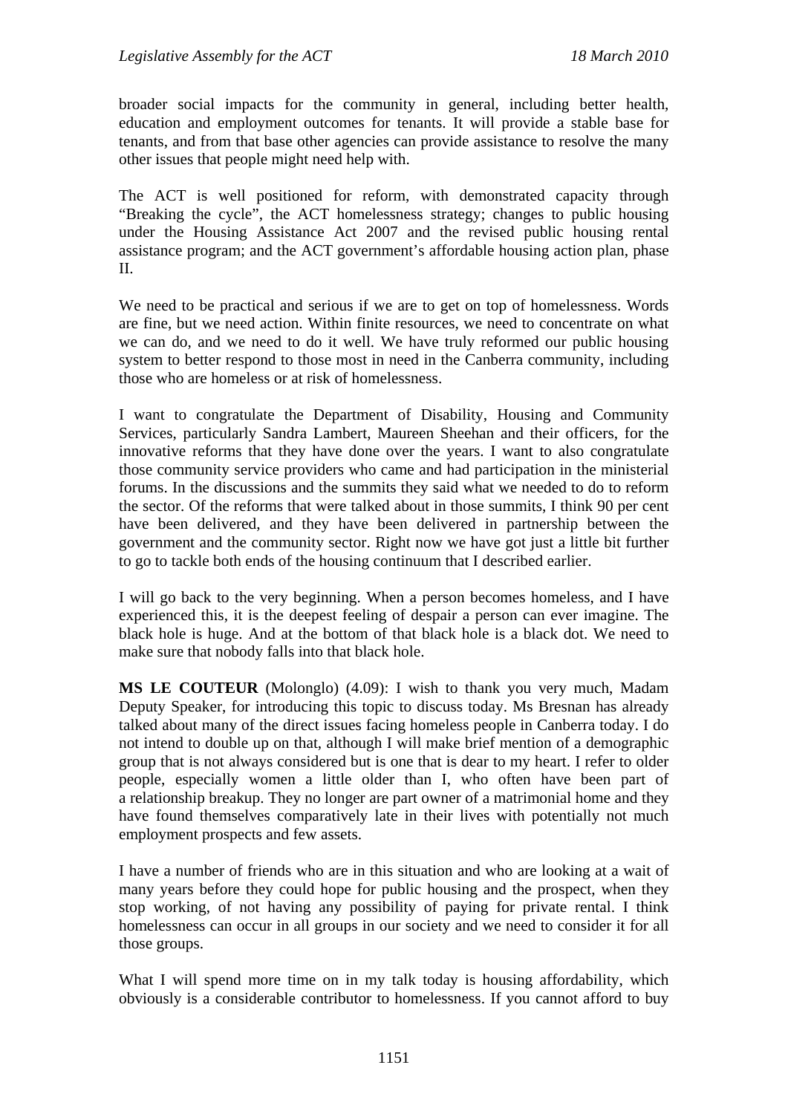broader social impacts for the community in general, including better health, education and employment outcomes for tenants. It will provide a stable base for tenants, and from that base other agencies can provide assistance to resolve the many other issues that people might need help with.

The ACT is well positioned for reform, with demonstrated capacity through "Breaking the cycle", the ACT homelessness strategy; changes to public housing under the Housing Assistance Act 2007 and the revised public housing rental assistance program; and the ACT government's affordable housing action plan, phase II.

We need to be practical and serious if we are to get on top of homelessness. Words are fine, but we need action. Within finite resources, we need to concentrate on what we can do, and we need to do it well. We have truly reformed our public housing system to better respond to those most in need in the Canberra community, including those who are homeless or at risk of homelessness.

I want to congratulate the Department of Disability, Housing and Community Services, particularly Sandra Lambert, Maureen Sheehan and their officers, for the innovative reforms that they have done over the years. I want to also congratulate those community service providers who came and had participation in the ministerial forums. In the discussions and the summits they said what we needed to do to reform the sector. Of the reforms that were talked about in those summits, I think 90 per cent have been delivered, and they have been delivered in partnership between the government and the community sector. Right now we have got just a little bit further to go to tackle both ends of the housing continuum that I described earlier.

I will go back to the very beginning. When a person becomes homeless, and I have experienced this, it is the deepest feeling of despair a person can ever imagine. The black hole is huge. And at the bottom of that black hole is a black dot. We need to make sure that nobody falls into that black hole.

**MS LE COUTEUR** (Molonglo) (4.09): I wish to thank you very much, Madam Deputy Speaker, for introducing this topic to discuss today. Ms Bresnan has already talked about many of the direct issues facing homeless people in Canberra today. I do not intend to double up on that, although I will make brief mention of a demographic group that is not always considered but is one that is dear to my heart. I refer to older people, especially women a little older than I, who often have been part of a relationship breakup. They no longer are part owner of a matrimonial home and they have found themselves comparatively late in their lives with potentially not much employment prospects and few assets.

I have a number of friends who are in this situation and who are looking at a wait of many years before they could hope for public housing and the prospect, when they stop working, of not having any possibility of paying for private rental. I think homelessness can occur in all groups in our society and we need to consider it for all those groups.

What I will spend more time on in my talk today is housing affordability, which obviously is a considerable contributor to homelessness. If you cannot afford to buy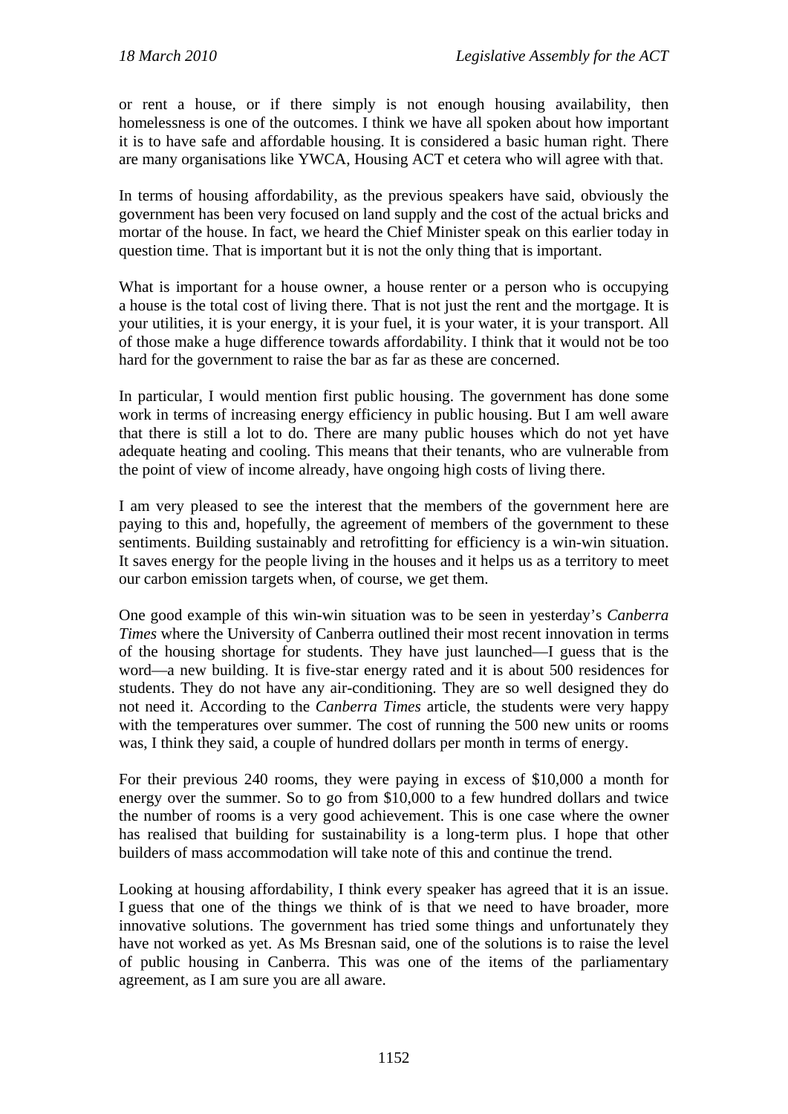or rent a house, or if there simply is not enough housing availability, then homelessness is one of the outcomes. I think we have all spoken about how important it is to have safe and affordable housing. It is considered a basic human right. There are many organisations like YWCA, Housing ACT et cetera who will agree with that.

In terms of housing affordability, as the previous speakers have said, obviously the government has been very focused on land supply and the cost of the actual bricks and mortar of the house. In fact, we heard the Chief Minister speak on this earlier today in question time. That is important but it is not the only thing that is important.

What is important for a house owner, a house renter or a person who is occupying a house is the total cost of living there. That is not just the rent and the mortgage. It is your utilities, it is your energy, it is your fuel, it is your water, it is your transport. All of those make a huge difference towards affordability. I think that it would not be too hard for the government to raise the bar as far as these are concerned.

In particular, I would mention first public housing. The government has done some work in terms of increasing energy efficiency in public housing. But I am well aware that there is still a lot to do. There are many public houses which do not yet have adequate heating and cooling. This means that their tenants, who are vulnerable from the point of view of income already, have ongoing high costs of living there.

I am very pleased to see the interest that the members of the government here are paying to this and, hopefully, the agreement of members of the government to these sentiments. Building sustainably and retrofitting for efficiency is a win-win situation. It saves energy for the people living in the houses and it helps us as a territory to meet our carbon emission targets when, of course, we get them.

One good example of this win-win situation was to be seen in yesterday's *Canberra Times* where the University of Canberra outlined their most recent innovation in terms of the housing shortage for students. They have just launched—I guess that is the word—a new building. It is five-star energy rated and it is about 500 residences for students. They do not have any air-conditioning. They are so well designed they do not need it. According to the *Canberra Times* article, the students were very happy with the temperatures over summer. The cost of running the 500 new units or rooms was, I think they said, a couple of hundred dollars per month in terms of energy.

For their previous 240 rooms, they were paying in excess of \$10,000 a month for energy over the summer. So to go from \$10,000 to a few hundred dollars and twice the number of rooms is a very good achievement. This is one case where the owner has realised that building for sustainability is a long-term plus. I hope that other builders of mass accommodation will take note of this and continue the trend.

Looking at housing affordability, I think every speaker has agreed that it is an issue. I guess that one of the things we think of is that we need to have broader, more innovative solutions. The government has tried some things and unfortunately they have not worked as yet. As Ms Bresnan said, one of the solutions is to raise the level of public housing in Canberra. This was one of the items of the parliamentary agreement, as I am sure you are all aware.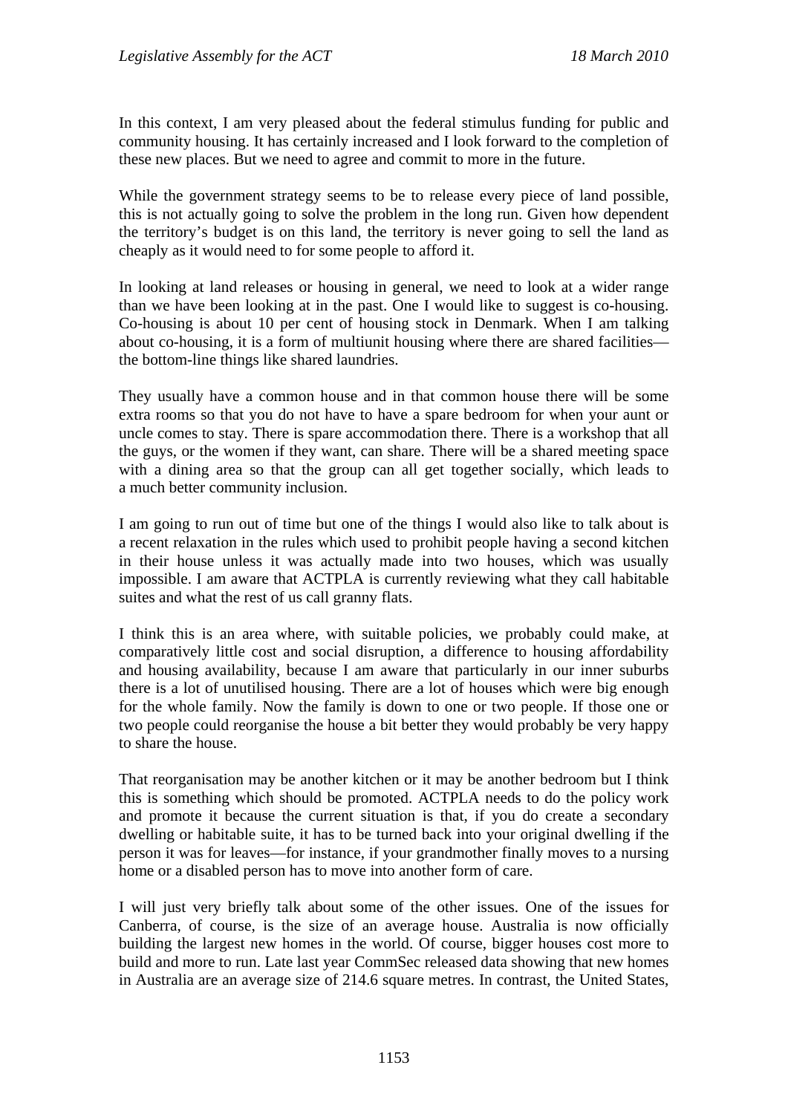In this context, I am very pleased about the federal stimulus funding for public and community housing. It has certainly increased and I look forward to the completion of these new places. But we need to agree and commit to more in the future.

While the government strategy seems to be to release every piece of land possible, this is not actually going to solve the problem in the long run. Given how dependent the territory's budget is on this land, the territory is never going to sell the land as cheaply as it would need to for some people to afford it.

In looking at land releases or housing in general, we need to look at a wider range than we have been looking at in the past. One I would like to suggest is co-housing. Co-housing is about 10 per cent of housing stock in Denmark. When I am talking about co-housing, it is a form of multiunit housing where there are shared facilities the bottom-line things like shared laundries.

They usually have a common house and in that common house there will be some extra rooms so that you do not have to have a spare bedroom for when your aunt or uncle comes to stay. There is spare accommodation there. There is a workshop that all the guys, or the women if they want, can share. There will be a shared meeting space with a dining area so that the group can all get together socially, which leads to a much better community inclusion.

I am going to run out of time but one of the things I would also like to talk about is a recent relaxation in the rules which used to prohibit people having a second kitchen in their house unless it was actually made into two houses, which was usually impossible. I am aware that ACTPLA is currently reviewing what they call habitable suites and what the rest of us call granny flats.

I think this is an area where, with suitable policies, we probably could make, at comparatively little cost and social disruption, a difference to housing affordability and housing availability, because I am aware that particularly in our inner suburbs there is a lot of unutilised housing. There are a lot of houses which were big enough for the whole family. Now the family is down to one or two people. If those one or two people could reorganise the house a bit better they would probably be very happy to share the house.

That reorganisation may be another kitchen or it may be another bedroom but I think this is something which should be promoted. ACTPLA needs to do the policy work and promote it because the current situation is that, if you do create a secondary dwelling or habitable suite, it has to be turned back into your original dwelling if the person it was for leaves—for instance, if your grandmother finally moves to a nursing home or a disabled person has to move into another form of care.

I will just very briefly talk about some of the other issues. One of the issues for Canberra, of course, is the size of an average house. Australia is now officially building the largest new homes in the world. Of course, bigger houses cost more to build and more to run. Late last year CommSec released data showing that new homes in Australia are an average size of 214.6 square metres. In contrast, the United States,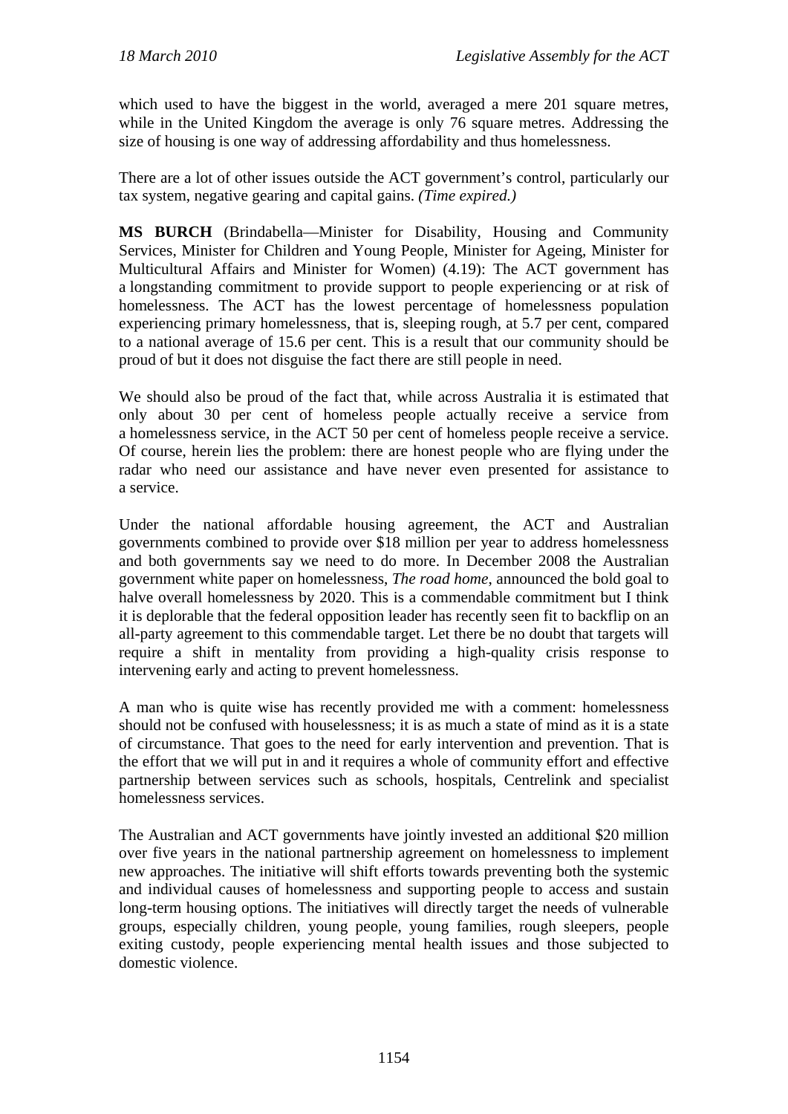which used to have the biggest in the world, averaged a mere 201 square metres, while in the United Kingdom the average is only 76 square metres. Addressing the size of housing is one way of addressing affordability and thus homelessness.

There are a lot of other issues outside the ACT government's control, particularly our tax system, negative gearing and capital gains. *(Time expired.)*

**MS BURCH** (Brindabella—Minister for Disability, Housing and Community Services, Minister for Children and Young People, Minister for Ageing, Minister for Multicultural Affairs and Minister for Women) (4.19): The ACT government has a longstanding commitment to provide support to people experiencing or at risk of homelessness. The ACT has the lowest percentage of homelessness population experiencing primary homelessness, that is, sleeping rough, at 5.7 per cent, compared to a national average of 15.6 per cent. This is a result that our community should be proud of but it does not disguise the fact there are still people in need.

We should also be proud of the fact that, while across Australia it is estimated that only about 30 per cent of homeless people actually receive a service from a homelessness service, in the ACT 50 per cent of homeless people receive a service. Of course, herein lies the problem: there are honest people who are flying under the radar who need our assistance and have never even presented for assistance to a service.

Under the national affordable housing agreement, the ACT and Australian governments combined to provide over \$18 million per year to address homelessness and both governments say we need to do more. In December 2008 the Australian government white paper on homelessness, *The road home*, announced the bold goal to halve overall homelessness by 2020. This is a commendable commitment but I think it is deplorable that the federal opposition leader has recently seen fit to backflip on an all-party agreement to this commendable target. Let there be no doubt that targets will require a shift in mentality from providing a high-quality crisis response to intervening early and acting to prevent homelessness.

A man who is quite wise has recently provided me with a comment: homelessness should not be confused with houselessness; it is as much a state of mind as it is a state of circumstance. That goes to the need for early intervention and prevention. That is the effort that we will put in and it requires a whole of community effort and effective partnership between services such as schools, hospitals, Centrelink and specialist homelessness services.

The Australian and ACT governments have jointly invested an additional \$20 million over five years in the national partnership agreement on homelessness to implement new approaches. The initiative will shift efforts towards preventing both the systemic and individual causes of homelessness and supporting people to access and sustain long-term housing options. The initiatives will directly target the needs of vulnerable groups, especially children, young people, young families, rough sleepers, people exiting custody, people experiencing mental health issues and those subjected to domestic violence.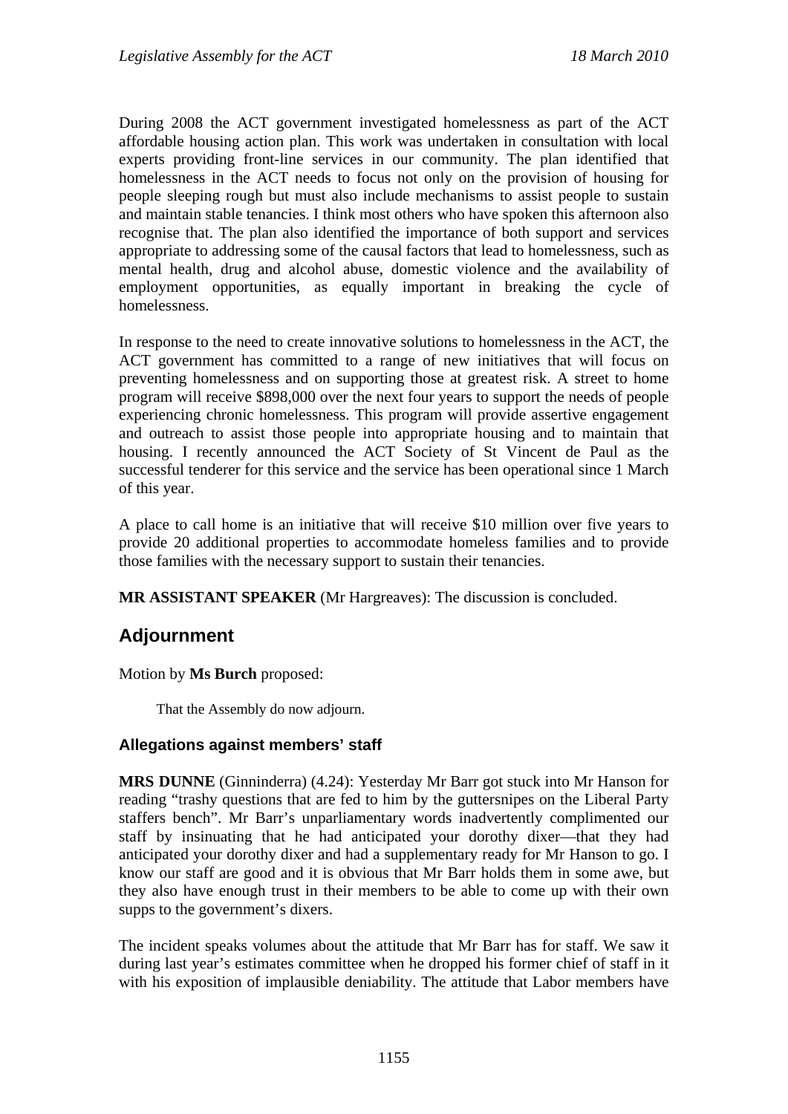During 2008 the ACT government investigated homelessness as part of the ACT affordable housing action plan. This work was undertaken in consultation with local experts providing front-line services in our community. The plan identified that homelessness in the ACT needs to focus not only on the provision of housing for people sleeping rough but must also include mechanisms to assist people to sustain and maintain stable tenancies. I think most others who have spoken this afternoon also recognise that. The plan also identified the importance of both support and services appropriate to addressing some of the causal factors that lead to homelessness, such as mental health, drug and alcohol abuse, domestic violence and the availability of employment opportunities, as equally important in breaking the cycle of homelessness.

In response to the need to create innovative solutions to homelessness in the ACT, the ACT government has committed to a range of new initiatives that will focus on preventing homelessness and on supporting those at greatest risk. A street to home program will receive \$898,000 over the next four years to support the needs of people experiencing chronic homelessness. This program will provide assertive engagement and outreach to assist those people into appropriate housing and to maintain that housing. I recently announced the ACT Society of St Vincent de Paul as the successful tenderer for this service and the service has been operational since 1 March of this year.

A place to call home is an initiative that will receive \$10 million over five years to provide 20 additional properties to accommodate homeless families and to provide those families with the necessary support to sustain their tenancies.

**MR ASSISTANT SPEAKER** (Mr Hargreaves): The discussion is concluded.

# **Adjournment**

Motion by **Ms Burch** proposed:

That the Assembly do now adjourn.

### **Allegations against members' staff**

**MRS DUNNE** (Ginninderra) (4.24): Yesterday Mr Barr got stuck into Mr Hanson for reading "trashy questions that are fed to him by the guttersnipes on the Liberal Party staffers bench". Mr Barr's unparliamentary words inadvertently complimented our staff by insinuating that he had anticipated your dorothy dixer—that they had anticipated your dorothy dixer and had a supplementary ready for Mr Hanson to go. I know our staff are good and it is obvious that Mr Barr holds them in some awe, but they also have enough trust in their members to be able to come up with their own supps to the government's dixers.

The incident speaks volumes about the attitude that Mr Barr has for staff. We saw it during last year's estimates committee when he dropped his former chief of staff in it with his exposition of implausible deniability. The attitude that Labor members have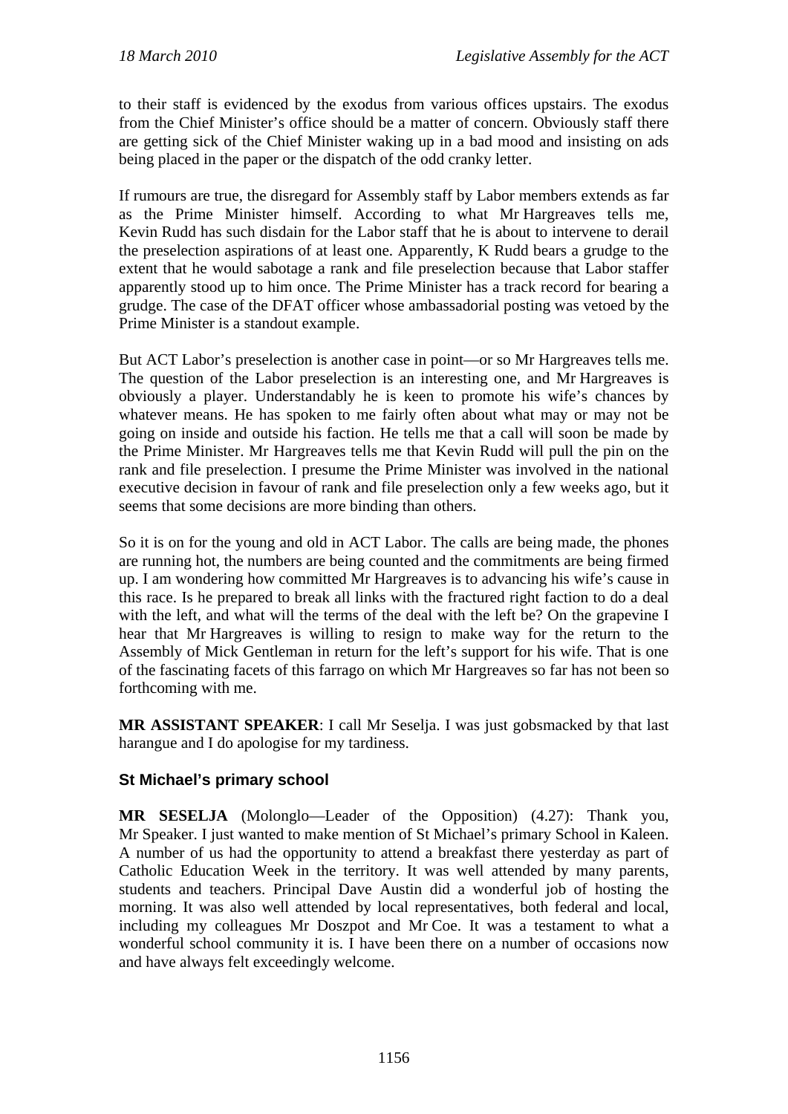to their staff is evidenced by the exodus from various offices upstairs. The exodus from the Chief Minister's office should be a matter of concern. Obviously staff there are getting sick of the Chief Minister waking up in a bad mood and insisting on ads being placed in the paper or the dispatch of the odd cranky letter.

If rumours are true, the disregard for Assembly staff by Labor members extends as far as the Prime Minister himself. According to what Mr Hargreaves tells me, Kevin Rudd has such disdain for the Labor staff that he is about to intervene to derail the preselection aspirations of at least one. Apparently, K Rudd bears a grudge to the extent that he would sabotage a rank and file preselection because that Labor staffer apparently stood up to him once. The Prime Minister has a track record for bearing a grudge. The case of the DFAT officer whose ambassadorial posting was vetoed by the Prime Minister is a standout example.

But ACT Labor's preselection is another case in point—or so Mr Hargreaves tells me. The question of the Labor preselection is an interesting one, and Mr Hargreaves is obviously a player. Understandably he is keen to promote his wife's chances by whatever means. He has spoken to me fairly often about what may or may not be going on inside and outside his faction. He tells me that a call will soon be made by the Prime Minister. Mr Hargreaves tells me that Kevin Rudd will pull the pin on the rank and file preselection. I presume the Prime Minister was involved in the national executive decision in favour of rank and file preselection only a few weeks ago, but it seems that some decisions are more binding than others.

So it is on for the young and old in ACT Labor. The calls are being made, the phones are running hot, the numbers are being counted and the commitments are being firmed up. I am wondering how committed Mr Hargreaves is to advancing his wife's cause in this race. Is he prepared to break all links with the fractured right faction to do a deal with the left, and what will the terms of the deal with the left be? On the grapevine I hear that Mr Hargreaves is willing to resign to make way for the return to the Assembly of Mick Gentleman in return for the left's support for his wife. That is one of the fascinating facets of this farrago on which Mr Hargreaves so far has not been so forthcoming with me.

**MR ASSISTANT SPEAKER**: I call Mr Seselja. I was just gobsmacked by that last harangue and I do apologise for my tardiness.

# **St Michael's primary school**

**MR SESELJA** (Molonglo—Leader of the Opposition) (4.27): Thank you, Mr Speaker. I just wanted to make mention of St Michael's primary School in Kaleen. A number of us had the opportunity to attend a breakfast there yesterday as part of Catholic Education Week in the territory. It was well attended by many parents, students and teachers. Principal Dave Austin did a wonderful job of hosting the morning. It was also well attended by local representatives, both federal and local, including my colleagues Mr Doszpot and Mr Coe. It was a testament to what a wonderful school community it is. I have been there on a number of occasions now and have always felt exceedingly welcome.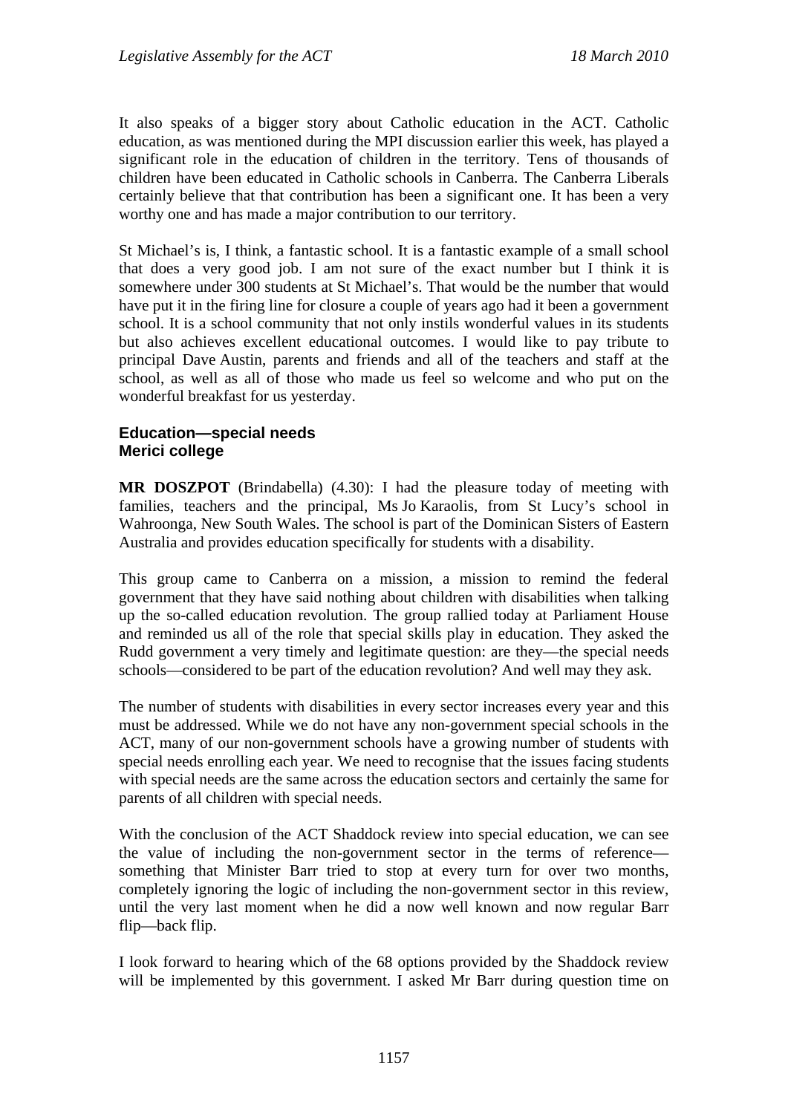It also speaks of a bigger story about Catholic education in the ACT. Catholic education, as was mentioned during the MPI discussion earlier this week, has played a significant role in the education of children in the territory. Tens of thousands of children have been educated in Catholic schools in Canberra. The Canberra Liberals certainly believe that that contribution has been a significant one. It has been a very worthy one and has made a major contribution to our territory.

St Michael's is, I think, a fantastic school. It is a fantastic example of a small school that does a very good job. I am not sure of the exact number but I think it is somewhere under 300 students at St Michael's. That would be the number that would have put it in the firing line for closure a couple of years ago had it been a government school. It is a school community that not only instils wonderful values in its students but also achieves excellent educational outcomes. I would like to pay tribute to principal Dave Austin, parents and friends and all of the teachers and staff at the school, as well as all of those who made us feel so welcome and who put on the wonderful breakfast for us yesterday.

# **Education—special needs Merici college**

**MR DOSZPOT** (Brindabella) (4.30): I had the pleasure today of meeting with families, teachers and the principal, Ms Jo Karaolis, from St Lucy's school in Wahroonga, New South Wales. The school is part of the Dominican Sisters of Eastern Australia and provides education specifically for students with a disability.

This group came to Canberra on a mission, a mission to remind the federal government that they have said nothing about children with disabilities when talking up the so-called education revolution. The group rallied today at Parliament House and reminded us all of the role that special skills play in education. They asked the Rudd government a very timely and legitimate question: are they—the special needs schools—considered to be part of the education revolution? And well may they ask.

The number of students with disabilities in every sector increases every year and this must be addressed. While we do not have any non-government special schools in the ACT, many of our non-government schools have a growing number of students with special needs enrolling each year. We need to recognise that the issues facing students with special needs are the same across the education sectors and certainly the same for parents of all children with special needs.

With the conclusion of the ACT Shaddock review into special education, we can see the value of including the non-government sector in the terms of reference something that Minister Barr tried to stop at every turn for over two months, completely ignoring the logic of including the non-government sector in this review, until the very last moment when he did a now well known and now regular Barr flip—back flip.

I look forward to hearing which of the 68 options provided by the Shaddock review will be implemented by this government. I asked Mr Barr during question time on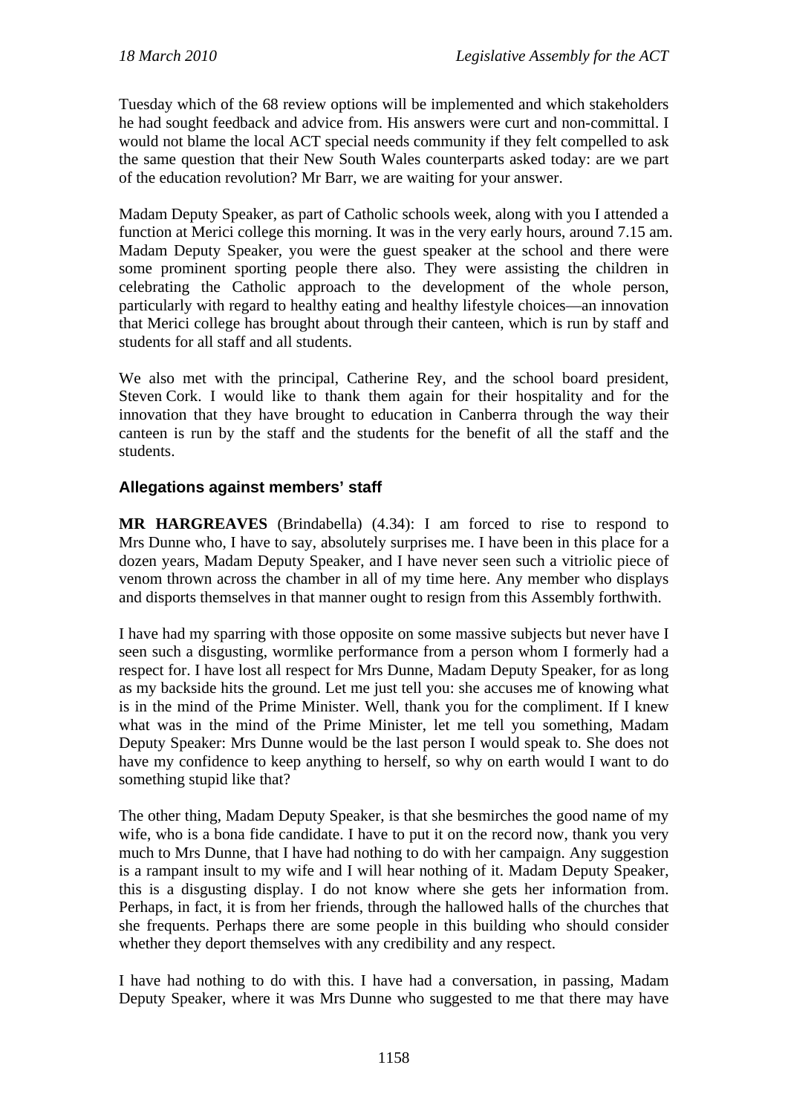Tuesday which of the 68 review options will be implemented and which stakeholders he had sought feedback and advice from. His answers were curt and non-committal. I would not blame the local ACT special needs community if they felt compelled to ask the same question that their New South Wales counterparts asked today: are we part of the education revolution? Mr Barr, we are waiting for your answer.

Madam Deputy Speaker, as part of Catholic schools week, along with you I attended a function at Merici college this morning. It was in the very early hours, around 7.15 am. Madam Deputy Speaker, you were the guest speaker at the school and there were some prominent sporting people there also. They were assisting the children in celebrating the Catholic approach to the development of the whole person, particularly with regard to healthy eating and healthy lifestyle choices—an innovation that Merici college has brought about through their canteen, which is run by staff and students for all staff and all students.

We also met with the principal, Catherine Rey, and the school board president, Steven Cork. I would like to thank them again for their hospitality and for the innovation that they have brought to education in Canberra through the way their canteen is run by the staff and the students for the benefit of all the staff and the students.

# **Allegations against members' staff**

**MR HARGREAVES** (Brindabella) (4.34): I am forced to rise to respond to Mrs Dunne who, I have to say, absolutely surprises me. I have been in this place for a dozen years, Madam Deputy Speaker, and I have never seen such a vitriolic piece of venom thrown across the chamber in all of my time here. Any member who displays and disports themselves in that manner ought to resign from this Assembly forthwith.

I have had my sparring with those opposite on some massive subjects but never have I seen such a disgusting, wormlike performance from a person whom I formerly had a respect for. I have lost all respect for Mrs Dunne, Madam Deputy Speaker, for as long as my backside hits the ground. Let me just tell you: she accuses me of knowing what is in the mind of the Prime Minister. Well, thank you for the compliment. If I knew what was in the mind of the Prime Minister, let me tell you something, Madam Deputy Speaker: Mrs Dunne would be the last person I would speak to. She does not have my confidence to keep anything to herself, so why on earth would I want to do something stupid like that?

The other thing, Madam Deputy Speaker, is that she besmirches the good name of my wife, who is a bona fide candidate. I have to put it on the record now, thank you very much to Mrs Dunne, that I have had nothing to do with her campaign. Any suggestion is a rampant insult to my wife and I will hear nothing of it. Madam Deputy Speaker, this is a disgusting display. I do not know where she gets her information from. Perhaps, in fact, it is from her friends, through the hallowed halls of the churches that she frequents. Perhaps there are some people in this building who should consider whether they deport themselves with any credibility and any respect.

I have had nothing to do with this. I have had a conversation, in passing, Madam Deputy Speaker, where it was Mrs Dunne who suggested to me that there may have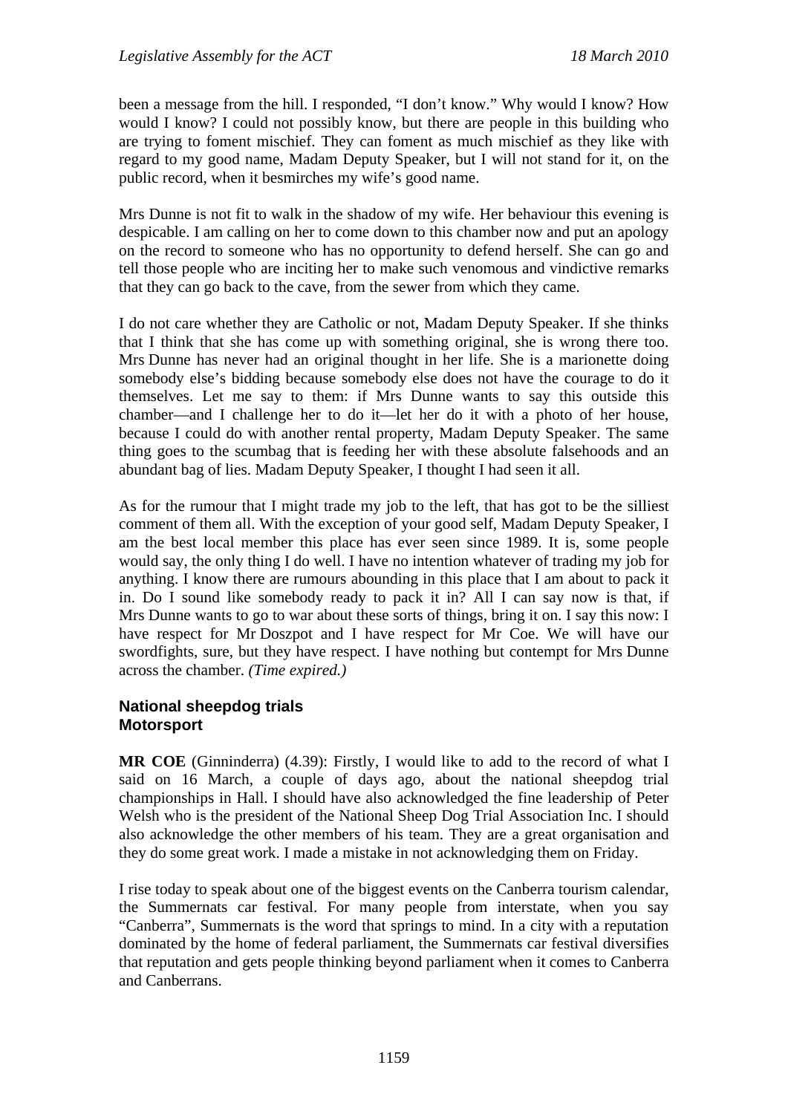been a message from the hill. I responded, "I don't know." Why would I know? How would I know? I could not possibly know, but there are people in this building who are trying to foment mischief. They can foment as much mischief as they like with regard to my good name, Madam Deputy Speaker, but I will not stand for it, on the public record, when it besmirches my wife's good name.

Mrs Dunne is not fit to walk in the shadow of my wife. Her behaviour this evening is despicable. I am calling on her to come down to this chamber now and put an apology on the record to someone who has no opportunity to defend herself. She can go and tell those people who are inciting her to make such venomous and vindictive remarks that they can go back to the cave, from the sewer from which they came.

I do not care whether they are Catholic or not, Madam Deputy Speaker. If she thinks that I think that she has come up with something original, she is wrong there too. Mrs Dunne has never had an original thought in her life. She is a marionette doing somebody else's bidding because somebody else does not have the courage to do it themselves. Let me say to them: if Mrs Dunne wants to say this outside this chamber—and I challenge her to do it—let her do it with a photo of her house, because I could do with another rental property, Madam Deputy Speaker. The same thing goes to the scumbag that is feeding her with these absolute falsehoods and an abundant bag of lies. Madam Deputy Speaker, I thought I had seen it all.

As for the rumour that I might trade my job to the left, that has got to be the silliest comment of them all. With the exception of your good self, Madam Deputy Speaker, I am the best local member this place has ever seen since 1989. It is, some people would say, the only thing I do well. I have no intention whatever of trading my job for anything. I know there are rumours abounding in this place that I am about to pack it in. Do I sound like somebody ready to pack it in? All I can say now is that, if Mrs Dunne wants to go to war about these sorts of things, bring it on. I say this now: I have respect for Mr Doszpot and I have respect for Mr Coe. We will have our swordfights, sure, but they have respect. I have nothing but contempt for Mrs Dunne across the chamber. *(Time expired.)*

## **National sheepdog trials Motorsport**

**MR COE** (Ginninderra) (4.39): Firstly, I would like to add to the record of what I said on 16 March, a couple of days ago, about the national sheepdog trial championships in Hall. I should have also acknowledged the fine leadership of Peter Welsh who is the president of the National Sheep Dog Trial Association Inc. I should also acknowledge the other members of his team. They are a great organisation and they do some great work. I made a mistake in not acknowledging them on Friday.

I rise today to speak about one of the biggest events on the Canberra tourism calendar, the Summernats car festival. For many people from interstate, when you say "Canberra", Summernats is the word that springs to mind. In a city with a reputation dominated by the home of federal parliament, the Summernats car festival diversifies that reputation and gets people thinking beyond parliament when it comes to Canberra and Canberrans.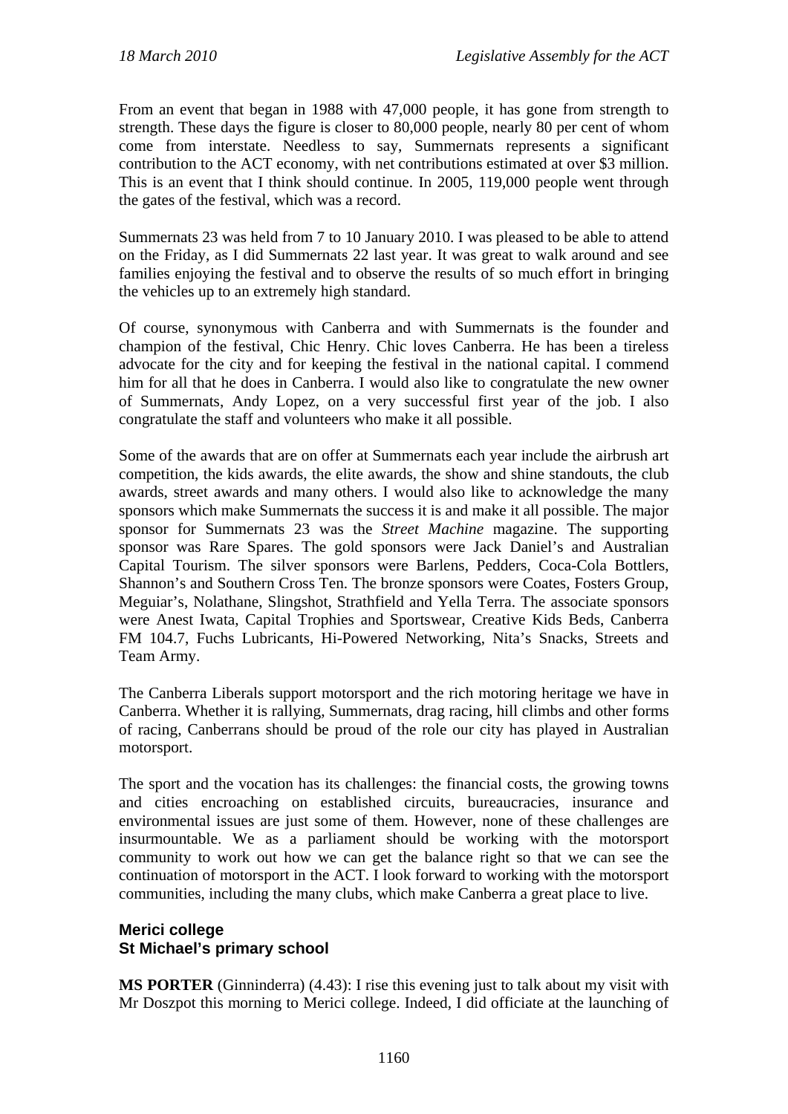From an event that began in 1988 with 47,000 people, it has gone from strength to strength. These days the figure is closer to 80,000 people, nearly 80 per cent of whom come from interstate. Needless to say, Summernats represents a significant contribution to the ACT economy, with net contributions estimated at over \$3 million. This is an event that I think should continue. In 2005, 119,000 people went through the gates of the festival, which was a record.

Summernats 23 was held from 7 to 10 January 2010. I was pleased to be able to attend on the Friday, as I did Summernats 22 last year. It was great to walk around and see families enjoying the festival and to observe the results of so much effort in bringing the vehicles up to an extremely high standard.

Of course, synonymous with Canberra and with Summernats is the founder and champion of the festival, Chic Henry. Chic loves Canberra. He has been a tireless advocate for the city and for keeping the festival in the national capital. I commend him for all that he does in Canberra. I would also like to congratulate the new owner of Summernats, Andy Lopez, on a very successful first year of the job. I also congratulate the staff and volunteers who make it all possible.

Some of the awards that are on offer at Summernats each year include the airbrush art competition, the kids awards, the elite awards, the show and shine standouts, the club awards, street awards and many others. I would also like to acknowledge the many sponsors which make Summernats the success it is and make it all possible. The major sponsor for Summernats 23 was the *Street Machine* magazine. The supporting sponsor was Rare Spares. The gold sponsors were Jack Daniel's and Australian Capital Tourism. The silver sponsors were Barlens, Pedders, Coca-Cola Bottlers, Shannon's and Southern Cross Ten. The bronze sponsors were Coates, Fosters Group, Meguiar's, Nolathane, Slingshot, Strathfield and Yella Terra. The associate sponsors were Anest Iwata, Capital Trophies and Sportswear, Creative Kids Beds, Canberra FM 104.7, Fuchs Lubricants, Hi-Powered Networking, Nita's Snacks, Streets and Team Army.

The Canberra Liberals support motorsport and the rich motoring heritage we have in Canberra. Whether it is rallying, Summernats, drag racing, hill climbs and other forms of racing, Canberrans should be proud of the role our city has played in Australian motorsport.

The sport and the vocation has its challenges: the financial costs, the growing towns and cities encroaching on established circuits, bureaucracies, insurance and environmental issues are just some of them. However, none of these challenges are insurmountable. We as a parliament should be working with the motorsport community to work out how we can get the balance right so that we can see the continuation of motorsport in the ACT. I look forward to working with the motorsport communities, including the many clubs, which make Canberra a great place to live.

# **Merici college St Michael's primary school**

**MS PORTER** (Ginninderra) (4.43): I rise this evening just to talk about my visit with Mr Doszpot this morning to Merici college. Indeed, I did officiate at the launching of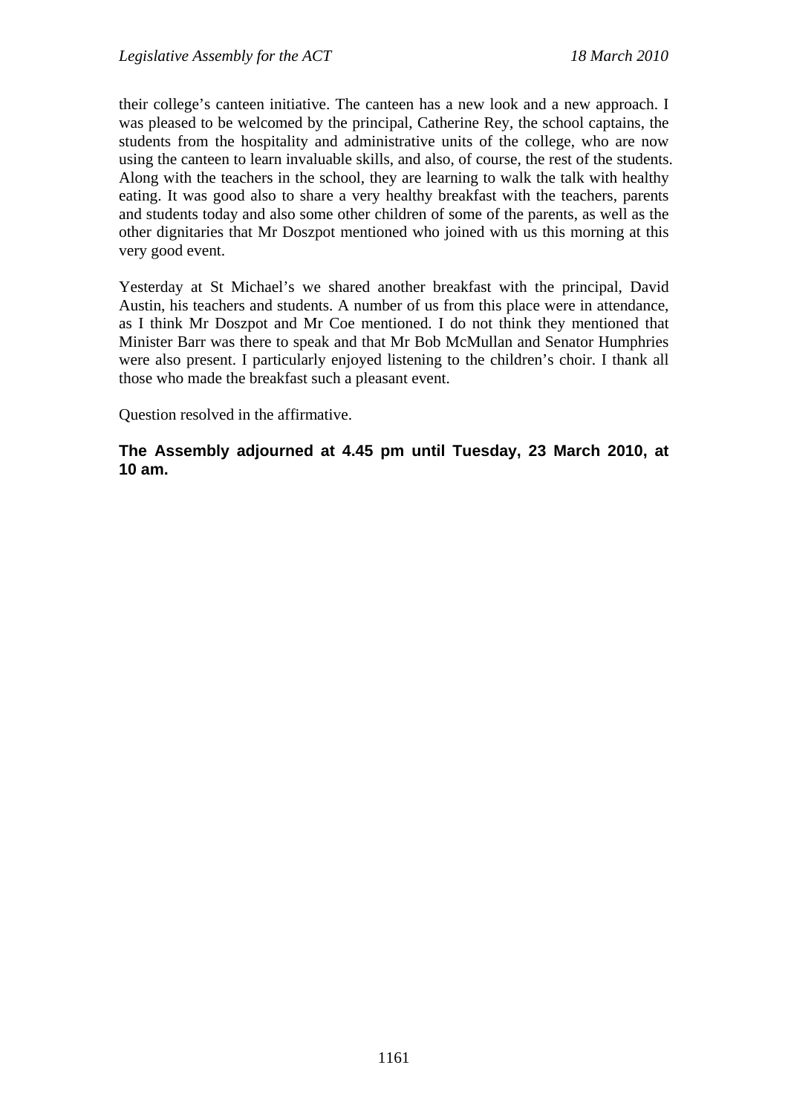their college's canteen initiative. The canteen has a new look and a new approach. I was pleased to be welcomed by the principal, Catherine Rey, the school captains, the students from the hospitality and administrative units of the college, who are now using the canteen to learn invaluable skills, and also, of course, the rest of the students. Along with the teachers in the school, they are learning to walk the talk with healthy eating. It was good also to share a very healthy breakfast with the teachers, parents and students today and also some other children of some of the parents, as well as the other dignitaries that Mr Doszpot mentioned who joined with us this morning at this very good event.

Yesterday at St Michael's we shared another breakfast with the principal, David Austin, his teachers and students. A number of us from this place were in attendance, as I think Mr Doszpot and Mr Coe mentioned. I do not think they mentioned that Minister Barr was there to speak and that Mr Bob McMullan and Senator Humphries were also present. I particularly enjoyed listening to the children's choir. I thank all those who made the breakfast such a pleasant event.

Question resolved in the affirmative.

**The Assembly adjourned at 4.45 pm until Tuesday, 23 March 2010, at 10 am.**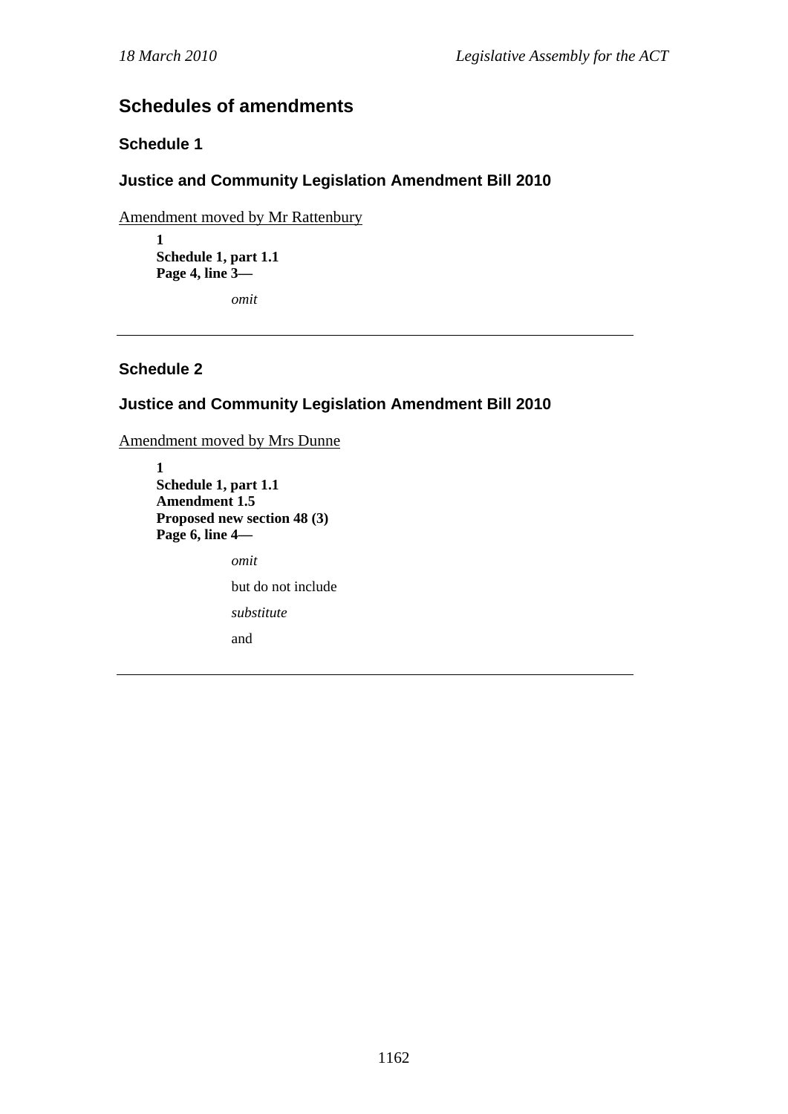# **Schedules of amendments**

# **Schedule 1**

# **Justice and Community Legislation Amendment Bill 2010**

Amendment moved by Mr Rattenbury

**1 Schedule 1, part 1.1 Page 4, line 3—** 

*omit* 

# **Schedule 2**

# **Justice and Community Legislation Amendment Bill 2010**

Amendment moved by Mrs Dunne

**1 Schedule 1, part 1.1 Amendment 1.5 Proposed new section 48 (3) Page 6, line 4**  *omit*  but do not include *substitute*  and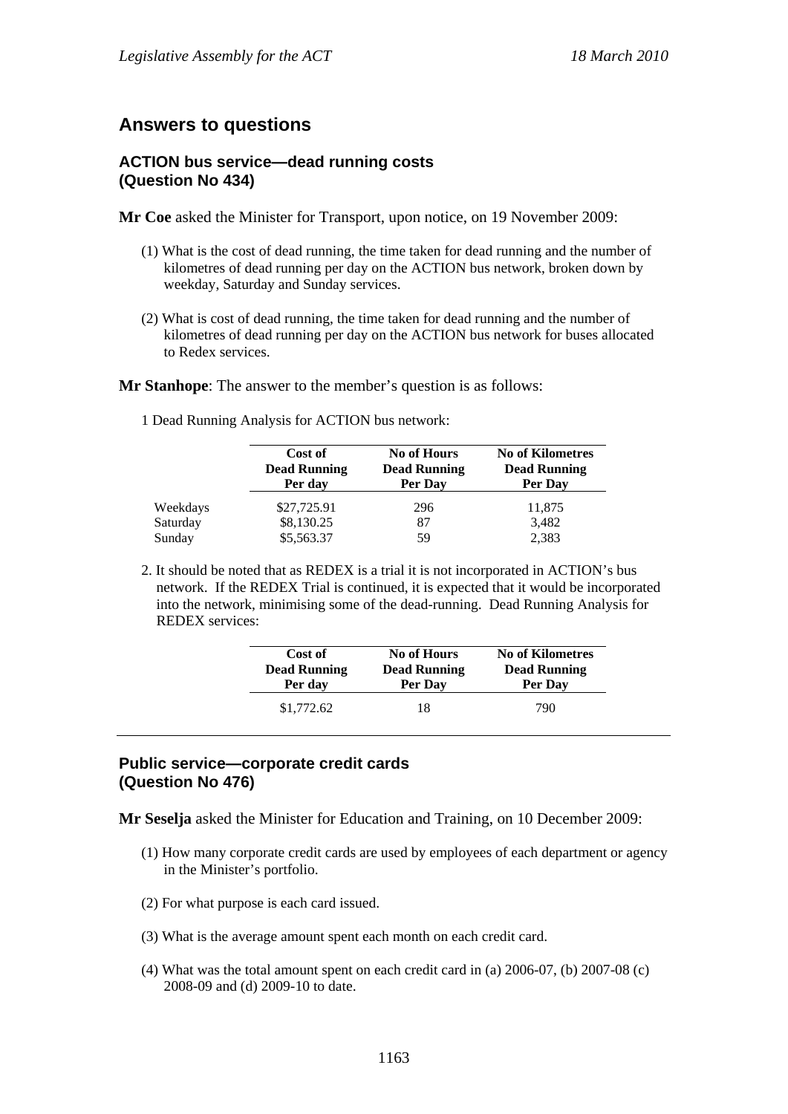# **Answers to questions**

# **ACTION bus service—dead running costs (Question No 434)**

**Mr Coe** asked the Minister for Transport, upon notice, on 19 November 2009:

- (1) What is the cost of dead running, the time taken for dead running and the number of kilometres of dead running per day on the ACTION bus network, broken down by weekday, Saturday and Sunday services.
- (2) What is cost of dead running, the time taken for dead running and the number of kilometres of dead running per day on the ACTION bus network for buses allocated to Redex services.

**Mr Stanhope**: The answer to the member's question is as follows:

1 Dead Running Analysis for ACTION bus network:

|          | Cost of<br><b>Dead Running</b><br>Per day | <b>No of Hours</b><br><b>Dead Running</b><br>Per Day | <b>No of Kilometres</b><br><b>Dead Running</b><br>Per Day |
|----------|-------------------------------------------|------------------------------------------------------|-----------------------------------------------------------|
| Weekdays | \$27,725.91                               | 296                                                  | 11,875                                                    |
| Saturday | \$8,130.25                                | 87                                                   | 3,482                                                     |
| Sunday   | \$5,563.37                                | 59                                                   | 2,383                                                     |

2. It should be noted that as REDEX is a trial it is not incorporated in ACTION's bus network. If the REDEX Trial is continued, it is expected that it would be incorporated into the network, minimising some of the dead-running. Dead Running Analysis for REDEX services:

| Cost of             | <b>No of Hours</b>  | <b>No of Kilometres</b> |
|---------------------|---------------------|-------------------------|
| <b>Dead Running</b> | <b>Dead Running</b> | <b>Dead Running</b>     |
| Per day             | Per Day             | Per Day                 |
| \$1,772.62          | 18                  | 790                     |

## **Public service—corporate credit cards (Question No 476)**

**Mr Seselja** asked the Minister for Education and Training, on 10 December 2009:

- (1) How many corporate credit cards are used by employees of each department or agency in the Minister's portfolio.
- (2) For what purpose is each card issued.
- (3) What is the average amount spent each month on each credit card.
- (4) What was the total amount spent on each credit card in (a) 2006-07, (b) 2007-08 (c) 2008-09 and (d) 2009-10 to date.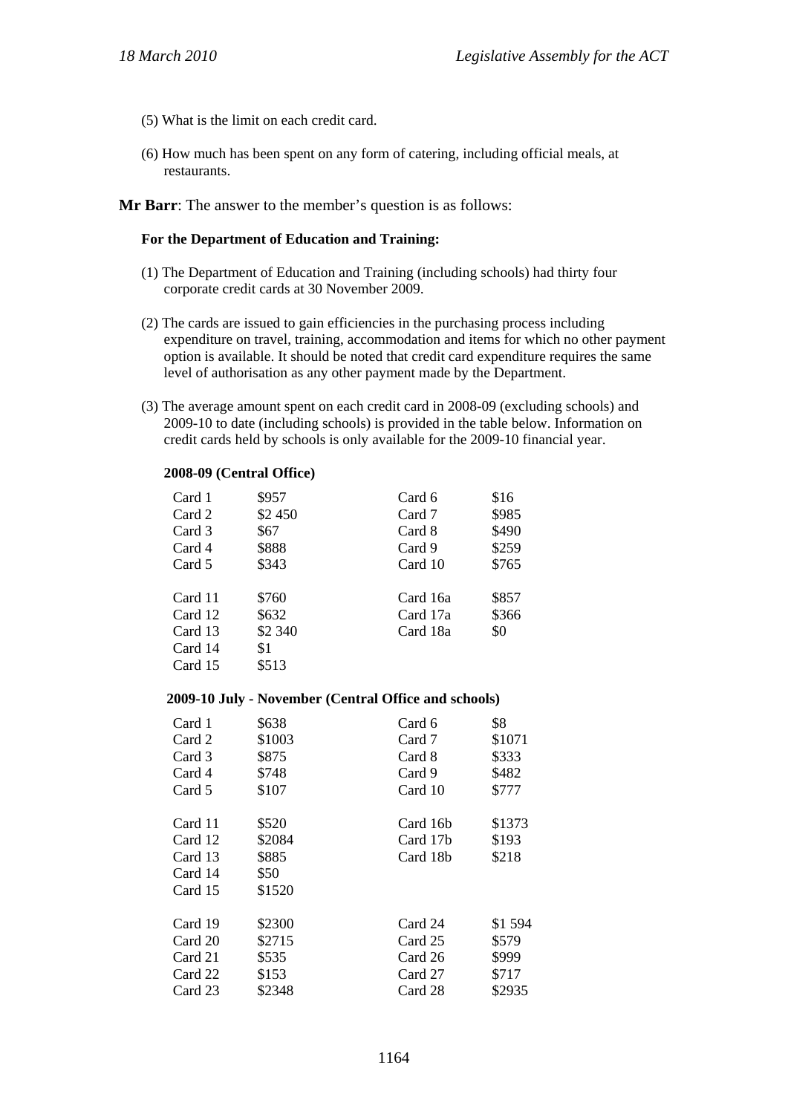- (5) What is the limit on each credit card.
- (6) How much has been spent on any form of catering, including official meals, at restaurants.

**Mr Barr**: The answer to the member's question is as follows:

#### **For the Department of Education and Training:**

- (1) The Department of Education and Training (including schools) had thirty four corporate credit cards at 30 November 2009.
- (2) The cards are issued to gain efficiencies in the purchasing process including expenditure on travel, training, accommodation and items for which no other payment option is available. It should be noted that credit card expenditure requires the same level of authorisation as any other payment made by the Department.
- (3) The average amount spent on each credit card in 2008-09 (excluding schools) and 2009-10 to date (including schools) is provided in the table below. Information on credit cards held by schools is only available for the 2009-10 financial year.

#### **2008-09 (Central Office)**

| Card 1  | \$957   | Card 6   | \$16  |
|---------|---------|----------|-------|
| Card 2  | \$2 450 | Card 7   | \$985 |
| Card 3  | \$67    | Card 8   | \$490 |
| Card 4  | \$888   | Card 9   | \$259 |
| Card 5  | \$343   | Card 10  | \$765 |
|         |         |          |       |
| Card 11 | \$760   | Card 16a | \$857 |
| Card 12 | \$632   | Card 17a | \$366 |
| Card 13 | \$2 340 | Card 18a | \$0   |
| Card 14 | \$1     |          |       |
| Card 15 | \$513   |          |       |

#### **2009-10 July - November (Central Office and schools)**

| Card 1  | \$638  | Card 6   | \$8    |
|---------|--------|----------|--------|
| Card 2  | \$1003 | Card 7   | \$1071 |
| Card 3  | \$875  | Card 8   | \$333  |
| Card 4  | \$748  | Card 9   | \$482  |
| Card 5  | \$107  | Card 10  | \$777  |
|         |        |          |        |
| Card 11 | \$520  | Card 16b | \$1373 |
| Card 12 | \$2084 | Card 17b | \$193  |
| Card 13 | \$885  | Card 18b | \$218  |
| Card 14 | \$50   |          |        |
| Card 15 | \$1520 |          |        |
|         |        |          |        |
| Card 19 | \$2300 | Card 24  | \$1594 |
| Card 20 | \$2715 | Card 25  | \$579  |
| Card 21 | \$535  | Card 26  | \$999  |
| Card 22 | \$153  | Card 27  | \$717  |
| Card 23 | \$2348 | Card 28  | \$2935 |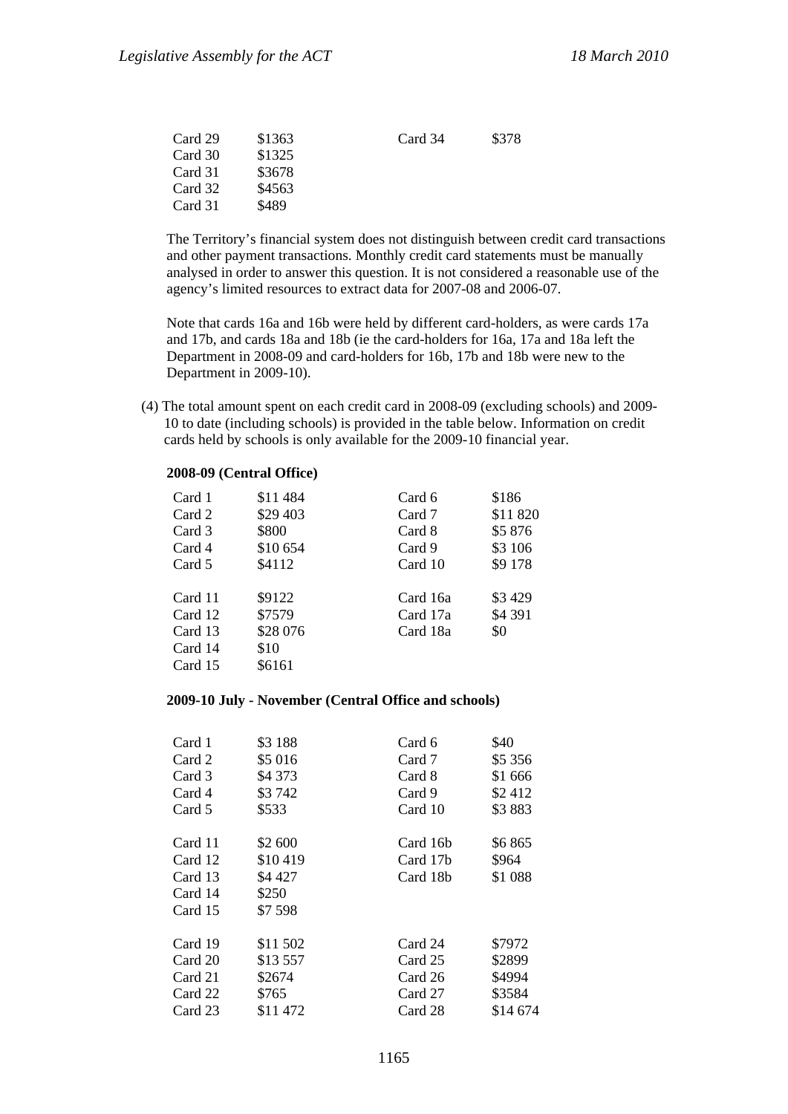| \$378 |
|-------|
|       |
|       |
|       |
|       |
|       |

The Territory's financial system does not distinguish between credit card transactions and other payment transactions. Monthly credit card statements must be manually analysed in order to answer this question. It is not considered a reasonable use of the agency's limited resources to extract data for 2007-08 and 2006-07.

Note that cards 16a and 16b were held by different card-holders, as were cards 17a and 17b, and cards 18a and 18b (ie the card-holders for 16a, 17a and 18a left the Department in 2008-09 and card-holders for 16b, 17b and 18b were new to the Department in 2009-10).

(4) The total amount spent on each credit card in 2008-09 (excluding schools) and 2009- 10 to date (including schools) is provided in the table below. Information on credit cards held by schools is only available for the 2009-10 financial year.

#### **2008-09 (Central Office)**

| Card 1  | \$11484  | Card 6   | \$186    |
|---------|----------|----------|----------|
| Card 2  | \$29 403 | Card 7   | \$11 820 |
| Card 3  | \$800    | Card 8   | \$5876   |
| Card 4  | \$10 654 | Card 9   | \$3 106  |
| Card 5  | \$4112   | Card 10  | \$9 178  |
|         |          |          |          |
| Card 11 | \$9122   | Card 16a | \$3429   |
| Card 12 | \$7579   | Card 17a | \$4 391  |
| Card 13 | \$28 076 | Card 18a | \$0      |
| Card 14 | \$10     |          |          |
| Card 15 | \$6161   |          |          |

#### **2009-10 July - November (Central Office and schools)**

| Card 1<br>Card 2<br>Card 3<br>Card 4<br>Card 5 | \$3 188<br>\$5 016<br>\$4 373<br>\$3742<br>\$533 | Card 6<br>Card 7<br>Card 8<br>Card 9<br>Card 10 | \$40<br>\$5 356<br>\$1 666<br>\$2412<br>\$3883 |
|------------------------------------------------|--------------------------------------------------|-------------------------------------------------|------------------------------------------------|
|                                                |                                                  |                                                 |                                                |
| Card 11                                        | \$2 600                                          | Card 16 <sub>b</sub>                            | \$6865                                         |
| Card 12                                        | \$10419                                          | Card 17b                                        | \$964                                          |
| Card 13                                        | \$4 427                                          | Card 18b                                        | \$1 088                                        |
| Card 14                                        | \$250                                            |                                                 |                                                |
| Card 15                                        | \$7.598                                          |                                                 |                                                |
|                                                |                                                  |                                                 |                                                |
| Card 19                                        | \$11 502                                         | Card 24                                         | \$7972                                         |
| Card 20                                        | \$13557                                          | Card 25                                         | \$2899                                         |
| Card 21                                        | \$2674                                           | Card 26                                         | \$4994                                         |
| Card 22                                        | \$765                                            | Card 27                                         | \$3584                                         |
| Card 23                                        | \$11472                                          | Card 28                                         | \$14 674                                       |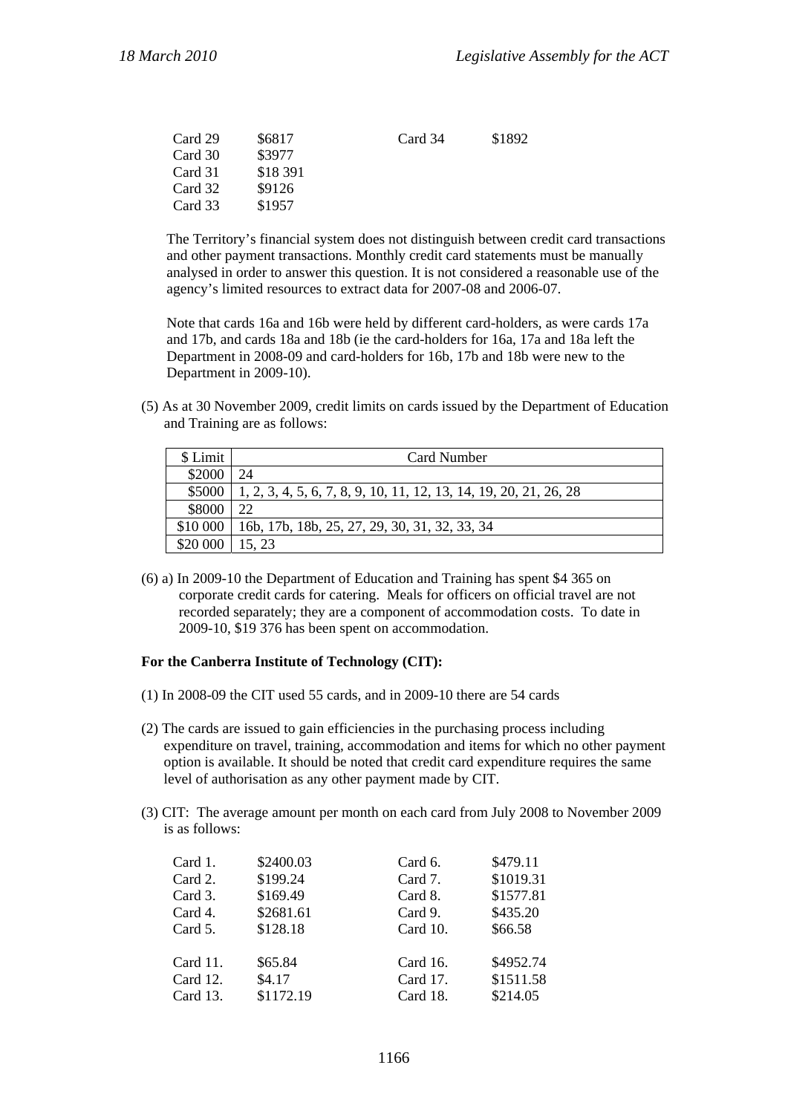| Card 29 | \$6817   | Card 34 | \$1892 |
|---------|----------|---------|--------|
| Card 30 | \$3977   |         |        |
| Card 31 | \$18 391 |         |        |
| Card 32 | \$9126   |         |        |
| Card 33 | \$1957   |         |        |
|         |          |         |        |

The Territory's financial system does not distinguish between credit card transactions and other payment transactions. Monthly credit card statements must be manually analysed in order to answer this question. It is not considered a reasonable use of the agency's limited resources to extract data for 2007-08 and 2006-07.

Note that cards 16a and 16b were held by different card-holders, as were cards 17a and 17b, and cards 18a and 18b (ie the card-holders for 16a, 17a and 18a left the Department in 2008-09 and card-holders for 16b, 17b and 18b were new to the Department in 2009-10).

(5) As at 30 November 2009, credit limits on cards issued by the Department of Education and Training are as follows:

| \$ Limit | Card Number                                                       |
|----------|-------------------------------------------------------------------|
| \$2000   | 24                                                                |
| \$5000   | 1, 2, 3, 4, 5, 6, 7, 8, 9, 10, 11, 12, 13, 14, 19, 20, 21, 26, 28 |
| \$8000   | 22                                                                |
| \$10 000 | 16b, 17b, 18b, 25, 27, 29, 30, 31, 32, 33, 34                     |
| \$20 000 | 15, 23                                                            |

(6) a) In 2009-10 the Department of Education and Training has spent \$4 365 on corporate credit cards for catering. Meals for officers on official travel are not recorded separately; they are a component of accommodation costs. To date in 2009-10, \$19 376 has been spent on accommodation.

#### **For the Canberra Institute of Technology (CIT):**

- (1) In 2008-09 the CIT used 55 cards, and in 2009-10 there are 54 cards
- (2) The cards are issued to gain efficiencies in the purchasing process including expenditure on travel, training, accommodation and items for which no other payment option is available. It should be noted that credit card expenditure requires the same level of authorisation as any other payment made by CIT.
- (3) CIT: The average amount per month on each card from July 2008 to November 2009 is as follows:

| Card 1.     | \$2400.03 | Card 6.  | \$479.11  |
|-------------|-----------|----------|-----------|
| Card 2.     | \$199.24  | Card 7.  | \$1019.31 |
| Card 3.     | \$169.49  | Card 8.  | \$1577.81 |
| Card 4.     | \$2681.61 | Card 9.  | \$435.20  |
| Card 5.     | \$128.18  | Card 10. | \$66.58   |
| Card $11$ . | \$65.84   | Card 16. | \$4952.74 |
| Card 12.    | \$4.17    | Card 17. | \$1511.58 |
| Card 13.    | \$1172.19 | Card 18. | \$214.05  |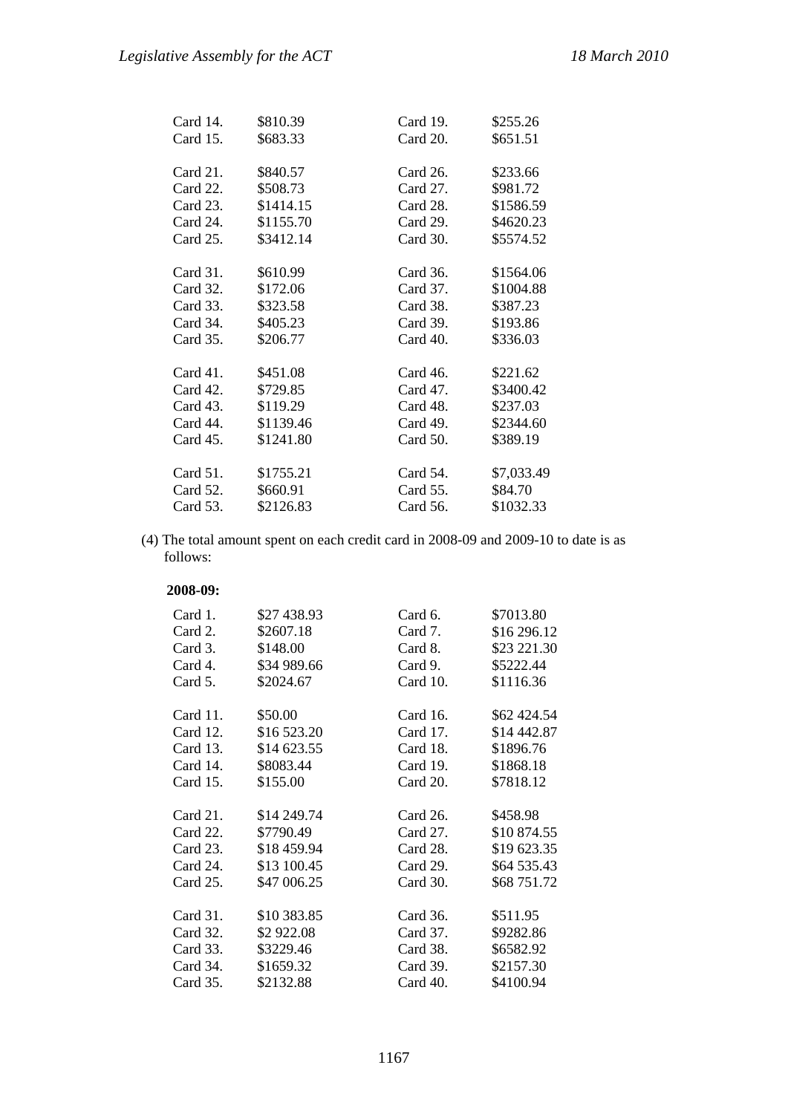| Card $14$ . | \$810.39  | Card 19.    | \$255.26   |
|-------------|-----------|-------------|------------|
| Card 15.    | \$683.33  | Card 20.    | \$651.51   |
|             |           |             |            |
| Card 21.    | \$840.57  | Card 26.    | \$233.66   |
| Card 22.    | \$508.73  | Card $27$ . | \$981.72   |
| Card 23.    | \$1414.15 | Card 28.    | \$1586.59  |
| Card 24.    | \$1155.70 | Card 29.    | \$4620.23  |
| Card 25.    | \$3412.14 | Card 30.    | \$5574.52  |
|             |           |             |            |
| Card 31.    | \$610.99  | Card 36.    | \$1564.06  |
| Card 32.    | \$172.06  | Card 37.    | \$1004.88  |
| Card 33.    | \$323.58  | Card 38.    | \$387.23   |
| Card 34.    | \$405.23  | Card 39.    | \$193.86   |
| Card 35.    | \$206.77  | Card 40.    | \$336.03   |
|             |           |             |            |
| Card 41.    | \$451.08  | Card 46.    | \$221.62   |
| Card 42.    | \$729.85  | Card 47.    | \$3400.42  |
| Card 43.    | \$119.29  | Card 48.    | \$237.03   |
| Card 44.    | \$1139.46 | Card 49.    | \$2344.60  |
| Card 45.    | \$1241.80 | Card 50.    | \$389.19   |
|             |           |             |            |
| Card 51.    | \$1755.21 | Card 54.    | \$7,033.49 |
| Card 52.    | \$660.91  | Card 55.    | \$84.70    |
| Card 53.    | \$2126.83 | Card 56.    | \$1032.33  |

(4) The total amount spent on each credit card in 2008-09 and 2009-10 to date is as follows:

#### **2008-09:**

| Card 1.     | \$27 438.93 | Card 6.     | \$7013.80   |
|-------------|-------------|-------------|-------------|
| Card 2.     | \$2607.18   | Card 7.     | \$16 296.12 |
| Card 3.     | \$148.00    | Card 8.     | \$23 221.30 |
| Card 4.     | \$34 989.66 | Card 9.     | \$5222.44   |
| Card 5.     | \$2024.67   | Card $10$ . | \$1116.36   |
|             |             |             |             |
| Card 11.    | \$50.00     | Card 16.    | \$62 424.54 |
| Card 12.    | \$16 523.20 | Card 17.    | \$14 442.87 |
| Card 13.    | \$14 623.55 | Card 18.    | \$1896.76   |
| Card 14.    | \$8083.44   | Card 19.    | \$1868.18   |
| Card $15$ . | \$155.00    | Card 20.    | \$7818.12   |
|             |             |             |             |
| Card 21.    | \$14 249.74 | Card 26.    | \$458.98    |
| Card 22.    | \$7790.49   | Card 27.    | \$10 874.55 |
| Card $23$ . | \$18 459.94 | Card 28.    | \$19 623.35 |
| Card 24.    | \$13 100.45 | Card $29.$  | \$64 535.43 |
| Card $25$ . | \$47 006.25 | Card 30.    | \$68 751.72 |
|             |             |             |             |
| Card 31.    | \$10 383.85 | Card 36.    | \$511.95    |
| Card 32.    | \$2 922.08  | Card 37.    | \$9282.86   |
| Card 33.    | \$3229.46   | Card 38.    | \$6582.92   |
| Card 34.    | \$1659.32   | Card 39.    | \$2157.30   |
| Card $35.$  | \$2132.88   | Card 40.    | \$4100.94   |
|             |             |             |             |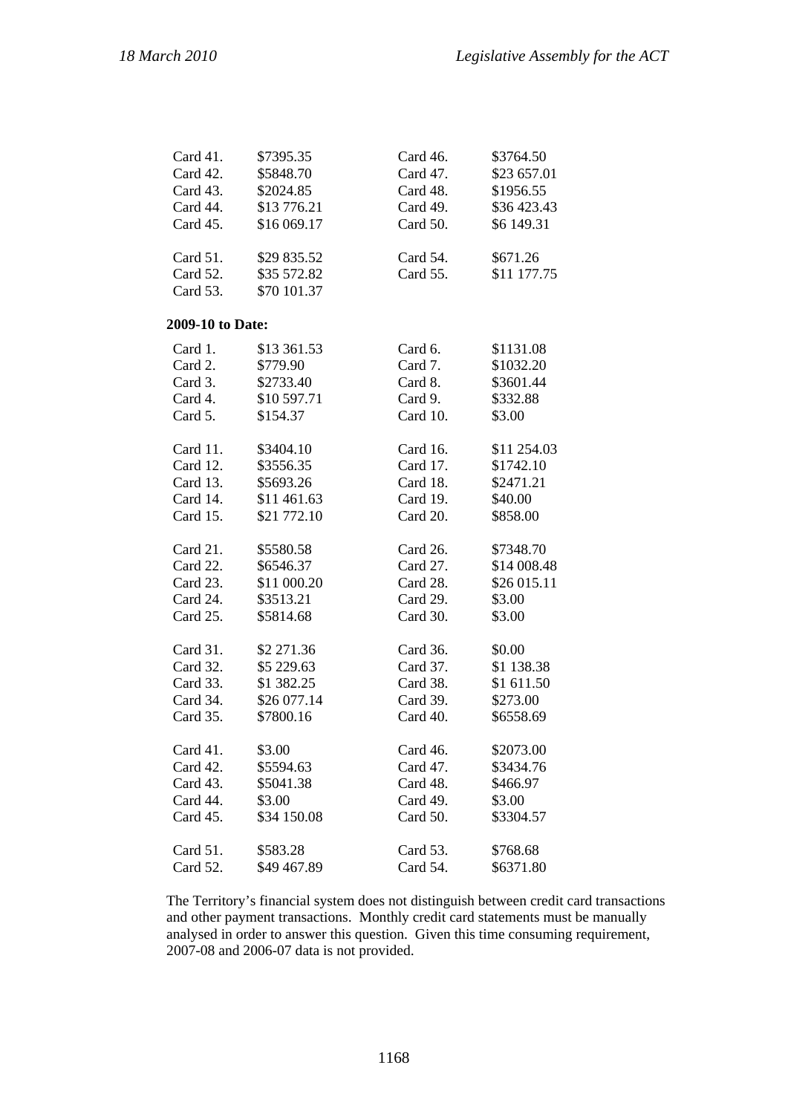| Card 41.         | \$7395.35   | Card 46. | \$3764.50   |
|------------------|-------------|----------|-------------|
| Card 42.         | \$5848.70   | Card 47. | \$23 657.01 |
| Card 43.         | \$2024.85   | Card 48. | \$1956.55   |
| Card 44.         | \$13776.21  | Card 49. | \$36 423.43 |
| Card 45.         | \$16 069.17 | Card 50. | \$6 149.31  |
| Card 51.         | \$29 835.52 | Card 54. | \$671.26    |
| Card 52.         | \$35 572.82 | Card 55. | \$11 177.75 |
| Card 53.         | \$70 101.37 |          |             |
| 2009-10 to Date: |             |          |             |
| Card 1.          | \$13 361.53 | Card 6.  | \$1131.08   |
| Card 2.          | \$779.90    | Card 7.  | \$1032.20   |
| Card 3.          | \$2733.40   | Card 8.  | \$3601.44   |
| Card 4.          | \$10 597.71 | Card 9.  | \$332.88    |
| Card 5.          | \$154.37    | Card 10. | \$3.00      |
| Card 11.         | \$3404.10   | Card 16. | \$11 254.03 |
| Card 12.         | \$3556.35   | Card 17. | \$1742.10   |
| Card 13.         | \$5693.26   | Card 18. | \$2471.21   |
| Card 14.         | \$11 461.63 | Card 19. | \$40.00     |
| Card 15.         | \$21 772.10 | Card 20. | \$858.00    |
| Card 21.         | \$5580.58   | Card 26. | \$7348.70   |
| Card 22.         | \$6546.37   | Card 27. | \$14 008.48 |
| Card 23.         | \$11 000.20 | Card 28. | \$26 015.11 |
| Card 24.         | \$3513.21   | Card 29. | \$3.00      |
| Card 25.         | \$5814.68   | Card 30. | \$3.00      |
| Card 31.         | \$2 271.36  | Card 36. | \$0.00      |
| Card 32.         | \$5 229.63  | Card 37. | \$1 138.38  |
| Card 33.         | \$1 382.25  | Card 38. | \$1 611.50  |
| Card 34.         | \$26 077.14 | Card 39. | \$273.00    |
| Card 35.         | \$7800.16   | Card 40. | \$6558.69   |
| Card 41.         | \$3.00      | Card 46. | \$2073.00   |
| Card 42.         | \$5594.63   | Card 47. | \$3434.76   |
| Card 43.         | \$5041.38   | Card 48. | \$466.97    |
| Card 44.         | \$3.00      | Card 49. | \$3.00      |
| Card 45.         | \$34 150.08 | Card 50. | \$3304.57   |
| Card 51.         | \$583.28    | Card 53. | \$768.68    |
| Card 52.         | \$49 467.89 | Card 54. | \$6371.80   |

The Territory's financial system does not distinguish between credit card transactions and other payment transactions. Monthly credit card statements must be manually analysed in order to answer this question. Given this time consuming requirement, 2007-08 and 2006-07 data is not provided.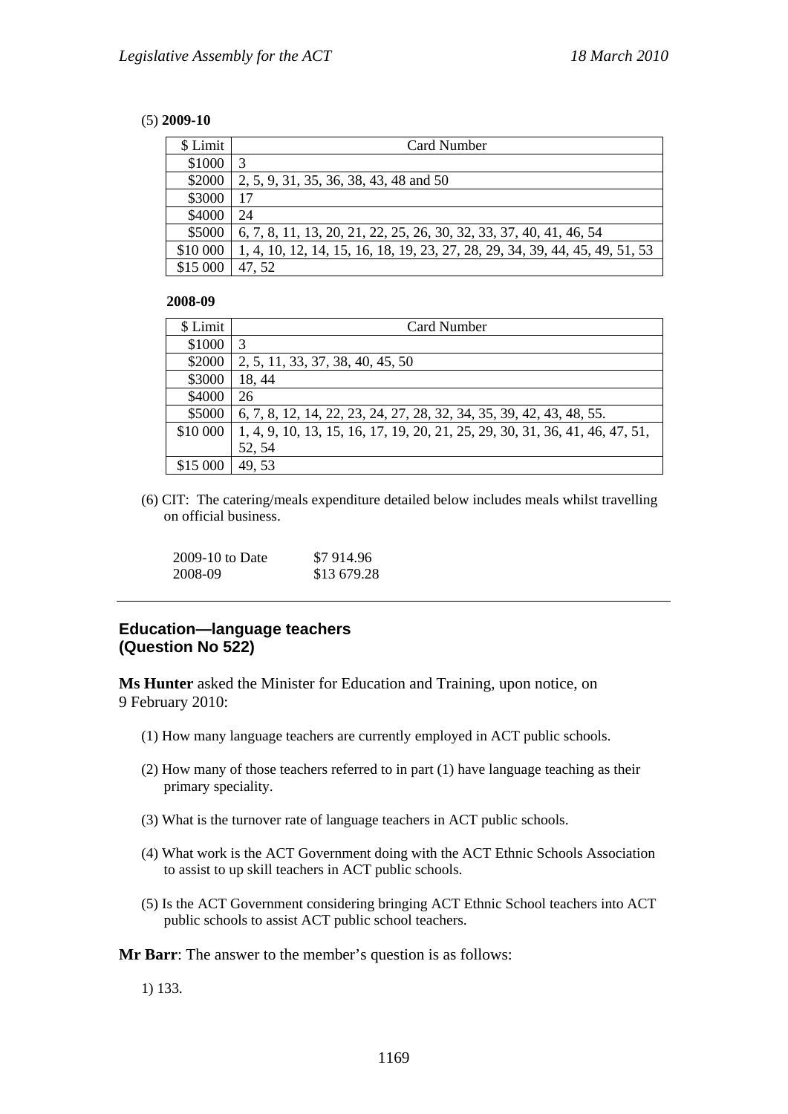#### (5) **2009-10**

| \$ Limit | Card Number                                                                  |
|----------|------------------------------------------------------------------------------|
| \$1000   |                                                                              |
| \$2000   | 2, 5, 9, 31, 35, 36, 38, 43, 48 and 50                                       |
| \$3000   | 17                                                                           |
| \$4000   | 24                                                                           |
| \$5000   | 6, 7, 8, 11, 13, 20, 21, 22, 25, 26, 30, 32, 33, 37, 40, 41, 46, 54          |
| \$10 000 | 1, 4, 10, 12, 14, 15, 16, 18, 19, 23, 27, 28, 29, 34, 39, 44, 45, 49, 51, 53 |
| \$15 000 | 47, 52                                                                       |

#### **2008-09**

| \$ Limit | Card Number                                                                  |
|----------|------------------------------------------------------------------------------|
| \$1000   | 3                                                                            |
| \$2000   | 2, 5, 11, 33, 37, 38, 40, 45, 50                                             |
| \$3000   | 18, 44                                                                       |
| \$4000   | 26                                                                           |
| \$5000   | 6, 7, 8, 12, 14, 22, 23, 24, 27, 28, 32, 34, 35, 39, 42, 43, 48, 55.         |
| \$10 000 | 1, 4, 9, 10, 13, 15, 16, 17, 19, 20, 21, 25, 29, 30, 31, 36, 41, 46, 47, 51, |
|          | 52, 54                                                                       |
| \$15 000 | 49.53                                                                        |

(6) CIT: The catering/meals expenditure detailed below includes meals whilst travelling on official business.

| $2009-10$ to Date | \$7 914.96  |
|-------------------|-------------|
| 2008-09           | \$13 679.28 |

### **Education—language teachers (Question No 522)**

**Ms Hunter** asked the Minister for Education and Training, upon notice, on 9 February 2010:

- (1) How many language teachers are currently employed in ACT public schools.
- (2) How many of those teachers referred to in part (1) have language teaching as their primary speciality.
- (3) What is the turnover rate of language teachers in ACT public schools.
- (4) What work is the ACT Government doing with the ACT Ethnic Schools Association to assist to up skill teachers in ACT public schools.
- (5) Is the ACT Government considering bringing ACT Ethnic School teachers into ACT public schools to assist ACT public school teachers.

**Mr Barr**: The answer to the member's question is as follows:

1) 133.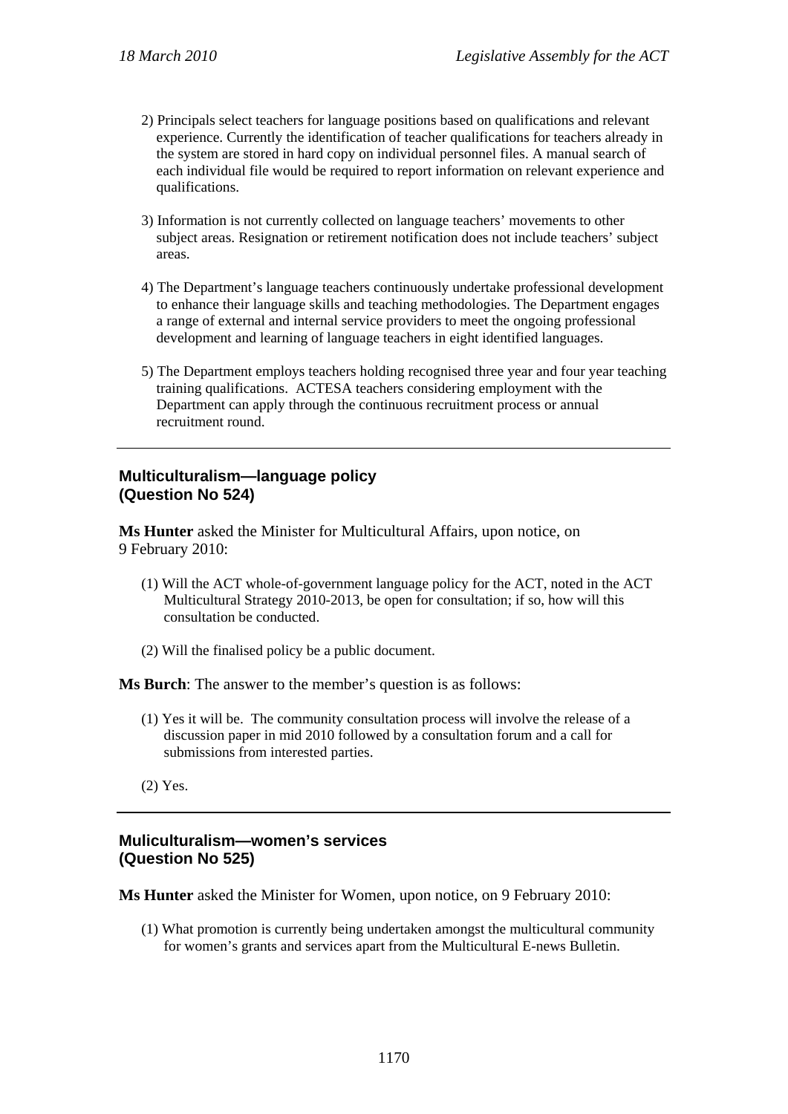- 2) Principals select teachers for language positions based on qualifications and relevant experience. Currently the identification of teacher qualifications for teachers already in the system are stored in hard copy on individual personnel files. A manual search of each individual file would be required to report information on relevant experience and qualifications.
- 3) Information is not currently collected on language teachers' movements to other subject areas. Resignation or retirement notification does not include teachers' subject areas.
- 4) The Department's language teachers continuously undertake professional development to enhance their language skills and teaching methodologies. The Department engages a range of external and internal service providers to meet the ongoing professional development and learning of language teachers in eight identified languages.
- 5) The Department employs teachers holding recognised three year and four year teaching training qualifications. ACTESA teachers considering employment with the Department can apply through the continuous recruitment process or annual recruitment round.

## **Multiculturalism—language policy (Question No 524)**

**Ms Hunter** asked the Minister for Multicultural Affairs, upon notice, on 9 February 2010:

- (1) Will the ACT whole-of-government language policy for the ACT, noted in the ACT Multicultural Strategy 2010-2013, be open for consultation; if so, how will this consultation be conducted.
- (2) Will the finalised policy be a public document.

**Ms Burch**: The answer to the member's question is as follows:

- (1) Yes it will be. The community consultation process will involve the release of a discussion paper in mid 2010 followed by a consultation forum and a call for submissions from interested parties.
- (2) Yes.

## **Muliculturalism—women's services (Question No 525)**

**Ms Hunter** asked the Minister for Women, upon notice, on 9 February 2010:

(1) What promotion is currently being undertaken amongst the multicultural community for women's grants and services apart from the Multicultural E-news Bulletin.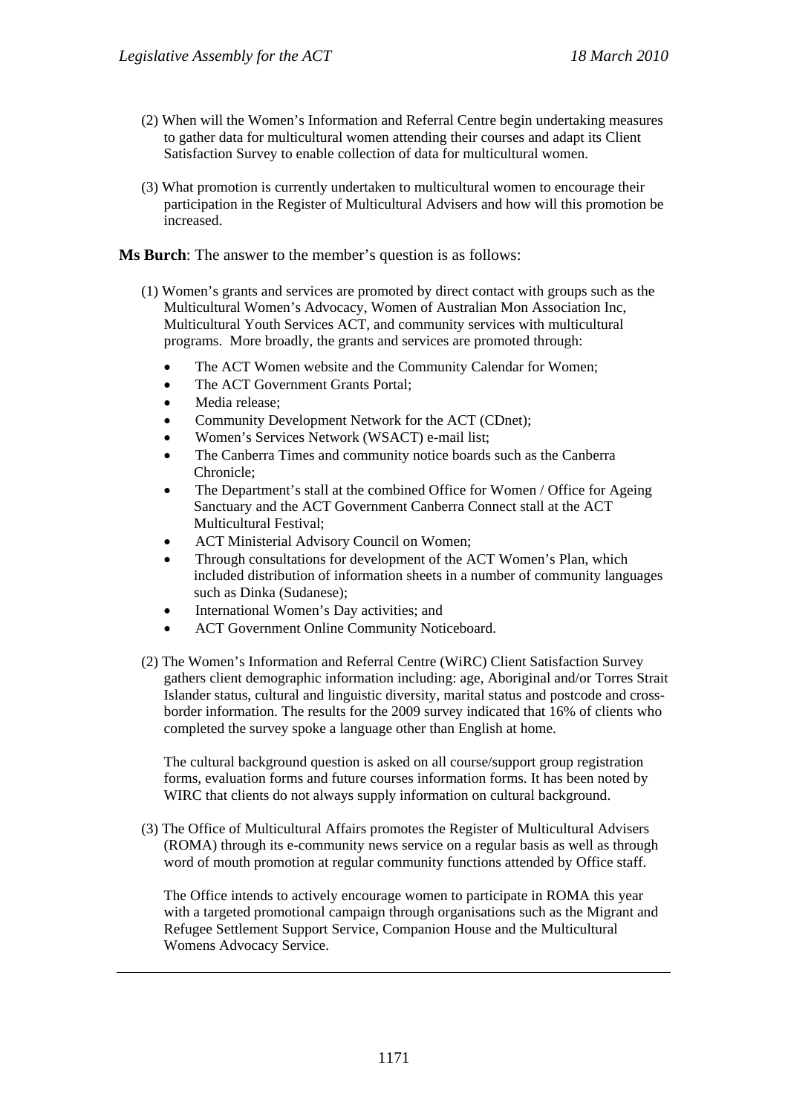- (2) When will the Women's Information and Referral Centre begin undertaking measures to gather data for multicultural women attending their courses and adapt its Client Satisfaction Survey to enable collection of data for multicultural women.
- (3) What promotion is currently undertaken to multicultural women to encourage their participation in the Register of Multicultural Advisers and how will this promotion be increased.

### **Ms Burch**: The answer to the member's question is as follows:

- (1) Women's grants and services are promoted by direct contact with groups such as the Multicultural Women's Advocacy, Women of Australian Mon Association Inc, Multicultural Youth Services ACT, and community services with multicultural programs. More broadly, the grants and services are promoted through:
	- The ACT Women website and the Community Calendar for Women;
	- The ACT Government Grants Portal;
	- Media release;
	- Community Development Network for the ACT (CDnet);
	- Women's Services Network (WSACT) e-mail list;
	- The Canberra Times and community notice boards such as the Canberra Chronicle;
	- The Department's stall at the combined Office for Women / Office for Ageing Sanctuary and the ACT Government Canberra Connect stall at the ACT Multicultural Festival;
	- ACT Ministerial Advisory Council on Women;
	- Through consultations for development of the ACT Women's Plan, which included distribution of information sheets in a number of community languages such as Dinka (Sudanese);
	- International Women's Day activities; and
	- ACT Government Online Community Noticeboard.
- (2) The Women's Information and Referral Centre (WiRC) Client Satisfaction Survey gathers client demographic information including: age, Aboriginal and/or Torres Strait Islander status, cultural and linguistic diversity, marital status and postcode and crossborder information. The results for the 2009 survey indicated that 16% of clients who completed the survey spoke a language other than English at home.

The cultural background question is asked on all course/support group registration forms, evaluation forms and future courses information forms. It has been noted by WIRC that clients do not always supply information on cultural background.

(3) The Office of Multicultural Affairs promotes the Register of Multicultural Advisers (ROMA) through its e-community news service on a regular basis as well as through word of mouth promotion at regular community functions attended by Office staff.

The Office intends to actively encourage women to participate in ROMA this year with a targeted promotional campaign through organisations such as the Migrant and Refugee Settlement Support Service, Companion House and the Multicultural Womens Advocacy Service.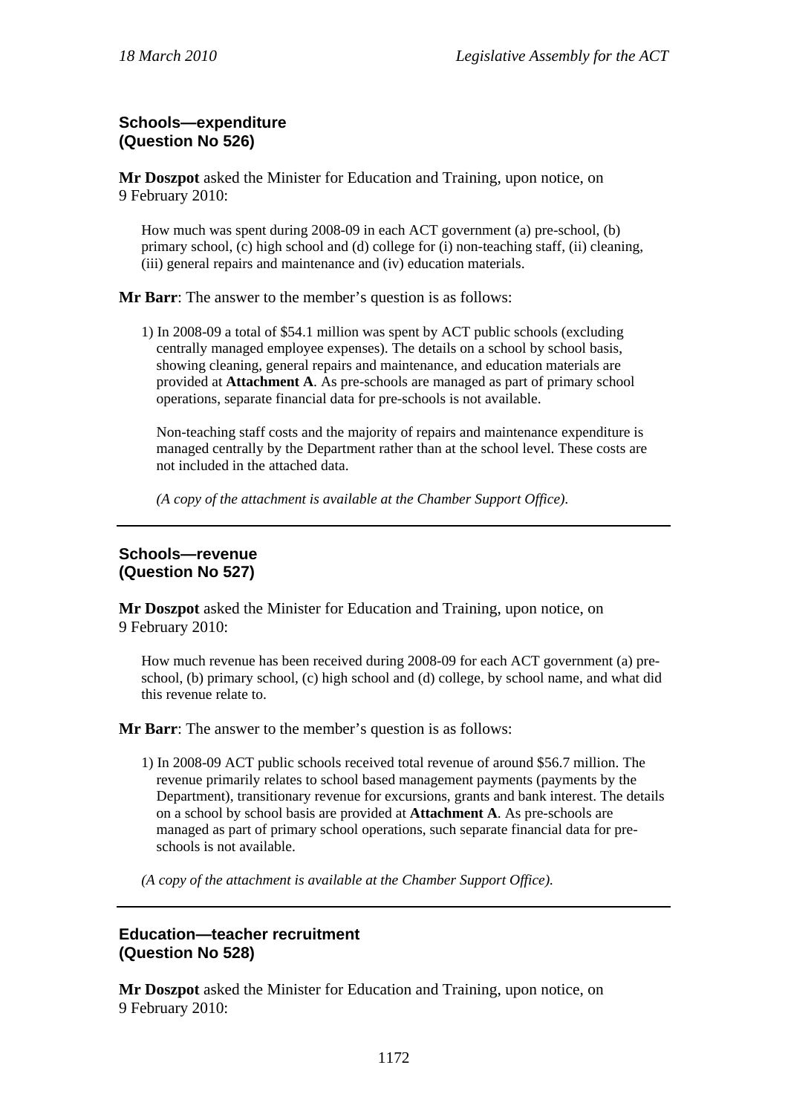# **Schools—expenditure (Question No 526)**

**Mr Doszpot** asked the Minister for Education and Training, upon notice, on 9 February 2010:

How much was spent during 2008-09 in each ACT government (a) pre-school, (b) primary school, (c) high school and (d) college for (i) non-teaching staff, (ii) cleaning, (iii) general repairs and maintenance and (iv) education materials.

**Mr Barr**: The answer to the member's question is as follows:

1) In 2008-09 a total of \$54.1 million was spent by ACT public schools (excluding centrally managed employee expenses). The details on a school by school basis, showing cleaning, general repairs and maintenance, and education materials are provided at **Attachment A**. As pre-schools are managed as part of primary school operations, separate financial data for pre-schools is not available.

Non-teaching staff costs and the majority of repairs and maintenance expenditure is managed centrally by the Department rather than at the school level. These costs are not included in the attached data.

*(A copy of the attachment is available at the Chamber Support Office).* 

## **Schools—revenue (Question No 527)**

**Mr Doszpot** asked the Minister for Education and Training, upon notice, on 9 February 2010:

How much revenue has been received during 2008-09 for each ACT government (a) preschool, (b) primary school, (c) high school and (d) college, by school name, and what did this revenue relate to.

**Mr Barr**: The answer to the member's question is as follows:

1) In 2008-09 ACT public schools received total revenue of around \$56.7 million. The revenue primarily relates to school based management payments (payments by the Department), transitionary revenue for excursions, grants and bank interest. The details on a school by school basis are provided at **Attachment A**. As pre-schools are managed as part of primary school operations, such separate financial data for preschools is not available.

*(A copy of the attachment is available at the Chamber Support Office).* 

## **Education—teacher recruitment (Question No 528)**

**Mr Doszpot** asked the Minister for Education and Training, upon notice, on 9 February 2010: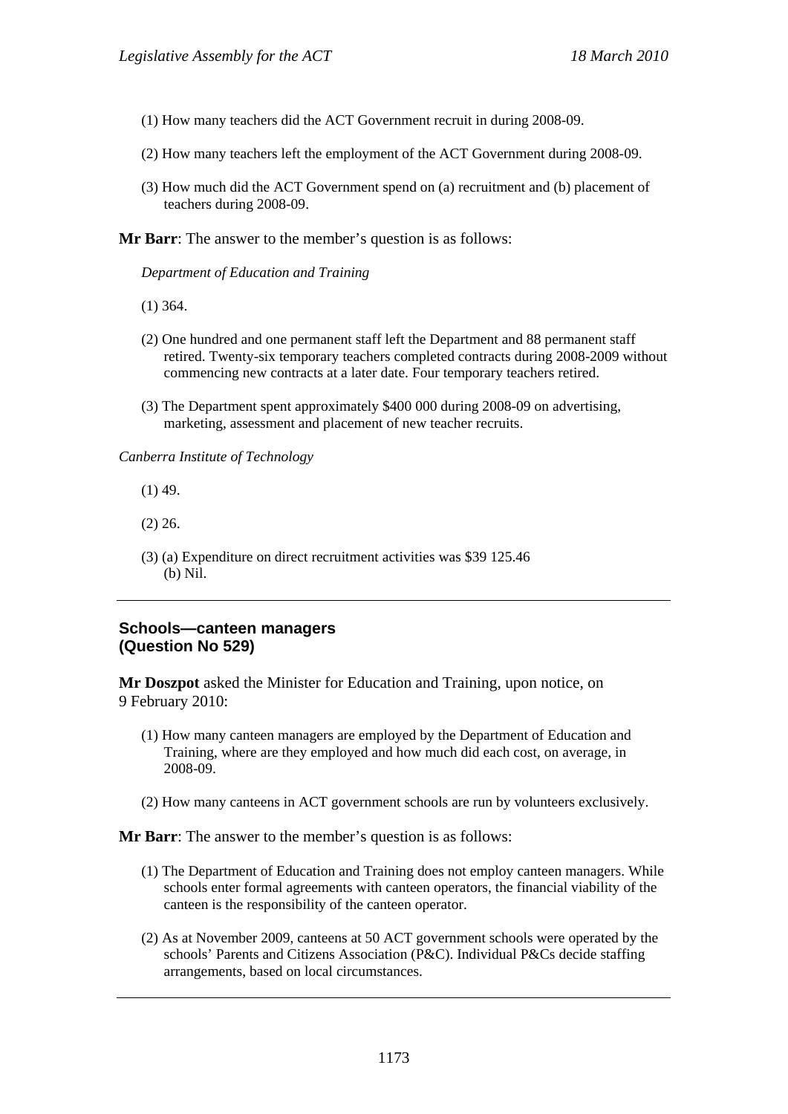- (1) How many teachers did the ACT Government recruit in during 2008-09.
- (2) How many teachers left the employment of the ACT Government during 2008-09.
- (3) How much did the ACT Government spend on (a) recruitment and (b) placement of teachers during 2008-09.

**Mr Barr**: The answer to the member's question is as follows:

*Department of Education and Training* 

- (1) 364.
- (2) One hundred and one permanent staff left the Department and 88 permanent staff retired. Twenty-six temporary teachers completed contracts during 2008-2009 without commencing new contracts at a later date. Four temporary teachers retired.
- (3) The Department spent approximately \$400 000 during 2008-09 on advertising, marketing, assessment and placement of new teacher recruits.

*Canberra Institute of Technology* 

- (1) 49.
- (2) 26.
- (3) (a) Expenditure on direct recruitment activities was \$39 125.46 (b) Nil.

### **Schools—canteen managers (Question No 529)**

**Mr Doszpot** asked the Minister for Education and Training, upon notice, on 9 February 2010:

- (1) How many canteen managers are employed by the Department of Education and Training, where are they employed and how much did each cost, on average, in 2008-09.
- (2) How many canteens in ACT government schools are run by volunteers exclusively.

**Mr Barr**: The answer to the member's question is as follows:

- (1) The Department of Education and Training does not employ canteen managers. While schools enter formal agreements with canteen operators, the financial viability of the canteen is the responsibility of the canteen operator.
- (2) As at November 2009, canteens at 50 ACT government schools were operated by the schools' Parents and Citizens Association (P&C). Individual P&Cs decide staffing arrangements, based on local circumstances.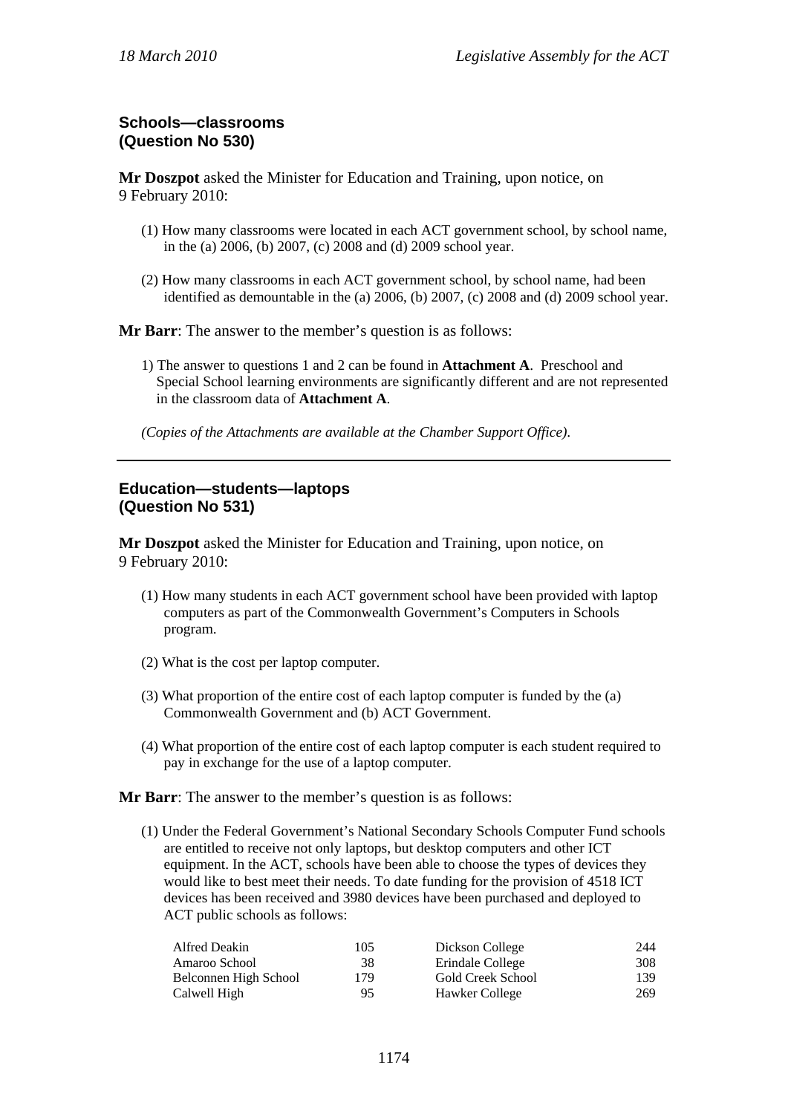# **Schools—classrooms (Question No 530)**

**Mr Doszpot** asked the Minister for Education and Training, upon notice, on 9 February 2010:

- (1) How many classrooms were located in each ACT government school, by school name, in the (a) 2006, (b) 2007, (c) 2008 and (d) 2009 school year.
- (2) How many classrooms in each ACT government school, by school name, had been identified as demountable in the (a) 2006, (b) 2007, (c) 2008 and (d) 2009 school year.

**Mr Barr**: The answer to the member's question is as follows:

- 1) The answer to questions 1 and 2 can be found in **Attachment A**. Preschool and Special School learning environments are significantly different and are not represented in the classroom data of **Attachment A**.
- *(Copies of the Attachments are available at the Chamber Support Office).*

## **Education—students—laptops (Question No 531)**

**Mr Doszpot** asked the Minister for Education and Training, upon notice, on 9 February 2010:

- (1) How many students in each ACT government school have been provided with laptop computers as part of the Commonwealth Government's Computers in Schools program.
- (2) What is the cost per laptop computer.
- (3) What proportion of the entire cost of each laptop computer is funded by the (a) Commonwealth Government and (b) ACT Government.
- (4) What proportion of the entire cost of each laptop computer is each student required to pay in exchange for the use of a laptop computer.

**Mr Barr**: The answer to the member's question is as follows:

(1) Under the Federal Government's National Secondary Schools Computer Fund schools are entitled to receive not only laptops, but desktop computers and other ICT equipment. In the ACT, schools have been able to choose the types of devices they would like to best meet their needs. To date funding for the provision of 4518 ICT devices has been received and 3980 devices have been purchased and deployed to ACT public schools as follows:

| Alfred Deakin         | 105 | Dickson College   | 244 |
|-----------------------|-----|-------------------|-----|
| Amaroo School         | 38  | Erindale College  | 308 |
| Belconnen High School | 179 | Gold Creek School | 139 |
| Calwell High          | 95  | Hawker College    | 269 |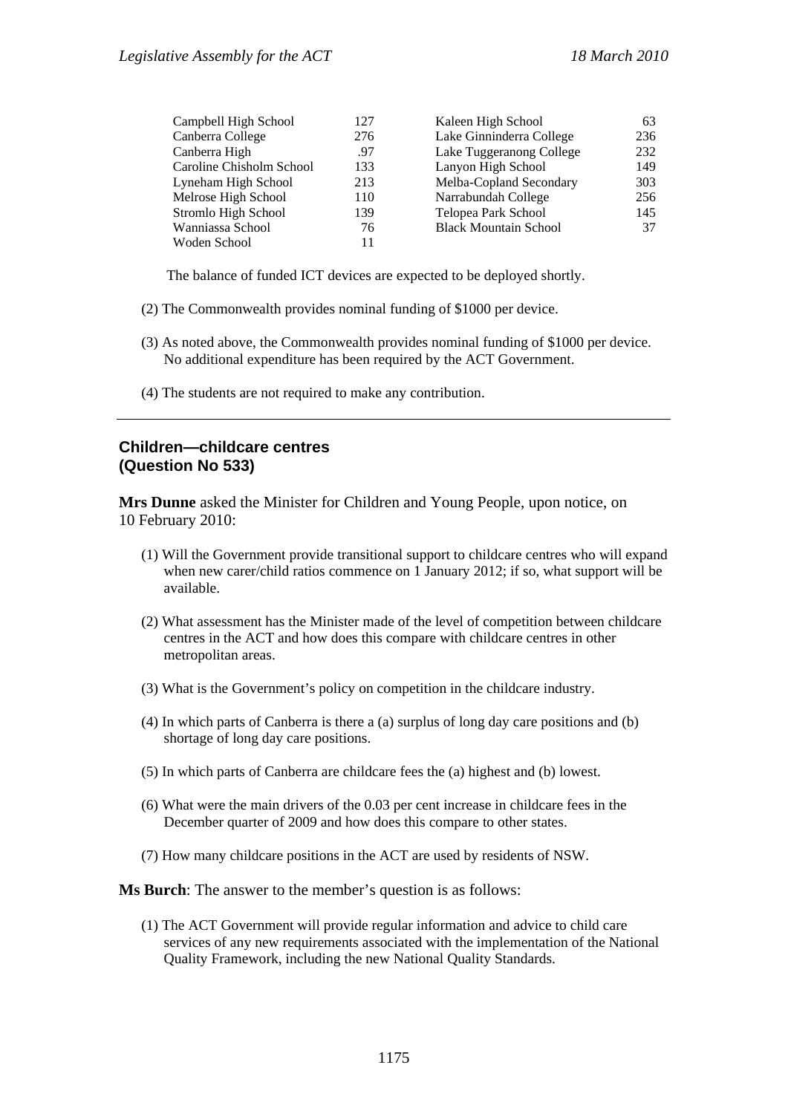| Campbell High School     | 127 | Kaleen High School           | 63  |
|--------------------------|-----|------------------------------|-----|
| Canberra College         | 276 | Lake Ginninderra College     | 236 |
| Canberra High            | .97 | Lake Tuggeranong College     | 232 |
| Caroline Chisholm School | 133 | Lanyon High School           | 149 |
| Lyneham High School      | 213 | Melba-Copland Secondary      | 303 |
| Melrose High School      | 110 | Narrabundah College          | 256 |
| Stromlo High School      | 139 | Telopea Park School          | 145 |
| Wanniassa School         | 76  | <b>Black Mountain School</b> | 37  |
| Woden School             | 11  |                              |     |

The balance of funded ICT devices are expected to be deployed shortly.

- (2) The Commonwealth provides nominal funding of \$1000 per device.
- (3) As noted above, the Commonwealth provides nominal funding of \$1000 per device. No additional expenditure has been required by the ACT Government.
- (4) The students are not required to make any contribution.

### **Children—childcare centres (Question No 533)**

**Mrs Dunne** asked the Minister for Children and Young People, upon notice, on 10 February 2010:

- (1) Will the Government provide transitional support to childcare centres who will expand when new carer/child ratios commence on 1 January 2012; if so, what support will be available.
- (2) What assessment has the Minister made of the level of competition between childcare centres in the ACT and how does this compare with childcare centres in other metropolitan areas.
- (3) What is the Government's policy on competition in the childcare industry.
- (4) In which parts of Canberra is there a (a) surplus of long day care positions and (b) shortage of long day care positions.
- (5) In which parts of Canberra are childcare fees the (a) highest and (b) lowest.
- (6) What were the main drivers of the 0.03 per cent increase in childcare fees in the December quarter of 2009 and how does this compare to other states.
- (7) How many childcare positions in the ACT are used by residents of NSW.

#### **Ms Burch**: The answer to the member's question is as follows:

(1) The ACT Government will provide regular information and advice to child care services of any new requirements associated with the implementation of the National Quality Framework, including the new National Quality Standards.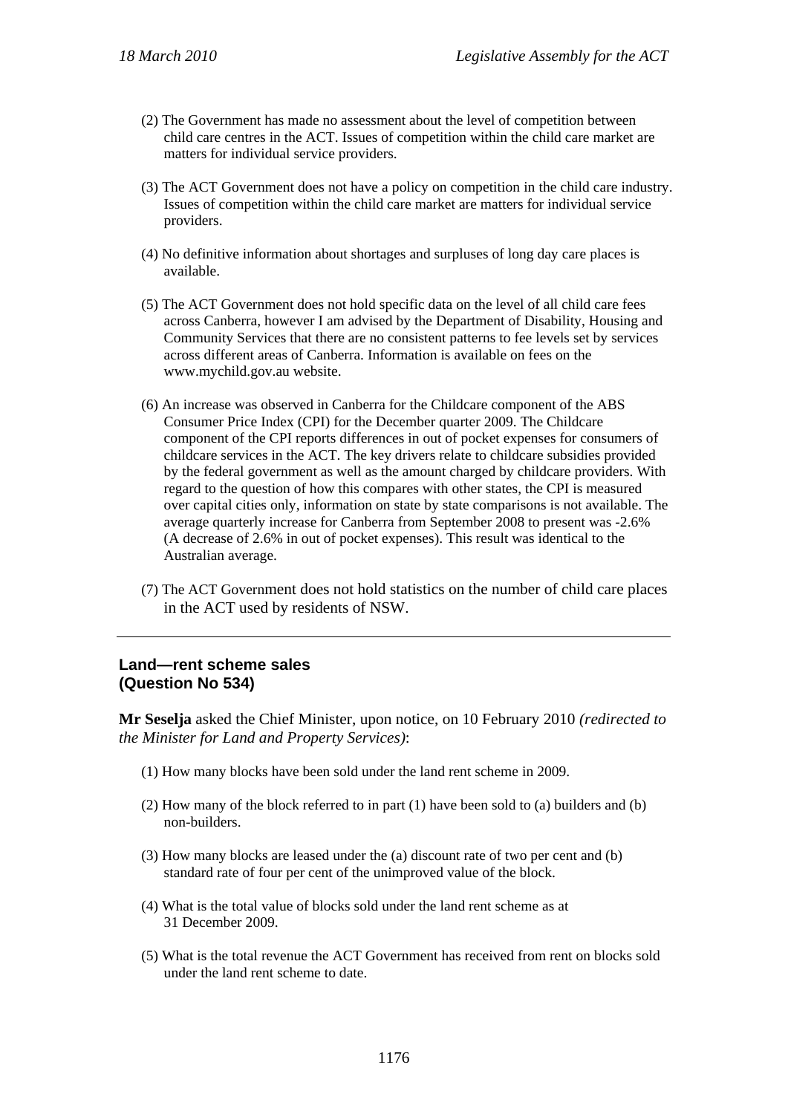- (2) The Government has made no assessment about the level of competition between child care centres in the ACT. Issues of competition within the child care market are matters for individual service providers.
- (3) The ACT Government does not have a policy on competition in the child care industry. Issues of competition within the child care market are matters for individual service providers.
- (4) No definitive information about shortages and surpluses of long day care places is available.
- (5) The ACT Government does not hold specific data on the level of all child care fees across Canberra, however I am advised by the Department of Disability, Housing and Community Services that there are no consistent patterns to fee levels set by services across different areas of Canberra. Information is available on fees on the www.mychild.gov.au website.
- (6) An increase was observed in Canberra for the Childcare component of the ABS Consumer Price Index (CPI) for the December quarter 2009. The Childcare component of the CPI reports differences in out of pocket expenses for consumers of childcare services in the ACT. The key drivers relate to childcare subsidies provided by the federal government as well as the amount charged by childcare providers. With regard to the question of how this compares with other states, the CPI is measured over capital cities only, information on state by state comparisons is not available. The average quarterly increase for Canberra from September 2008 to present was -2.6% (A decrease of 2.6% in out of pocket expenses). This result was identical to the Australian average.
- (7) The ACT Government does not hold statistics on the number of child care places in the ACT used by residents of NSW.

### **Land—rent scheme sales (Question No 534)**

**Mr Seselja** asked the Chief Minister, upon notice, on 10 February 2010 *(redirected to the Minister for Land and Property Services)*:

- (1) How many blocks have been sold under the land rent scheme in 2009.
- (2) How many of the block referred to in part (1) have been sold to (a) builders and (b) non-builders.
- (3) How many blocks are leased under the (a) discount rate of two per cent and (b) standard rate of four per cent of the unimproved value of the block.
- (4) What is the total value of blocks sold under the land rent scheme as at 31 December 2009.
- (5) What is the total revenue the ACT Government has received from rent on blocks sold under the land rent scheme to date.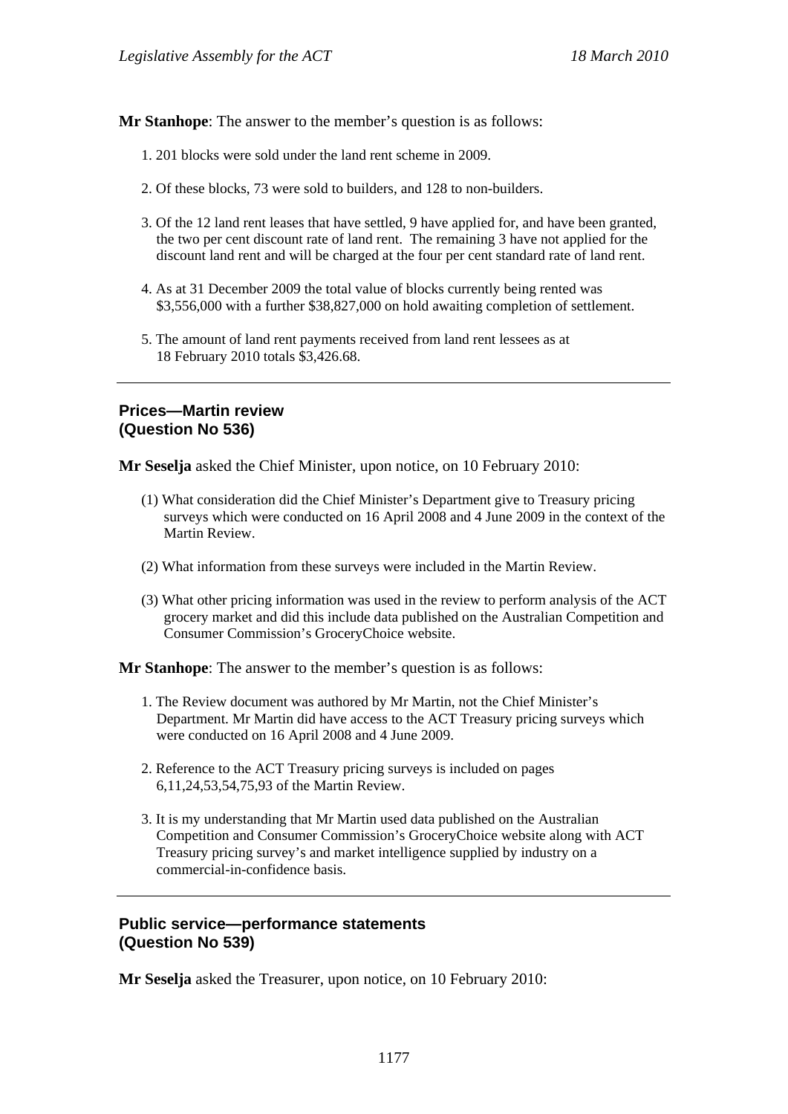**Mr Stanhope**: The answer to the member's question is as follows:

- 1. 201 blocks were sold under the land rent scheme in 2009.
- 2. Of these blocks, 73 were sold to builders, and 128 to non-builders.
- 3. Of the 12 land rent leases that have settled, 9 have applied for, and have been granted, the two per cent discount rate of land rent. The remaining 3 have not applied for the discount land rent and will be charged at the four per cent standard rate of land rent.
- 4. As at 31 December 2009 the total value of blocks currently being rented was \$3,556,000 with a further \$38,827,000 on hold awaiting completion of settlement.
- 5. The amount of land rent payments received from land rent lessees as at 18 February 2010 totals \$3,426.68.

# **Prices—Martin review (Question No 536)**

**Mr Seselja** asked the Chief Minister, upon notice, on 10 February 2010:

- (1) What consideration did the Chief Minister's Department give to Treasury pricing surveys which were conducted on 16 April 2008 and 4 June 2009 in the context of the Martin Review.
- (2) What information from these surveys were included in the Martin Review.
- (3) What other pricing information was used in the review to perform analysis of the ACT grocery market and did this include data published on the Australian Competition and Consumer Commission's GroceryChoice website.

**Mr Stanhope**: The answer to the member's question is as follows:

- 1. The Review document was authored by Mr Martin, not the Chief Minister's Department. Mr Martin did have access to the ACT Treasury pricing surveys which were conducted on 16 April 2008 and 4 June 2009.
- 2. Reference to the ACT Treasury pricing surveys is included on pages 6,11,24,53,54,75,93 of the Martin Review.
- 3. It is my understanding that Mr Martin used data published on the Australian Competition and Consumer Commission's GroceryChoice website along with ACT Treasury pricing survey's and market intelligence supplied by industry on a commercial-in-confidence basis.

### **Public service—performance statements (Question No 539)**

**Mr Seselja** asked the Treasurer, upon notice, on 10 February 2010: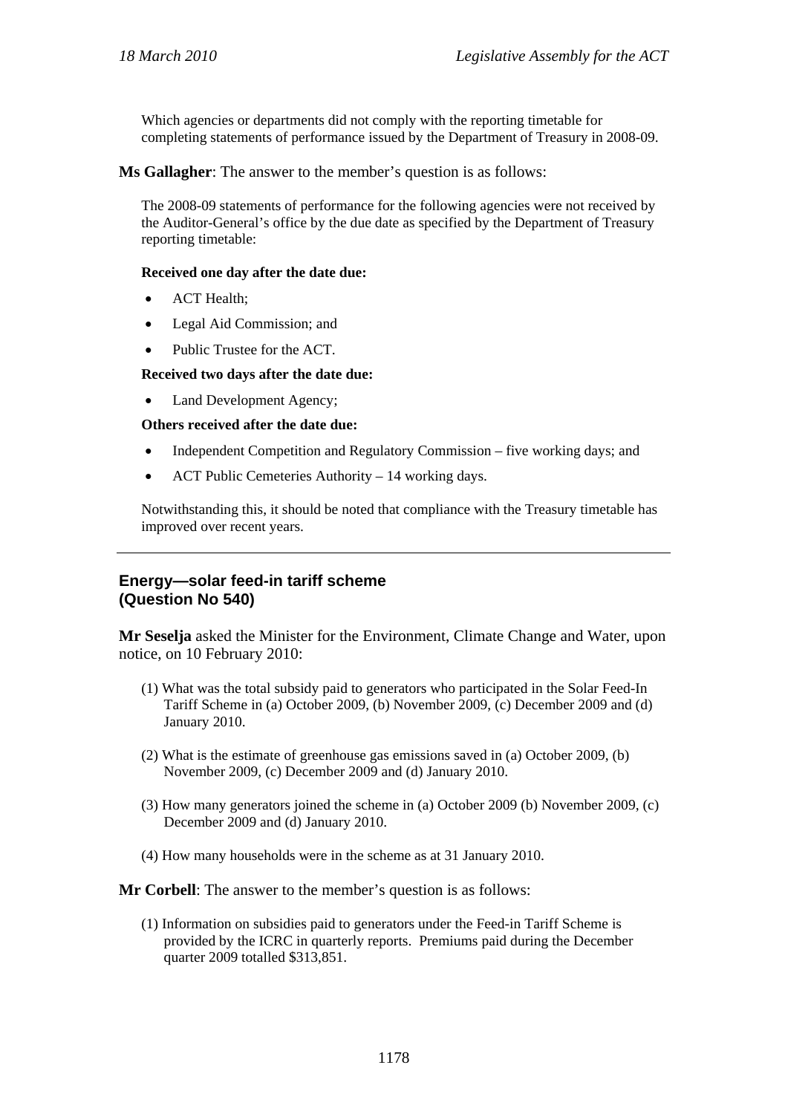Which agencies or departments did not comply with the reporting timetable for completing statements of performance issued by the Department of Treasury in 2008-09.

**Ms Gallagher**: The answer to the member's question is as follows:

The 2008-09 statements of performance for the following agencies were not received by the Auditor-General's office by the due date as specified by the Department of Treasury reporting timetable:

#### **Received one day after the date due:**

- ACT Health;
- Legal Aid Commission; and
- Public Trustee for the ACT.

#### **Received two days after the date due:**

Land Development Agency;

#### **Others received after the date due:**

- Independent Competition and Regulatory Commission five working days; and
- ACT Public Cemeteries Authority 14 working days.

Notwithstanding this, it should be noted that compliance with the Treasury timetable has improved over recent years.

## **Energy—solar feed-in tariff scheme (Question No 540)**

**Mr Seselja** asked the Minister for the Environment, Climate Change and Water, upon notice, on 10 February 2010:

- (1) What was the total subsidy paid to generators who participated in the Solar Feed-In Tariff Scheme in (a) October 2009, (b) November 2009, (c) December 2009 and (d) January 2010.
- (2) What is the estimate of greenhouse gas emissions saved in (a) October 2009, (b) November 2009, (c) December 2009 and (d) January 2010.
- (3) How many generators joined the scheme in (a) October 2009 (b) November 2009, (c) December 2009 and (d) January 2010.
- (4) How many households were in the scheme as at 31 January 2010.

**Mr Corbell**: The answer to the member's question is as follows:

(1) Information on subsidies paid to generators under the Feed-in Tariff Scheme is provided by the ICRC in quarterly reports. Premiums paid during the December quarter 2009 totalled \$313,851.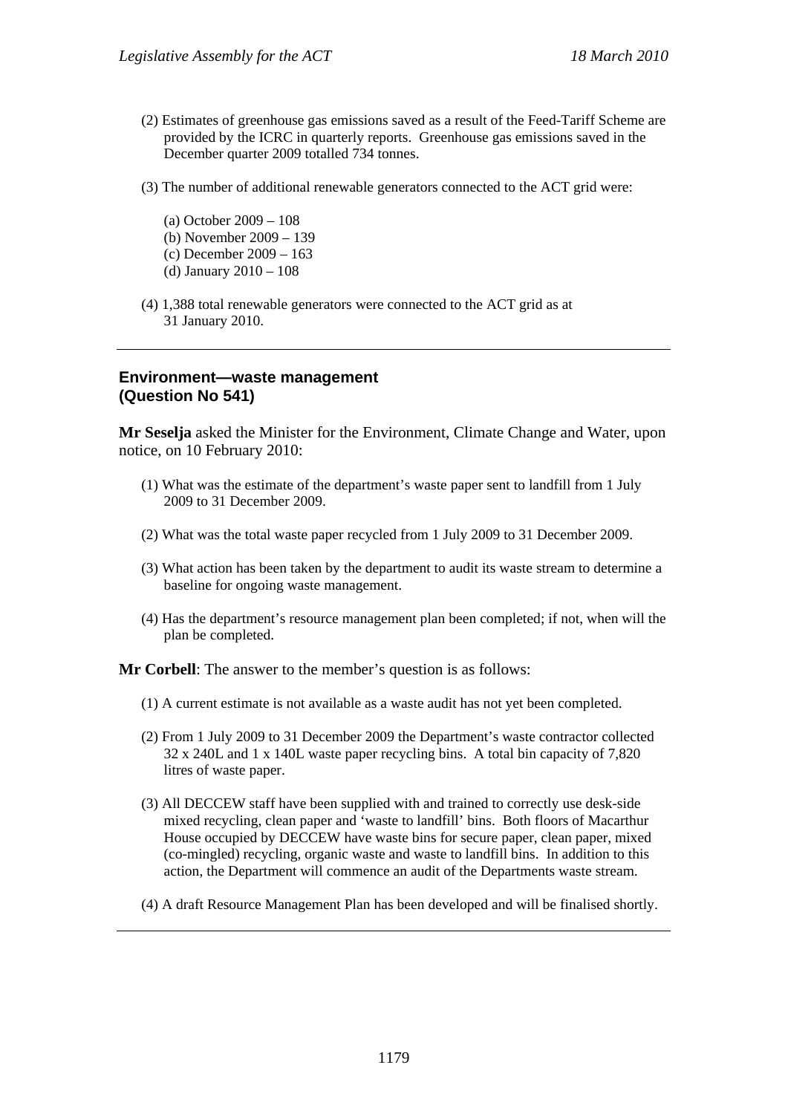- (2) Estimates of greenhouse gas emissions saved as a result of the Feed-Tariff Scheme are provided by the ICRC in quarterly reports. Greenhouse gas emissions saved in the December quarter 2009 totalled 734 tonnes.
- (3) The number of additional renewable generators connected to the ACT grid were:
	- (a) October 2009 108 (b) November 2009 – 139 (c) December 2009 – 163 (d) January 2010 – 108
- (4) 1,388 total renewable generators were connected to the ACT grid as at 31 January 2010.

#### **Environment—waste management (Question No 541)**

**Mr Seselja** asked the Minister for the Environment, Climate Change and Water, upon notice, on 10 February 2010:

- (1) What was the estimate of the department's waste paper sent to landfill from 1 July 2009 to 31 December 2009.
- (2) What was the total waste paper recycled from 1 July 2009 to 31 December 2009.
- (3) What action has been taken by the department to audit its waste stream to determine a baseline for ongoing waste management.
- (4) Has the department's resource management plan been completed; if not, when will the plan be completed.

**Mr Corbell**: The answer to the member's question is as follows:

- (1) A current estimate is not available as a waste audit has not yet been completed.
- (2) From 1 July 2009 to 31 December 2009 the Department's waste contractor collected 32 x 240L and 1 x 140L waste paper recycling bins. A total bin capacity of 7,820 litres of waste paper.
- (3) All DECCEW staff have been supplied with and trained to correctly use desk-side mixed recycling, clean paper and 'waste to landfill' bins. Both floors of Macarthur House occupied by DECCEW have waste bins for secure paper, clean paper, mixed (co-mingled) recycling, organic waste and waste to landfill bins. In addition to this action, the Department will commence an audit of the Departments waste stream.
- (4) A draft Resource Management Plan has been developed and will be finalised shortly.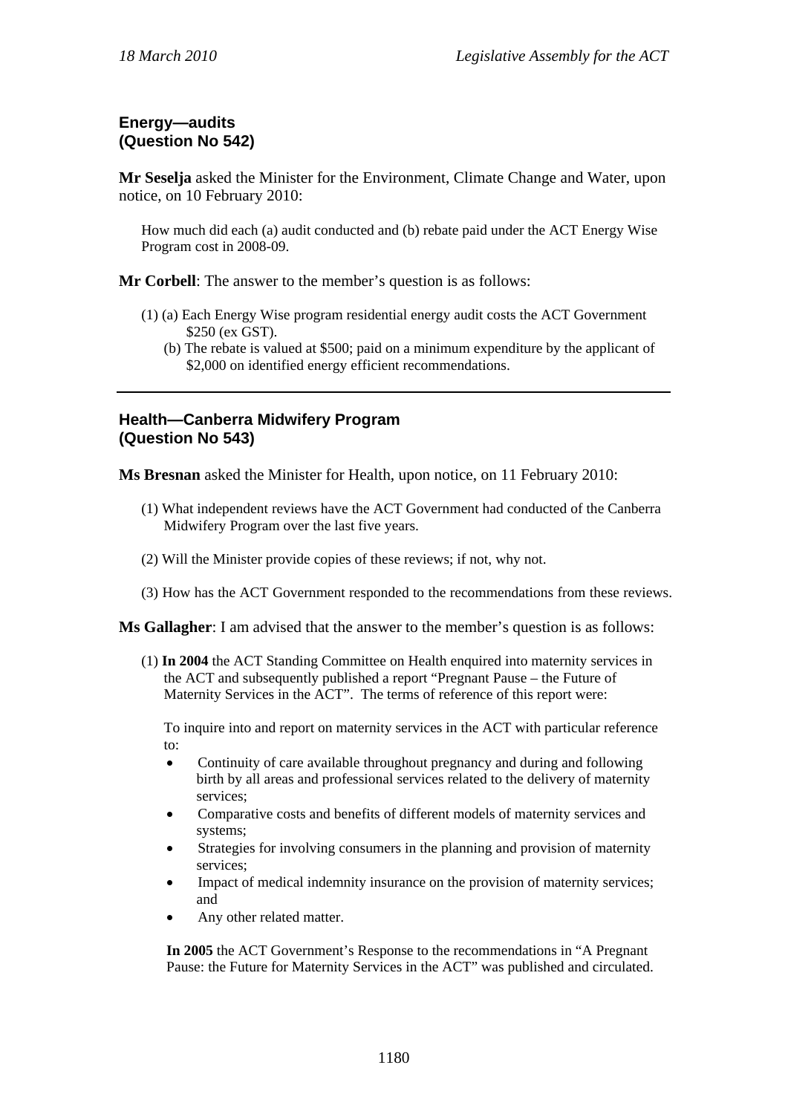# **Energy—audits (Question No 542)**

**Mr Seselja** asked the Minister for the Environment, Climate Change and Water, upon notice, on 10 February 2010:

How much did each (a) audit conducted and (b) rebate paid under the ACT Energy Wise Program cost in 2008-09.

**Mr Corbell**: The answer to the member's question is as follows:

- (1) (a) Each Energy Wise program residential energy audit costs the ACT Government \$250 (ex GST).
	- (b) The rebate is valued at \$500; paid on a minimum expenditure by the applicant of \$2,000 on identified energy efficient recommendations.

# **Health—Canberra Midwifery Program (Question No 543)**

**Ms Bresnan** asked the Minister for Health, upon notice, on 11 February 2010:

- (1) What independent reviews have the ACT Government had conducted of the Canberra Midwifery Program over the last five years.
- (2) Will the Minister provide copies of these reviews; if not, why not.
- (3) How has the ACT Government responded to the recommendations from these reviews.

**Ms Gallagher**: I am advised that the answer to the member's question is as follows:

(1) **In 2004** the ACT Standing Committee on Health enquired into maternity services in the ACT and subsequently published a report "Pregnant Pause – the Future of Maternity Services in the ACT". The terms of reference of this report were:

To inquire into and report on maternity services in the ACT with particular reference to:

- Continuity of care available throughout pregnancy and during and following birth by all areas and professional services related to the delivery of maternity services;
- Comparative costs and benefits of different models of maternity services and systems;
- Strategies for involving consumers in the planning and provision of maternity services;
- Impact of medical indemnity insurance on the provision of maternity services; and
- Any other related matter.

**In 2005** the ACT Government's Response to the recommendations in "A Pregnant Pause: the Future for Maternity Services in the ACT" was published and circulated.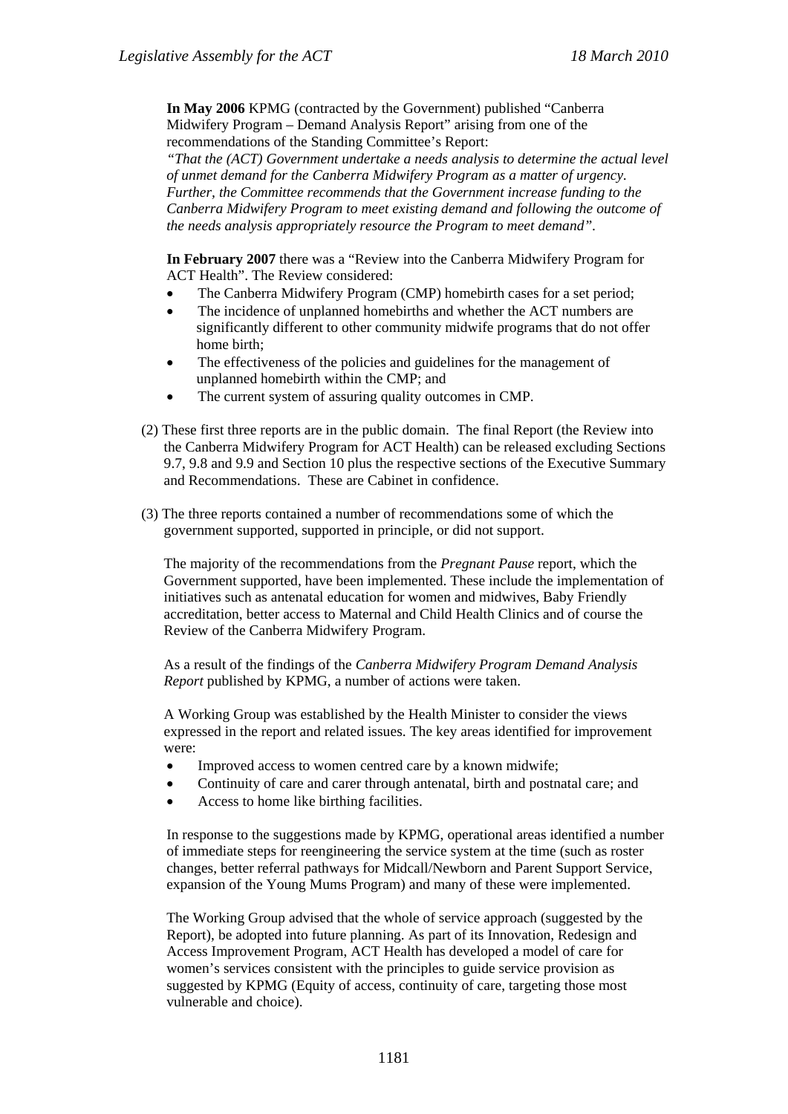**In May 2006** KPMG (contracted by the Government) published "Canberra Midwifery Program – Demand Analysis Report" arising from one of the recommendations of the Standing Committee's Report:

*"That the (ACT) Government undertake a needs analysis to determine the actual level of unmet demand for the Canberra Midwifery Program as a matter of urgency. Further, the Committee recommends that the Government increase funding to the Canberra Midwifery Program to meet existing demand and following the outcome of the needs analysis appropriately resource the Program to meet demand".* 

**In February 2007** there was a "Review into the Canberra Midwifery Program for ACT Health". The Review considered:

- The Canberra Midwifery Program (CMP) homebirth cases for a set period;
- The incidence of unplanned homebirths and whether the ACT numbers are significantly different to other community midwife programs that do not offer home birth;
- The effectiveness of the policies and guidelines for the management of unplanned homebirth within the CMP; and
- The current system of assuring quality outcomes in CMP.
- (2) These first three reports are in the public domain. The final Report (the Review into the Canberra Midwifery Program for ACT Health) can be released excluding Sections 9.7, 9.8 and 9.9 and Section 10 plus the respective sections of the Executive Summary and Recommendations. These are Cabinet in confidence.
- (3) The three reports contained a number of recommendations some of which the government supported, supported in principle, or did not support.

The majority of the recommendations from the *Pregnant Pause* report, which the Government supported, have been implemented. These include the implementation of initiatives such as antenatal education for women and midwives, Baby Friendly accreditation, better access to Maternal and Child Health Clinics and of course the Review of the Canberra Midwifery Program.

As a result of the findings of the *Canberra Midwifery Program Demand Analysis Report* published by KPMG, a number of actions were taken.

A Working Group was established by the Health Minister to consider the views expressed in the report and related issues. The key areas identified for improvement were:

- Improved access to women centred care by a known midwife;
- Continuity of care and carer through antenatal, birth and postnatal care; and
- Access to home like birthing facilities.

In response to the suggestions made by KPMG, operational areas identified a number of immediate steps for reengineering the service system at the time (such as roster changes, better referral pathways for Midcall/Newborn and Parent Support Service, expansion of the Young Mums Program) and many of these were implemented.

The Working Group advised that the whole of service approach (suggested by the Report), be adopted into future planning. As part of its Innovation, Redesign and Access Improvement Program, ACT Health has developed a model of care for women's services consistent with the principles to guide service provision as suggested by KPMG (Equity of access, continuity of care, targeting those most vulnerable and choice).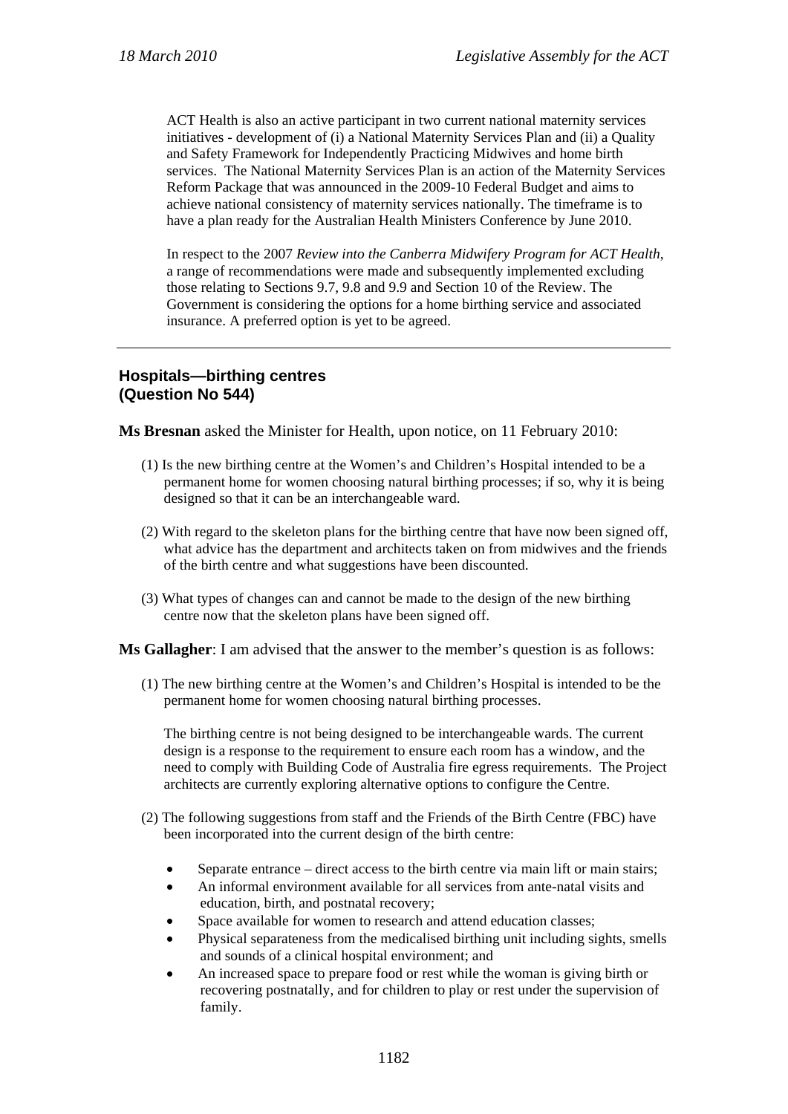ACT Health is also an active participant in two current national maternity services initiatives - development of (i) a National Maternity Services Plan and (ii) a Quality and Safety Framework for Independently Practicing Midwives and home birth services. The National Maternity Services Plan is an action of the Maternity Services Reform Package that was announced in the 2009-10 Federal Budget and aims to achieve national consistency of maternity services nationally. The timeframe is to have a plan ready for the Australian Health Ministers Conference by June 2010.

In respect to the 2007 *Review into the Canberra Midwifery Program for ACT Health*, a range of recommendations were made and subsequently implemented excluding those relating to Sections 9.7, 9.8 and 9.9 and Section 10 of the Review. The Government is considering the options for a home birthing service and associated insurance. A preferred option is yet to be agreed.

# **Hospitals—birthing centres (Question No 544)**

**Ms Bresnan** asked the Minister for Health, upon notice, on 11 February 2010:

- (1) Is the new birthing centre at the Women's and Children's Hospital intended to be a permanent home for women choosing natural birthing processes; if so, why it is being designed so that it can be an interchangeable ward.
- (2) With regard to the skeleton plans for the birthing centre that have now been signed off, what advice has the department and architects taken on from midwives and the friends of the birth centre and what suggestions have been discounted.
- (3) What types of changes can and cannot be made to the design of the new birthing centre now that the skeleton plans have been signed off.

**Ms Gallagher**: I am advised that the answer to the member's question is as follows:

(1) The new birthing centre at the Women's and Children's Hospital is intended to be the permanent home for women choosing natural birthing processes.

The birthing centre is not being designed to be interchangeable wards. The current design is a response to the requirement to ensure each room has a window, and the need to comply with Building Code of Australia fire egress requirements. The Project architects are currently exploring alternative options to configure the Centre.

- (2) The following suggestions from staff and the Friends of the Birth Centre (FBC) have been incorporated into the current design of the birth centre:
	- Separate entrance direct access to the birth centre via main lift or main stairs;
	- An informal environment available for all services from ante-natal visits and education, birth, and postnatal recovery;
	- Space available for women to research and attend education classes;
	- Physical separateness from the medicalised birthing unit including sights, smells and sounds of a clinical hospital environment; and
	- An increased space to prepare food or rest while the woman is giving birth or recovering postnatally, and for children to play or rest under the supervision of family.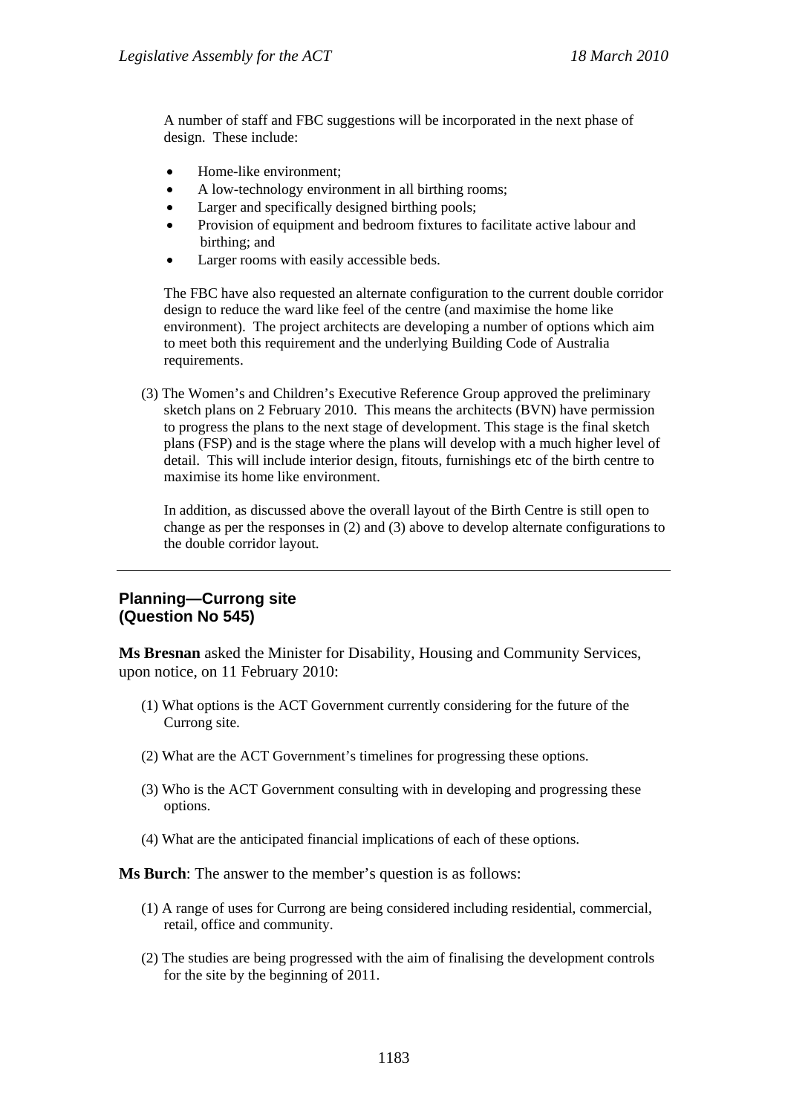A number of staff and FBC suggestions will be incorporated in the next phase of design. These include:

- Home-like environment;
- A low-technology environment in all birthing rooms;
- Larger and specifically designed birthing pools;
- Provision of equipment and bedroom fixtures to facilitate active labour and birthing; and
- Larger rooms with easily accessible beds.

The FBC have also requested an alternate configuration to the current double corridor design to reduce the ward like feel of the centre (and maximise the home like environment). The project architects are developing a number of options which aim to meet both this requirement and the underlying Building Code of Australia requirements.

(3) The Women's and Children's Executive Reference Group approved the preliminary sketch plans on 2 February 2010. This means the architects (BVN) have permission to progress the plans to the next stage of development. This stage is the final sketch plans (FSP) and is the stage where the plans will develop with a much higher level of detail. This will include interior design, fitouts, furnishings etc of the birth centre to maximise its home like environment.

In addition, as discussed above the overall layout of the Birth Centre is still open to change as per the responses in (2) and (3) above to develop alternate configurations to the double corridor layout.

## **Planning—Currong site (Question No 545)**

**Ms Bresnan** asked the Minister for Disability, Housing and Community Services, upon notice, on 11 February 2010:

- (1) What options is the ACT Government currently considering for the future of the Currong site.
- (2) What are the ACT Government's timelines for progressing these options.
- (3) Who is the ACT Government consulting with in developing and progressing these options.
- (4) What are the anticipated financial implications of each of these options.

#### **Ms Burch**: The answer to the member's question is as follows:

- (1) A range of uses for Currong are being considered including residential, commercial, retail, office and community.
- (2) The studies are being progressed with the aim of finalising the development controls for the site by the beginning of 2011.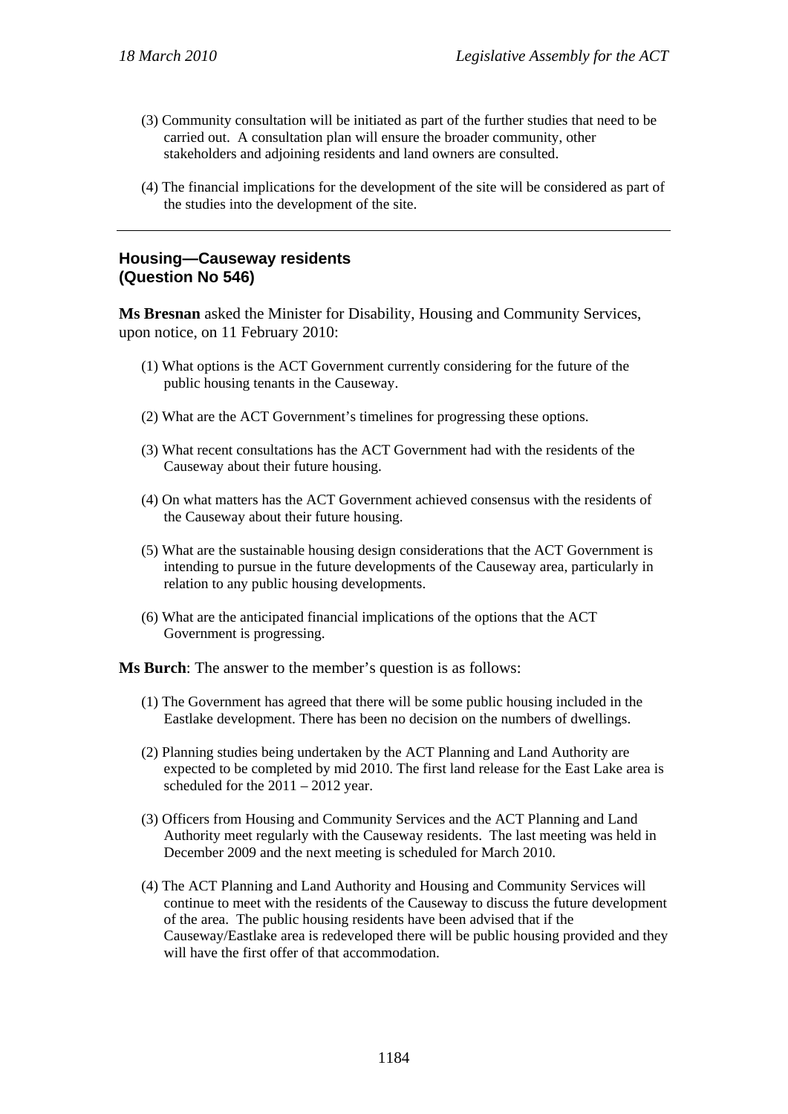- (3) Community consultation will be initiated as part of the further studies that need to be carried out. A consultation plan will ensure the broader community, other stakeholders and adjoining residents and land owners are consulted.
- (4) The financial implications for the development of the site will be considered as part of the studies into the development of the site.

# **Housing—Causeway residents (Question No 546)**

**Ms Bresnan** asked the Minister for Disability, Housing and Community Services, upon notice, on 11 February 2010:

- (1) What options is the ACT Government currently considering for the future of the public housing tenants in the Causeway.
- (2) What are the ACT Government's timelines for progressing these options.
- (3) What recent consultations has the ACT Government had with the residents of the Causeway about their future housing.
- (4) On what matters has the ACT Government achieved consensus with the residents of the Causeway about their future housing.
- (5) What are the sustainable housing design considerations that the ACT Government is intending to pursue in the future developments of the Causeway area, particularly in relation to any public housing developments.
- (6) What are the anticipated financial implications of the options that the ACT Government is progressing.

**Ms Burch**: The answer to the member's question is as follows:

- (1) The Government has agreed that there will be some public housing included in the Eastlake development. There has been no decision on the numbers of dwellings.
- (2) Planning studies being undertaken by the ACT Planning and Land Authority are expected to be completed by mid 2010. The first land release for the East Lake area is scheduled for the 2011 – 2012 year.
- (3) Officers from Housing and Community Services and the ACT Planning and Land Authority meet regularly with the Causeway residents. The last meeting was held in December 2009 and the next meeting is scheduled for March 2010.
- (4) The ACT Planning and Land Authority and Housing and Community Services will continue to meet with the residents of the Causeway to discuss the future development of the area. The public housing residents have been advised that if the Causeway/Eastlake area is redeveloped there will be public housing provided and they will have the first offer of that accommodation.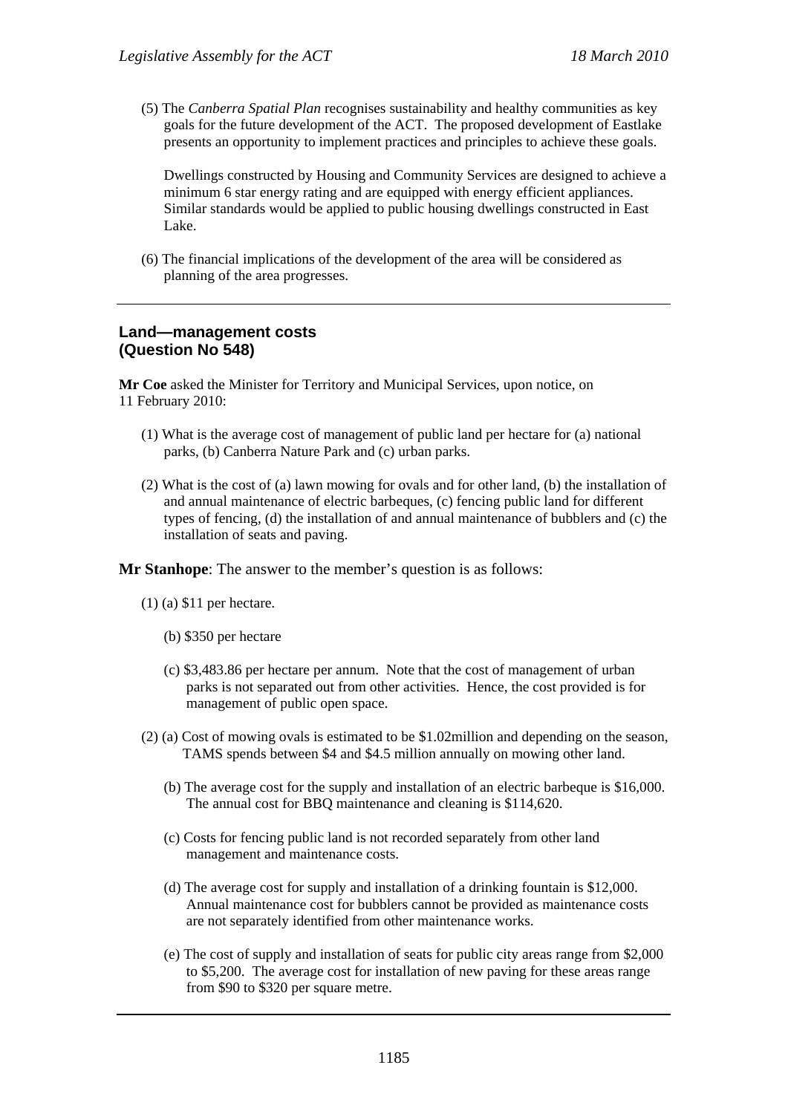(5) The *Canberra Spatial Plan* recognises sustainability and healthy communities as key goals for the future development of the ACT. The proposed development of Eastlake presents an opportunity to implement practices and principles to achieve these goals.

Dwellings constructed by Housing and Community Services are designed to achieve a minimum 6 star energy rating and are equipped with energy efficient appliances. Similar standards would be applied to public housing dwellings constructed in East Lake.

(6) The financial implications of the development of the area will be considered as planning of the area progresses.

#### **Land—management costs (Question No 548)**

**Mr Coe** asked the Minister for Territory and Municipal Services, upon notice, on 11 February 2010:

- (1) What is the average cost of management of public land per hectare for (a) national parks, (b) Canberra Nature Park and (c) urban parks.
- (2) What is the cost of (a) lawn mowing for ovals and for other land, (b) the installation of and annual maintenance of electric barbeques, (c) fencing public land for different types of fencing, (d) the installation of and annual maintenance of bubblers and (c) the installation of seats and paving.

**Mr Stanhope**: The answer to the member's question is as follows:

- (1) (a) \$11 per hectare.
	- (b) \$350 per hectare
	- (c) \$3,483.86 per hectare per annum. Note that the cost of management of urban parks is not separated out from other activities. Hence, the cost provided is for management of public open space.
- (2) (a) Cost of mowing ovals is estimated to be \$1.02million and depending on the season, TAMS spends between \$4 and \$4.5 million annually on mowing other land.
	- (b) The average cost for the supply and installation of an electric barbeque is \$16,000. The annual cost for BBQ maintenance and cleaning is \$114,620.
	- (c) Costs for fencing public land is not recorded separately from other land management and maintenance costs.
	- (d) The average cost for supply and installation of a drinking fountain is \$12,000. Annual maintenance cost for bubblers cannot be provided as maintenance costs are not separately identified from other maintenance works.
	- (e) The cost of supply and installation of seats for public city areas range from \$2,000 to \$5,200. The average cost for installation of new paving for these areas range from \$90 to \$320 per square metre.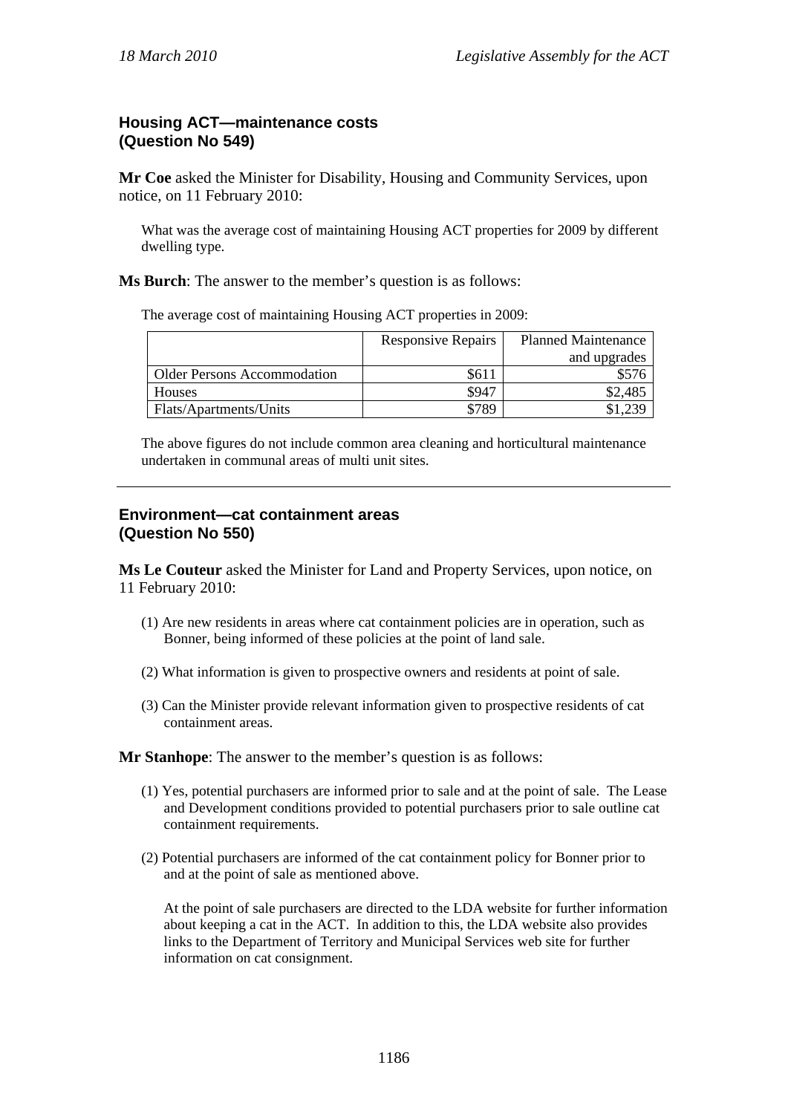# **Housing ACT—maintenance costs (Question No 549)**

**Mr Coe** asked the Minister for Disability, Housing and Community Services, upon notice, on 11 February 2010:

What was the average cost of maintaining Housing ACT properties for 2009 by different dwelling type.

**Ms Burch**: The answer to the member's question is as follows:

The average cost of maintaining Housing ACT properties in 2009:

|                                    | <b>Responsive Repairs</b> | <b>Planned Maintenance</b> |  |
|------------------------------------|---------------------------|----------------------------|--|
|                                    |                           | and upgrades               |  |
| <b>Older Persons Accommodation</b> | \$611                     |                            |  |
| Houses                             | \$947                     | \$2,485                    |  |
| Flats/Apartments/Units             | \$789                     |                            |  |

The above figures do not include common area cleaning and horticultural maintenance undertaken in communal areas of multi unit sites.

#### **Environment—cat containment areas (Question No 550)**

**Ms Le Couteur** asked the Minister for Land and Property Services, upon notice, on 11 February 2010:

- (1) Are new residents in areas where cat containment policies are in operation, such as Bonner, being informed of these policies at the point of land sale.
- (2) What information is given to prospective owners and residents at point of sale.
- (3) Can the Minister provide relevant information given to prospective residents of cat containment areas.

**Mr Stanhope**: The answer to the member's question is as follows:

- (1) Yes, potential purchasers are informed prior to sale and at the point of sale. The Lease and Development conditions provided to potential purchasers prior to sale outline cat containment requirements.
- (2) Potential purchasers are informed of the cat containment policy for Bonner prior to and at the point of sale as mentioned above.

At the point of sale purchasers are directed to the LDA website for further information about keeping a cat in the ACT. In addition to this, the LDA website also provides links to the Department of Territory and Municipal Services web site for further information on cat consignment.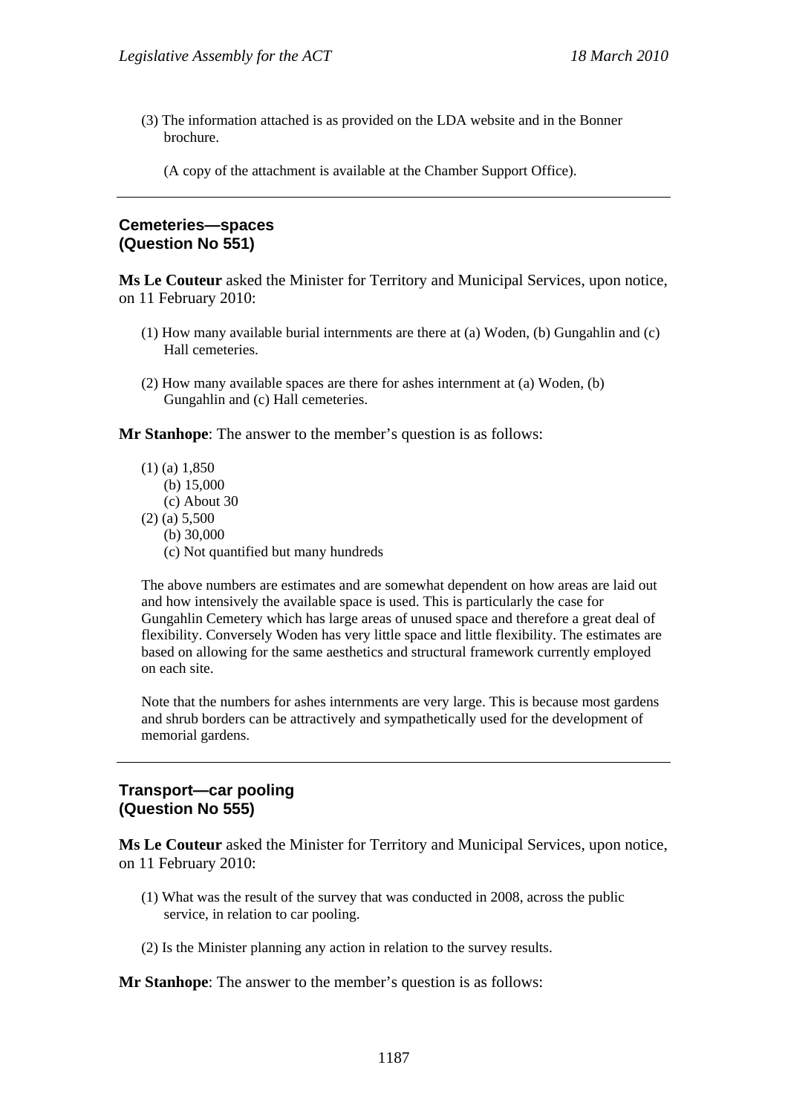(3) The information attached is as provided on the LDA website and in the Bonner brochure.

(A copy of the attachment is available at the Chamber Support Office).

## **Cemeteries—spaces (Question No 551)**

**Ms Le Couteur** asked the Minister for Territory and Municipal Services, upon notice, on 11 February 2010:

- (1) How many available burial internments are there at (a) Woden, (b) Gungahlin and (c) Hall cemeteries.
- (2) How many available spaces are there for ashes internment at (a) Woden, (b) Gungahlin and (c) Hall cemeteries.

**Mr Stanhope**: The answer to the member's question is as follows:

- (1) (a) 1,850
	- (b) 15,000
	- (c) About 30
- (2) (a) 5,500
	- (b) 30,000
	- (c) Not quantified but many hundreds

The above numbers are estimates and are somewhat dependent on how areas are laid out and how intensively the available space is used. This is particularly the case for Gungahlin Cemetery which has large areas of unused space and therefore a great deal of flexibility. Conversely Woden has very little space and little flexibility. The estimates are based on allowing for the same aesthetics and structural framework currently employed on each site.

Note that the numbers for ashes internments are very large. This is because most gardens and shrub borders can be attractively and sympathetically used for the development of memorial gardens.

#### **Transport—car pooling (Question No 555)**

**Ms Le Couteur** asked the Minister for Territory and Municipal Services, upon notice, on 11 February 2010:

- (1) What was the result of the survey that was conducted in 2008, across the public service, in relation to car pooling.
- (2) Is the Minister planning any action in relation to the survey results.

**Mr Stanhope**: The answer to the member's question is as follows: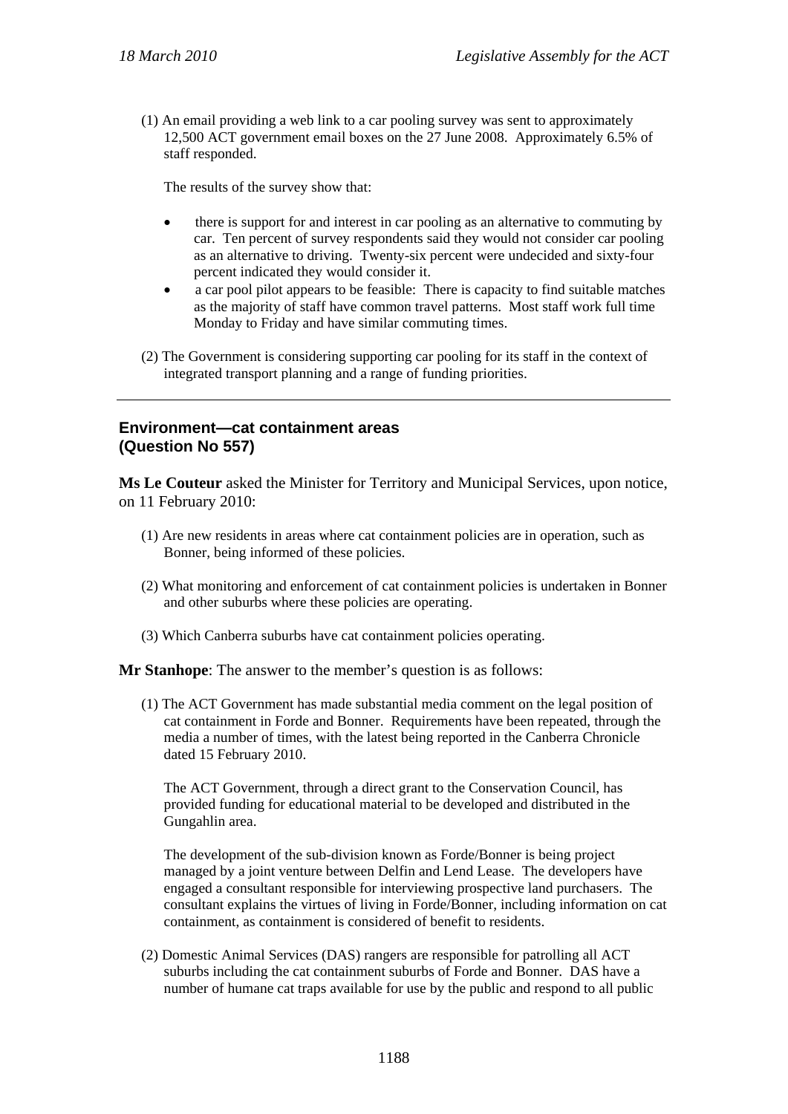(1) An email providing a web link to a car pooling survey was sent to approximately 12,500 ACT government email boxes on the 27 June 2008. Approximately 6.5% of staff responded.

The results of the survey show that:

- there is support for and interest in car pooling as an alternative to commuting by car. Ten percent of survey respondents said they would not consider car pooling as an alternative to driving. Twenty-six percent were undecided and sixty-four percent indicated they would consider it.
- a car pool pilot appears to be feasible: There is capacity to find suitable matches as the majority of staff have common travel patterns. Most staff work full time Monday to Friday and have similar commuting times.
- (2) The Government is considering supporting car pooling for its staff in the context of integrated transport planning and a range of funding priorities.

# **Environment—cat containment areas (Question No 557)**

**Ms Le Couteur** asked the Minister for Territory and Municipal Services, upon notice, on 11 February 2010:

- (1) Are new residents in areas where cat containment policies are in operation, such as Bonner, being informed of these policies.
- (2) What monitoring and enforcement of cat containment policies is undertaken in Bonner and other suburbs where these policies are operating.
- (3) Which Canberra suburbs have cat containment policies operating.

**Mr Stanhope**: The answer to the member's question is as follows:

(1) The ACT Government has made substantial media comment on the legal position of cat containment in Forde and Bonner. Requirements have been repeated, through the media a number of times, with the latest being reported in the Canberra Chronicle dated 15 February 2010.

The ACT Government, through a direct grant to the Conservation Council, has provided funding for educational material to be developed and distributed in the Gungahlin area.

The development of the sub-division known as Forde/Bonner is being project managed by a joint venture between Delfin and Lend Lease. The developers have engaged a consultant responsible for interviewing prospective land purchasers. The consultant explains the virtues of living in Forde/Bonner, including information on cat containment, as containment is considered of benefit to residents.

(2) Domestic Animal Services (DAS) rangers are responsible for patrolling all ACT suburbs including the cat containment suburbs of Forde and Bonner. DAS have a number of humane cat traps available for use by the public and respond to all public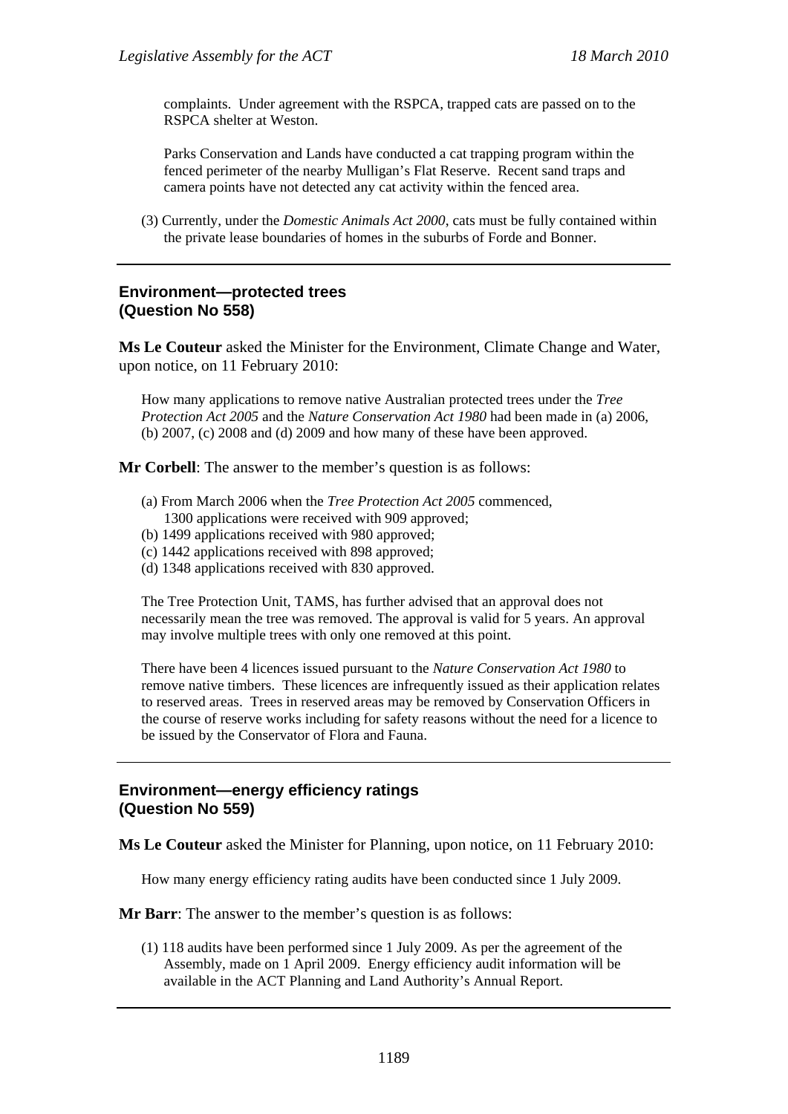complaints. Under agreement with the RSPCA, trapped cats are passed on to the RSPCA shelter at Weston.

Parks Conservation and Lands have conducted a cat trapping program within the fenced perimeter of the nearby Mulligan's Flat Reserve. Recent sand traps and camera points have not detected any cat activity within the fenced area.

(3) Currently, under the *Domestic Animals Act 2000*, cats must be fully contained within the private lease boundaries of homes in the suburbs of Forde and Bonner.

### **Environment—protected trees (Question No 558)**

**Ms Le Couteur** asked the Minister for the Environment, Climate Change and Water, upon notice, on 11 February 2010:

How many applications to remove native Australian protected trees under the *Tree Protection Act 2005* and the *Nature Conservation Act 1980* had been made in (a) 2006, (b) 2007, (c) 2008 and (d) 2009 and how many of these have been approved.

**Mr Corbell**: The answer to the member's question is as follows:

- (a) From March 2006 when the *Tree Protection Act 2005* commenced, 1300 applications were received with 909 approved;
- (b) 1499 applications received with 980 approved;
- (c) 1442 applications received with 898 approved;
- (d) 1348 applications received with 830 approved.

The Tree Protection Unit, TAMS, has further advised that an approval does not necessarily mean the tree was removed. The approval is valid for 5 years. An approval may involve multiple trees with only one removed at this point.

There have been 4 licences issued pursuant to the *Nature Conservation Act 1980* to remove native timbers. These licences are infrequently issued as their application relates to reserved areas. Trees in reserved areas may be removed by Conservation Officers in the course of reserve works including for safety reasons without the need for a licence to be issued by the Conservator of Flora and Fauna.

#### **Environment—energy efficiency ratings (Question No 559)**

**Ms Le Couteur** asked the Minister for Planning, upon notice, on 11 February 2010:

How many energy efficiency rating audits have been conducted since 1 July 2009.

**Mr Barr**: The answer to the member's question is as follows:

(1) 118 audits have been performed since 1 July 2009. As per the agreement of the Assembly, made on 1 April 2009. Energy efficiency audit information will be available in the ACT Planning and Land Authority's Annual Report.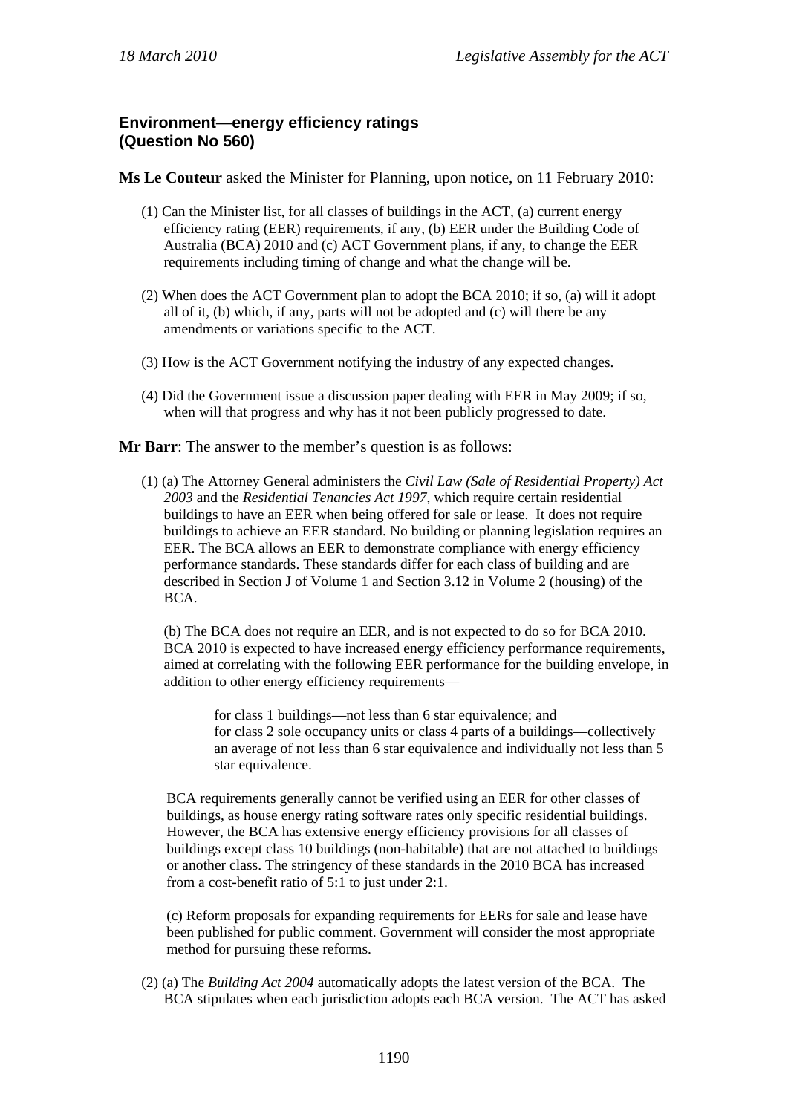# **Environment—energy efficiency ratings (Question No 560)**

**Ms Le Couteur** asked the Minister for Planning, upon notice, on 11 February 2010:

- (1) Can the Minister list, for all classes of buildings in the ACT, (a) current energy efficiency rating (EER) requirements, if any, (b) EER under the Building Code of Australia (BCA) 2010 and (c) ACT Government plans, if any, to change the EER requirements including timing of change and what the change will be.
- (2) When does the ACT Government plan to adopt the BCA 2010; if so, (a) will it adopt all of it, (b) which, if any, parts will not be adopted and (c) will there be any amendments or variations specific to the ACT.
- (3) How is the ACT Government notifying the industry of any expected changes.
- (4) Did the Government issue a discussion paper dealing with EER in May 2009; if so, when will that progress and why has it not been publicly progressed to date.
- **Mr Barr**: The answer to the member's question is as follows:
	- (1) (a) The Attorney General administers the *Civil Law (Sale of Residential Property) Act 2003* and the *Residential Tenancies Act 1997*, which require certain residential buildings to have an EER when being offered for sale or lease. It does not require buildings to achieve an EER standard. No building or planning legislation requires an EER. The BCA allows an EER to demonstrate compliance with energy efficiency performance standards. These standards differ for each class of building and are described in Section J of Volume 1 and Section 3.12 in Volume 2 (housing) of the BCA.

(b) The BCA does not require an EER, and is not expected to do so for BCA 2010. BCA 2010 is expected to have increased energy efficiency performance requirements, aimed at correlating with the following EER performance for the building envelope, in addition to other energy efficiency requirements—

for class 1 buildings—not less than 6 star equivalence; and for class 2 sole occupancy units or class 4 parts of a buildings—collectively an average of not less than 6 star equivalence and individually not less than 5 star equivalence.

BCA requirements generally cannot be verified using an EER for other classes of buildings, as house energy rating software rates only specific residential buildings. However, the BCA has extensive energy efficiency provisions for all classes of buildings except class 10 buildings (non-habitable) that are not attached to buildings or another class. The stringency of these standards in the 2010 BCA has increased from a cost-benefit ratio of 5:1 to just under 2:1.

(c) Reform proposals for expanding requirements for EERs for sale and lease have been published for public comment. Government will consider the most appropriate method for pursuing these reforms.

(2) (a) The *Building Act 2004* automatically adopts the latest version of the BCA. The BCA stipulates when each jurisdiction adopts each BCA version. The ACT has asked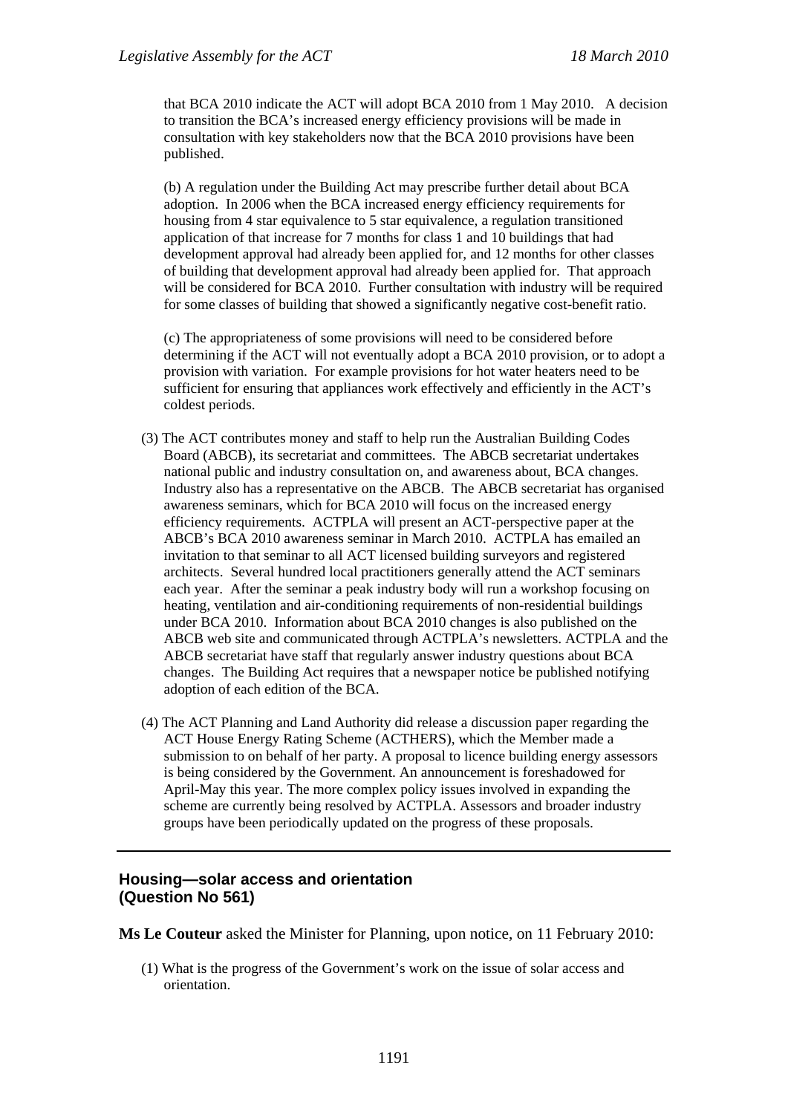that BCA 2010 indicate the ACT will adopt BCA 2010 from 1 May 2010. A decision to transition the BCA's increased energy efficiency provisions will be made in consultation with key stakeholders now that the BCA 2010 provisions have been published.

(b) A regulation under the Building Act may prescribe further detail about BCA adoption. In 2006 when the BCA increased energy efficiency requirements for housing from 4 star equivalence to 5 star equivalence, a regulation transitioned application of that increase for 7 months for class 1 and 10 buildings that had development approval had already been applied for, and 12 months for other classes of building that development approval had already been applied for. That approach will be considered for BCA 2010. Further consultation with industry will be required for some classes of building that showed a significantly negative cost-benefit ratio.

(c) The appropriateness of some provisions will need to be considered before determining if the ACT will not eventually adopt a BCA 2010 provision, or to adopt a provision with variation. For example provisions for hot water heaters need to be sufficient for ensuring that appliances work effectively and efficiently in the ACT's coldest periods.

- (3) The ACT contributes money and staff to help run the Australian Building Codes Board (ABCB), its secretariat and committees. The ABCB secretariat undertakes national public and industry consultation on, and awareness about, BCA changes. Industry also has a representative on the ABCB. The ABCB secretariat has organised awareness seminars, which for BCA 2010 will focus on the increased energy efficiency requirements. ACTPLA will present an ACT-perspective paper at the ABCB's BCA 2010 awareness seminar in March 2010. ACTPLA has emailed an invitation to that seminar to all ACT licensed building surveyors and registered architects. Several hundred local practitioners generally attend the ACT seminars each year. After the seminar a peak industry body will run a workshop focusing on heating, ventilation and air-conditioning requirements of non-residential buildings under BCA 2010. Information about BCA 2010 changes is also published on the ABCB web site and communicated through ACTPLA's newsletters. ACTPLA and the ABCB secretariat have staff that regularly answer industry questions about BCA changes. The Building Act requires that a newspaper notice be published notifying adoption of each edition of the BCA.
- (4) The ACT Planning and Land Authority did release a discussion paper regarding the ACT House Energy Rating Scheme (ACTHERS), which the Member made a submission to on behalf of her party. A proposal to licence building energy assessors is being considered by the Government. An announcement is foreshadowed for April-May this year. The more complex policy issues involved in expanding the scheme are currently being resolved by ACTPLA. Assessors and broader industry groups have been periodically updated on the progress of these proposals.

#### **Housing—solar access and orientation (Question No 561)**

**Ms Le Couteur** asked the Minister for Planning, upon notice, on 11 February 2010:

(1) What is the progress of the Government's work on the issue of solar access and orientation.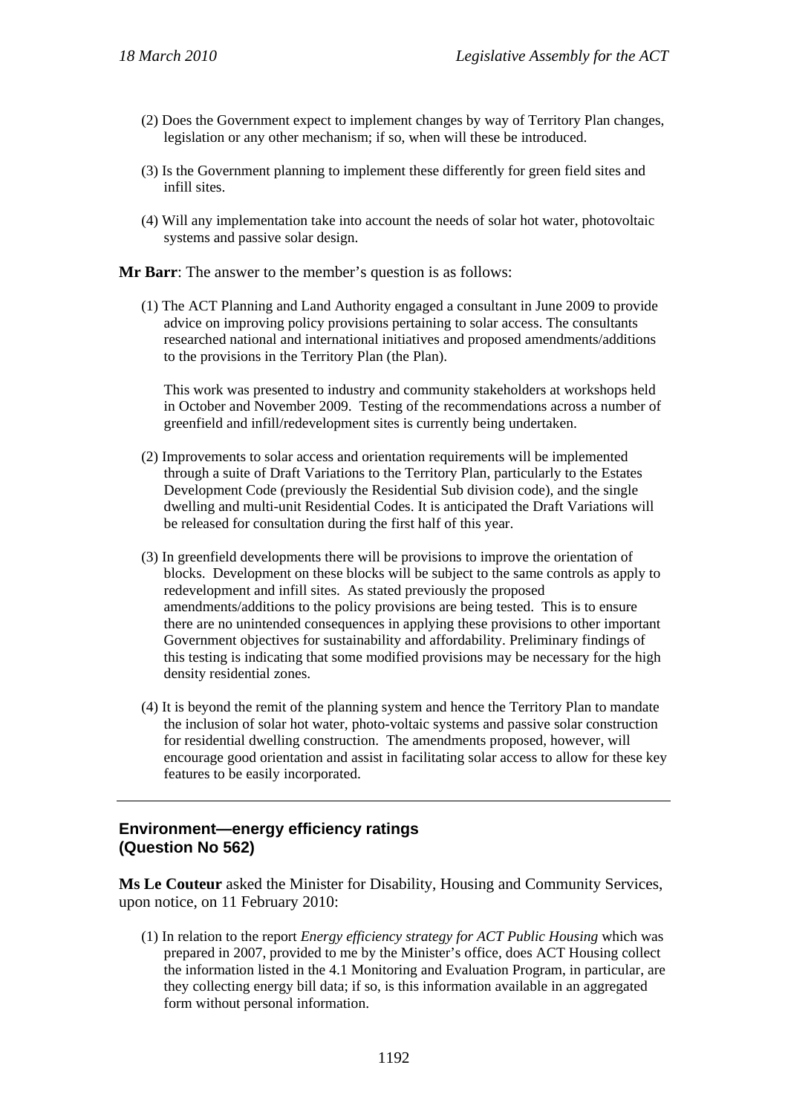- (2) Does the Government expect to implement changes by way of Territory Plan changes, legislation or any other mechanism; if so, when will these be introduced.
- (3) Is the Government planning to implement these differently for green field sites and infill sites.
- (4) Will any implementation take into account the needs of solar hot water, photovoltaic systems and passive solar design.

**Mr Barr**: The answer to the member's question is as follows:

(1) The ACT Planning and Land Authority engaged a consultant in June 2009 to provide advice on improving policy provisions pertaining to solar access. The consultants researched national and international initiatives and proposed amendments/additions to the provisions in the Territory Plan (the Plan).

This work was presented to industry and community stakeholders at workshops held in October and November 2009. Testing of the recommendations across a number of greenfield and infill/redevelopment sites is currently being undertaken.

- (2) Improvements to solar access and orientation requirements will be implemented through a suite of Draft Variations to the Territory Plan, particularly to the Estates Development Code (previously the Residential Sub division code), and the single dwelling and multi-unit Residential Codes. It is anticipated the Draft Variations will be released for consultation during the first half of this year.
- (3) In greenfield developments there will be provisions to improve the orientation of blocks. Development on these blocks will be subject to the same controls as apply to redevelopment and infill sites. As stated previously the proposed amendments/additions to the policy provisions are being tested. This is to ensure there are no unintended consequences in applying these provisions to other important Government objectives for sustainability and affordability. Preliminary findings of this testing is indicating that some modified provisions may be necessary for the high density residential zones.
- (4) It is beyond the remit of the planning system and hence the Territory Plan to mandate the inclusion of solar hot water, photo-voltaic systems and passive solar construction for residential dwelling construction. The amendments proposed, however, will encourage good orientation and assist in facilitating solar access to allow for these key features to be easily incorporated.

# **Environment—energy efficiency ratings (Question No 562)**

**Ms Le Couteur** asked the Minister for Disability, Housing and Community Services, upon notice, on 11 February 2010:

(1) In relation to the report *Energy efficiency strategy for ACT Public Housing* which was prepared in 2007, provided to me by the Minister's office, does ACT Housing collect the information listed in the 4.1 Monitoring and Evaluation Program, in particular, are they collecting energy bill data; if so, is this information available in an aggregated form without personal information.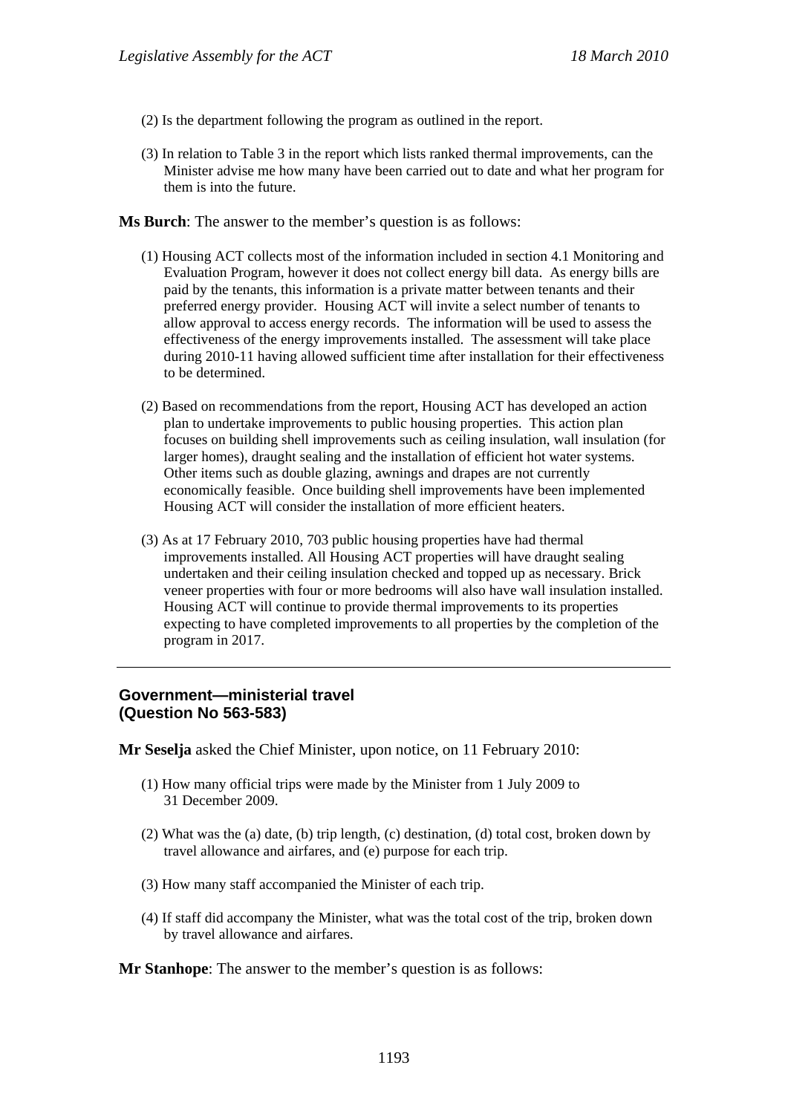- (2) Is the department following the program as outlined in the report.
- (3) In relation to Table 3 in the report which lists ranked thermal improvements, can the Minister advise me how many have been carried out to date and what her program for them is into the future.

**Ms Burch**: The answer to the member's question is as follows:

- (1) Housing ACT collects most of the information included in section 4.1 Monitoring and Evaluation Program, however it does not collect energy bill data. As energy bills are paid by the tenants, this information is a private matter between tenants and their preferred energy provider. Housing ACT will invite a select number of tenants to allow approval to access energy records. The information will be used to assess the effectiveness of the energy improvements installed. The assessment will take place during 2010-11 having allowed sufficient time after installation for their effectiveness to be determined.
- (2) Based on recommendations from the report, Housing ACT has developed an action plan to undertake improvements to public housing properties. This action plan focuses on building shell improvements such as ceiling insulation, wall insulation (for larger homes), draught sealing and the installation of efficient hot water systems. Other items such as double glazing, awnings and drapes are not currently economically feasible. Once building shell improvements have been implemented Housing ACT will consider the installation of more efficient heaters.
- (3) As at 17 February 2010, 703 public housing properties have had thermal improvements installed. All Housing ACT properties will have draught sealing undertaken and their ceiling insulation checked and topped up as necessary. Brick veneer properties with four or more bedrooms will also have wall insulation installed. Housing ACT will continue to provide thermal improvements to its properties expecting to have completed improvements to all properties by the completion of the program in 2017.

## **Government—ministerial travel (Question No 563-583)**

**Mr Seselja** asked the Chief Minister, upon notice, on 11 February 2010:

- (1) How many official trips were made by the Minister from 1 July 2009 to 31 December 2009.
- (2) What was the (a) date, (b) trip length, (c) destination, (d) total cost, broken down by travel allowance and airfares, and (e) purpose for each trip.
- (3) How many staff accompanied the Minister of each trip.
- (4) If staff did accompany the Minister, what was the total cost of the trip, broken down by travel allowance and airfares.

**Mr Stanhope**: The answer to the member's question is as follows: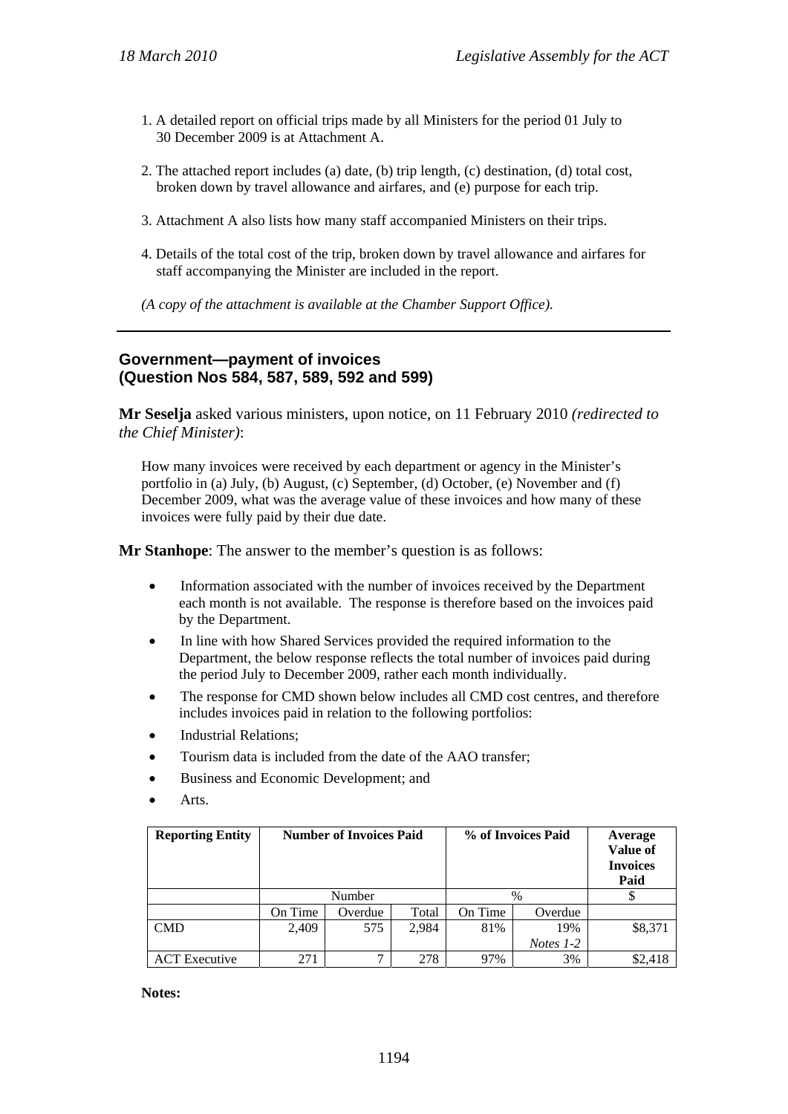- 1. A detailed report on official trips made by all Ministers for the period 01 July to 30 December 2009 is at Attachment A.
- 2. The attached report includes (a) date, (b) trip length, (c) destination, (d) total cost, broken down by travel allowance and airfares, and (e) purpose for each trip.
- 3. Attachment A also lists how many staff accompanied Ministers on their trips.
- 4. Details of the total cost of the trip, broken down by travel allowance and airfares for staff accompanying the Minister are included in the report.
- *(A copy of the attachment is available at the Chamber Support Office).*

#### **Government—payment of invoices (Question Nos 584, 587, 589, 592 and 599)**

**Mr Seselja** asked various ministers, upon notice, on 11 February 2010 *(redirected to the Chief Minister)*:

How many invoices were received by each department or agency in the Minister's portfolio in (a) July, (b) August, (c) September, (d) October, (e) November and (f) December 2009, what was the average value of these invoices and how many of these invoices were fully paid by their due date.

**Mr Stanhope**: The answer to the member's question is as follows:

- Information associated with the number of invoices received by the Department each month is not available. The response is therefore based on the invoices paid by the Department.
- In line with how Shared Services provided the required information to the Department, the below response reflects the total number of invoices paid during the period July to December 2009, rather each month individually.
- The response for CMD shown below includes all CMD cost centres, and therefore includes invoices paid in relation to the following portfolios:
- Industrial Relations;
- Tourism data is included from the date of the AAO transfer;
- Business and Economic Development; and
- Arts.

| <b>Reporting Entity</b> | <b>Number of Invoices Paid</b> |         |       | % of Invoices Paid |             | Average<br>Value of<br><b>Invoices</b><br>Paid |
|-------------------------|--------------------------------|---------|-------|--------------------|-------------|------------------------------------------------|
|                         | Number                         |         |       | $\%$               |             |                                                |
|                         | On Time                        | Overdue | Total | On Time            | Overdue     |                                                |
| <b>CMD</b>              | 2,409                          | 575     | 2.984 | 81%                | 19%         | \$8,371                                        |
|                         |                                |         |       |                    | Notes $1-2$ |                                                |
| <b>ACT</b> Executive    | 271                            |         | 278   | 97%                | 3%          | \$2,418                                        |

**Notes:**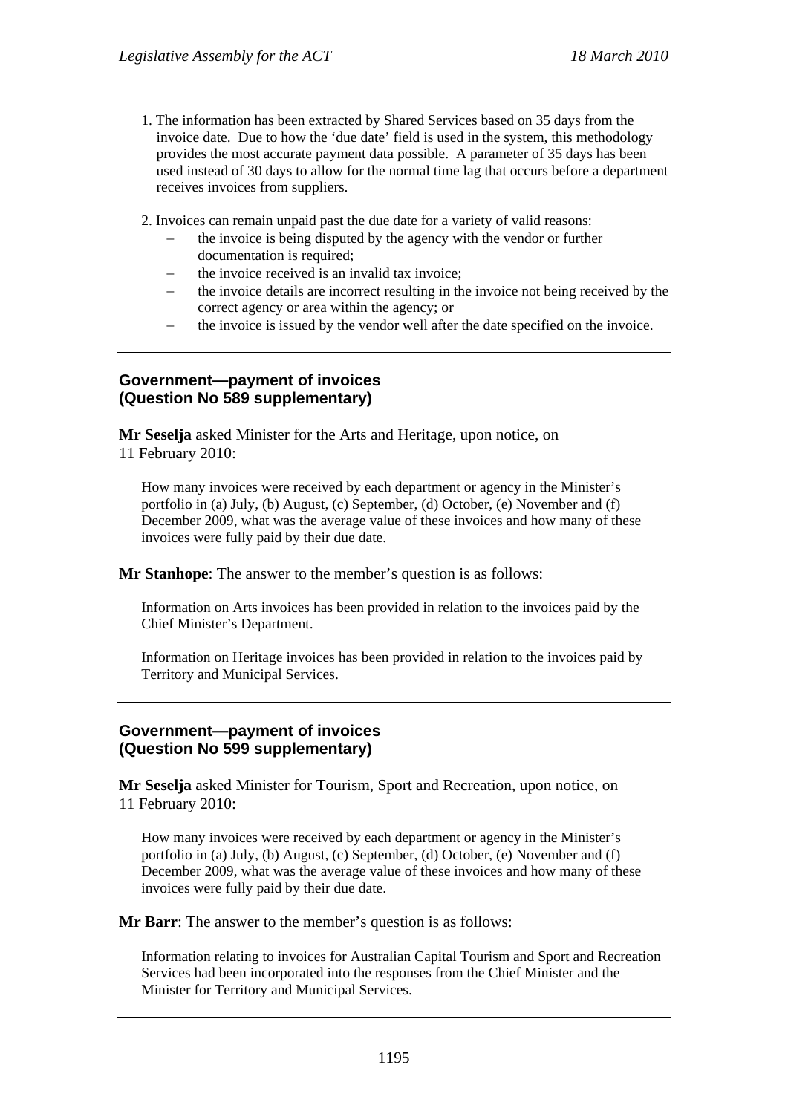- 1. The information has been extracted by Shared Services based on 35 days from the invoice date. Due to how the 'due date' field is used in the system, this methodology provides the most accurate payment data possible. A parameter of 35 days has been used instead of 30 days to allow for the normal time lag that occurs before a department receives invoices from suppliers.
- 2. Invoices can remain unpaid past the due date for a variety of valid reasons:
	- the invoice is being disputed by the agency with the vendor or further documentation is required:
	- the invoice received is an invalid tax invoice;
	- the invoice details are incorrect resulting in the invoice not being received by the correct agency or area within the agency; or
	- the invoice is issued by the vendor well after the date specified on the invoice.

#### **Government—payment of invoices (Question No 589 supplementary)**

**Mr Seselja** asked Minister for the Arts and Heritage, upon notice, on 11 February 2010:

How many invoices were received by each department or agency in the Minister's portfolio in (a) July, (b) August, (c) September, (d) October, (e) November and (f) December 2009, what was the average value of these invoices and how many of these invoices were fully paid by their due date.

**Mr Stanhope**: The answer to the member's question is as follows:

Information on Arts invoices has been provided in relation to the invoices paid by the Chief Minister's Department.

Information on Heritage invoices has been provided in relation to the invoices paid by Territory and Municipal Services.

## **Government—payment of invoices (Question No 599 supplementary)**

**Mr Seselja** asked Minister for Tourism, Sport and Recreation, upon notice, on 11 February 2010:

How many invoices were received by each department or agency in the Minister's portfolio in (a) July, (b) August, (c) September, (d) October, (e) November and (f) December 2009, what was the average value of these invoices and how many of these invoices were fully paid by their due date.

**Mr Barr**: The answer to the member's question is as follows:

Information relating to invoices for Australian Capital Tourism and Sport and Recreation Services had been incorporated into the responses from the Chief Minister and the Minister for Territory and Municipal Services.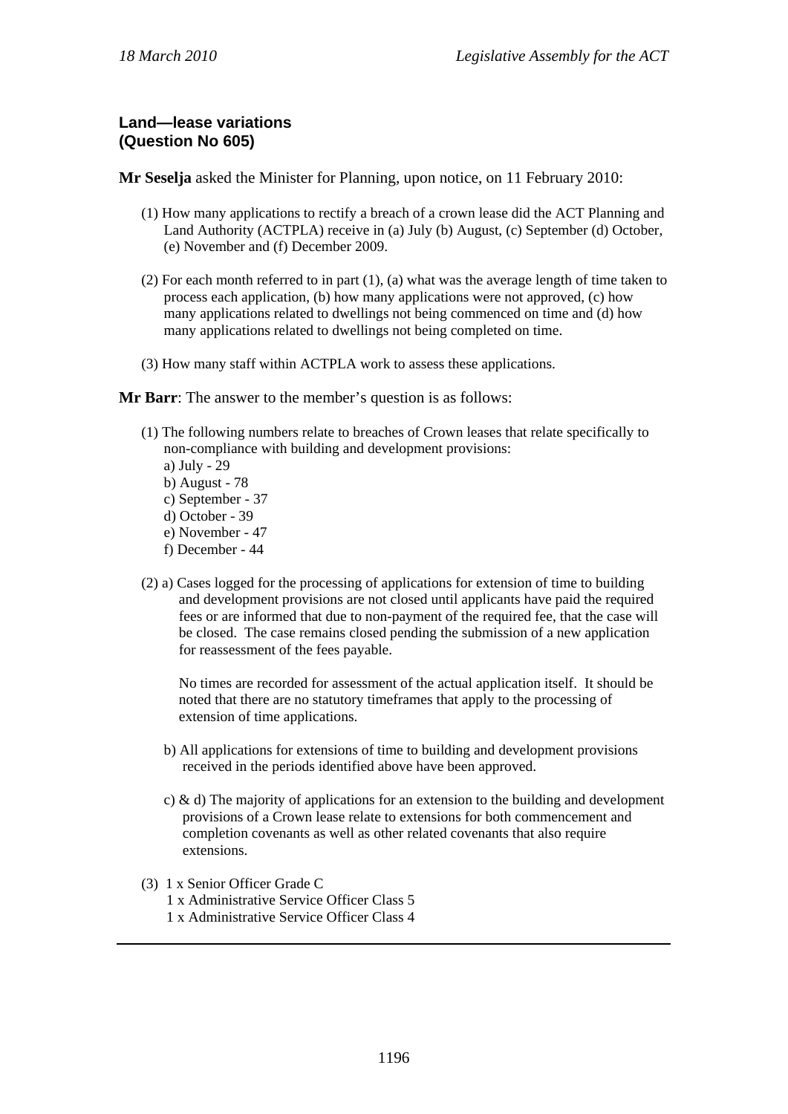# **Land—lease variations (Question No 605)**

**Mr Seselja** asked the Minister for Planning, upon notice, on 11 February 2010:

- (1) How many applications to rectify a breach of a crown lease did the ACT Planning and Land Authority (ACTPLA) receive in (a) July (b) August, (c) September (d) October, (e) November and (f) December 2009.
- (2) For each month referred to in part (1), (a) what was the average length of time taken to process each application, (b) how many applications were not approved, (c) how many applications related to dwellings not being commenced on time and (d) how many applications related to dwellings not being completed on time.
- (3) How many staff within ACTPLA work to assess these applications.

#### **Mr Barr**: The answer to the member's question is as follows:

- (1) The following numbers relate to breaches of Crown leases that relate specifically to non-compliance with building and development provisions:
	- a) July 29
	- b) August 78
	- c) September 37
	- d) October 39
	- e) November 47
	- f) December 44
- (2) a) Cases logged for the processing of applications for extension of time to building and development provisions are not closed until applicants have paid the required fees or are informed that due to non-payment of the required fee, that the case will be closed. The case remains closed pending the submission of a new application for reassessment of the fees payable.

No times are recorded for assessment of the actual application itself. It should be noted that there are no statutory timeframes that apply to the processing of extension of time applications.

- b) All applications for extensions of time to building and development provisions received in the periods identified above have been approved.
- c) & d) The majority of applications for an extension to the building and development provisions of a Crown lease relate to extensions for both commencement and completion covenants as well as other related covenants that also require extensions.
- (3) 1 x Senior Officer Grade C
	- 1 x Administrative Service Officer Class 5
	- 1 x Administrative Service Officer Class 4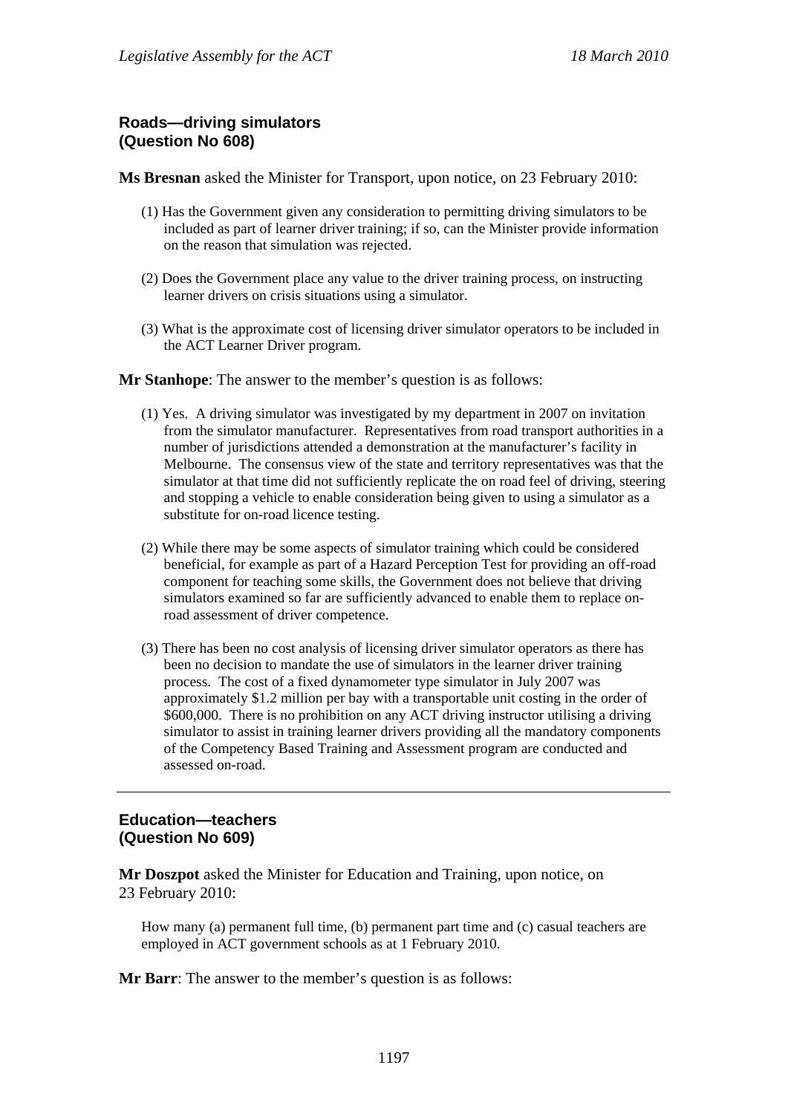# **Roads—driving simulators (Question No 608)**

**Ms Bresnan** asked the Minister for Transport, upon notice, on 23 February 2010:

- (1) Has the Government given any consideration to permitting driving simulators to be included as part of learner driver training; if so, can the Minister provide information on the reason that simulation was rejected.
- (2) Does the Government place any value to the driver training process, on instructing learner drivers on crisis situations using a simulator.
- (3) What is the approximate cost of licensing driver simulator operators to be included in the ACT Learner Driver program.

**Mr Stanhope**: The answer to the member's question is as follows:

- (1) Yes. A driving simulator was investigated by my department in 2007 on invitation from the simulator manufacturer. Representatives from road transport authorities in a number of jurisdictions attended a demonstration at the manufacturer's facility in Melbourne. The consensus view of the state and territory representatives was that the simulator at that time did not sufficiently replicate the on road feel of driving, steering and stopping a vehicle to enable consideration being given to using a simulator as a substitute for on-road licence testing.
- (2) While there may be some aspects of simulator training which could be considered beneficial, for example as part of a Hazard Perception Test for providing an off-road component for teaching some skills, the Government does not believe that driving simulators examined so far are sufficiently advanced to enable them to replace onroad assessment of driver competence.
- (3) There has been no cost analysis of licensing driver simulator operators as there has been no decision to mandate the use of simulators in the learner driver training process. The cost of a fixed dynamometer type simulator in July 2007 was approximately \$1.2 million per bay with a transportable unit costing in the order of \$600,000. There is no prohibition on any ACT driving instructor utilising a driving simulator to assist in training learner drivers providing all the mandatory components of the Competency Based Training and Assessment program are conducted and assessed on-road.

# **Education—teachers (Question No 609)**

**Mr Doszpot** asked the Minister for Education and Training, upon notice, on 23 February 2010:

How many (a) permanent full time, (b) permanent part time and (c) casual teachers are employed in ACT government schools as at 1 February 2010.

**Mr Barr**: The answer to the member's question is as follows: